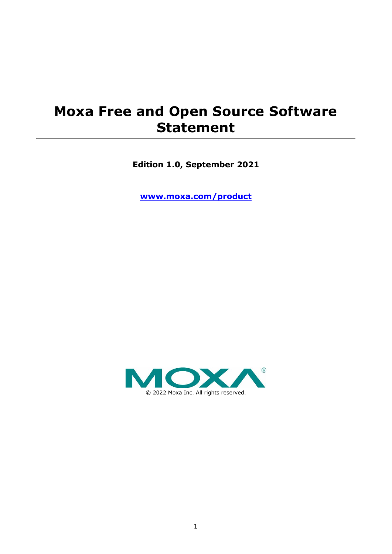## **Moxa Free and Open Source Software Statement**

**Edition 1.0, September 2021**

**[www.moxa.com/product](https://www.moxa.com/product)**

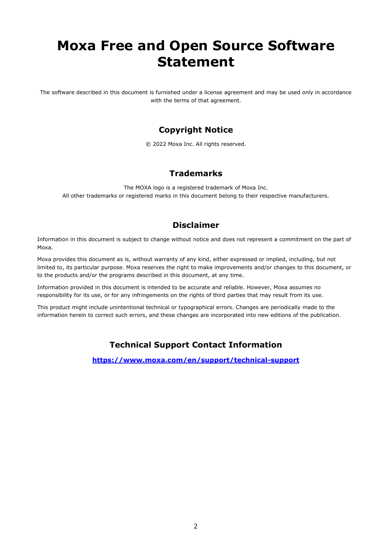# **Moxa Free and Open Source Software Statement**

The software described in this document is furnished under a license agreement and may be used only in accordance with the terms of that agreement.

### **Copyright Notice**

© 2022 Moxa Inc. All rights reserved.

### **Trademarks**

The MOXA logo is a registered trademark of Moxa Inc. All other trademarks or registered marks in this document belong to their respective manufacturers.

### **Disclaimer**

Information in this document is subject to change without notice and does not represent a commitment on the part of Moxa.

Moxa provides this document as is, without warranty of any kind, either expressed or implied, including, but not limited to, its particular purpose. Moxa reserves the right to make improvements and/or changes to this document, or to the products and/or the programs described in this document, at any time.

Information provided in this document is intended to be accurate and reliable. However, Moxa assumes no responsibility for its use, or for any infringements on the rights of third parties that may result from its use.

This product might include unintentional technical or typographical errors. Changes are periodically made to the information herein to correct such errors, and these changes are incorporated into new editions of the publication.

### **Technical Support Contact Information**

**<https://www.moxa.com/en/support/technical-support>**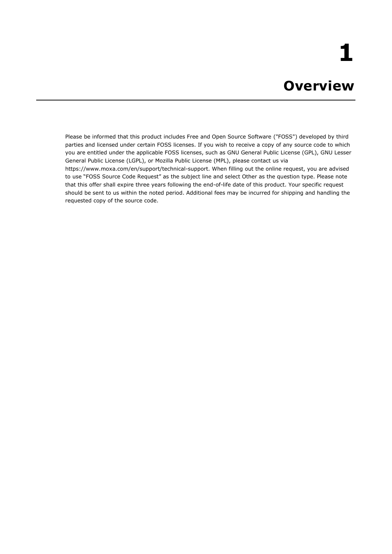Please be informed that this product includes Free and Open Source Software ("FOSS") developed by third parties and licensed under certain FOSS licenses. If you wish to receive a copy of any source code to which you are entitled under the applicable FOSS licenses, such as GNU General Public License (GPL), GNU Lesser General Public License (LGPL), or Mozilla Public License (MPL), please contact us via https://www.moxa.com/en/support/technical-support. When filling out the online request, you are advised to use "FOSS Source Code Request" as the subject line and select Other as the question type. Please note that this offer shall expire three years following the end-of-life date of this product. Your specific request should be sent to us within the noted period. Additional fees may be incurred for shipping and handling the requested copy of the source code.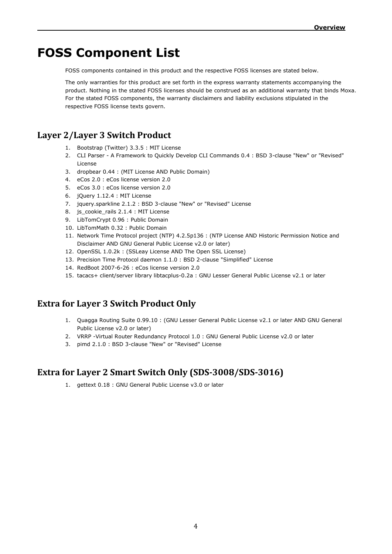## **FOSS Component List**

FOSS components contained in this product and the respective FOSS licenses are stated below.

The only warranties for this product are set forth in the express warranty statements accompanying the product. Nothing in the stated FOSS licenses should be construed as an additional warranty that binds Moxa. For the stated FOSS components, the warranty disclaimers and liability exclusions stipulated in the respective FOSS license texts govern.

### **Layer 2/Layer 3 Switch Product**

- 1. Bootstrap (Twitter) 3.3.5 : MIT License
- 2. CLI Parser A Framework to Quickly Develop CLI Commands 0.4 : BSD 3-clause "New" or "Revised" License
- 3. dropbear 0.44 : (MIT License AND Public Domain)
- 4. eCos 2.0 : eCos license version 2.0
- 5. eCos 3.0 : eCos license version 2.0
- 6. jQuery 1.12.4 : MIT License
- 7. jquery.sparkline 2.1.2 : BSD 3-clause "New" or "Revised" License
- 8. js\_cookie\_rails 2.1.4 : MIT License
- 9. LibTomCrypt 0.96 : Public Domain
- 10. LibTomMath 0.32 : Public Domain
- 11. Network Time Protocol project (NTP) 4.2.5p136 : (NTP License AND Historic Permission Notice and Disclaimer AND GNU General Public License v2.0 or later)
- 12. OpenSSL 1.0.2k : (SSLeay License AND The Open SSL License)
- 13. Precision Time Protocol daemon 1.1.0 : BSD 2-clause "Simplified" License
- 14. RedBoot 2007-6-26 : eCos license version 2.0
- 15. tacacs+ client/server library libtacplus-0.2a : GNU Lesser General Public License v2.1 or later

### **Extra for Layer 3 Switch Product Only**

- 1. Quagga Routing Suite 0.99.10 : (GNU Lesser General Public License v2.1 or later AND GNU General Public License v2.0 or later)
- 2. VRRP -Virtual Router Redundancy Protocol 1.0 : GNU General Public License v2.0 or later
- 3. pimd 2.1.0 : BSD 3-clause "New" or "Revised" License

### **Extra for Layer 2 Smart Switch Only (SDS-3008/SDS-3016)**

1. gettext 0.18 : GNU General Public License v3.0 or later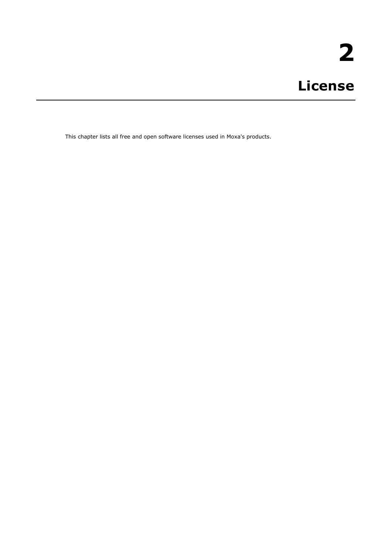This chapter lists all free and open software licenses used in Moxa's products.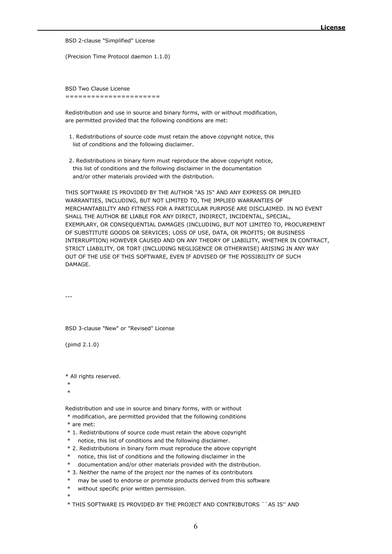BSD 2-clause "Simplified" License

(Precision Time Protocol daemon 1.1.0)

BSD Two Clause License ======================

Redistribution and use in source and binary forms, with or without modification, are permitted provided that the following conditions are met:

- 1. Redistributions of source code must retain the above copyright notice, this list of conditions and the following disclaimer.
- 2. Redistributions in binary form must reproduce the above copyright notice, this list of conditions and the following disclaimer in the documentation and/or other materials provided with the distribution.

THIS SOFTWARE IS PROVIDED BY THE AUTHOR "AS IS" AND ANY EXPRESS OR IMPLIED WARRANTIES, INCLUDING, BUT NOT LIMITED TO, THE IMPLIED WARRANTIES OF MERCHANTABILITY AND FITNESS FOR A PARTICULAR PURPOSE ARE DISCLAIMED. IN NO EVENT SHALL THE AUTHOR BE LIABLE FOR ANY DIRECT, INDIRECT, INCIDENTAL, SPECIAL, EXEMPLARY, OR CONSEQUENTIAL DAMAGES (INCLUDING, BUT NOT LIMITED TO, PROCUREMENT OF SUBSTITUTE GOODS OR SERVICES; LOSS OF USE, DATA, OR PROFITS; OR BUSINESS INTERRUPTION) HOWEVER CAUSED AND ON ANY THEORY OF LIABILITY, WHETHER IN CONTRACT, STRICT LIABILITY, OR TORT (INCLUDING NEGLIGENCE OR OTHERWISE) ARISING IN ANY WAY OUT OF THE USE OF THIS SOFTWARE, EVEN IF ADVISED OF THE POSSIBILITY OF SUCH DAMAGE.

---

BSD 3-clause "New" or "Revised" License

(pimd 2.1.0)

\* All rights reserved.

\*

\*

Redistribution and use in source and binary forms, with or without

- \* modification, are permitted provided that the following conditions
- \* are met:
- \* 1. Redistributions of source code must retain the above copyright
- notice, this list of conditions and the following disclaimer.
- \* 2. Redistributions in binary form must reproduce the above copyright
- notice, this list of conditions and the following disclaimer in the
- \* documentation and/or other materials provided with the distribution.
- \* 3. Neither the name of the project nor the names of its contributors
- may be used to endorse or promote products derived from this software
- \* without specific prior written permission.
- \*

\* THIS SOFTWARE IS PROVIDED BY THE PROJECT AND CONTRIBUTORS ``AS IS'' AND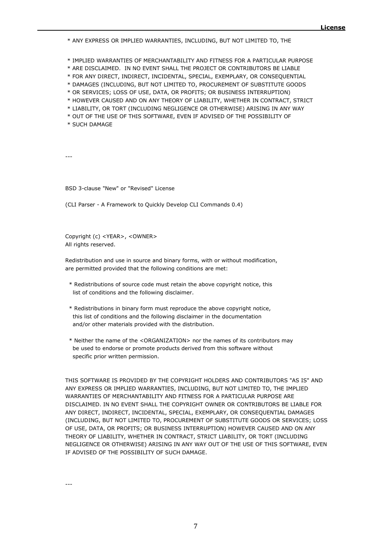\* ANY EXPRESS OR IMPLIED WARRANTIES, INCLUDING, BUT NOT LIMITED TO, THE

\* IMPLIED WARRANTIES OF MERCHANTABILITY AND FITNESS FOR A PARTICULAR PURPOSE

\* ARE DISCLAIMED. IN NO EVENT SHALL THE PROJECT OR CONTRIBUTORS BE LIABLE

\* FOR ANY DIRECT, INDIRECT, INCIDENTAL, SPECIAL, EXEMPLARY, OR CONSEQUENTIAL

\* DAMAGES (INCLUDING, BUT NOT LIMITED TO, PROCUREMENT OF SUBSTITUTE GOODS

\* OR SERVICES; LOSS OF USE, DATA, OR PROFITS; OR BUSINESS INTERRUPTION)

\* HOWEVER CAUSED AND ON ANY THEORY OF LIABILITY, WHETHER IN CONTRACT, STRICT

\* LIABILITY, OR TORT (INCLUDING NEGLIGENCE OR OTHERWISE) ARISING IN ANY WAY

\* OUT OF THE USE OF THIS SOFTWARE, EVEN IF ADVISED OF THE POSSIBILITY OF

\* SUCH DAMAGE

---

BSD 3-clause "New" or "Revised" License

(CLI Parser - A Framework to Quickly Develop CLI Commands 0.4)

Copyright (c) <YEAR>, <OWNER> All rights reserved.

Redistribution and use in source and binary forms, with or without modification, are permitted provided that the following conditions are met:

- \* Redistributions of source code must retain the above copyright notice, this list of conditions and the following disclaimer.
- \* Redistributions in binary form must reproduce the above copyright notice, this list of conditions and the following disclaimer in the documentation and/or other materials provided with the distribution.
- \* Neither the name of the <ORGANIZATION> nor the names of its contributors may be used to endorse or promote products derived from this software without specific prior written permission.

THIS SOFTWARE IS PROVIDED BY THE COPYRIGHT HOLDERS AND CONTRIBUTORS "AS IS" AND ANY EXPRESS OR IMPLIED WARRANTIES, INCLUDING, BUT NOT LIMITED TO, THE IMPLIED WARRANTIES OF MERCHANTABILITY AND FITNESS FOR A PARTICULAR PURPOSE ARE DISCLAIMED. IN NO EVENT SHALL THE COPYRIGHT OWNER OR CONTRIBUTORS BE LIABLE FOR ANY DIRECT, INDIRECT, INCIDENTAL, SPECIAL, EXEMPLARY, OR CONSEQUENTIAL DAMAGES (INCLUDING, BUT NOT LIMITED TO, PROCUREMENT OF SUBSTITUTE GOODS OR SERVICES; LOSS OF USE, DATA, OR PROFITS; OR BUSINESS INTERRUPTION) HOWEVER CAUSED AND ON ANY THEORY OF LIABILITY, WHETHER IN CONTRACT, STRICT LIABILITY, OR TORT (INCLUDING NEGLIGENCE OR OTHERWISE) ARISING IN ANY WAY OUT OF THE USE OF THIS SOFTWARE, EVEN IF ADVISED OF THE POSSIBILITY OF SUCH DAMAGE.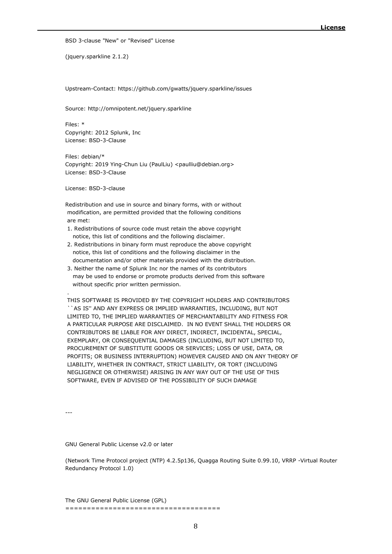BSD 3-clause "New" or "Revised" License

(jquery.sparkline 2.1.2)

Upstream-Contact: https://github.com/gwatts/jquery.sparkline/issues

Source: http://omnipotent.net/jquery.sparkline

Files: \* Copyright: 2012 Splunk, Inc License: BSD-3-Clause

Files: debian/\* Copyright: 2019 Ying-Chun Liu (PaulLiu) <paulliu@debian.org> License: BSD-3-Clause

License: BSD-3-clause

Redistribution and use in source and binary forms, with or without modification, are permitted provided that the following conditions are met:

- 1. Redistributions of source code must retain the above copyright notice, this list of conditions and the following disclaimer.
- 2. Redistributions in binary form must reproduce the above copyright notice, this list of conditions and the following disclaimer in the documentation and/or other materials provided with the distribution.
- 3. Neither the name of Splunk Inc nor the names of its contributors may be used to endorse or promote products derived from this software without specific prior written permission.

THIS SOFTWARE IS PROVIDED BY THE COPYRIGHT HOLDERS AND CONTRIBUTORS ``AS IS'' AND ANY EXPRESS OR IMPLIED WARRANTIES, INCLUDING, BUT NOT LIMITED TO, THE IMPLIED WARRANTIES OF MERCHANTABILITY AND FITNESS FOR A PARTICULAR PURPOSE ARE DISCLAIMED. IN NO EVENT SHALL THE HOLDERS OR CONTRIBUTORS BE LIABLE FOR ANY DIRECT, INDIRECT, INCIDENTAL, SPECIAL, EXEMPLARY, OR CONSEQUENTIAL DAMAGES (INCLUDING, BUT NOT LIMITED TO, PROCUREMENT OF SUBSTITUTE GOODS OR SERVICES; LOSS OF USE, DATA, OR PROFITS; OR BUSINESS INTERRUPTION) HOWEVER CAUSED AND ON ANY THEORY OF LIABILITY, WHETHER IN CONTRACT, STRICT LIABILITY, OR TORT (INCLUDING NEGLIGENCE OR OTHERWISE) ARISING IN ANY WAY OUT OF THE USE OF THIS SOFTWARE, EVEN IF ADVISED OF THE POSSIBILITY OF SUCH DAMAGE

---

.

GNU General Public License v2.0 or later

(Network Time Protocol project (NTP) 4.2.5p136, Quagga Routing Suite 0.99.10, VRRP -Virtual Router Redundancy Protocol 1.0)

The GNU General Public License (GPL) ====================================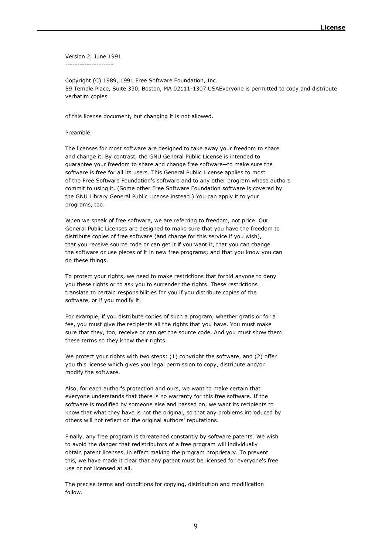Version 2, June 1991 --------------------

Copyright (C) 1989, 1991 Free Software Foundation, Inc. 59 Temple Place, Suite 330, Boston, MA 02111-1307 USAEveryone is permitted to copy and distribute verbatim copies

of this license document, but changing it is not allowed.

#### Preamble

The licenses for most software are designed to take away your freedom to share and change it. By contrast, the GNU General Public License is intended to guarantee your freedom to share and change free software--to make sure the software is free for all its users. This General Public License applies to most of the Free Software Foundation's software and to any other program whose authors commit to using it. (Some other Free Software Foundation software is covered by the GNU Library General Public License instead.) You can apply it to your programs, too.

When we speak of free software, we are referring to freedom, not price. Our General Public Licenses are designed to make sure that you have the freedom to distribute copies of free software (and charge for this service if you wish), that you receive source code or can get it if you want it, that you can change the software or use pieces of it in new free programs; and that you know you can do these things.

To protect your rights, we need to make restrictions that forbid anyone to deny you these rights or to ask you to surrender the rights. These restrictions translate to certain responsibilities for you if you distribute copies of the software, or if you modify it.

For example, if you distribute copies of such a program, whether gratis or for a fee, you must give the recipients all the rights that you have. You must make sure that they, too, receive or can get the source code. And you must show them these terms so they know their rights.

We protect your rights with two steps: (1) copyright the software, and (2) offer you this license which gives you legal permission to copy, distribute and/or modify the software.

Also, for each author's protection and ours, we want to make certain that everyone understands that there is no warranty for this free software. If the software is modified by someone else and passed on, we want its recipients to know that what they have is not the original, so that any problems introduced by others will not reflect on the original authors' reputations.

Finally, any free program is threatened constantly by software patents. We wish to avoid the danger that redistributors of a free program will individually obtain patent licenses, in effect making the program proprietary. To prevent this, we have made it clear that any patent must be licensed for everyone's free use or not licensed at all.

The precise terms and conditions for copying, distribution and modification follow.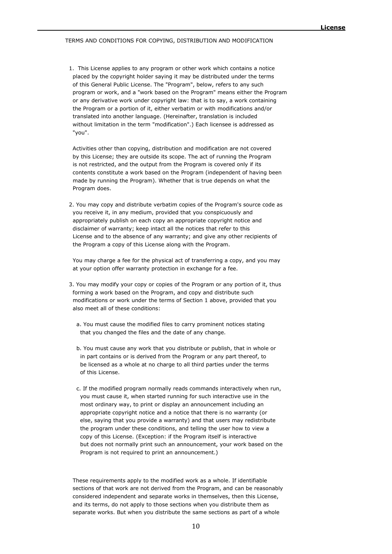#### TERMS AND CONDITIONS FOR COPYING, DISTRIBUTION AND MODIFICATION

 1. This License applies to any program or other work which contains a notice placed by the copyright holder saying it may be distributed under the terms of this General Public License. The "Program", below, refers to any such program or work, and a "work based on the Program" means either the Program or any derivative work under copyright law: that is to say, a work containing the Program or a portion of it, either verbatim or with modifications and/or translated into another language. (Hereinafter, translation is included without limitation in the term "modification".) Each licensee is addressed as "you".

 Activities other than copying, distribution and modification are not covered by this License; they are outside its scope. The act of running the Program is not restricted, and the output from the Program is covered only if its contents constitute a work based on the Program (independent of having been made by running the Program). Whether that is true depends on what the Program does.

 2. You may copy and distribute verbatim copies of the Program's source code as you receive it, in any medium, provided that you conspicuously and appropriately publish on each copy an appropriate copyright notice and disclaimer of warranty; keep intact all the notices that refer to this License and to the absence of any warranty; and give any other recipients of the Program a copy of this License along with the Program.

 You may charge a fee for the physical act of transferring a copy, and you may at your option offer warranty protection in exchange for a fee.

- 3. You may modify your copy or copies of the Program or any portion of it, thus forming a work based on the Program, and copy and distribute such modifications or work under the terms of Section 1 above, provided that you also meet all of these conditions:
	- a. You must cause the modified files to carry prominent notices stating that you changed the files and the date of any change.
	- b. You must cause any work that you distribute or publish, that in whole or in part contains or is derived from the Program or any part thereof, to be licensed as a whole at no charge to all third parties under the terms of this License.
	- c. If the modified program normally reads commands interactively when run, you must cause it, when started running for such interactive use in the most ordinary way, to print or display an announcement including an appropriate copyright notice and a notice that there is no warranty (or else, saying that you provide a warranty) and that users may redistribute the program under these conditions, and telling the user how to view a copy of this License. (Exception: if the Program itself is interactive but does not normally print such an announcement, your work based on the Program is not required to print an announcement.)

 These requirements apply to the modified work as a whole. If identifiable sections of that work are not derived from the Program, and can be reasonably considered independent and separate works in themselves, then this License, and its terms, do not apply to those sections when you distribute them as separate works. But when you distribute the same sections as part of a whole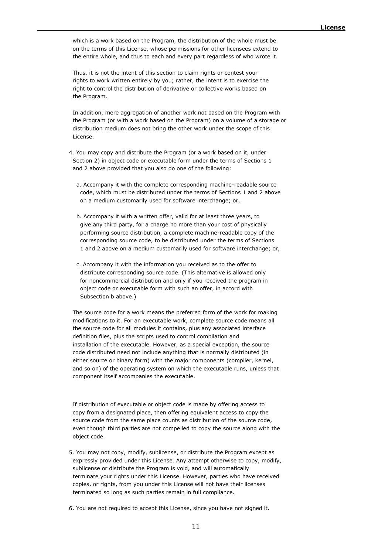which is a work based on the Program, the distribution of the whole must be on the terms of this License, whose permissions for other licensees extend to the entire whole, and thus to each and every part regardless of who wrote it.

 Thus, it is not the intent of this section to claim rights or contest your rights to work written entirely by you; rather, the intent is to exercise the right to control the distribution of derivative or collective works based on the Program.

 In addition, mere aggregation of another work not based on the Program with the Program (or with a work based on the Program) on a volume of a storage or distribution medium does not bring the other work under the scope of this License.

 4. You may copy and distribute the Program (or a work based on it, under Section 2) in object code or executable form under the terms of Sections 1 and 2 above provided that you also do one of the following:

- a. Accompany it with the complete corresponding machine-readable source code, which must be distributed under the terms of Sections 1 and 2 above on a medium customarily used for software interchange; or,
- b. Accompany it with a written offer, valid for at least three years, to give any third party, for a charge no more than your cost of physically performing source distribution, a complete machine-readable copy of the corresponding source code, to be distributed under the terms of Sections 1 and 2 above on a medium customarily used for software interchange; or,
- c. Accompany it with the information you received as to the offer to distribute corresponding source code. (This alternative is allowed only for noncommercial distribution and only if you received the program in object code or executable form with such an offer, in accord with Subsection b above.)

 The source code for a work means the preferred form of the work for making modifications to it. For an executable work, complete source code means all the source code for all modules it contains, plus any associated interface definition files, plus the scripts used to control compilation and installation of the executable. However, as a special exception, the source code distributed need not include anything that is normally distributed (in either source or binary form) with the major components (compiler, kernel, and so on) of the operating system on which the executable runs, unless that component itself accompanies the executable.

 If distribution of executable or object code is made by offering access to copy from a designated place, then offering equivalent access to copy the source code from the same place counts as distribution of the source code, even though third parties are not compelled to copy the source along with the object code.

- 5. You may not copy, modify, sublicense, or distribute the Program except as expressly provided under this License. Any attempt otherwise to copy, modify, sublicense or distribute the Program is void, and will automatically terminate your rights under this License. However, parties who have received copies, or rights, from you under this License will not have their licenses terminated so long as such parties remain in full compliance.
- 6. You are not required to accept this License, since you have not signed it.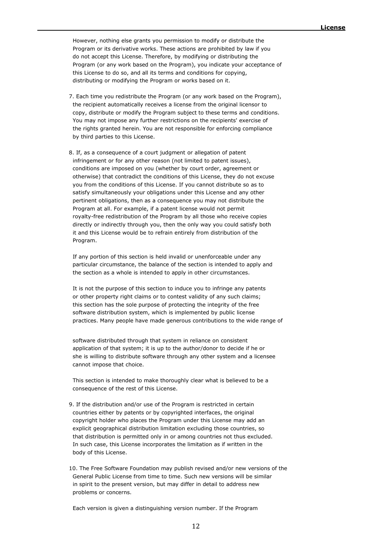However, nothing else grants you permission to modify or distribute the Program or its derivative works. These actions are prohibited by law if you do not accept this License. Therefore, by modifying or distributing the Program (or any work based on the Program), you indicate your acceptance of this License to do so, and all its terms and conditions for copying, distributing or modifying the Program or works based on it.

- 7. Each time you redistribute the Program (or any work based on the Program), the recipient automatically receives a license from the original licensor to copy, distribute or modify the Program subject to these terms and conditions. You may not impose any further restrictions on the recipients' exercise of the rights granted herein. You are not responsible for enforcing compliance by third parties to this License.
- 8. If, as a consequence of a court judgment or allegation of patent infringement or for any other reason (not limited to patent issues), conditions are imposed on you (whether by court order, agreement or otherwise) that contradict the conditions of this License, they do not excuse you from the conditions of this License. If you cannot distribute so as to satisfy simultaneously your obligations under this License and any other pertinent obligations, then as a consequence you may not distribute the Program at all. For example, if a patent license would not permit royalty-free redistribution of the Program by all those who receive copies directly or indirectly through you, then the only way you could satisfy both it and this License would be to refrain entirely from distribution of the Program.

 If any portion of this section is held invalid or unenforceable under any particular circumstance, the balance of the section is intended to apply and the section as a whole is intended to apply in other circumstances.

 It is not the purpose of this section to induce you to infringe any patents or other property right claims or to contest validity of any such claims; this section has the sole purpose of protecting the integrity of the free software distribution system, which is implemented by public license practices. Many people have made generous contributions to the wide range of

 software distributed through that system in reliance on consistent application of that system; it is up to the author/donor to decide if he or she is willing to distribute software through any other system and a licensee cannot impose that choice.

 This section is intended to make thoroughly clear what is believed to be a consequence of the rest of this License.

- 9. If the distribution and/or use of the Program is restricted in certain countries either by patents or by copyrighted interfaces, the original copyright holder who places the Program under this License may add an explicit geographical distribution limitation excluding those countries, so that distribution is permitted only in or among countries not thus excluded. In such case, this License incorporates the limitation as if written in the body of this License.
- 10. The Free Software Foundation may publish revised and/or new versions of the General Public License from time to time. Such new versions will be similar in spirit to the present version, but may differ in detail to address new problems or concerns.

Each version is given a distinguishing version number. If the Program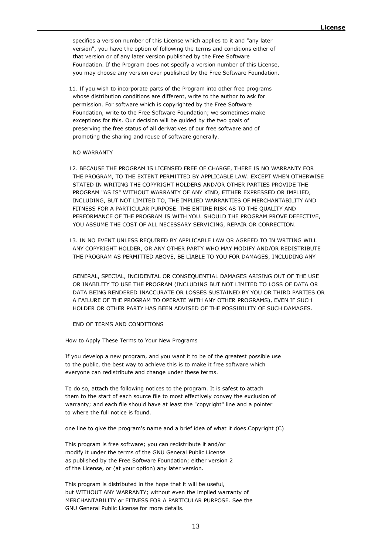specifies a version number of this License which applies to it and "any later version", you have the option of following the terms and conditions either of that version or of any later version published by the Free Software Foundation. If the Program does not specify a version number of this License, you may choose any version ever published by the Free Software Foundation.

 11. If you wish to incorporate parts of the Program into other free programs whose distribution conditions are different, write to the author to ask for permission. For software which is copyrighted by the Free Software Foundation, write to the Free Software Foundation; we sometimes make exceptions for this. Our decision will be guided by the two goals of preserving the free status of all derivatives of our free software and of promoting the sharing and reuse of software generally.

#### NO WARRANTY

- 12. BECAUSE THE PROGRAM IS LICENSED FREE OF CHARGE, THERE IS NO WARRANTY FOR THE PROGRAM, TO THE EXTENT PERMITTED BY APPLICABLE LAW. EXCEPT WHEN OTHERWISE STATED IN WRITING THE COPYRIGHT HOLDERS AND/OR OTHER PARTIES PROVIDE THE PROGRAM "AS IS" WITHOUT WARRANTY OF ANY KIND, EITHER EXPRESSED OR IMPLIED, INCLUDING, BUT NOT LIMITED TO, THE IMPLIED WARRANTIES OF MERCHANTABILITY AND FITNESS FOR A PARTICULAR PURPOSE. THE ENTIRE RISK AS TO THE QUALITY AND PERFORMANCE OF THE PROGRAM IS WITH YOU. SHOULD THE PROGRAM PROVE DEFECTIVE, YOU ASSUME THE COST OF ALL NECESSARY SERVICING, REPAIR OR CORRECTION.
- 13. IN NO EVENT UNLESS REQUIRED BY APPLICABLE LAW OR AGREED TO IN WRITING WILL ANY COPYRIGHT HOLDER, OR ANY OTHER PARTY WHO MAY MODIFY AND/OR REDISTRIBUTE THE PROGRAM AS PERMITTED ABOVE, BE LIABLE TO YOU FOR DAMAGES, INCLUDING ANY

 GENERAL, SPECIAL, INCIDENTAL OR CONSEQUENTIAL DAMAGES ARISING OUT OF THE USE OR INABILITY TO USE THE PROGRAM (INCLUDING BUT NOT LIMITED TO LOSS OF DATA OR DATA BEING RENDERED INACCURATE OR LOSSES SUSTAINED BY YOU OR THIRD PARTIES OR A FAILURE OF THE PROGRAM TO OPERATE WITH ANY OTHER PROGRAMS), EVEN IF SUCH HOLDER OR OTHER PARTY HAS BEEN ADVISED OF THE POSSIBILITY OF SUCH DAMAGES.

END OF TERMS AND CONDITIONS

How to Apply These Terms to Your New Programs

If you develop a new program, and you want it to be of the greatest possible use to the public, the best way to achieve this is to make it free software which everyone can redistribute and change under these terms.

To do so, attach the following notices to the program. It is safest to attach them to the start of each source file to most effectively convey the exclusion of warranty; and each file should have at least the "copyright" line and a pointer to where the full notice is found.

one line to give the program's name and a brief idea of what it does.Copyright (C)

This program is free software; you can redistribute it and/or modify it under the terms of the GNU General Public License as published by the Free Software Foundation; either version 2 of the License, or (at your option) any later version.

This program is distributed in the hope that it will be useful, but WITHOUT ANY WARRANTY; without even the implied warranty of MERCHANTABILITY or FITNESS FOR A PARTICULAR PURPOSE. See the GNU General Public License for more details.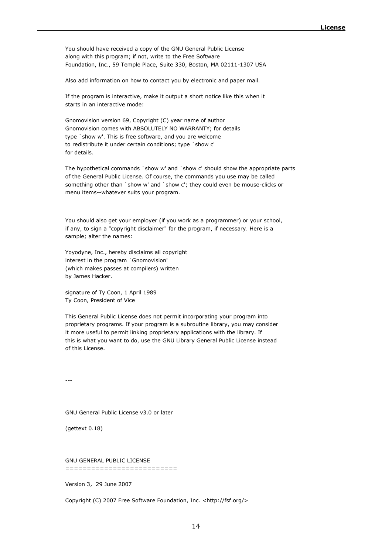You should have received a copy of the GNU General Public License along with this program; if not, write to the Free Software Foundation, Inc., 59 Temple Place, Suite 330, Boston, MA 02111-1307 USA

Also add information on how to contact you by electronic and paper mail.

If the program is interactive, make it output a short notice like this when it starts in an interactive mode:

Gnomovision version 69, Copyright (C) year name of author Gnomovision comes with ABSOLUTELY NO WARRANTY; for details type `show w'. This is free software, and you are welcome to redistribute it under certain conditions; type `show c' for details.

The hypothetical commands `show w' and `show c' should show the appropriate parts of the General Public License. Of course, the commands you use may be called something other than `show w' and `show c'; they could even be mouse-clicks or menu items--whatever suits your program.

You should also get your employer (if you work as a programmer) or your school, if any, to sign a "copyright disclaimer" for the program, if necessary. Here is a sample; alter the names:

Yoyodyne, Inc., hereby disclaims all copyright interest in the program `Gnomovision' (which makes passes at compilers) written by James Hacker.

signature of Ty Coon, 1 April 1989 Ty Coon, President of Vice

This General Public License does not permit incorporating your program into proprietary programs. If your program is a subroutine library, you may consider it more useful to permit linking proprietary applications with the library. If this is what you want to do, use the GNU Library General Public License instead of this License.

---

GNU General Public License v3.0 or later

(gettext 0.18)

GNU GENERAL PUBLIC LICENSE

==========================

Version 3, 29 June 2007

Copyright (C) 2007 Free Software Foundation, Inc. <http://fsf.org/>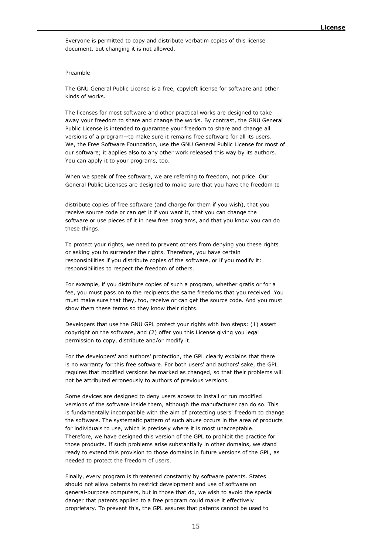Everyone is permitted to copy and distribute verbatim copies of this license document, but changing it is not allowed.

#### Preamble

The GNU General Public License is a free, copyleft license for software and other kinds of works.

The licenses for most software and other practical works are designed to take away your freedom to share and change the works. By contrast, the GNU General Public License is intended to guarantee your freedom to share and change all versions of a program--to make sure it remains free software for all its users. We, the Free Software Foundation, use the GNU General Public License for most of our software; it applies also to any other work released this way by its authors. You can apply it to your programs, too.

When we speak of free software, we are referring to freedom, not price. Our General Public Licenses are designed to make sure that you have the freedom to

distribute copies of free software (and charge for them if you wish), that you receive source code or can get it if you want it, that you can change the software or use pieces of it in new free programs, and that you know you can do these things.

To protect your rights, we need to prevent others from denying you these rights or asking you to surrender the rights. Therefore, you have certain responsibilities if you distribute copies of the software, or if you modify it: responsibilities to respect the freedom of others.

For example, if you distribute copies of such a program, whether gratis or for a fee, you must pass on to the recipients the same freedoms that you received. You must make sure that they, too, receive or can get the source code. And you must show them these terms so they know their rights.

Developers that use the GNU GPL protect your rights with two steps: (1) assert copyright on the software, and (2) offer you this License giving you legal permission to copy, distribute and/or modify it.

For the developers' and authors' protection, the GPL clearly explains that there is no warranty for this free software. For both users' and authors' sake, the GPL requires that modified versions be marked as changed, so that their problems will not be attributed erroneously to authors of previous versions.

Some devices are designed to deny users access to install or run modified versions of the software inside them, although the manufacturer can do so. This is fundamentally incompatible with the aim of protecting users' freedom to change the software. The systematic pattern of such abuse occurs in the area of products for individuals to use, which is precisely where it is most unacceptable. Therefore, we have designed this version of the GPL to prohibit the practice for those products. If such problems arise substantially in other domains, we stand ready to extend this provision to those domains in future versions of the GPL, as needed to protect the freedom of users.

Finally, every program is threatened constantly by software patents. States should not allow patents to restrict development and use of software on general-purpose computers, but in those that do, we wish to avoid the special danger that patents applied to a free program could make it effectively proprietary. To prevent this, the GPL assures that patents cannot be used to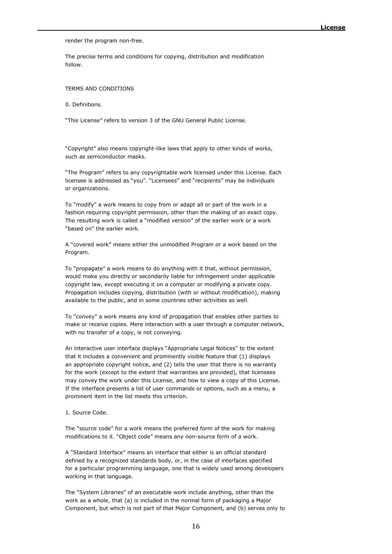render the program non-free.

The precise terms and conditions for copying, distribution and modification follow.

#### TERMS AND CONDITIONS

0. Definitions.

"This License" refers to version 3 of the GNU General Public License.

"Copyright" also means copyright-like laws that apply to other kinds of works, such as semiconductor masks.

"The Program" refers to any copyrightable work licensed under this License. Each licensee is addressed as "you". "Licensees" and "recipients" may be individuals or organizations.

To "modify" a work means to copy from or adapt all or part of the work in a fashion requiring copyright permission, other than the making of an exact copy. The resulting work is called a "modified version" of the earlier work or a work "based on" the earlier work.

A "covered work" means either the unmodified Program or a work based on the Program.

To "propagate" a work means to do anything with it that, without permission, would make you directly or secondarily liable for infringement under applicable copyright law, except executing it on a computer or modifying a private copy. Propagation includes copying, distribution (with or without modification), making available to the public, and in some countries other activities as well.

To "convey" a work means any kind of propagation that enables other parties to make or receive copies. Mere interaction with a user through a computer network, with no transfer of a copy, is not conveying.

An interactive user interface displays "Appropriate Legal Notices" to the extent that it includes a convenient and prominently visible feature that (1) displays an appropriate copyright notice, and (2) tells the user that there is no warranty for the work (except to the extent that warranties are provided), that licensees may convey the work under this License, and how to view a copy of this License. If the interface presents a list of user commands or options, such as a menu, a prominent item in the list meets this criterion.

#### 1. Source Code.

The "source code" for a work means the preferred form of the work for making modifications to it. "Object code" means any non-source form of a work.

A "Standard Interface" means an interface that either is an official standard defined by a recognized standards body, or, in the case of interfaces specified for a particular programming language, one that is widely used among developers working in that language.

The "System Libraries" of an executable work include anything, other than the work as a whole, that (a) is included in the normal form of packaging a Major Component, but which is not part of that Major Component, and (b) serves only to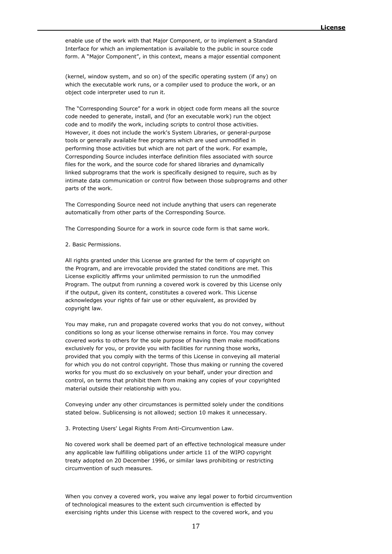enable use of the work with that Major Component, or to implement a Standard Interface for which an implementation is available to the public in source code form. A "Major Component", in this context, means a major essential component

(kernel, window system, and so on) of the specific operating system (if any) on which the executable work runs, or a compiler used to produce the work, or an object code interpreter used to run it.

The "Corresponding Source" for a work in object code form means all the source code needed to generate, install, and (for an executable work) run the object code and to modify the work, including scripts to control those activities. However, it does not include the work's System Libraries, or general-purpose tools or generally available free programs which are used unmodified in performing those activities but which are not part of the work. For example, Corresponding Source includes interface definition files associated with source files for the work, and the source code for shared libraries and dynamically linked subprograms that the work is specifically designed to require, such as by intimate data communication or control flow between those subprograms and other parts of the work.

The Corresponding Source need not include anything that users can regenerate automatically from other parts of the Corresponding Source.

The Corresponding Source for a work in source code form is that same work.

#### 2. Basic Permissions.

All rights granted under this License are granted for the term of copyright on the Program, and are irrevocable provided the stated conditions are met. This License explicitly affirms your unlimited permission to run the unmodified Program. The output from running a covered work is covered by this License only if the output, given its content, constitutes a covered work. This License acknowledges your rights of fair use or other equivalent, as provided by copyright law.

You may make, run and propagate covered works that you do not convey, without conditions so long as your license otherwise remains in force. You may convey covered works to others for the sole purpose of having them make modifications exclusively for you, or provide you with facilities for running those works, provided that you comply with the terms of this License in conveying all material for which you do not control copyright. Those thus making or running the covered works for you must do so exclusively on your behalf, under your direction and control, on terms that prohibit them from making any copies of your copyrighted material outside their relationship with you.

Conveying under any other circumstances is permitted solely under the conditions stated below. Sublicensing is not allowed; section 10 makes it unnecessary.

3. Protecting Users' Legal Rights From Anti-Circumvention Law.

No covered work shall be deemed part of an effective technological measure under any applicable law fulfilling obligations under article 11 of the WIPO copyright treaty adopted on 20 December 1996, or similar laws prohibiting or restricting circumvention of such measures.

When you convey a covered work, you waive any legal power to forbid circumvention of technological measures to the extent such circumvention is effected by exercising rights under this License with respect to the covered work, and you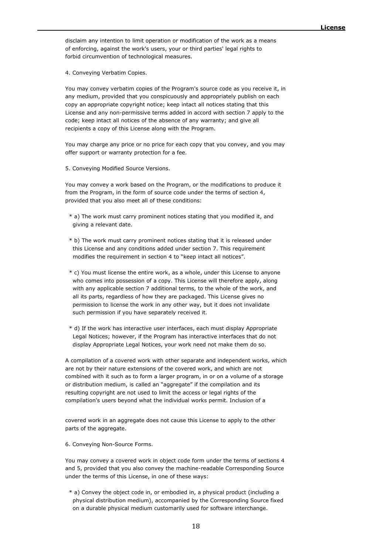disclaim any intention to limit operation or modification of the work as a means of enforcing, against the work's users, your or third parties' legal rights to forbid circumvention of technological measures.

4. Conveying Verbatim Copies.

You may convey verbatim copies of the Program's source code as you receive it, in any medium, provided that you conspicuously and appropriately publish on each copy an appropriate copyright notice; keep intact all notices stating that this License and any non-permissive terms added in accord with section 7 apply to the code; keep intact all notices of the absence of any warranty; and give all recipients a copy of this License along with the Program.

You may charge any price or no price for each copy that you convey, and you may offer support or warranty protection for a fee.

5. Conveying Modified Source Versions.

You may convey a work based on the Program, or the modifications to produce it from the Program, in the form of source code under the terms of section 4, provided that you also meet all of these conditions:

- \* a) The work must carry prominent notices stating that you modified it, and giving a relevant date.
- \* b) The work must carry prominent notices stating that it is released under this License and any conditions added under section 7. This requirement modifies the requirement in section 4 to "keep intact all notices".
- \* c) You must license the entire work, as a whole, under this License to anyone who comes into possession of a copy. This License will therefore apply, along with any applicable section 7 additional terms, to the whole of the work, and all its parts, regardless of how they are packaged. This License gives no permission to license the work in any other way, but it does not invalidate such permission if you have separately received it.
- \* d) If the work has interactive user interfaces, each must display Appropriate Legal Notices; however, if the Program has interactive interfaces that do not display Appropriate Legal Notices, your work need not make them do so.

A compilation of a covered work with other separate and independent works, which are not by their nature extensions of the covered work, and which are not combined with it such as to form a larger program, in or on a volume of a storage or distribution medium, is called an "aggregate" if the compilation and its resulting copyright are not used to limit the access or legal rights of the compilation's users beyond what the individual works permit. Inclusion of a

covered work in an aggregate does not cause this License to apply to the other parts of the aggregate.

6. Conveying Non-Source Forms.

You may convey a covered work in object code form under the terms of sections 4 and 5, provided that you also convey the machine-readable Corresponding Source under the terms of this License, in one of these ways:

 \* a) Convey the object code in, or embodied in, a physical product (including a physical distribution medium), accompanied by the Corresponding Source fixed on a durable physical medium customarily used for software interchange.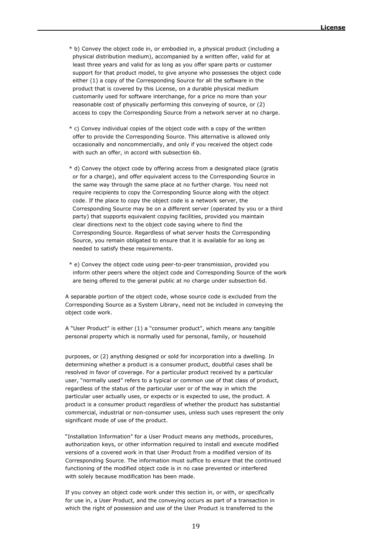- \* b) Convey the object code in, or embodied in, a physical product (including a physical distribution medium), accompanied by a written offer, valid for at least three years and valid for as long as you offer spare parts or customer support for that product model, to give anyone who possesses the object code either (1) a copy of the Corresponding Source for all the software in the product that is covered by this License, on a durable physical medium customarily used for software interchange, for a price no more than your reasonable cost of physically performing this conveying of source, or (2) access to copy the Corresponding Source from a network server at no charge.
- \* c) Convey individual copies of the object code with a copy of the written offer to provide the Corresponding Source. This alternative is allowed only occasionally and noncommercially, and only if you received the object code with such an offer, in accord with subsection 6b.
- \* d) Convey the object code by offering access from a designated place (gratis or for a charge), and offer equivalent access to the Corresponding Source in the same way through the same place at no further charge. You need not require recipients to copy the Corresponding Source along with the object code. If the place to copy the object code is a network server, the Corresponding Source may be on a different server (operated by you or a third party) that supports equivalent copying facilities, provided you maintain clear directions next to the object code saying where to find the Corresponding Source. Regardless of what server hosts the Corresponding Source, you remain obligated to ensure that it is available for as long as needed to satisfy these requirements.
- \* e) Convey the object code using peer-to-peer transmission, provided you inform other peers where the object code and Corresponding Source of the work are being offered to the general public at no charge under subsection 6d.

A separable portion of the object code, whose source code is excluded from the Corresponding Source as a System Library, need not be included in conveying the object code work.

A "User Product" is either (1) a "consumer product", which means any tangible personal property which is normally used for personal, family, or household

purposes, or (2) anything designed or sold for incorporation into a dwelling. In determining whether a product is a consumer product, doubtful cases shall be resolved in favor of coverage. For a particular product received by a particular user, "normally used" refers to a typical or common use of that class of product, regardless of the status of the particular user or of the way in which the particular user actually uses, or expects or is expected to use, the product. A product is a consumer product regardless of whether the product has substantial commercial, industrial or non-consumer uses, unless such uses represent the only significant mode of use of the product.

"Installation Information" for a User Product means any methods, procedures, authorization keys, or other information required to install and execute modified versions of a covered work in that User Product from a modified version of its Corresponding Source. The information must suffice to ensure that the continued functioning of the modified object code is in no case prevented or interfered with solely because modification has been made.

If you convey an object code work under this section in, or with, or specifically for use in, a User Product, and the conveying occurs as part of a transaction in which the right of possession and use of the User Product is transferred to the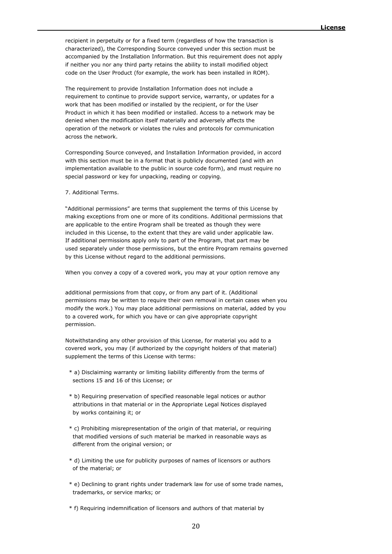recipient in perpetuity or for a fixed term (regardless of how the transaction is characterized), the Corresponding Source conveyed under this section must be accompanied by the Installation Information. But this requirement does not apply if neither you nor any third party retains the ability to install modified object code on the User Product (for example, the work has been installed in ROM).

The requirement to provide Installation Information does not include a requirement to continue to provide support service, warranty, or updates for a work that has been modified or installed by the recipient, or for the User Product in which it has been modified or installed. Access to a network may be denied when the modification itself materially and adversely affects the operation of the network or violates the rules and protocols for communication across the network.

Corresponding Source conveyed, and Installation Information provided, in accord with this section must be in a format that is publicly documented (and with an implementation available to the public in source code form), and must require no special password or key for unpacking, reading or copying.

#### 7. Additional Terms.

"Additional permissions" are terms that supplement the terms of this License by making exceptions from one or more of its conditions. Additional permissions that are applicable to the entire Program shall be treated as though they were included in this License, to the extent that they are valid under applicable law. If additional permissions apply only to part of the Program, that part may be used separately under those permissions, but the entire Program remains governed by this License without regard to the additional permissions.

When you convey a copy of a covered work, you may at your option remove any

additional permissions from that copy, or from any part of it. (Additional permissions may be written to require their own removal in certain cases when you modify the work.) You may place additional permissions on material, added by you to a covered work, for which you have or can give appropriate copyright permission.

Notwithstanding any other provision of this License, for material you add to a covered work, you may (if authorized by the copyright holders of that material) supplement the terms of this License with terms:

- \* a) Disclaiming warranty or limiting liability differently from the terms of sections 15 and 16 of this License; or
- \* b) Requiring preservation of specified reasonable legal notices or author attributions in that material or in the Appropriate Legal Notices displayed by works containing it; or
- \* c) Prohibiting misrepresentation of the origin of that material, or requiring that modified versions of such material be marked in reasonable ways as different from the original version; or
- \* d) Limiting the use for publicity purposes of names of licensors or authors of the material; or
- \* e) Declining to grant rights under trademark law for use of some trade names, trademarks, or service marks; or

\* f) Requiring indemnification of licensors and authors of that material by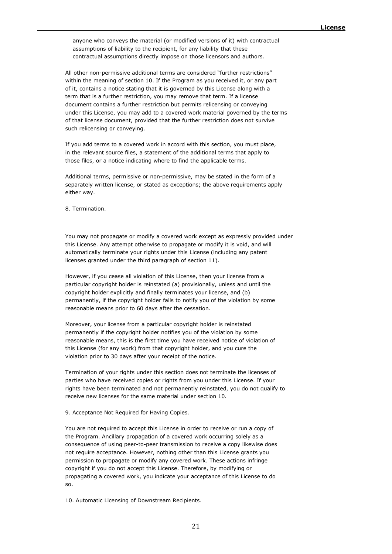anyone who conveys the material (or modified versions of it) with contractual assumptions of liability to the recipient, for any liability that these contractual assumptions directly impose on those licensors and authors.

All other non-permissive additional terms are considered "further restrictions" within the meaning of section 10. If the Program as you received it, or any part of it, contains a notice stating that it is governed by this License along with a term that is a further restriction, you may remove that term. If a license document contains a further restriction but permits relicensing or conveying under this License, you may add to a covered work material governed by the terms of that license document, provided that the further restriction does not survive such relicensing or conveying.

If you add terms to a covered work in accord with this section, you must place, in the relevant source files, a statement of the additional terms that apply to those files, or a notice indicating where to find the applicable terms.

Additional terms, permissive or non-permissive, may be stated in the form of a separately written license, or stated as exceptions; the above requirements apply either way.

8. Termination.

You may not propagate or modify a covered work except as expressly provided under this License. Any attempt otherwise to propagate or modify it is void, and will automatically terminate your rights under this License (including any patent licenses granted under the third paragraph of section 11).

However, if you cease all violation of this License, then your license from a particular copyright holder is reinstated (a) provisionally, unless and until the copyright holder explicitly and finally terminates your license, and (b) permanently, if the copyright holder fails to notify you of the violation by some reasonable means prior to 60 days after the cessation.

Moreover, your license from a particular copyright holder is reinstated permanently if the copyright holder notifies you of the violation by some reasonable means, this is the first time you have received notice of violation of this License (for any work) from that copyright holder, and you cure the violation prior to 30 days after your receipt of the notice.

Termination of your rights under this section does not terminate the licenses of parties who have received copies or rights from you under this License. If your rights have been terminated and not permanently reinstated, you do not qualify to receive new licenses for the same material under section 10.

9. Acceptance Not Required for Having Copies.

You are not required to accept this License in order to receive or run a copy of the Program. Ancillary propagation of a covered work occurring solely as a consequence of using peer-to-peer transmission to receive a copy likewise does not require acceptance. However, nothing other than this License grants you permission to propagate or modify any covered work. These actions infringe copyright if you do not accept this License. Therefore, by modifying or propagating a covered work, you indicate your acceptance of this License to do so.

10. Automatic Licensing of Downstream Recipients.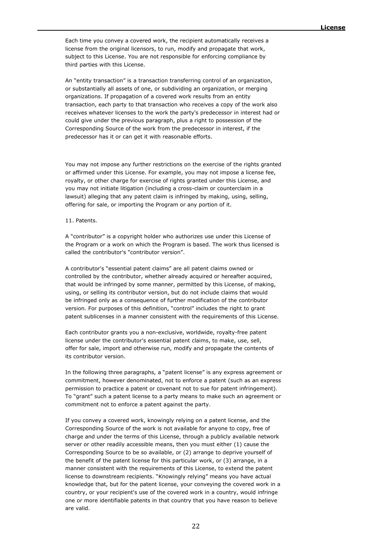Each time you convey a covered work, the recipient automatically receives a license from the original licensors, to run, modify and propagate that work, subject to this License. You are not responsible for enforcing compliance by third parties with this License.

An "entity transaction" is a transaction transferring control of an organization, or substantially all assets of one, or subdividing an organization, or merging organizations. If propagation of a covered work results from an entity transaction, each party to that transaction who receives a copy of the work also receives whatever licenses to the work the party's predecessor in interest had or could give under the previous paragraph, plus a right to possession of the Corresponding Source of the work from the predecessor in interest, if the predecessor has it or can get it with reasonable efforts.

You may not impose any further restrictions on the exercise of the rights granted or affirmed under this License. For example, you may not impose a license fee, royalty, or other charge for exercise of rights granted under this License, and you may not initiate litigation (including a cross-claim or counterclaim in a lawsuit) alleging that any patent claim is infringed by making, using, selling, offering for sale, or importing the Program or any portion of it.

#### 11. Patents.

A "contributor" is a copyright holder who authorizes use under this License of the Program or a work on which the Program is based. The work thus licensed is called the contributor's "contributor version".

A contributor's "essential patent claims" are all patent claims owned or controlled by the contributor, whether already acquired or hereafter acquired, that would be infringed by some manner, permitted by this License, of making, using, or selling its contributor version, but do not include claims that would be infringed only as a consequence of further modification of the contributor version. For purposes of this definition, "control" includes the right to grant patent sublicenses in a manner consistent with the requirements of this License.

Each contributor grants you a non-exclusive, worldwide, royalty-free patent license under the contributor's essential patent claims, to make, use, sell, offer for sale, import and otherwise run, modify and propagate the contents of its contributor version.

In the following three paragraphs, a "patent license" is any express agreement or commitment, however denominated, not to enforce a patent (such as an express permission to practice a patent or covenant not to sue for patent infringement). To "grant" such a patent license to a party means to make such an agreement or commitment not to enforce a patent against the party.

If you convey a covered work, knowingly relying on a patent license, and the Corresponding Source of the work is not available for anyone to copy, free of charge and under the terms of this License, through a publicly available network server or other readily accessible means, then you must either (1) cause the Corresponding Source to be so available, or (2) arrange to deprive yourself of the benefit of the patent license for this particular work, or (3) arrange, in a manner consistent with the requirements of this License, to extend the patent license to downstream recipients. "Knowingly relying" means you have actual knowledge that, but for the patent license, your conveying the covered work in a country, or your recipient's use of the covered work in a country, would infringe one or more identifiable patents in that country that you have reason to believe are valid.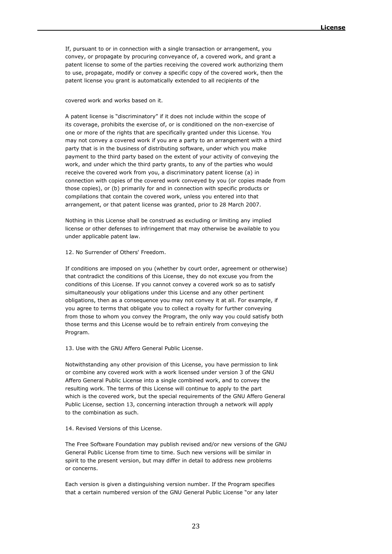If, pursuant to or in connection with a single transaction or arrangement, you convey, or propagate by procuring conveyance of, a covered work, and grant a patent license to some of the parties receiving the covered work authorizing them to use, propagate, modify or convey a specific copy of the covered work, then the patent license you grant is automatically extended to all recipients of the

#### covered work and works based on it.

A patent license is "discriminatory" if it does not include within the scope of its coverage, prohibits the exercise of, or is conditioned on the non-exercise of one or more of the rights that are specifically granted under this License. You may not convey a covered work if you are a party to an arrangement with a third party that is in the business of distributing software, under which you make payment to the third party based on the extent of your activity of conveying the work, and under which the third party grants, to any of the parties who would receive the covered work from you, a discriminatory patent license (a) in connection with copies of the covered work conveyed by you (or copies made from those copies), or (b) primarily for and in connection with specific products or compilations that contain the covered work, unless you entered into that arrangement, or that patent license was granted, prior to 28 March 2007.

Nothing in this License shall be construed as excluding or limiting any implied license or other defenses to infringement that may otherwise be available to you under applicable patent law.

12. No Surrender of Others' Freedom.

If conditions are imposed on you (whether by court order, agreement or otherwise) that contradict the conditions of this License, they do not excuse you from the conditions of this License. If you cannot convey a covered work so as to satisfy simultaneously your obligations under this License and any other pertinent obligations, then as a consequence you may not convey it at all. For example, if you agree to terms that obligate you to collect a royalty for further conveying from those to whom you convey the Program, the only way you could satisfy both those terms and this License would be to refrain entirely from conveying the Program.

13. Use with the GNU Affero General Public License.

Notwithstanding any other provision of this License, you have permission to link or combine any covered work with a work licensed under version 3 of the GNU Affero General Public License into a single combined work, and to convey the resulting work. The terms of this License will continue to apply to the part which is the covered work, but the special requirements of the GNU Affero General Public License, section 13, concerning interaction through a network will apply to the combination as such.

14. Revised Versions of this License.

The Free Software Foundation may publish revised and/or new versions of the GNU General Public License from time to time. Such new versions will be similar in spirit to the present version, but may differ in detail to address new problems or concerns.

Each version is given a distinguishing version number. If the Program specifies that a certain numbered version of the GNU General Public License "or any later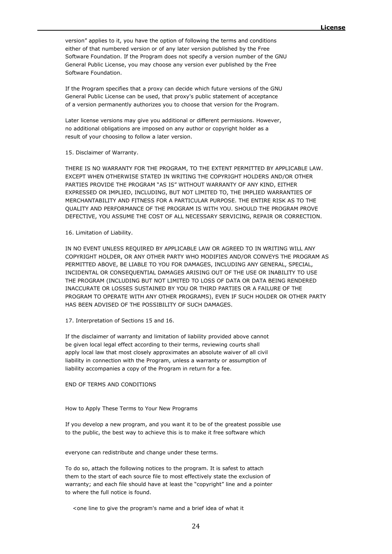version" applies to it, you have the option of following the terms and conditions either of that numbered version or of any later version published by the Free Software Foundation. If the Program does not specify a version number of the GNU General Public License, you may choose any version ever published by the Free Software Foundation.

If the Program specifies that a proxy can decide which future versions of the GNU General Public License can be used, that proxy's public statement of acceptance of a version permanently authorizes you to choose that version for the Program.

Later license versions may give you additional or different permissions. However, no additional obligations are imposed on any author or copyright holder as a result of your choosing to follow a later version.

#### 15. Disclaimer of Warranty.

THERE IS NO WARRANTY FOR THE PROGRAM, TO THE EXTENT PERMITTED BY APPLICABLE LAW. EXCEPT WHEN OTHERWISE STATED IN WRITING THE COPYRIGHT HOLDERS AND/OR OTHER PARTIES PROVIDE THE PROGRAM "AS IS" WITHOUT WARRANTY OF ANY KIND, EITHER EXPRESSED OR IMPLIED, INCLUDING, BUT NOT LIMITED TO, THE IMPLIED WARRANTIES OF MERCHANTABILITY AND FITNESS FOR A PARTICULAR PURPOSE. THE ENTIRE RISK AS TO THE QUALITY AND PERFORMANCE OF THE PROGRAM IS WITH YOU. SHOULD THE PROGRAM PROVE DEFECTIVE, YOU ASSUME THE COST OF ALL NECESSARY SERVICING, REPAIR OR CORRECTION.

#### 16. Limitation of Liability.

IN NO EVENT UNLESS REQUIRED BY APPLICABLE LAW OR AGREED TO IN WRITING WILL ANY COPYRIGHT HOLDER, OR ANY OTHER PARTY WHO MODIFIES AND/OR CONVEYS THE PROGRAM AS PERMITTED ABOVE, BE LIABLE TO YOU FOR DAMAGES, INCLUDING ANY GENERAL, SPECIAL, INCIDENTAL OR CONSEQUENTIAL DAMAGES ARISING OUT OF THE USE OR INABILITY TO USE THE PROGRAM (INCLUDING BUT NOT LIMITED TO LOSS OF DATA OR DATA BEING RENDERED INACCURATE OR LOSSES SUSTAINED BY YOU OR THIRD PARTIES OR A FAILURE OF THE PROGRAM TO OPERATE WITH ANY OTHER PROGRAMS), EVEN IF SUCH HOLDER OR OTHER PARTY HAS BEEN ADVISED OF THE POSSIBILITY OF SUCH DAMAGES.

17. Interpretation of Sections 15 and 16.

If the disclaimer of warranty and limitation of liability provided above cannot be given local legal effect according to their terms, reviewing courts shall apply local law that most closely approximates an absolute waiver of all civil liability in connection with the Program, unless a warranty or assumption of liability accompanies a copy of the Program in return for a fee.

#### END OF TERMS AND CONDITIONS

#### How to Apply These Terms to Your New Programs

If you develop a new program, and you want it to be of the greatest possible use to the public, the best way to achieve this is to make it free software which

everyone can redistribute and change under these terms.

To do so, attach the following notices to the program. It is safest to attach them to the start of each source file to most effectively state the exclusion of warranty; and each file should have at least the "copyright" line and a pointer to where the full notice is found.

<one line to give the program's name and a brief idea of what it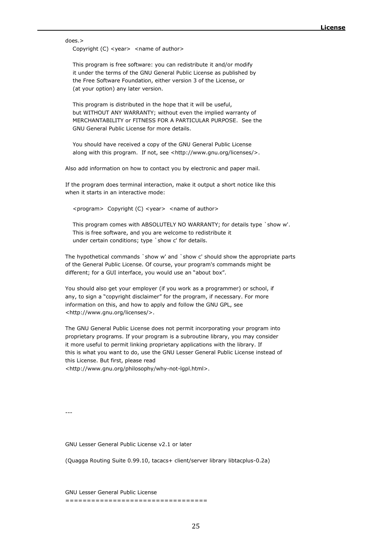does.>

Copyright (C) <year> <name of author>

 This program is free software: you can redistribute it and/or modify it under the terms of the GNU General Public License as published by the Free Software Foundation, either version 3 of the License, or (at your option) any later version.

 This program is distributed in the hope that it will be useful, but WITHOUT ANY WARRANTY; without even the implied warranty of MERCHANTABILITY or FITNESS FOR A PARTICULAR PURPOSE. See the GNU General Public License for more details.

 You should have received a copy of the GNU General Public License along with this program. If not, see <http://www.gnu.org/licenses/>.

Also add information on how to contact you by electronic and paper mail.

If the program does terminal interaction, make it output a short notice like this when it starts in an interactive mode:

<program> Copyright (C) <year> <name of author>

 This program comes with ABSOLUTELY NO WARRANTY; for details type `show w'. This is free software, and you are welcome to redistribute it under certain conditions; type `show c' for details.

The hypothetical commands `show w' and `show c' should show the appropriate parts of the General Public License. Of course, your program's commands might be different; for a GUI interface, you would use an "about box".

You should also get your employer (if you work as a programmer) or school, if any, to sign a "copyright disclaimer" for the program, if necessary. For more information on this, and how to apply and follow the GNU GPL, see <http://www.gnu.org/licenses/>.

The GNU General Public License does not permit incorporating your program into proprietary programs. If your program is a subroutine library, you may consider it more useful to permit linking proprietary applications with the library. If this is what you want to do, use the GNU Lesser General Public License instead of this License. But first, please read <http://www.gnu.org/philosophy/why-not-lgpl.html>.

---

GNU Lesser General Public License v2.1 or later

(Quagga Routing Suite 0.99.10, tacacs+ client/server library libtacplus-0.2a)

GNU Lesser General Public License =================================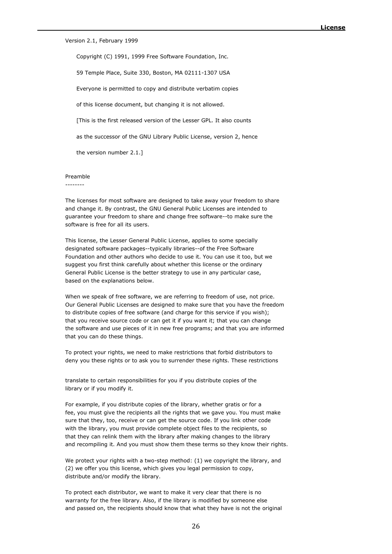Version 2.1, February 1999

Copyright (C) 1991, 1999 Free Software Foundation, Inc.

59 Temple Place, Suite 330, Boston, MA 02111-1307 USA

Everyone is permitted to copy and distribute verbatim copies

of this license document, but changing it is not allowed.

[This is the first released version of the Lesser GPL. It also counts

as the successor of the GNU Library Public License, version 2, hence

the version number 2.1.]

#### Preamble

--------

The licenses for most software are designed to take away your freedom to share and change it. By contrast, the GNU General Public Licenses are intended to guarantee your freedom to share and change free software--to make sure the software is free for all its users.

This license, the Lesser General Public License, applies to some specially designated software packages--typically libraries--of the Free Software Foundation and other authors who decide to use it. You can use it too, but we suggest you first think carefully about whether this license or the ordinary General Public License is the better strategy to use in any particular case, based on the explanations below.

When we speak of free software, we are referring to freedom of use, not price. Our General Public Licenses are designed to make sure that you have the freedom to distribute copies of free software (and charge for this service if you wish); that you receive source code or can get it if you want it; that you can change the software and use pieces of it in new free programs; and that you are informed that you can do these things.

To protect your rights, we need to make restrictions that forbid distributors to deny you these rights or to ask you to surrender these rights. These restrictions

translate to certain responsibilities for you if you distribute copies of the library or if you modify it.

For example, if you distribute copies of the library, whether gratis or for a fee, you must give the recipients all the rights that we gave you. You must make sure that they, too, receive or can get the source code. If you link other code with the library, you must provide complete object files to the recipients, so that they can relink them with the library after making changes to the library and recompiling it. And you must show them these terms so they know their rights.

We protect your rights with a two-step method: (1) we copyright the library, and (2) we offer you this license, which gives you legal permission to copy, distribute and/or modify the library.

To protect each distributor, we want to make it very clear that there is no warranty for the free library. Also, if the library is modified by someone else and passed on, the recipients should know that what they have is not the original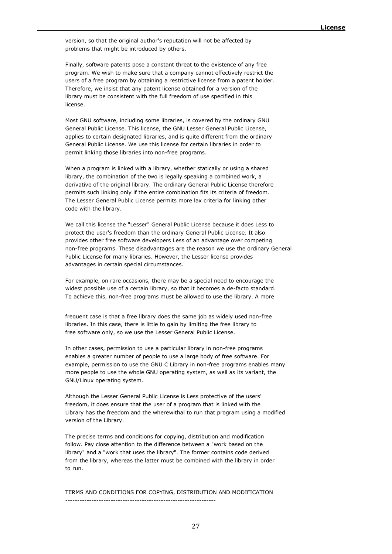version, so that the original author's reputation will not be affected by problems that might be introduced by others.

Finally, software patents pose a constant threat to the existence of any free program. We wish to make sure that a company cannot effectively restrict the users of a free program by obtaining a restrictive license from a patent holder. Therefore, we insist that any patent license obtained for a version of the library must be consistent with the full freedom of use specified in this license.

Most GNU software, including some libraries, is covered by the ordinary GNU General Public License. This license, the GNU Lesser General Public License, applies to certain designated libraries, and is quite different from the ordinary General Public License. We use this license for certain libraries in order to permit linking those libraries into non-free programs.

When a program is linked with a library, whether statically or using a shared library, the combination of the two is legally speaking a combined work, a derivative of the original library. The ordinary General Public License therefore permits such linking only if the entire combination fits its criteria of freedom. The Lesser General Public License permits more lax criteria for linking other code with the library.

We call this license the "Lesser" General Public License because it does Less to protect the user's freedom than the ordinary General Public License. It also provides other free software developers Less of an advantage over competing non-free programs. These disadvantages are the reason we use the ordinary General Public License for many libraries. However, the Lesser license provides advantages in certain special circumstances.

For example, on rare occasions, there may be a special need to encourage the widest possible use of a certain library, so that it becomes a de-facto standard. To achieve this, non-free programs must be allowed to use the library. A more

frequent case is that a free library does the same job as widely used non-free libraries. In this case, there is little to gain by limiting the free library to free software only, so we use the Lesser General Public License.

In other cases, permission to use a particular library in non-free programs enables a greater number of people to use a large body of free software. For example, permission to use the GNU C Library in non-free programs enables many more people to use the whole GNU operating system, as well as its variant, the GNU/Linux operating system.

Although the Lesser General Public License is Less protective of the users' freedom, it does ensure that the user of a program that is linked with the Library has the freedom and the wherewithal to run that program using a modified version of the Library.

The precise terms and conditions for copying, distribution and modification follow. Pay close attention to the difference between a "work based on the library" and a "work that uses the library". The former contains code derived from the library, whereas the latter must be combined with the library in order to run.

TERMS AND CONDITIONS FOR COPYING, DISTRIBUTION AND MODIFICATION  $-$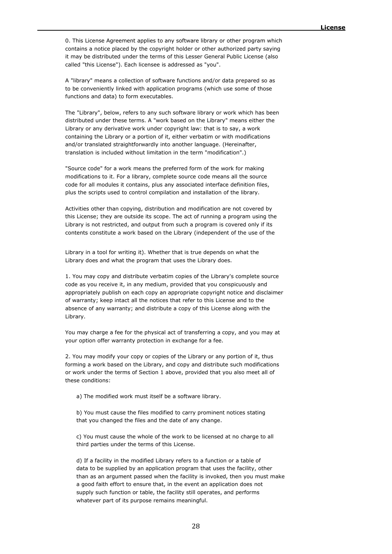0. This License Agreement applies to any software library or other program which contains a notice placed by the copyright holder or other authorized party saying it may be distributed under the terms of this Lesser General Public License (also called "this License"). Each licensee is addressed as "you".

A "library" means a collection of software functions and/or data prepared so as to be conveniently linked with application programs (which use some of those functions and data) to form executables.

The "Library", below, refers to any such software library or work which has been distributed under these terms. A "work based on the Library" means either the Library or any derivative work under copyright law: that is to say, a work containing the Library or a portion of it, either verbatim or with modifications and/or translated straightforwardly into another language. (Hereinafter, translation is included without limitation in the term "modification".)

"Source code" for a work means the preferred form of the work for making modifications to it. For a library, complete source code means all the source code for all modules it contains, plus any associated interface definition files, plus the scripts used to control compilation and installation of the library.

Activities other than copying, distribution and modification are not covered by this License; they are outside its scope. The act of running a program using the Library is not restricted, and output from such a program is covered only if its contents constitute a work based on the Library (independent of the use of the

Library in a tool for writing it). Whether that is true depends on what the Library does and what the program that uses the Library does.

1. You may copy and distribute verbatim copies of the Library's complete source code as you receive it, in any medium, provided that you conspicuously and appropriately publish on each copy an appropriate copyright notice and disclaimer of warranty; keep intact all the notices that refer to this License and to the absence of any warranty; and distribute a copy of this License along with the Library.

You may charge a fee for the physical act of transferring a copy, and you may at your option offer warranty protection in exchange for a fee.

2. You may modify your copy or copies of the Library or any portion of it, thus forming a work based on the Library, and copy and distribute such modifications or work under the terms of Section 1 above, provided that you also meet all of these conditions:

a) The modified work must itself be a software library.

 b) You must cause the files modified to carry prominent notices stating that you changed the files and the date of any change.

 c) You must cause the whole of the work to be licensed at no charge to all third parties under the terms of this License.

 d) If a facility in the modified Library refers to a function or a table of data to be supplied by an application program that uses the facility, other than as an argument passed when the facility is invoked, then you must make a good faith effort to ensure that, in the event an application does not supply such function or table, the facility still operates, and performs whatever part of its purpose remains meaningful.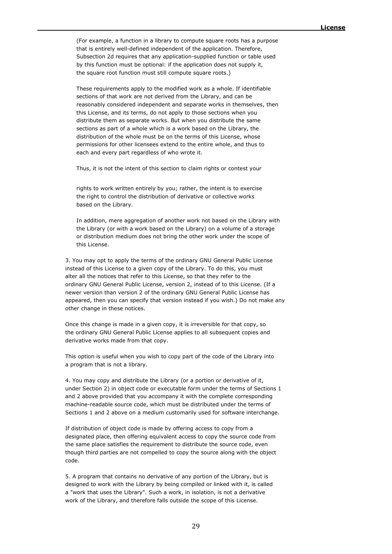(For example, a function in a library to compute square roots has a purpose that is entirely well-defined independent of the application. Therefore, Subsection 2d requires that any application-supplied function or table used by this function must be optional: if the application does not supply it, the square root function must still compute square roots.)

 These requirements apply to the modified work as a whole. If identifiable sections of that work are not derived from the Library, and can be reasonably considered independent and separate works in themselves, then this License, and its terms, do not apply to those sections when you distribute them as separate works. But when you distribute the same sections as part of a whole which is a work based on the Library, the distribution of the whole must be on the terms of this License, whose permissions for other licensees extend to the entire whole, and thus to each and every part regardless of who wrote it.

Thus, it is not the intent of this section to claim rights or contest your

 rights to work written entirely by you; rather, the intent is to exercise the right to control the distribution of derivative or collective works based on the Library.

 In addition, mere aggregation of another work not based on the Library with the Library (or with a work based on the Library) on a volume of a storage or distribution medium does not bring the other work under the scope of this License.

3. You may opt to apply the terms of the ordinary GNU General Public License instead of this License to a given copy of the Library. To do this, you must alter all the notices that refer to this License, so that they refer to the ordinary GNU General Public License, version 2, instead of to this License. (If a newer version than version 2 of the ordinary GNU General Public License has appeared, then you can specify that version instead if you wish.) Do not make any other change in these notices.

Once this change is made in a given copy, it is irreversible for that copy, so the ordinary GNU General Public License applies to all subsequent copies and derivative works made from that copy.

This option is useful when you wish to copy part of the code of the Library into a program that is not a library.

4. You may copy and distribute the Library (or a portion or derivative of it, under Section 2) in object code or executable form under the terms of Sections 1 and 2 above provided that you accompany it with the complete corresponding machine-readable source code, which must be distributed under the terms of Sections 1 and 2 above on a medium customarily used for software interchange.

If distribution of object code is made by offering access to copy from a designated place, then offering equivalent access to copy the source code from the same place satisfies the requirement to distribute the source code, even though third parties are not compelled to copy the source along with the object code.

5. A program that contains no derivative of any portion of the Library, but is designed to work with the Library by being compiled or linked with it, is called a "work that uses the Library". Such a work, in isolation, is not a derivative work of the Library, and therefore falls outside the scope of this License.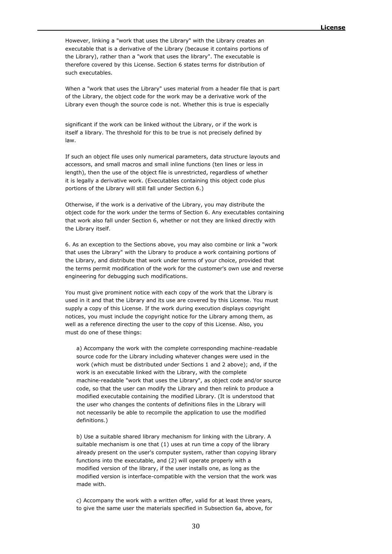However, linking a "work that uses the Library" with the Library creates an executable that is a derivative of the Library (because it contains portions of the Library), rather than a "work that uses the library". The executable is therefore covered by this License. Section 6 states terms for distribution of such executables.

When a "work that uses the Library" uses material from a header file that is part of the Library, the object code for the work may be a derivative work of the Library even though the source code is not. Whether this is true is especially

significant if the work can be linked without the Library, or if the work is itself a library. The threshold for this to be true is not precisely defined by law.

If such an object file uses only numerical parameters, data structure layouts and accessors, and small macros and small inline functions (ten lines or less in length), then the use of the object file is unrestricted, regardless of whether it is legally a derivative work. (Executables containing this object code plus portions of the Library will still fall under Section 6.)

Otherwise, if the work is a derivative of the Library, you may distribute the object code for the work under the terms of Section 6. Any executables containing that work also fall under Section 6, whether or not they are linked directly with the Library itself.

6. As an exception to the Sections above, you may also combine or link a "work that uses the Library" with the Library to produce a work containing portions of the Library, and distribute that work under terms of your choice, provided that the terms permit modification of the work for the customer's own use and reverse engineering for debugging such modifications.

You must give prominent notice with each copy of the work that the Library is used in it and that the Library and its use are covered by this License. You must supply a copy of this License. If the work during execution displays copyright notices, you must include the copyright notice for the Library among them, as well as a reference directing the user to the copy of this License. Also, you must do one of these things:

 a) Accompany the work with the complete corresponding machine-readable source code for the Library including whatever changes were used in the work (which must be distributed under Sections 1 and 2 above); and, if the work is an executable linked with the Library, with the complete machine-readable "work that uses the Library", as object code and/or source code, so that the user can modify the Library and then relink to produce a modified executable containing the modified Library. (It is understood that the user who changes the contents of definitions files in the Library will not necessarily be able to recompile the application to use the modified definitions.)

 b) Use a suitable shared library mechanism for linking with the Library. A suitable mechanism is one that (1) uses at run time a copy of the library already present on the user's computer system, rather than copying library functions into the executable, and (2) will operate properly with a modified version of the library, if the user installs one, as long as the modified version is interface-compatible with the version that the work was made with.

 c) Accompany the work with a written offer, valid for at least three years, to give the same user the materials specified in Subsection 6a, above, for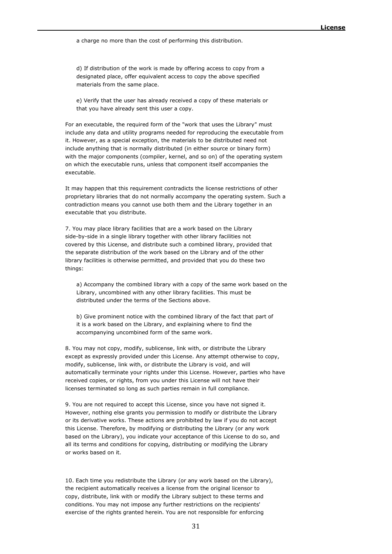a charge no more than the cost of performing this distribution.

 d) If distribution of the work is made by offering access to copy from a designated place, offer equivalent access to copy the above specified materials from the same place.

 e) Verify that the user has already received a copy of these materials or that you have already sent this user a copy.

For an executable, the required form of the "work that uses the Library" must include any data and utility programs needed for reproducing the executable from it. However, as a special exception, the materials to be distributed need not include anything that is normally distributed (in either source or binary form) with the major components (compiler, kernel, and so on) of the operating system on which the executable runs, unless that component itself accompanies the executable.

It may happen that this requirement contradicts the license restrictions of other proprietary libraries that do not normally accompany the operating system. Such a contradiction means you cannot use both them and the Library together in an executable that you distribute.

7. You may place library facilities that are a work based on the Library side-by-side in a single library together with other library facilities not covered by this License, and distribute such a combined library, provided that the separate distribution of the work based on the Library and of the other library facilities is otherwise permitted, and provided that you do these two things:

 a) Accompany the combined library with a copy of the same work based on the Library, uncombined with any other library facilities. This must be distributed under the terms of the Sections above.

 b) Give prominent notice with the combined library of the fact that part of it is a work based on the Library, and explaining where to find the accompanying uncombined form of the same work.

8. You may not copy, modify, sublicense, link with, or distribute the Library except as expressly provided under this License. Any attempt otherwise to copy, modify, sublicense, link with, or distribute the Library is void, and will automatically terminate your rights under this License. However, parties who have received copies, or rights, from you under this License will not have their licenses terminated so long as such parties remain in full compliance.

9. You are not required to accept this License, since you have not signed it. However, nothing else grants you permission to modify or distribute the Library or its derivative works. These actions are prohibited by law if you do not accept this License. Therefore, by modifying or distributing the Library (or any work based on the Library), you indicate your acceptance of this License to do so, and all its terms and conditions for copying, distributing or modifying the Library or works based on it.

10. Each time you redistribute the Library (or any work based on the Library), the recipient automatically receives a license from the original licensor to copy, distribute, link with or modify the Library subject to these terms and conditions. You may not impose any further restrictions on the recipients' exercise of the rights granted herein. You are not responsible for enforcing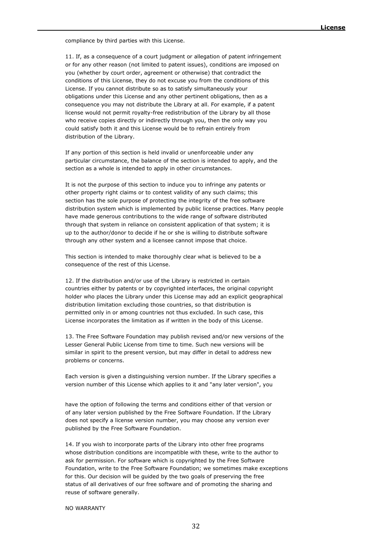compliance by third parties with this License.

11. If, as a consequence of a court judgment or allegation of patent infringement or for any other reason (not limited to patent issues), conditions are imposed on you (whether by court order, agreement or otherwise) that contradict the conditions of this License, they do not excuse you from the conditions of this License. If you cannot distribute so as to satisfy simultaneously your obligations under this License and any other pertinent obligations, then as a consequence you may not distribute the Library at all. For example, if a patent license would not permit royalty-free redistribution of the Library by all those who receive copies directly or indirectly through you, then the only way you could satisfy both it and this License would be to refrain entirely from distribution of the Library.

If any portion of this section is held invalid or unenforceable under any particular circumstance, the balance of the section is intended to apply, and the section as a whole is intended to apply in other circumstances.

It is not the purpose of this section to induce you to infringe any patents or other property right claims or to contest validity of any such claims; this section has the sole purpose of protecting the integrity of the free software distribution system which is implemented by public license practices. Many people have made generous contributions to the wide range of software distributed through that system in reliance on consistent application of that system; it is up to the author/donor to decide if he or she is willing to distribute software through any other system and a licensee cannot impose that choice.

This section is intended to make thoroughly clear what is believed to be a consequence of the rest of this License.

12. If the distribution and/or use of the Library is restricted in certain countries either by patents or by copyrighted interfaces, the original copyright holder who places the Library under this License may add an explicit geographical distribution limitation excluding those countries, so that distribution is permitted only in or among countries not thus excluded. In such case, this License incorporates the limitation as if written in the body of this License.

13. The Free Software Foundation may publish revised and/or new versions of the Lesser General Public License from time to time. Such new versions will be similar in spirit to the present version, but may differ in detail to address new problems or concerns.

Each version is given a distinguishing version number. If the Library specifies a version number of this License which applies to it and "any later version", you

have the option of following the terms and conditions either of that version or of any later version published by the Free Software Foundation. If the Library does not specify a license version number, you may choose any version ever published by the Free Software Foundation.

14. If you wish to incorporate parts of the Library into other free programs whose distribution conditions are incompatible with these, write to the author to ask for permission. For software which is copyrighted by the Free Software Foundation, write to the Free Software Foundation; we sometimes make exceptions for this. Our decision will be guided by the two goals of preserving the free status of all derivatives of our free software and of promoting the sharing and reuse of software generally.

NO WARRANTY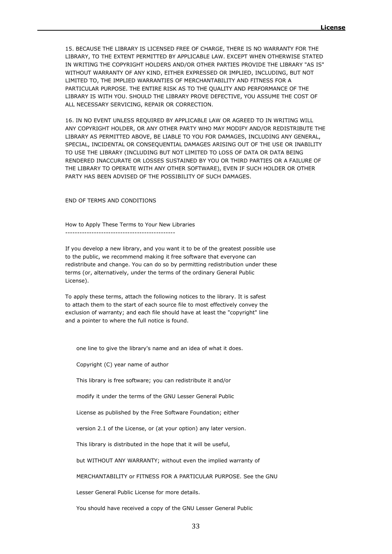15. BECAUSE THE LIBRARY IS LICENSED FREE OF CHARGE, THERE IS NO WARRANTY FOR THE LIBRARY, TO THE EXTENT PERMITTED BY APPLICABLE LAW. EXCEPT WHEN OTHERWISE STATED IN WRITING THE COPYRIGHT HOLDERS AND/OR OTHER PARTIES PROVIDE THE LIBRARY "AS IS" WITHOUT WARRANTY OF ANY KIND, EITHER EXPRESSED OR IMPLIED, INCLUDING, BUT NOT LIMITED TO, THE IMPLIED WARRANTIES OF MERCHANTABILITY AND FITNESS FOR A PARTICULAR PURPOSE. THE ENTIRE RISK AS TO THE QUALITY AND PERFORMANCE OF THE LIBRARY IS WITH YOU. SHOULD THE LIBRARY PROVE DEFECTIVE, YOU ASSUME THE COST OF ALL NECESSARY SERVICING, REPAIR OR CORRECTION.

16. IN NO EVENT UNLESS REQUIRED BY APPLICABLE LAW OR AGREED TO IN WRITING WILL ANY COPYRIGHT HOLDER, OR ANY OTHER PARTY WHO MAY MODIFY AND/OR REDISTRIBUTE THE LIBRARY AS PERMITTED ABOVE, BE LIABLE TO YOU FOR DAMAGES, INCLUDING ANY GENERAL, SPECIAL, INCIDENTAL OR CONSEQUENTIAL DAMAGES ARISING OUT OF THE USE OR INABILITY TO USE THE LIBRARY (INCLUDING BUT NOT LIMITED TO LOSS OF DATA OR DATA BEING RENDERED INACCURATE OR LOSSES SUSTAINED BY YOU OR THIRD PARTIES OR A FAILURE OF THE LIBRARY TO OPERATE WITH ANY OTHER SOFTWARE), EVEN IF SUCH HOLDER OR OTHER PARTY HAS BEEN ADVISED OF THE POSSIBILITY OF SUCH DAMAGES.

END OF TERMS AND CONDITIONS

How to Apply These Terms to Your New Libraries ----------------------------------------------

If you develop a new library, and you want it to be of the greatest possible use to the public, we recommend making it free software that everyone can redistribute and change. You can do so by permitting redistribution under these terms (or, alternatively, under the terms of the ordinary General Public License).

To apply these terms, attach the following notices to the library. It is safest to attach them to the start of each source file to most effectively convey the exclusion of warranty; and each file should have at least the "copyright" line and a pointer to where the full notice is found.

one line to give the library's name and an idea of what it does.

Copyright (C) year name of author

This library is free software; you can redistribute it and/or

modify it under the terms of the GNU Lesser General Public

License as published by the Free Software Foundation; either

version 2.1 of the License, or (at your option) any later version.

This library is distributed in the hope that it will be useful,

but WITHOUT ANY WARRANTY; without even the implied warranty of

MERCHANTABILITY or FITNESS FOR A PARTICULAR PURPOSE. See the GNU

Lesser General Public License for more details.

You should have received a copy of the GNU Lesser General Public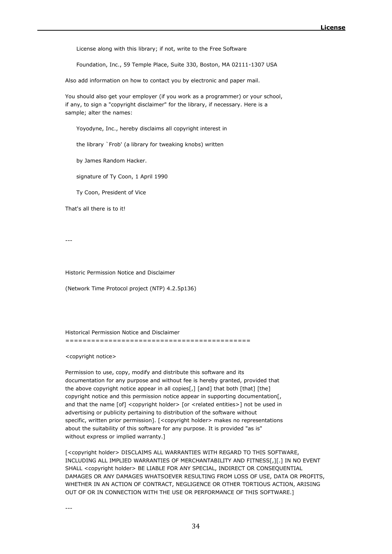License along with this library; if not, write to the Free Software

Foundation, Inc., 59 Temple Place, Suite 330, Boston, MA 02111-1307 USA

Also add information on how to contact you by electronic and paper mail.

You should also get your employer (if you work as a programmer) or your school, if any, to sign a "copyright disclaimer" for the library, if necessary. Here is a sample; alter the names:

Yoyodyne, Inc., hereby disclaims all copyright interest in

the library `Frob' (a library for tweaking knobs) written

by James Random Hacker.

signature of Ty Coon, 1 April 1990

Ty Coon, President of Vice

That's all there is to it!

---

Historic Permission Notice and Disclaimer

(Network Time Protocol project (NTP) 4.2.5p136)

Historical Permission Notice and Disclaimer

===========================================

<copyright notice>

Permission to use, copy, modify and distribute this software and its documentation for any purpose and without fee is hereby granted, provided that the above copyright notice appear in all copies[,] [and] that both [that] [the] copyright notice and this permission notice appear in supporting documentation[, and that the name [of] <copyright holder> [or <related entities>] not be used in advertising or publicity pertaining to distribution of the software without specific, written prior permission]. [<copyright holder> makes no representations about the suitability of this software for any purpose. It is provided "as is" without express or implied warranty.]

[<copyright holder> DISCLAIMS ALL WARRANTIES WITH REGARD TO THIS SOFTWARE, INCLUDING ALL IMPLIED WARRANTIES OF MERCHANTABILITY AND FITNESS[,][.] IN NO EVENT SHALL <copyright holder> BE LIABLE FOR ANY SPECIAL, INDIRECT OR CONSEQUENTIAL DAMAGES OR ANY DAMAGES WHATSOEVER RESULTING FROM LOSS OF USE, DATA OR PROFITS, WHETHER IN AN ACTION OF CONTRACT, NEGLIGENCE OR OTHER TORTIOUS ACTION, ARISING OUT OF OR IN CONNECTION WITH THE USE OR PERFORMANCE OF THIS SOFTWARE.]

---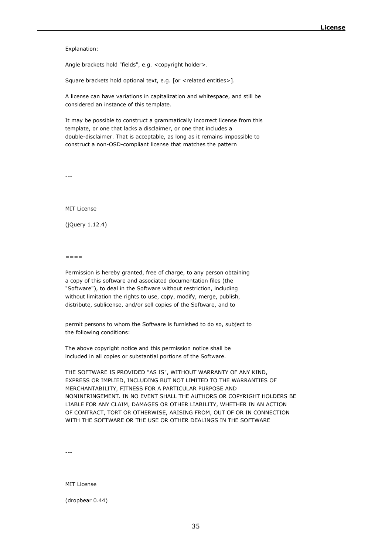#### Explanation:

Angle brackets hold "fields", e.g. <copyright holder>.

Square brackets hold optional text, e.g. [or <related entities>].

A license can have variations in capitalization and whitespace, and still be considered an instance of this template.

It may be possible to construct a grammatically incorrect license from this template, or one that lacks a disclaimer, or one that includes a double-disclaimer. That is acceptable, as long as it remains impossible to construct a non-OSD-compliant license that matches the pattern

---

MIT License

(jQuery 1.12.4)

 $=$   $=$   $=$   $=$ 

Permission is hereby granted, free of charge, to any person obtaining a copy of this software and associated documentation files (the "Software"), to deal in the Software without restriction, including without limitation the rights to use, copy, modify, merge, publish, distribute, sublicense, and/or sell copies of the Software, and to

permit persons to whom the Software is furnished to do so, subject to the following conditions:

The above copyright notice and this permission notice shall be included in all copies or substantial portions of the Software.

THE SOFTWARE IS PROVIDED "AS IS", WITHOUT WARRANTY OF ANY KIND, EXPRESS OR IMPLIED, INCLUDING BUT NOT LIMITED TO THE WARRANTIES OF MERCHANTABILITY, FITNESS FOR A PARTICULAR PURPOSE AND NONINFRINGEMENT. IN NO EVENT SHALL THE AUTHORS OR COPYRIGHT HOLDERS BE LIABLE FOR ANY CLAIM, DAMAGES OR OTHER LIABILITY, WHETHER IN AN ACTION OF CONTRACT, TORT OR OTHERWISE, ARISING FROM, OUT OF OR IN CONNECTION WITH THE SOFTWARE OR THE USE OR OTHER DEALINGS IN THE SOFTWARE

---

MIT License

(dropbear 0.44)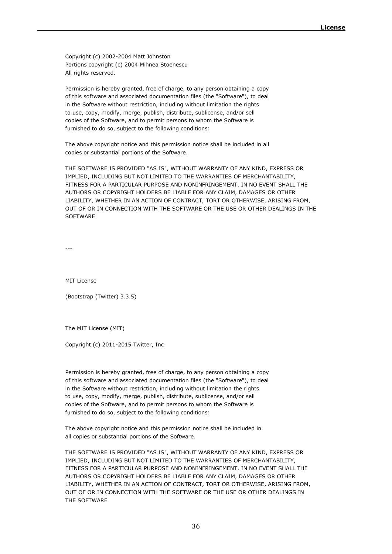Copyright (c) 2002-2004 Matt Johnston Portions copyright (c) 2004 Mihnea Stoenescu All rights reserved.

Permission is hereby granted, free of charge, to any person obtaining a copy of this software and associated documentation files (the "Software"), to deal in the Software without restriction, including without limitation the rights to use, copy, modify, merge, publish, distribute, sublicense, and/or sell copies of the Software, and to permit persons to whom the Software is furnished to do so, subject to the following conditions:

The above copyright notice and this permission notice shall be included in all copies or substantial portions of the Software.

THE SOFTWARE IS PROVIDED "AS IS", WITHOUT WARRANTY OF ANY KIND, EXPRESS OR IMPLIED, INCLUDING BUT NOT LIMITED TO THE WARRANTIES OF MERCHANTABILITY, FITNESS FOR A PARTICULAR PURPOSE AND NONINFRINGEMENT. IN NO EVENT SHALL THE AUTHORS OR COPYRIGHT HOLDERS BE LIABLE FOR ANY CLAIM, DAMAGES OR OTHER LIABILITY, WHETHER IN AN ACTION OF CONTRACT, TORT OR OTHERWISE, ARISING FROM, OUT OF OR IN CONNECTION WITH THE SOFTWARE OR THE USE OR OTHER DEALINGS IN THE **SOFTWARE** 

---

MIT License

(Bootstrap (Twitter) 3.3.5)

The MIT License (MIT)

Copyright (c) 2011-2015 Twitter, Inc

Permission is hereby granted, free of charge, to any person obtaining a copy of this software and associated documentation files (the "Software"), to deal in the Software without restriction, including without limitation the rights to use, copy, modify, merge, publish, distribute, sublicense, and/or sell copies of the Software, and to permit persons to whom the Software is furnished to do so, subject to the following conditions:

The above copyright notice and this permission notice shall be included in all copies or substantial portions of the Software.

THE SOFTWARE IS PROVIDED "AS IS", WITHOUT WARRANTY OF ANY KIND, EXPRESS OR IMPLIED, INCLUDING BUT NOT LIMITED TO THE WARRANTIES OF MERCHANTABILITY, FITNESS FOR A PARTICULAR PURPOSE AND NONINFRINGEMENT. IN NO EVENT SHALL THE AUTHORS OR COPYRIGHT HOLDERS BE LIABLE FOR ANY CLAIM, DAMAGES OR OTHER LIABILITY, WHETHER IN AN ACTION OF CONTRACT, TORT OR OTHERWISE, ARISING FROM, OUT OF OR IN CONNECTION WITH THE SOFTWARE OR THE USE OR OTHER DEALINGS IN THE SOFTWARE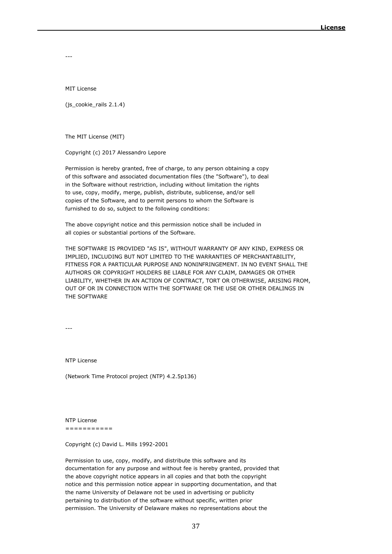---

MIT License

(js\_cookie\_rails 2.1.4)

The MIT License (MIT)

Copyright (c) 2017 Alessandro Lepore

Permission is hereby granted, free of charge, to any person obtaining a copy of this software and associated documentation files (the "Software"), to deal in the Software without restriction, including without limitation the rights to use, copy, modify, merge, publish, distribute, sublicense, and/or sell copies of the Software, and to permit persons to whom the Software is furnished to do so, subject to the following conditions:

The above copyright notice and this permission notice shall be included in all copies or substantial portions of the Software.

THE SOFTWARE IS PROVIDED "AS IS", WITHOUT WARRANTY OF ANY KIND, EXPRESS OR IMPLIED, INCLUDING BUT NOT LIMITED TO THE WARRANTIES OF MERCHANTABILITY, FITNESS FOR A PARTICULAR PURPOSE AND NONINFRINGEMENT. IN NO EVENT SHALL THE AUTHORS OR COPYRIGHT HOLDERS BE LIABLE FOR ANY CLAIM, DAMAGES OR OTHER LIABILITY, WHETHER IN AN ACTION OF CONTRACT, TORT OR OTHERWISE, ARISING FROM, OUT OF OR IN CONNECTION WITH THE SOFTWARE OR THE USE OR OTHER DEALINGS IN THE SOFTWARE

---

NTP License

(Network Time Protocol project (NTP) 4.2.5p136)

NTP License ===========

Copyright (c) David L. Mills 1992-2001

Permission to use, copy, modify, and distribute this software and its documentation for any purpose and without fee is hereby granted, provided that the above copyright notice appears in all copies and that both the copyright notice and this permission notice appear in supporting documentation, and that the name University of Delaware not be used in advertising or publicity pertaining to distribution of the software without specific, written prior permission. The University of Delaware makes no representations about the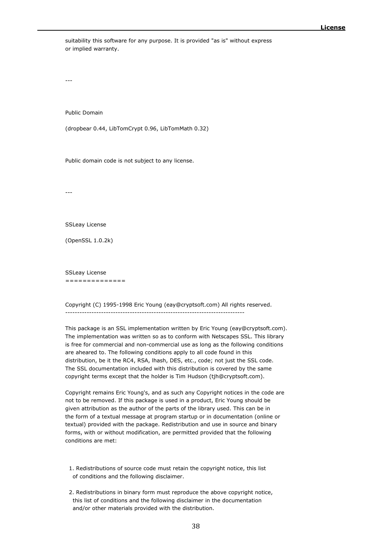suitability this software for any purpose. It is provided "as is" without express or implied warranty.

---

Public Domain

(dropbear 0.44, LibTomCrypt 0.96, LibTomMath 0.32)

Public domain code is not subject to any license.

---

#### SSLeay License

(OpenSSL 1.0.2k)

SSLeay License ==============

### Copyright (C) 1995-1998 Eric Young (eay@cryptsoft.com) All rights reserved. ---------------------------------------------------------------------------

This package is an SSL implementation written by Eric Young (eay@cryptsoft.com). The implementation was written so as to conform with Netscapes SSL. This library is free for commercial and non-commercial use as long as the following conditions are aheared to. The following conditions apply to all code found in this distribution, be it the RC4, RSA, lhash, DES, etc., code; not just the SSL code. The SSL documentation included with this distribution is covered by the same copyright terms except that the holder is Tim Hudson (tjh@cryptsoft.com).

Copyright remains Eric Young's, and as such any Copyright notices in the code are not to be removed. If this package is used in a product, Eric Young should be given attribution as the author of the parts of the library used. This can be in the form of a textual message at program startup or in documentation (online or textual) provided with the package. Redistribution and use in source and binary forms, with or without modification, are permitted provided that the following conditions are met:

 1. Redistributions of source code must retain the copyright notice, this list of conditions and the following disclaimer.

 2. Redistributions in binary form must reproduce the above copyright notice, this list of conditions and the following disclaimer in the documentation and/or other materials provided with the distribution.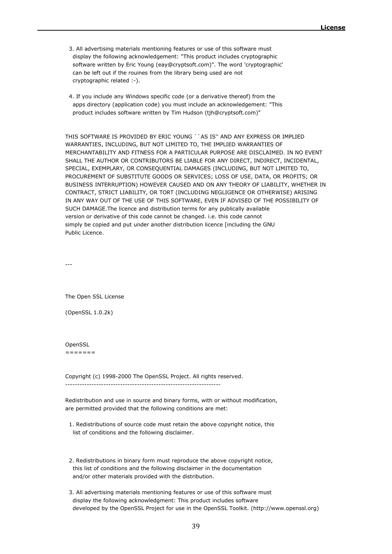- 3. All advertising materials mentioning features or use of this software must display the following acknowledgement: "This product includes cryptographic software written by Eric Young (eay@cryptsoft.com)". The word 'cryptographic' can be left out if the rouines from the library being used are not cryptographic related :-).
- 4. If you include any Windows specific code (or a derivative thereof) from the apps directory (application code) you must include an acknowledgement: "This product includes software written by Tim Hudson (tjh@cryptsoft.com)"

THIS SOFTWARE IS PROVIDED BY ERIC YOUNG ``AS IS'' AND ANY EXPRESS OR IMPLIED WARRANTIES, INCLUDING, BUT NOT LIMITED TO, THE IMPLIED WARRANTIES OF MERCHANTABILITY AND FITNESS FOR A PARTICULAR PURPOSE ARE DISCLAIMED. IN NO EVENT SHALL THE AUTHOR OR CONTRIBUTORS BE LIABLE FOR ANY DIRECT, INDIRECT, INCIDENTAL, SPECIAL, EXEMPLARY, OR CONSEQUENTIAL DAMAGES (INCLUDING, BUT NOT LIMITED TO, PROCUREMENT OF SUBSTITUTE GOODS OR SERVICES; LOSS OF USE, DATA, OR PROFITS; OR BUSINESS INTERRUPTION) HOWEVER CAUSED AND ON ANY THEORY OF LIABILITY, WHETHER IN CONTRACT, STRICT LIABILITY, OR TORT (INCLUDING NEGLIGENCE OR OTHERWISE) ARISING IN ANY WAY OUT OF THE USE OF THIS SOFTWARE, EVEN IF ADVISED OF THE POSSIBILITY OF SUCH DAMAGE.The licence and distribution terms for any publically available version or derivative of this code cannot be changed. i.e. this code cannot simply be copied and put under another distribution licence [including the GNU Public Licence.

---

The Open SSL License

(OpenSSL 1.0.2k)

**OpenSSL** 

=======

Copyright (c) 1998-2000 The OpenSSL Project. All rights reserved. -----------------------------------------------------------------

Redistribution and use in source and binary forms, with or without modification, are permitted provided that the following conditions are met:

- 1. Redistributions of source code must retain the above copyright notice, this list of conditions and the following disclaimer.
- 2. Redistributions in binary form must reproduce the above copyright notice, this list of conditions and the following disclaimer in the documentation and/or other materials provided with the distribution.
- 3. All advertising materials mentioning features or use of this software must display the following acknowledgment: This product includes software developed by the OpenSSL Project for use in the OpenSSL Toolkit. (http://www.openssl.org)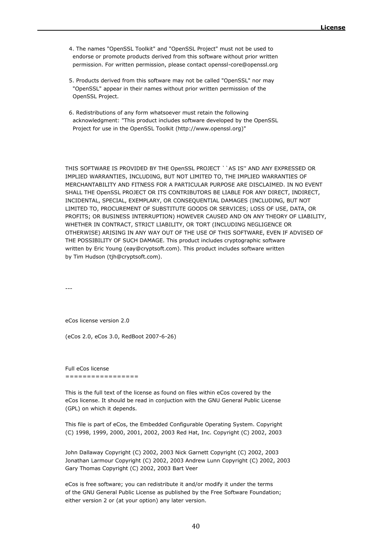- 4. The names "OpenSSL Toolkit" and "OpenSSL Project" must not be used to endorse or promote products derived from this software without prior written permission. For written permission, please contact openssl-core@openssl.org
- 5. Products derived from this software may not be called "OpenSSL" nor may "OpenSSL" appear in their names without prior written permission of the OpenSSL Project.
- 6. Redistributions of any form whatsoever must retain the following acknowledgment: "This product includes software developed by the OpenSSL Project for use in the OpenSSL Toolkit (http://www.openssl.org)"

THIS SOFTWARE IS PROVIDED BY THE OpenSSL PROJECT ``AS IS'' AND ANY EXPRESSED OR IMPLIED WARRANTIES, INCLUDING, BUT NOT LIMITED TO, THE IMPLIED WARRANTIES OF MERCHANTABILITY AND FITNESS FOR A PARTICULAR PURPOSE ARE DISCLAIMED. IN NO EVENT SHALL THE OpenSSL PROJECT OR ITS CONTRIBUTORS BE LIABLE FOR ANY DIRECT, INDIRECT, INCIDENTAL, SPECIAL, EXEMPLARY, OR CONSEQUENTIAL DAMAGES (INCLUDING, BUT NOT LIMITED TO, PROCUREMENT OF SUBSTITUTE GOODS OR SERVICES; LOSS OF USE, DATA, OR PROFITS; OR BUSINESS INTERRUPTION) HOWEVER CAUSED AND ON ANY THEORY OF LIABILITY, WHETHER IN CONTRACT, STRICT LIABILITY, OR TORT (INCLUDING NEGLIGENCE OR OTHERWISE) ARISING IN ANY WAY OUT OF THE USE OF THIS SOFTWARE, EVEN IF ADVISED OF THE POSSIBILITY OF SUCH DAMAGE. This product includes cryptographic software written by Eric Young (eay@cryptsoft.com). This product includes software written by Tim Hudson (tjh@cryptsoft.com).

---

eCos license version 2.0

(eCos 2.0, eCos 3.0, RedBoot 2007-6-26)

Full eCos license =================

This is the full text of the license as found on files within eCos covered by the eCos license. It should be read in conjuction with the GNU General Public License (GPL) on which it depends.

This file is part of eCos, the Embedded Configurable Operating System. Copyright (C) 1998, 1999, 2000, 2001, 2002, 2003 Red Hat, Inc. Copyright (C) 2002, 2003

John Dallaway Copyright (C) 2002, 2003 Nick Garnett Copyright (C) 2002, 2003 Jonathan Larmour Copyright (C) 2002, 2003 Andrew Lunn Copyright (C) 2002, 2003 Gary Thomas Copyright (C) 2002, 2003 Bart Veer

eCos is free software; you can redistribute it and/or modify it under the terms of the GNU General Public License as published by the Free Software Foundation; either version 2 or (at your option) any later version.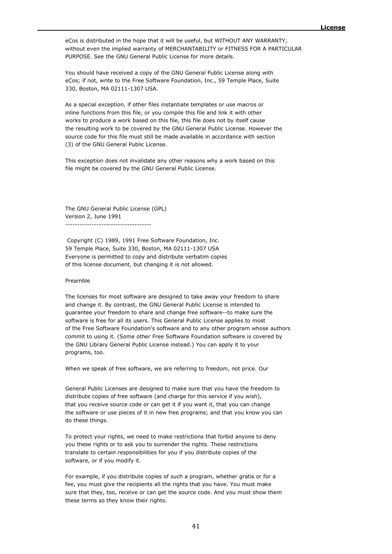eCos is distributed in the hope that it will be useful, but WITHOUT ANY WARRANTY; without even the implied warranty of MERCHANTABILITY or FITNESS FOR A PARTICULAR PURPOSE. See the GNU General Public License for more details.

You should have received a copy of the GNU General Public License along with eCos; if not, write to the Free Software Foundation, Inc., 59 Temple Place, Suite 330, Boston, MA 02111-1307 USA.

As a special exception, if other files instantiate templates or use macros or inline functions from this file, or you compile this file and link it with other works to produce a work based on this file, this file does not by itself cause the resulting work to be covered by the GNU General Public License. However the source code for this file must still be made available in accordance with section (3) of the GNU General Public License.

This exception does not invalidate any other reasons why a work based on this file might be covered by the GNU General Public License.

The GNU General Public License (GPL) Version 2, June 1991 ------------------------------------

Copyright (C) 1989, 1991 Free Software Foundation, Inc. 59 Temple Place, Suite 330, Boston, MA 02111-1307 USA Everyone is permitted to copy and distribute verbatim copies of this license document, but changing it is not allowed.

## Preamble

The licenses for most software are designed to take away your freedom to share and change it. By contrast, the GNU General Public License is intended to guarantee your freedom to share and change free software--to make sure the software is free for all its users. This General Public License applies to most of the Free Software Foundation's software and to any other program whose authors commit to using it. (Some other Free Software Foundation software is covered by the GNU Library General Public License instead.) You can apply it to your programs, too.

When we speak of free software, we are referring to freedom, not price. Our

General Public Licenses are designed to make sure that you have the freedom to distribute copies of free software (and charge for this service if you wish), that you receive source code or can get it if you want it, that you can change the software or use pieces of it in new free programs; and that you know you can do these things.

To protect your rights, we need to make restrictions that forbid anyone to deny you these rights or to ask you to surrender the rights. These restrictions translate to certain responsibilities for you if you distribute copies of the software, or if you modify it.

For example, if you distribute copies of such a program, whether gratis or for a fee, you must give the recipients all the rights that you have. You must make sure that they, too, receive or can get the source code. And you must show them these terms so they know their rights.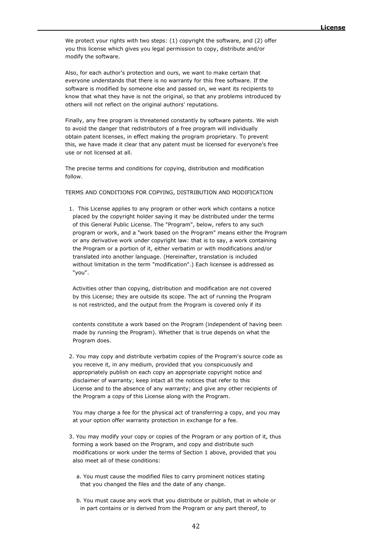We protect your rights with two steps: (1) copyright the software, and (2) offer you this license which gives you legal permission to copy, distribute and/or modify the software.

Also, for each author's protection and ours, we want to make certain that everyone understands that there is no warranty for this free software. If the software is modified by someone else and passed on, we want its recipients to know that what they have is not the original, so that any problems introduced by others will not reflect on the original authors' reputations.

Finally, any free program is threatened constantly by software patents. We wish to avoid the danger that redistributors of a free program will individually obtain patent licenses, in effect making the program proprietary. To prevent this, we have made it clear that any patent must be licensed for everyone's free use or not licensed at all.

The precise terms and conditions for copying, distribution and modification follow.

# TERMS AND CONDITIONS FOR COPYING, DISTRIBUTION AND MODIFICATION

 1. This License applies to any program or other work which contains a notice placed by the copyright holder saying it may be distributed under the terms of this General Public License. The "Program", below, refers to any such program or work, and a "work based on the Program" means either the Program or any derivative work under copyright law: that is to say, a work containing the Program or a portion of it, either verbatim or with modifications and/or translated into another language. (Hereinafter, translation is included without limitation in the term "modification".) Each licensee is addressed as "you".

 Activities other than copying, distribution and modification are not covered by this License; they are outside its scope. The act of running the Program is not restricted, and the output from the Program is covered only if its

 contents constitute a work based on the Program (independent of having been made by running the Program). Whether that is true depends on what the Program does.

 2. You may copy and distribute verbatim copies of the Program's source code as you receive it, in any medium, provided that you conspicuously and appropriately publish on each copy an appropriate copyright notice and disclaimer of warranty; keep intact all the notices that refer to this License and to the absence of any warranty; and give any other recipients of the Program a copy of this License along with the Program.

 You may charge a fee for the physical act of transferring a copy, and you may at your option offer warranty protection in exchange for a fee.

- 3. You may modify your copy or copies of the Program or any portion of it, thus forming a work based on the Program, and copy and distribute such modifications or work under the terms of Section 1 above, provided that you also meet all of these conditions:
	- a. You must cause the modified files to carry prominent notices stating that you changed the files and the date of any change.
	- b. You must cause any work that you distribute or publish, that in whole or in part contains or is derived from the Program or any part thereof, to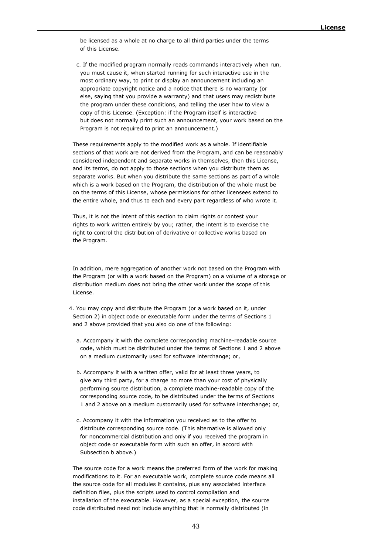be licensed as a whole at no charge to all third parties under the terms of this License.

 c. If the modified program normally reads commands interactively when run, you must cause it, when started running for such interactive use in the most ordinary way, to print or display an announcement including an appropriate copyright notice and a notice that there is no warranty (or else, saying that you provide a warranty) and that users may redistribute the program under these conditions, and telling the user how to view a copy of this License. (Exception: if the Program itself is interactive but does not normally print such an announcement, your work based on the Program is not required to print an announcement.)

 These requirements apply to the modified work as a whole. If identifiable sections of that work are not derived from the Program, and can be reasonably considered independent and separate works in themselves, then this License, and its terms, do not apply to those sections when you distribute them as separate works. But when you distribute the same sections as part of a whole which is a work based on the Program, the distribution of the whole must be on the terms of this License, whose permissions for other licensees extend to the entire whole, and thus to each and every part regardless of who wrote it.

 Thus, it is not the intent of this section to claim rights or contest your rights to work written entirely by you; rather, the intent is to exercise the right to control the distribution of derivative or collective works based on the Program.

 In addition, mere aggregation of another work not based on the Program with the Program (or with a work based on the Program) on a volume of a storage or distribution medium does not bring the other work under the scope of this License.

- 4. You may copy and distribute the Program (or a work based on it, under Section 2) in object code or executable form under the terms of Sections 1 and 2 above provided that you also do one of the following:
	- a. Accompany it with the complete corresponding machine-readable source code, which must be distributed under the terms of Sections 1 and 2 above on a medium customarily used for software interchange; or,
	- b. Accompany it with a written offer, valid for at least three years, to give any third party, for a charge no more than your cost of physically performing source distribution, a complete machine-readable copy of the corresponding source code, to be distributed under the terms of Sections 1 and 2 above on a medium customarily used for software interchange; or,
	- c. Accompany it with the information you received as to the offer to distribute corresponding source code. (This alternative is allowed only for noncommercial distribution and only if you received the program in object code or executable form with such an offer, in accord with Subsection b above.)

 The source code for a work means the preferred form of the work for making modifications to it. For an executable work, complete source code means all the source code for all modules it contains, plus any associated interface definition files, plus the scripts used to control compilation and installation of the executable. However, as a special exception, the source code distributed need not include anything that is normally distributed (in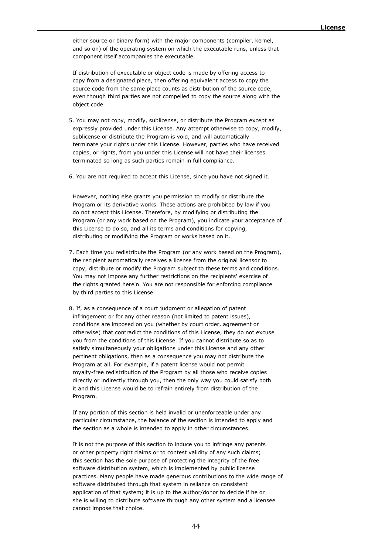either source or binary form) with the major components (compiler, kernel, and so on) of the operating system on which the executable runs, unless that component itself accompanies the executable.

 If distribution of executable or object code is made by offering access to copy from a designated place, then offering equivalent access to copy the source code from the same place counts as distribution of the source code, even though third parties are not compelled to copy the source along with the object code.

 5. You may not copy, modify, sublicense, or distribute the Program except as expressly provided under this License. Any attempt otherwise to copy, modify, sublicense or distribute the Program is void, and will automatically terminate your rights under this License. However, parties who have received copies, or rights, from you under this License will not have their licenses terminated so long as such parties remain in full compliance.

6. You are not required to accept this License, since you have not signed it.

 However, nothing else grants you permission to modify or distribute the Program or its derivative works. These actions are prohibited by law if you do not accept this License. Therefore, by modifying or distributing the Program (or any work based on the Program), you indicate your acceptance of this License to do so, and all its terms and conditions for copying, distributing or modifying the Program or works based on it.

- 7. Each time you redistribute the Program (or any work based on the Program), the recipient automatically receives a license from the original licensor to copy, distribute or modify the Program subject to these terms and conditions. You may not impose any further restrictions on the recipients' exercise of the rights granted herein. You are not responsible for enforcing compliance by third parties to this License.
- 8. If, as a consequence of a court judgment or allegation of patent infringement or for any other reason (not limited to patent issues), conditions are imposed on you (whether by court order, agreement or otherwise) that contradict the conditions of this License, they do not excuse you from the conditions of this License. If you cannot distribute so as to satisfy simultaneously your obligations under this License and any other pertinent obligations, then as a consequence you may not distribute the Program at all. For example, if a patent license would not permit royalty-free redistribution of the Program by all those who receive copies directly or indirectly through you, then the only way you could satisfy both it and this License would be to refrain entirely from distribution of the Program.

 If any portion of this section is held invalid or unenforceable under any particular circumstance, the balance of the section is intended to apply and the section as a whole is intended to apply in other circumstances.

 It is not the purpose of this section to induce you to infringe any patents or other property right claims or to contest validity of any such claims; this section has the sole purpose of protecting the integrity of the free software distribution system, which is implemented by public license practices. Many people have made generous contributions to the wide range of software distributed through that system in reliance on consistent application of that system; it is up to the author/donor to decide if he or she is willing to distribute software through any other system and a licensee cannot impose that choice.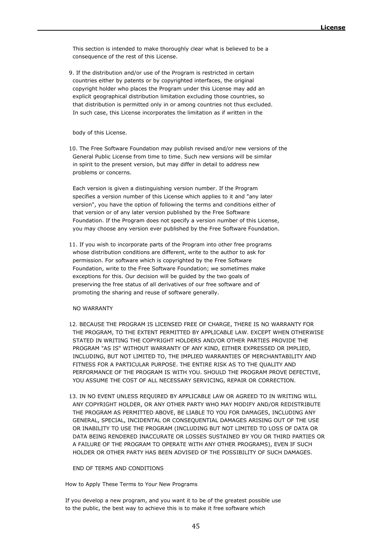This section is intended to make thoroughly clear what is believed to be a consequence of the rest of this License.

 9. If the distribution and/or use of the Program is restricted in certain countries either by patents or by copyrighted interfaces, the original copyright holder who places the Program under this License may add an explicit geographical distribution limitation excluding those countries, so that distribution is permitted only in or among countries not thus excluded. In such case, this License incorporates the limitation as if written in the

body of this License.

 10. The Free Software Foundation may publish revised and/or new versions of the General Public License from time to time. Such new versions will be similar in spirit to the present version, but may differ in detail to address new problems or concerns.

 Each version is given a distinguishing version number. If the Program specifies a version number of this License which applies to it and "any later version", you have the option of following the terms and conditions either of that version or of any later version published by the Free Software Foundation. If the Program does not specify a version number of this License, you may choose any version ever published by the Free Software Foundation.

 11. If you wish to incorporate parts of the Program into other free programs whose distribution conditions are different, write to the author to ask for permission. For software which is copyrighted by the Free Software Foundation, write to the Free Software Foundation; we sometimes make exceptions for this. Our decision will be guided by the two goals of preserving the free status of all derivatives of our free software and of promoting the sharing and reuse of software generally.

NO WARRANTY

- 12. BECAUSE THE PROGRAM IS LICENSED FREE OF CHARGE, THERE IS NO WARRANTY FOR THE PROGRAM, TO THE EXTENT PERMITTED BY APPLICABLE LAW. EXCEPT WHEN OTHERWISE STATED IN WRITING THE COPYRIGHT HOLDERS AND/OR OTHER PARTIES PROVIDE THE PROGRAM "AS IS" WITHOUT WARRANTY OF ANY KIND, EITHER EXPRESSED OR IMPLIED, INCLUDING, BUT NOT LIMITED TO, THE IMPLIED WARRANTIES OF MERCHANTABILITY AND FITNESS FOR A PARTICULAR PURPOSE. THE ENTIRE RISK AS TO THE QUALITY AND PERFORMANCE OF THE PROGRAM IS WITH YOU. SHOULD THE PROGRAM PROVE DEFECTIVE, YOU ASSUME THE COST OF ALL NECESSARY SERVICING, REPAIR OR CORRECTION.
- 13. IN NO EVENT UNLESS REQUIRED BY APPLICABLE LAW OR AGREED TO IN WRITING WILL ANY COPYRIGHT HOLDER, OR ANY OTHER PARTY WHO MAY MODIFY AND/OR REDISTRIBUTE THE PROGRAM AS PERMITTED ABOVE, BE LIABLE TO YOU FOR DAMAGES, INCLUDING ANY GENERAL, SPECIAL, INCIDENTAL OR CONSEQUENTIAL DAMAGES ARISING OUT OF THE USE OR INABILITY TO USE THE PROGRAM (INCLUDING BUT NOT LIMITED TO LOSS OF DATA OR DATA BEING RENDERED INACCURATE OR LOSSES SUSTAINED BY YOU OR THIRD PARTIES OR A FAILURE OF THE PROGRAM TO OPERATE WITH ANY OTHER PROGRAMS), EVEN IF SUCH HOLDER OR OTHER PARTY HAS BEEN ADVISED OF THE POSSIBILITY OF SUCH DAMAGES.

#### END OF TERMS AND CONDITIONS

How to Apply These Terms to Your New Programs

If you develop a new program, and you want it to be of the greatest possible use to the public, the best way to achieve this is to make it free software which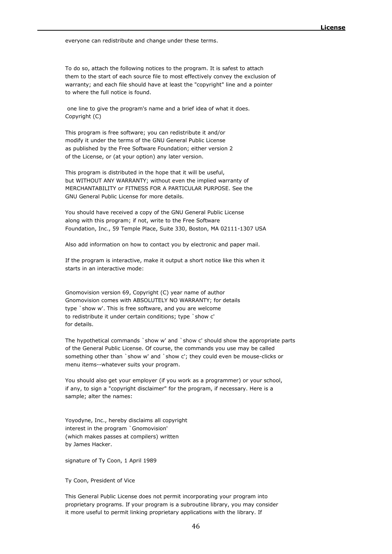everyone can redistribute and change under these terms.

To do so, attach the following notices to the program. It is safest to attach them to the start of each source file to most effectively convey the exclusion of warranty; and each file should have at least the "copyright" line and a pointer to where the full notice is found.

one line to give the program's name and a brief idea of what it does. Copyright (C)

This program is free software; you can redistribute it and/or modify it under the terms of the GNU General Public License as published by the Free Software Foundation; either version 2 of the License, or (at your option) any later version.

This program is distributed in the hope that it will be useful, but WITHOUT ANY WARRANTY; without even the implied warranty of MERCHANTABILITY or FITNESS FOR A PARTICULAR PURPOSE. See the GNU General Public License for more details.

You should have received a copy of the GNU General Public License along with this program; if not, write to the Free Software Foundation, Inc., 59 Temple Place, Suite 330, Boston, MA 02111-1307 USA

Also add information on how to contact you by electronic and paper mail.

If the program is interactive, make it output a short notice like this when it starts in an interactive mode:

Gnomovision version 69, Copyright (C) year name of author Gnomovision comes with ABSOLUTELY NO WARRANTY; for details type `show w'. This is free software, and you are welcome to redistribute it under certain conditions; type `show c' for details.

The hypothetical commands `show w' and `show c' should show the appropriate parts of the General Public License. Of course, the commands you use may be called something other than `show w' and `show c'; they could even be mouse-clicks or menu items--whatever suits your program.

You should also get your employer (if you work as a programmer) or your school, if any, to sign a "copyright disclaimer" for the program, if necessary. Here is a sample; alter the names:

Yoyodyne, Inc., hereby disclaims all copyright interest in the program `Gnomovision' (which makes passes at compilers) written by James Hacker.

signature of Ty Coon, 1 April 1989

Ty Coon, President of Vice

This General Public License does not permit incorporating your program into proprietary programs. If your program is a subroutine library, you may consider it more useful to permit linking proprietary applications with the library. If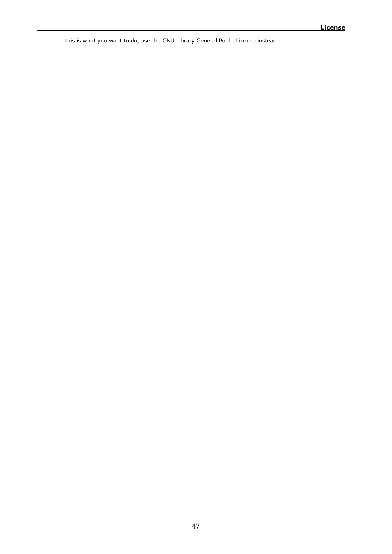this is what you want to do, use the GNU Library General Public License instead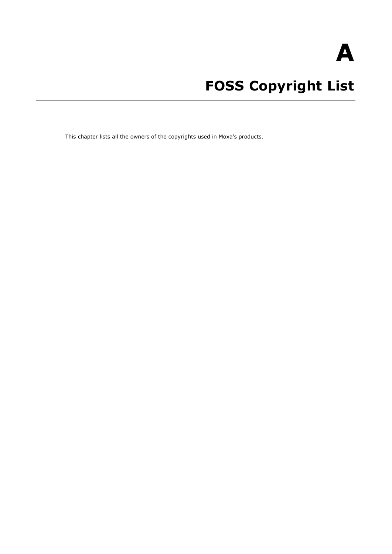**A**

# **FOSS Copyright List**

This chapter lists all the owners of the copyrights used in Moxa's products.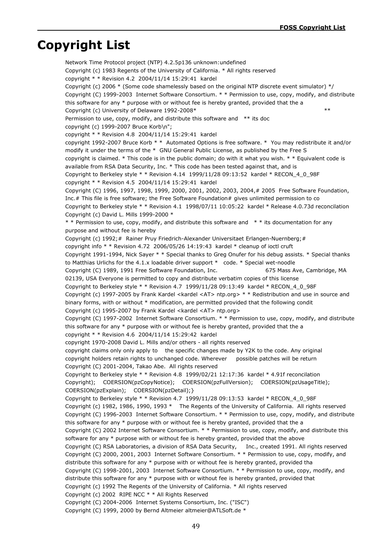# **Copyright List**

Network Time Protocol project (NTP) 4.2.5p136 unknown:undefined Copyright (c) 1983 Regents of the University of California. \* All rights reserved copyright \* \* Revision 4.2 2004/11/14 15:29:41 kardel Copyright (c) 2006  $*$  (Some code shamelessly based on the original NTP discrete event simulator)  $*/$ Copyright (C) 1999-2003 Internet Software Consortium. \* \* Permission to use, copy, modify, and distribute this software for any \* purpose with or without fee is hereby granted, provided that the a Copyright (c) University of Delaware 1992-2008\* \*\*\* Permission to use, copy, modify, and distribute this software and \*\* its doc copyright (c) 1999-2007 Bruce Korb\n"; copyright \* \* Revision 4.8 2004/11/14 15:29:41 kardel copyright 1992-2007 Bruce Korb \* \* Automated Options is free software. \* You may redistribute it and/or modify it under the terms of the \* GNU General Public License, as published by the Free S copyright is claimed. \* This code is in the public domain; do with it what you wish. \* \* Equivalent code is available from RSA Data Security, Inc. \* This code has been tested against that, and is Copyright to Berkeley style  $*$  \* Revision 4.14 1999/11/28 09:13:52 kardel  $*$  RECON\_4\_0\_98F copyright \* \* Revision 4.5 2004/11/14 15:29:41 kardel Copyright (C) 1996, 1997, 1998, 1999, 2000, 2001, 2002, 2003, 2004,# 2005 Free Software Foundation, Inc.# This file is free software; the Free Software Foundation# gives unlimited permission to co Copyright to Berkeley style \* \* Revision 4.1 1998/07/11 10:05:22 kardel \* Release 4.0.73d reconcilation Copyright (c) David L. Mills 1999-2000 \* \* \* Permission to use, copy, modify, and distribute this software and \* \* its documentation for any purpose and without fee is hereby Copyright (c) 1992;# Rainer Pruy Friedrich-Alexander Universitaet Erlangen-Nuernberg;# copyright info \* \* Revision 4.72 2006/05/26 14:19:43 kardel \* cleanup of ioctl cruft Copyright 1991-1994, Nick Sayer \* \* Special thanks to Greg Onufer for his debug assists. \* Special thanks to Matthias Urlichs for the 4.1.x loadable driver support \* code. \* Special wet-noodle Copyright (C) 1989, 1991 Free Software Foundation, Inc. 675 Mass Ave, Cambridge, MA 02139, USA Everyone is permitted to copy and distribute verbatim copies of this license Copyright to Berkeley style  $* *$  Revision 4.7 1999/11/28 09:13:49 kardel  $*$  RECON 4 0 98F Copyright (c) 1997-2005 by Frank Kardel <kardel <AT> ntp.org> \* \* Redistribution and use in source and binary forms, with or without \* modification, are permitted provided that the following condit Copyright (c) 1995-2007 by Frank Kardel <kardel <AT> ntp.org> Copyright (C) 1997-2002 Internet Software Consortium. \* \* Permission to use, copy, modify, and distribute this software for any \* purpose with or without fee is hereby granted, provided that the a copyright \* \* Revision 4.6 2004/11/14 15:29:42 kardel copyright 1970-2008 David L. Mills and/or others - all rights reserved copyright claims only only apply to the specific changes made by Y2K to the code. Any original copyright holders retain rights to unchanged code. Wherever possible patches will be return Copyright (C) 2001-2004, Takao Abe. All rights reserved Copyright to Berkeley style \* \* Revision 4.8 1999/02/21 12:17:36 kardel \* 4.91f reconcilation Copyright); COERSION(pzCopyNotice); COERSION(pzFullVersion); COERSION(pzUsageTitle); COERSION(pzExplain); COERSION(pzDetail);} Copyright to Berkeley style \* \* Revision 4.7 1999/11/28 09:13:53 kardel \* RECON\_4\_0\_98F Copyright (c) 1982, 1986, 1990, 1993 \* The Regents of the University of California. All rights reserved Copyright (C) 1996-2003 Internet Software Consortium. \* \* Permission to use, copy, modify, and distribute this software for any \* purpose with or without fee is hereby granted, provided that the a Copyright (C) 2002 Internet Software Consortium. \* \* Permission to use, copy, modify, and distribute this software for any  $*$  purpose with or without fee is hereby granted, provided that the above Copyright (C) RSA Laboratories, a division of RSA Data Security, Inc., created 1991. All rights reserved Copyright (C) 2000, 2001, 2003 Internet Software Consortium. \* \* Permission to use, copy, modify, and distribute this software for any \* purpose with or without fee is hereby granted, provided tha Copyright (C) 1998-2001, 2003 Internet Software Consortium. \* \* Permission to use, copy, modify, and distribute this software for any \* purpose with or without fee is hereby granted, provided that Copyright (c) 1992 The Regents of the University of California. \* All rights reserved Copyright (c) 2002 RIPE NCC \* \* All Rights Reserved Copyright (C) 2004-2006 Internet Systems Consortium, Inc. ("ISC") Copyright (C) 1999, 2000 by Bernd Altmeier altmeier@ATLSoft.de \*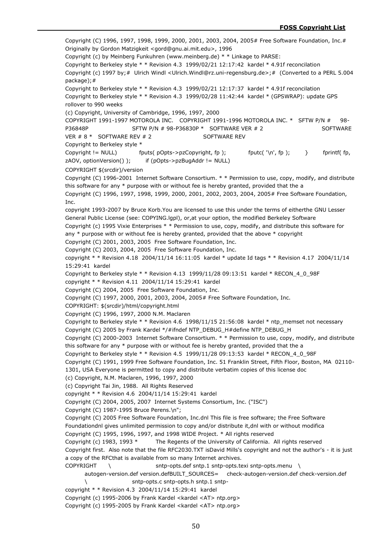Copyright (C) 1996, 1997, 1998, 1999, 2000, 2001, 2003, 2004, 2005# Free Software Foundation, Inc.# Originally by Gordon Matzigkeit <gord@gnu.ai.mit.edu>, 1996 Copyright (c) by Meinberg Funkuhren (www.meinberg.de) \* \* Linkage to PARSE: Copyright to Berkeley style \* \* Revision 4.3 1999/02/21 12:17:42 kardel \* 4.91f reconcilation Copyright (c) 1997 by;# Ulrich Windl <Ulrich.Windl@rz.uni-regensburg.de>;# (Converted to a PERL 5.004 package);# Copyright to Berkeley style \* \* Revision 4.3 1999/02/21 12:17:37 kardel \* 4.91f reconcilation Copyright to Berkeley style \* \* Revision 4.3 1999/02/28 11:42:44 kardel \* (GPSWRAP): update GPS rollover to 990 weeks (c) Copyright, University of Cambridge, 1996, 1997, 2000 COPYRIGHT 1991-1997 MOTOROLA INC. COPYRIGHT 1991-1996 MOTOROLA INC. \* SFTW P/N # 98- P36848P SFTW P/N # 98-P36830P \* SOFTWARE VER # 2 SOFTWARE VER # 8 \* SOFTWARE REV # 2 SOFTWARE REV Copyright to Berkeley style \* Copyright  $!=$  NULL) fputs( pOpts->pzCopyright, fp ); fputc( '\n', fp ); } fprintf( fp, zAOV, optionVersion() ); if (pOpts->pzBugAddr != NULL) COPYRIGHT \$(srcdir)/version Copyright (C) 1996-2001 Internet Software Consortium. \* \* Permission to use, copy, modify, and distribute this software for any  $*$  purpose with or without fee is hereby granted, provided that the a Copyright (C) 1996, 1997, 1998, 1999, 2000, 2001, 2002, 2003, 2004, 2005# Free Software Foundation, Inc. copyright 1993-2007 by Bruce Korb.You are licensed to use this under the terms of eitherthe GNU Lesser General Public License (see: COPYING.lgpl), or,at your option, the modified Berkeley Software Copyright (c) 1995 Vixie Enterprises \* \* Permission to use, copy, modify, and distribute this software for any \* purpose with or without fee is hereby granted, provided that the above \* copyright Copyright (C) 2001, 2003, 2005 Free Software Foundation, Inc. Copyright (C) 2003, 2004, 2005 Free Software Foundation, Inc. copyright  $*$  \* Revision 4.18 2004/11/14 16:11:05 kardel  $*$  update Id tags  $*$  \* Revision 4.17 2004/11/14 15:29:41 kardel Copyright to Berkeley style \* \* Revision 4.13 1999/11/28 09:13:51 kardel \* RECON\_4\_0\_98F copyright \* \* Revision 4.11 2004/11/14 15:29:41 kardel Copyright (C) 2004, 2005 Free Software Foundation, Inc. Copyright (C) 1997, 2000, 2001, 2003, 2004, 2005# Free Software Foundation, Inc. COPYRIGHT: \$(srcdir)/html/copyright.html Copyright (C) 1996, 1997, 2000 N.M. Maclaren Copyright to Berkeley style \* \* Revision 4.6 1998/11/15 21:56:08 kardel \* ntp\_memset not necessary Copyright (C) 2005 by Frank Kardel \*/#ifndef NTP\_DEBUG\_H#define NTP\_DEBUG\_H Copyright (C) 2000-2003 Internet Software Consortium. \* \* Permission to use, copy, modify, and distribute this software for any \* purpose with or without fee is hereby granted, provided that the a Copyright to Berkeley style  $* *$  Revision 4.5 1999/11/28 09:13:53 kardel  $*$  RECON 4 0 98F Copyright (C) 1991, 1999 Free Software Foundation, Inc. 51 Franklin Street, Fifth Floor, Boston, MA 02110- 1301, USA Everyone is permitted to copy and distribute verbatim copies of this license doc (c) Copyright, N.M. Maclaren, 1996, 1997, 2000 (c) Copyright Tai Jin, 1988. All Rights Reserved copyright \* \* Revision 4.6 2004/11/14 15:29:41 kardel Copyright (C) 2004, 2005, 2007 Internet Systems Consortium, Inc. ("ISC") Copyright (C) 1987-1995 Bruce Perens.\n"; Copyright (C) 2005 Free Software Foundation, Inc.dnl This file is free software; the Free Software Foundationdnl gives unlimited permission to copy and/or distribute it,dnl with or without modifica Copyright (C) 1995, 1996, 1997, and 1998 WIDE Project. \* All rights reserved Copyright (c) 1983, 1993 \* The Regents of the University of California. All rights reserved Copyright first. Also note that the file RFC2030.TXT isDavid Mills's copyright and not the author's - it is just a copy of the RFCthat is available from so many Internet archives. COPYRIGHT \ sntp-opts.def sntp.1 sntp-opts.texi sntp-opts.menu \ autogen-version.def version.defBUILT\_SOURCES= check-autogen-version.def check-version.def \ sntp-opts.c sntp-opts.h sntp.1 sntpcopyright \* \* Revision 4.3 2004/11/14 15:29:41 kardel Copyright (c) 1995-2006 by Frank Kardel <kardel <AT> ntp.org> Copyright (c) 1995-2005 by Frank Kardel <kardel <AT> ntp.org>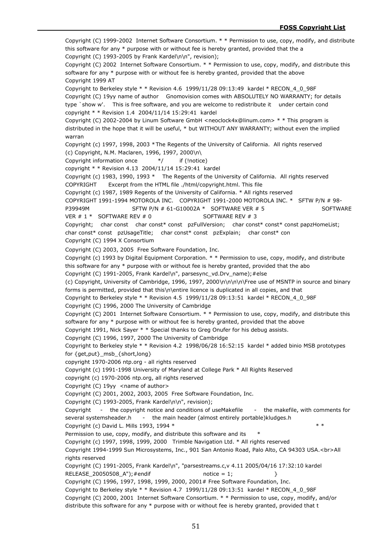Copyright (C) 1999-2002 Internet Software Consortium. \* \* Permission to use, copy, modify, and distribute this software for any \* purpose with or without fee is hereby granted, provided that the a Copyright (C) 1993-2005 by Frank Kardel\n\n", revision); Copyright (C) 2002 Internet Software Consortium. \* \* Permission to use, copy, modify, and distribute this software for any \* purpose with or without fee is hereby granted, provided that the above Copyright 1999 AT Copyright to Berkeley style  $* *$  Revision 4.6 1999/11/28 09:13:49 kardel  $*$  RECON 4 0 98F Copyright (C) 19yy name of author Gnomovision comes with ABSOLUTELY NO WARRANTY; for details type `show w'. This is free software, and you are welcome to redistribute it under certain cond copyright \* \* Revision 1.4 2004/11/14 15:29:41 kardel Copyright (C) 2002-2004 by Linum Software GmbH <neoclock4x@linum.com> \* \* This program is distributed in the hope that it will be useful, \* but WITHOUT ANY WARRANTY; without even the implied warran Copyright (c) 1997, 1998, 2003 \*The Regents of the University of California. All rights reserved (c) Copyright, N.M. Maclaren, 1996, 1997, 2000\n\ Copyright information once  $*$  if (!notice) copyright \* \* Revision 4.13 2004/11/14 15:29:41 kardel Copyright (c) 1983, 1990, 1993 \* The Regents of the University of California. All rights reserved COPYRIGHT Excerpt from the HTML file ./html/copyright.html. This file Copyright (c) 1987, 1989 Regents of the University of California. \* All rights reserved COPYRIGHT 1991-1994 MOTOROLA INC. COPYRIGHT 1991-2000 MOTOROLA INC. \* SFTW P/N # 98- P39949M SFTW P/N # 61-G10002A \* SOFTWARE VER # 5 SOFTWARE VER  $# 1 *$  SOFTWARE REV  $# 0$  SOFTWARE REV  $# 3$ Copyright; char const char const\* const pzFullVersion; char const\* const\* const papzHomeList; char const\* const pzUsageTitle; char const\* const pzExplain; char const\* con Copyright (C) 1994 X Consortium Copyright (C) 2003, 2005 Free Software Foundation, Inc. Copyright (c) 1993 by Digital Equipment Corporation. \* \* Permission to use, copy, modify, and distribute this software for any  $*$  purpose with or without fee is hereby granted, provided that the abo Copyright (C) 1991-2005, Frank Kardel\n", parsesync\_vd.Drv\_name);#else (c) Copyright, University of Cambridge, 1996, 1997, 2000\n\n\n\n\Free use of MSNTP in source and binary forms is permitted, provided that this\n\entire licence is duplicated in all copies, and that Copyright to Berkeley style \* \* Revision 4.5 1999/11/28 09:13:51 kardel \* RECON\_4\_0\_98F Copyright (C) 1996, 2000 The University of Cambridge Copyright (C) 2001 Internet Software Consortium. \* \* Permission to use, copy, modify, and distribute this software for any \* purpose with or without fee is hereby granted, provided that the above Copyright 1991, Nick Sayer \* \* Special thanks to Greg Onufer for his debug assists. Copyright (C) 1996, 1997, 2000 The University of Cambridge Copyright to Berkeley style \* \* Revision 4.2 1998/06/28 16:52:15 kardel \* added binio MSB prototypes for {get,put} msb {short,long} copyright 1970-2006 ntp.org - all rights reserved Copyright (c) 1991-1998 University of Maryland at College Park \* All Rights Reserved copyright (c) 1970-2006 ntp.org, all rights reserved Copyright  $(C)$  19yy <name of author> Copyright (C) 2001, 2002, 2003, 2005 Free Software Foundation, Inc. Copyright (C) 1993-2005, Frank Kardel\n\n", revision); Copyright - the copyright notice and conditions of useMakefile - the makefile, with comments for several systemsheader.h - the main header (almost entirely portable)kludges.h Copyright (c) David L. Mills 1993, 1994  $*$   $*$  \* Permission to use, copy, modify, and distribute this software and its \* Copyright (c) 1997, 1998, 1999, 2000 Trimble Navigation Ltd. \* All rights reserved Copyright 1994-1999 Sun Microsystems, Inc., 901 San Antonio Road, Palo Alto, CA 94303 USA.<br>All rights reserved Copyright (C) 1991-2005, Frank Kardel\n", "parsestreams.c,v 4.11 2005/04/16 17:32:10 kardel RELEASE 20050508 A");  $\#$  endif notice = 1;  $\}$ Copyright (C) 1996, 1997, 1998, 1999, 2000, 2001# Free Software Foundation, Inc. Copyright to Berkeley style \* \* Revision 4.7 1999/11/28 09:13:51 kardel \* RECON\_4\_0\_98F Copyright (C) 2000, 2001 Internet Software Consortium. \* \* Permission to use, copy, modify, and/or distribute this software for any \* purpose with or without fee is hereby granted, provided that t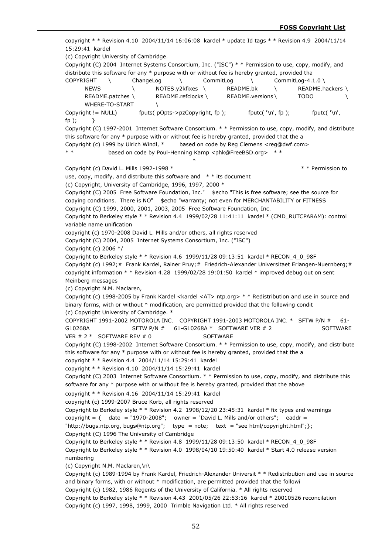copyright \* \* Revision 4.10 2004/11/14 16:06:08 kardel \* update Id tags \* \* Revision 4.9 2004/11/14 15:29:41 kardel (c) Copyright University of Cambridge. Copyright (C) 2004 Internet Systems Consortium, Inc. ("ISC") \* \* Permission to use, copy, modify, and distribute this software for any \* purpose with or without fee is hereby granted, provided tha COPYRIGHT \ ChangeLog \ CommitLog \ CommitLog-4.1.0 \ NEWS \ NOTES.y2kfixes \ README.bk \ README.hackers \ README.patches \ README.refclocks \ README.versions \ TODO WHERE-TO-START \ Copyright  $!=$  NULL) fouts( pOpts->pzCopyright, fp ); foutc( '\n', fp ); figure foutc( '\n', fp ); fp  $\}$ Copyright (C) 1997-2001 Internet Software Consortium. \* \* Permission to use, copy, modify, and distribute this software for any  $*$  purpose with or without fee is hereby granted, provided that the a Copyright (c) 1999 by Ulrich Windl, \* based on code by Reg Clemens <reg@dwf.com> \* \* based on code by Poul-Henning Kamp <phk@FreeBSD.org> \* \* \* Copyright (c) David L. Mills 1992-1998 \* \* \* Permission to use, copy, modify, and distribute this software and  $* *$  its document (c) Copyright, University of Cambridge, 1996, 1997, 2000 \* Copyright (C) 2005 Free Software Foundation, Inc." \$echo "This is free software; see the source for copying conditions. There is NO" \$echo "warranty; not even for MERCHANTABILITY or FITNESS Copyright (C) 1999, 2000, 2001, 2003, 2005 Free Software Foundation, Inc. Copyright to Berkeley style \* \* Revision 4.4 1999/02/28 11:41:11 kardel \* (CMD\_RUTCPARAM): control variable name unification copyright (c) 1970-2008 David L. Mills and/or others, all rights reserved Copyright (C) 2004, 2005 Internet Systems Consortium, Inc. ("ISC") Copyright (c) 2006 \*/ Copyright to Berkeley style \* \* Revision 4.6 1999/11/28 09:13:51 kardel \* RECON\_4\_0\_98F Copyright (c) 1992;# Frank Kardel, Rainer Pruy;# Friedrich-Alexander Universitaet Erlangen-Nuernberg;# copyright information \* \* Revision 4.28 1999/02/28 19:01:50 kardel \* improved debug out on sent Meinberg messages (c) Copyright N.M. Maclaren, Copyright (c) 1998-2005 by Frank Kardel <kardel <AT> ntp.org> \* \* Redistribution and use in source and binary forms, with or without \* modification, are permitted provided that the following condit (c) Copyright University of Cambridge. \* COPYRIGHT 1991-2002 MOTOROLA INC. COPYRIGHT 1991-2003 MOTOROLA INC. \* SFTW P/N # 61- G10268A SFTW P/N # 61-G10268A \* SOFTWARE VER # 2 SOFTWARE VFR  $\#$  2  $*$  SOFTWARE REV  $\#$  0 SOFTWARE Copyright (C) 1998-2002 Internet Software Consortium. \* \* Permission to use, copy, modify, and distribute this software for any \* purpose with or without fee is hereby granted, provided that the a copyright \* \* Revision 4.4 2004/11/14 15:29:41 kardel copyright \* \* Revision 4.10 2004/11/14 15:29:41 kardel Copyright (C) 2003 Internet Software Consortium. \* \* Permission to use, copy, modify, and distribute this software for any \* purpose with or without fee is hereby granted, provided that the above copyright \* \* Revision 4.16 2004/11/14 15:29:41 kardel copyright (c) 1999-2007 Bruce Korb, all rights reserved Copyright to Berkeley style \* \* Revision 4.2 1998/12/20 23:45:31 kardel \* fix types and warnings copyright =  $\{$  date = "1970-2008"; owner = "David L. Mills and/or others"; eaddr = "http://bugs.ntp.org, bugs@ntp.org"; type = note; text = "see html/copyright.html"; }; Copyright (C) 1996 The University of Cambridge Copyright to Berkeley style \* \* Revision 4.8 1999/11/28 09:13:50 kardel \* RECON\_4\_0\_98F Copyright to Berkeley style \* \* Revision 4.0 1998/04/10 19:50:40 kardel \* Start 4.0 release version numbering (c) Copyright N.M. Maclaren,\n\ Copyright (c) 1989-1994 by Frank Kardel, Friedrich-Alexander Universit \* \* Redistribution and use in source and binary forms, with or without \* modification, are permitted provided that the followi Copyright (c) 1982, 1986 Regents of the University of California. \* All rights reserved Copyright to Berkeley style \* \* Revision 4.43 2001/05/26 22:53:16 kardel \* 20010526 reconcilation Copyright (c) 1997, 1998, 1999, 2000 Trimble Navigation Ltd. \* All rights reserved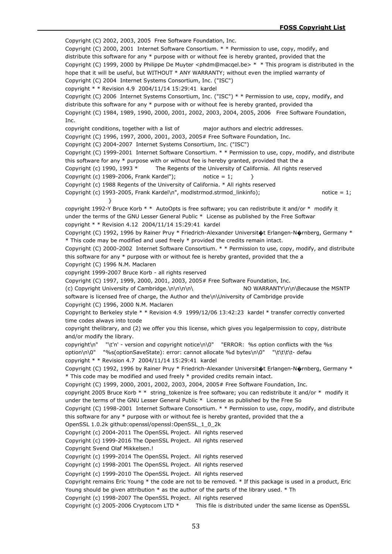Copyright (C) 2002, 2003, 2005 Free Software Foundation, Inc. Copyright (C) 2000, 2001 Internet Software Consortium. \* \* Permission to use, copy, modify, and distribute this software for any \* purpose with or without fee is hereby granted, provided that the Copyright (C) 1999, 2000 by Philippe De Muyter <phdm@macqel.be> \* \* This program is distributed in the hope that it will be useful, but WITHOUT \* ANY WARRANTY; without even the implied warranty of Copyright (C) 2004 Internet Systems Consortium, Inc. ("ISC") copyright \* \* Revision 4.9 2004/11/14 15:29:41 kardel Copyright (C) 2006 Internet Systems Consortium, Inc. ("ISC") \* \* Permission to use, copy, modify, and distribute this software for any \* purpose with or without fee is hereby granted, provided tha Copyright (C) 1984, 1989, 1990, 2000, 2001, 2002, 2003, 2004, 2005, 2006 Free Software Foundation, Inc. copyright conditions, together with a list of major authors and electric addresses. Copyright (C) 1996, 1997, 2000, 2001, 2003, 2005# Free Software Foundation, Inc. Copyright (C) 2004-2007 Internet Systems Consortium, Inc. ("ISC") Copyright (C) 1999-2001 Internet Software Consortium. \* \* Permission to use, copy, modify, and distribute this software for any \* purpose with or without fee is hereby granted, provided that the a Copyright (c) 1990, 1993 \* The Regents of the University of California. All rights reserved Copyright (c) 1989-2006, Frank Kardel"); notice = 1;  $\}$ Copyright (c) 1988 Regents of the University of California. \* All rights reserved Copyright (c) 1993-2005, Frank Kardel\n", modlstrmod.strmod linkinfo); notice = 1; } copyright 1992-Y Bruce Korb \* \* AutoOpts is free software; you can redistribute it and/or \* modify it under the terms of the GNU Lesser General Public \* License as published by the Free Softwar copyright \* \* Revision 4.12 2004/11/14 15:29:41 kardel Copyright (C) 1992, 1996 by Rainer Pruy \* Friedrich-Alexander Universit�t Erlangen-N�rnberg, Germany \* \* This code may be modified and used freely \* provided the credits remain intact. Copyright (C) 2000-2002 Internet Software Consortium. \* \* Permission to use, copy, modify, and distribute this software for any \* purpose with or without fee is hereby granted, provided that the a Copyright (C) 1996 N.M. Maclaren copyright 1999-2007 Bruce Korb - all rights reserved Copyright (C) 1997, 1999, 2000, 2001, 2003, 2005# Free Software Foundation, Inc. (c) Copyright University of Cambridge.\n\n\n\n\ NO WARRANTY\n\n\Because the MSNTP software is licensed free of charge, the Author and the\n\University of Cambridge provide Copyright (C) 1996, 2000 N.M. Maclaren Copyright to Berkeley style \* \* Revision 4.9 1999/12/06 13:42:23 kardel \* transfer correctly converted time codes always into tcode copyright thelibrary, and (2) we offer you this license, which gives you legalpermission to copy, distribute and/or modify the library. copyright\n" "\t'n' - version and copyright notice\n\0" "ERROR: %s option conflicts with the %s option\n\0" "%s(optionSaveState): error: cannot allocate %d bytes\n\0" "\t\t\t\t- defau copyright \* \* Revision 4.7 2004/11/14 15:29:41 kardel Copyright (C) 1992, 1996 by Rainer Pruy \* Friedrich-Alexander Universit�t Erlangen-N�rnberg, Germany \* \* This code may be modified and used freely \* provided credits remain intact. Copyright (C) 1999, 2000, 2001, 2002, 2003, 2004, 2005# Free Software Foundation, Inc. copyright 2005 Bruce Korb \* \* string\_tokenize is free software; you can redistribute it and/or \* modify it under the terms of the GNU Lesser General Public \* License as published by the Free So Copyright (C) 1998-2001 Internet Software Consortium. \* \* Permission to use, copy, modify, and distribute this software for any  $*$  purpose with or without fee is hereby granted, provided that the a OpenSSL 1.0.2k github:openssl/openssl:OpenSSL\_1\_0\_2k Copyright (c) 2004-2011 The OpenSSL Project. All rights reserved Copyright (c) 1999-2016 The OpenSSL Project. All rights reserved Copyright Svend Olaf Mikkelsen.! Copyright (c) 1999-2014 The OpenSSL Project. All rights reserved Copyright (c) 1998-2001 The OpenSSL Project. All rights reserved Copyright (c) 1999-2010 The OpenSSL Project. All rights reserved Copyright remains Eric Young \* the code are not to be removed. \* If this package is used in a product, Eric Young should be given attribution  $*$  as the author of the parts of the library used.  $*$  Th Copyright (c) 1998-2007 The OpenSSL Project. All rights reserved Copyright (c) 2005-2006 Cryptocom LTD  $*$  This file is distributed under the same license as OpenSSL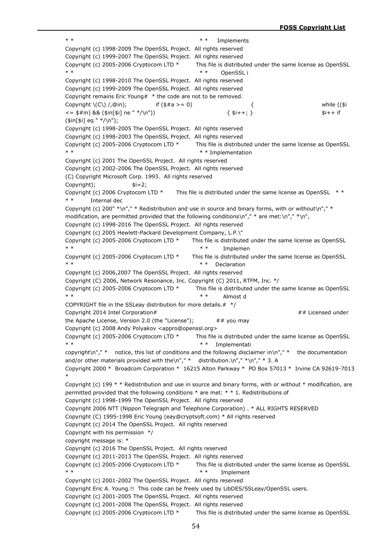\* \* \* Implements Copyright (c) 1998-2009 The OpenSSL Project. All rights reserved Copyright (c) 1999-2007 The OpenSSL Project. All rights reserved Copyright (c) 2005-2006 Cryptocom LTD  $*$  This file is distributed under the same license as OpenSSL \* \* \* OpenSSL i Copyright (c) 1998-2010 The OpenSSL Project. All rights reserved Copyright (c) 1999-2009 The OpenSSL Project. All rights reserved Copyright remains Eric Young#  $*$  the code are not to be removed. Copyright  $\setminus (C\setminus /Q\infty)$ ; if (\$#a >= 0)  $\setminus$  { while ((\$i  $\leq$  = \$#in) && (\$in[\$i] ne " \*/\n"))  $\leq$  5i++; } \$i++; } \$i++ if (\$in[\$i] eq " \*/\n"); Copyright (c) 1998-2005 The OpenSSL Project. All rights reserved Copyright (c) 1998-2003 The OpenSSL Project. All rights reserved Copyright (c) 2005-2006 Cryptocom LTD  $*$  This file is distributed under the same license as OpenSSL \* \* Implementation Copyright (c) 2001 The OpenSSL Project. All rights reserved Copyright (c) 2002-2006 The OpenSSL Project. All rights reserved (C) Copyright Microsoft Corp. 1993. All rights reserved Copyright);  $\qquad \qquad$ \$i=2; Copyright (c) 2006 Cryptocom LTD  $*$  This file is distributed under the same license as OpenSSL  $**$ \* \* Internal dec Copyright (c) 200" \*\n"," \* Redistribution and use in source and binary forms, with or without\n"," \* modification, are permitted provided that the following conditions\n"," \* are met:\n"," \*\n", Copyright (c) 1998-2016 The OpenSSL Project. All rights reserved Copyright (c) 2005 Hewlett-Packard Development Company, L.P.\" Copyright (c) 2005-2006 Cryptocom LTD \* This file is distributed under the same license as OpenSSL \* \* \* Implemen Copyright (c) 2005-2006 Cryptocom LTD \* This file is distributed under the same license as OpenSSL \* \* Declaration Copyright (c) 2006,2007 The OpenSSL Project. All rights reserved Copyright (C) 2006, Network Resonance, Inc. Copyright (C) 2011, RTFM, Inc. \*/ Copyright (c) 2005-2006 Cryptocom LTD  $*$  This file is distributed under the same license as OpenSSL \* \* \* Almost d COPYRIGHT file in the SSLeay distribution for more details. $#$  \*/ Copyright 2014 Intel Corporation# ## Licensed under the Apache License, Version 2.0 (the "License");  $\#$  # you may Copyright (c) 2008 Andy Polyakov <appro@openssl.org> Copyright (c) 2005-2006 Cryptocom LTD  $*$  This file is distributed under the same license as OpenSSL \* \* \* Implementati copyright\n"," \* notice, this list of conditions and the following disclaimer in\n"," \* the documentation and/or other materials provided with the\n","  $*$  distribution.\n","  $*\n$ n","  $*$  3. A Copyright 2000 \* Broadcom Corporation \* 16215 Alton Parkway \* PO Box 57013 \* Irvine CA 92619-7013 \* Copyright (c) 199  $*$  \* Redistribution and use in source and binary forms, with or without  $*$  modification, are permitted provided that the following conditions \* are met: \* \* 1. Redistributions of Copyright (c) 1998-1999 The OpenSSL Project. All rights reserved Copyright 2006 NTT (Nippon Telegraph and Telephone Corporation) . \* ALL RIGHTS RESERVED Copyright (C) 1995-1998 Eric Young (eay@cryptsoft.com) \* All rights reserved Copyright (c) 2014 The OpenSSL Project. All rights reserved Copyright with his permission \*/ copyright message is: \* Copyright (c) 2016 The OpenSSL Project. All rights reserved Copyright (c) 2011-2013 The OpenSSL Project. All rights reserved Copyright (c) 2005-2006 Cryptocom LTD \* This file is distributed under the same license as OpenSSL \* \* \* Implement Copyright (c) 2001-2002 The OpenSSL Project. All rights reserved Copyright Eric A. Young.!! This code can be freely used by LibDES/SSLeay/OpenSSL users. Copyright (c) 2001-2005 The OpenSSL Project. All rights reserved Copyright (c) 2001-2008 The OpenSSL Project. All rights reserved Copyright (c) 2005-2006 Cryptocom LTD \* This file is distributed under the same license as OpenSSL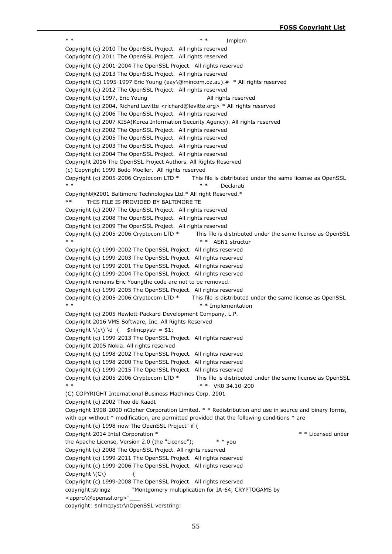\* \* \* Implem Copyright (c) 2010 The OpenSSL Project. All rights reserved Copyright (c) 2011 The OpenSSL Project. All rights reserved Copyright (c) 2001-2004 The OpenSSL Project. All rights reserved Copyright (c) 2013 The OpenSSL Project. All rights reserved Copyright (C) 1995-1997 Eric Young (eay\@mincom.oz.au).# \* All rights reserved Copyright (c) 2012 The OpenSSL Project. All rights reserved Copyright (c) 1997, Eric Young All rights reserved Copyright (c) 2004, Richard Levitte <richard@levitte.org> \* All rights reserved Copyright (c) 2006 The OpenSSL Project. All rights reserved Copyright (c) 2007 KISA(Korea Information Security Agency). All rights reserved Copyright (c) 2002 The OpenSSL Project. All rights reserved Copyright (c) 2005 The OpenSSL Project. All rights reserved Copyright (c) 2003 The OpenSSL Project. All rights reserved Copyright (c) 2004 The OpenSSL Project. All rights reserved Copyright 2016 The OpenSSL Project Authors. All Rights Reserved (c) Copyright 1999 Bodo Moeller. All rights reserved Copyright (c) 2005-2006 Cryptocom LTD \* This file is distributed under the same license as OpenSSL \* \* \* Declarati Copyright@2001 Baltimore Technologies Ltd.\* All right Reserved.\* \*\* THIS FILE IS PROVIDED BY BALTIMORE TE Copyright (c) 2007 The OpenSSL Project. All rights reserved Copyright (c) 2008 The OpenSSL Project. All rights reserved Copyright (c) 2009 The OpenSSL Project. All rights reserved Copyright (c) 2005-2006 Cryptocom LTD \* This file is distributed under the same license as OpenSSL \* \* \* \* ASN1 structur Copyright (c) 1999-2002 The OpenSSL Project. All rights reserved Copyright (c) 1999-2003 The OpenSSL Project. All rights reserved Copyright (c) 1999-2001 The OpenSSL Project. All rights reserved Copyright (c) 1999-2004 The OpenSSL Project. All rights reserved Copyright remains Eric Youngthe code are not to be removed. Copyright (c) 1999-2005 The OpenSSL Project. All rights reserved Copyright (c) 2005-2006 Cryptocom LTD  $*$  This file is distributed under the same license as OpenSSL \* \* \* Implementation Copyright (c) 2005 Hewlett-Packard Development Company, L.P. Copyright 2016 VMS Software, Inc. All Rights Reserved Copyright  $\(C) \ d \ {\ast}$  snlmcpystr = \$1; Copyright (c) 1999-2013 The OpenSSL Project. All rights reserved Copyright 2005 Nokia. All rights reserved Copyright (c) 1998-2002 The OpenSSL Project. All rights reserved Copyright (c) 1998-2000 The OpenSSL Project. All rights reserved Copyright (c) 1999-2015 The OpenSSL Project. All rights reserved Copyright (c) 2005-2006 Cryptocom LTD \* This file is distributed under the same license as OpenSSL \* \* \* VK0 34.10-200 (C) COPYRIGHT International Business Machines Corp. 2001 Copyright (c) 2002 Theo de Raadt Copyright 1998-2000 nCipher Corporation Limited. \* \* Redistribution and use in source and binary forms, with opr without  $*$  modification, are permitted provided that the following conditions  $*$  are Copyright (c) 1998-now The OpenSSL Project" if ( Copyright 2014 Intel Corporation \* \* \* Licensed under the Apache License, Version 2.0 (the "License"); \* \* you Copyright (c) 2008 The OpenSSL Project. All rights reserved Copyright (c) 1999-2011 The OpenSSL Project. All rights reserved Copyright (c) 1999-2006 The OpenSSL Project. All rights reserved Copyright  $\langle C \rangle$  { Copyright (c) 1999-2008 The OpenSSL Project. All rights reserved copyright:stringz "Montgomery multiplication for IA-64, CRYPTOGAMS by <appro\@openssl.org>"\_\_\_ copyright: \$nlmcpystr\nOpenSSL verstring: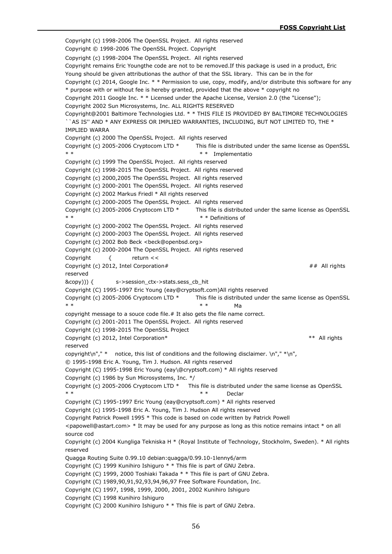Copyright (c) 1998-2006 The OpenSSL Project. All rights reserved Copyright © 1998-2006 The OpenSSL Project. Copyright Copyright (c) 1998-2004 The OpenSSL Project. All rights reserved Copyright remains Eric Youngthe code are not to be removed.If this package is used in a product, Eric Young should be given attributionas the author of that the SSL library. This can be in the for Copyright (c) 2014, Google Inc. \* \* Permission to use, copy, modify, and/or distribute this software for any \* purpose with or without fee is hereby granted, provided that the above \* copyright no Copyright 2011 Google Inc. \* \* Licensed under the Apache License, Version 2.0 (the "License"); Copyright 2002 Sun Microsystems, Inc. ALL RIGHTS RESERVED Copyright@2001 Baltimore Technologies Ltd. \* \* THIS FILE IS PROVIDED BY BALTIMORE TECHNOLOGIES ``AS IS'' AND \* ANY EXPRESS OR IMPLIED WARRANTIES, INCLUDING, BUT NOT LIMITED TO, THE \* IMPLIED WARRA Copyright (c) 2000 The OpenSSL Project. All rights reserved Copyright (c) 2005-2006 Cryptocom LTD \* This file is distributed under the same license as OpenSSL \* \* \* Implementatio Copyright (c) 1999 The OpenSSL Project. All rights reserved Copyright (c) 1998-2015 The OpenSSL Project. All rights reserved Copyright (c) 2000,2005 The OpenSSL Project. All rights reserved Copyright (c) 2000-2001 The OpenSSL Project. All rights reserved Copyright (c) 2002 Markus Friedl \* All rights reserved Copyright (c) 2000-2005 The OpenSSL Project. All rights reserved Copyright (c) 2005-2006 Cryptocom LTD \* This file is distributed under the same license as OpenSSL \* \* \* Definitions of Copyright (c) 2000-2002 The OpenSSL Project. All rights reserved Copyright (c) 2000-2003 The OpenSSL Project. All rights reserved Copyright (c) 2002 Bob Beck <beck@openbsd.org> Copyright (c) 2000-2004 The OpenSSL Project. All rights reserved Copyright { return << Copyright (c) 2012, Intel Corporation# ## All rights reserved &copy))) { s->session ctx->stats.sess cb hit Copyright (C) 1995-1997 Eric Young (eay@cryptsoft.com)All rights reserved Copyright (c) 2005-2006 Cryptocom LTD \* This file is distributed under the same license as OpenSSL \* \* \* \* Ma copyright message to a souce code file.# It also gets the file name correct. Copyright (c) 2001-2011 The OpenSSL Project. All rights reserved Copyright (c) 1998-2015 The OpenSSL Project Copyright (c) 2012, Intel Corporation\* \*\* All rights reserved copyright\n"," \* notice, this list of conditions and the following disclaimer.  $\ln$ "," \*\n", © 1995-1998 Eric A. Young, Tim J. Hudson. All rights reserved Copyright (C) 1995-1998 Eric Young (eay\@cryptsoft.com) \* All rights reserved Copyright (c) 1986 by Sun Microsystems, Inc. \*/ Copyright (c) 2005-2006 Cryptocom LTD \* This file is distributed under the same license as OpenSSL  $***$  Declar Copyright (C) 1995-1997 Eric Young (eay@cryptsoft.com) \* All rights reserved Copyright (c) 1995-1998 Eric A. Young, Tim J. Hudson All rights reserved Copyright Patrick Powell 1995 \* This code is based on code written by Patrick Powell  $\epsilon$  <papowell@astart.com>  $*$  It may be used for any purpose as long as this notice remains intact  $*$  on all source cod Copyright (c) 2004 Kungliga Tekniska H \* (Royal Institute of Technology, Stockholm, Sweden). \* All rights reserved Quagga Routing Suite 0.99.10 debian:quagga/0.99.10-1lenny6/arm Copyright (C) 1999 Kunihiro Ishiguro \* \* This file is part of GNU Zebra. Copyright (C) 1999, 2000 Toshiaki Takada \* \* This file is part of GNU Zebra. Copyright (C) 1989,90,91,92,93,94,96,97 Free Software Foundation, Inc. Copyright (C) 1997, 1998, 1999, 2000, 2001, 2002 Kunihiro Ishiguro Copyright (C) 1998 Kunihiro Ishiguro Copyright (C) 2000 Kunihiro Ishiguro \* \* This file is part of GNU Zebra.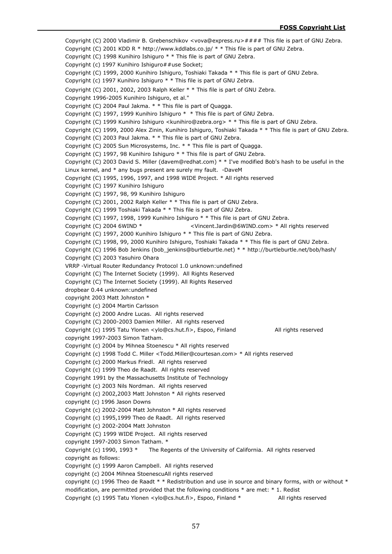Copyright (C) 2000 Vladimir B. Grebenschikov <vova@express.ru>#### This file is part of GNU Zebra. Copyright (C) 2001 KDD R \* http://www.kddlabs.co.jp/ \* \* This file is part of GNU Zebra. Copyright (C) 1998 Kunihiro Ishiguro \* \* This file is part of GNU Zebra. Copyright (c) 1997 Kunihiro Ishiguro##use Socket; Copyright (C) 1999, 2000 Kunihiro Ishiguro, Toshiaki Takada \* \* This file is part of GNU Zebra. Copyright (c) 1997 Kunihiro Ishiguro \* \* This file is part of GNU Zebra. Copyright (C) 2001, 2002, 2003 Ralph Keller \* \* This file is part of GNU Zebra. Copyright 1996-2005 Kunihiro Ishiguro, et al." Copyright (C) 2004 Paul Jakma. \* \* This file is part of Quagga. Copyright (C) 1997, 1999 Kunihiro Ishiguro \* \* This file is part of GNU Zebra. Copyright (C) 1999 Kunihiro Ishiguro <kunihiro@zebra.org> \* \* This file is part of GNU Zebra. Copyright (C) 1999, 2000 Alex Zinin, Kunihiro Ishiguro, Toshiaki Takada \* \* This file is part of GNU Zebra. Copyright (C) 2003 Paul Jakma. \* \* This file is part of GNU Zebra. Copyright (C) 2005 Sun Microsystems, Inc. \* \* This file is part of Quagga. Copyright (C) 1997, 98 Kunihiro Ishiguro \* \* This file is part of GNU Zebra. Copyright (C) 2003 David S. Miller (davem@redhat.com) \* \* I've modified Bob's hash to be useful in the Linux kernel, and \* any bugs present are surely my fault. -DaveM Copyright (C) 1995, 1996, 1997, and 1998 WIDE Project. \* All rights reserved Copyright (C) 1997 Kunihiro Ishiguro Copyright (C) 1997, 98, 99 Kunihiro Ishiguro Copyright (C) 2001, 2002 Ralph Keller \* \* This file is part of GNU Zebra. Copyright (C) 1999 Toshiaki Takada \* \* This file is part of GNU Zebra. Copyright (C) 1997, 1998, 1999 Kunihiro Ishiguro \* \* This file is part of GNU Zebra. Copyright (C) 2004 6WIND \* <Vincent.Jardin@6WIND.com> \* All rights reserved Copyright (C) 1997, 2000 Kunihiro Ishiguro \* \* This file is part of GNU Zebra. Copyright (C) 1998, 99, 2000 Kunihiro Ishiguro, Toshiaki Takada \* \* This file is part of GNU Zebra. Copyright (C) 1996 Bob Jenkins (bob\_jenkins@burtleburtle.net) \* \* http://burtleburtle.net/bob/hash/ Copyright (C) 2003 Yasuhiro Ohara VRRP -Virtual Router Redundancy Protocol 1.0 unknown:undefined Copyright (C) The Internet Society (1999). All Rights Reserved Copyright (C) The Internet Society (1999). All Rights Reserved dropbear 0.44 unknown:undefined copyright 2003 Matt Johnston \* Copyright (c) 2004 Martin Carlsson Copyright (c) 2000 Andre Lucas. All rights reserved Copyright (C) 2000-2003 Damien Miller. All rights reserved Copyright (c) 1995 Tatu Ylonen <ylo@cs.hut.fi>, Espoo, Finland All rights reserved copyright 1997-2003 Simon Tatham. Copyright (c) 2004 by Mihnea Stoenescu \* All rights reserved Copyright (c) 1998 Todd C. Miller <Todd.Miller@courtesan.com> \* All rights reserved Copyright (c) 2000 Markus Friedl. All rights reserved Copyright (c) 1999 Theo de Raadt. All rights reserved Copyright 1991 by the Massachusetts Institute of Technology Copyright (c) 2003 Nils Nordman. All rights reserved Copyright (c) 2002,2003 Matt Johnston \* All rights reserved copyright (c) 1996 Jason Downs Copyright (c) 2002-2004 Matt Johnston \* All rights reserved Copyright (c) 1995,1999 Theo de Raadt. All rights reserved Copyright (c) 2002-2004 Matt Johnston Copyright (C) 1999 WIDE Project. All rights reserved copyright 1997-2003 Simon Tatham. \* Copyright (c) 1990, 1993 \* The Regents of the University of California. All rights reserved copyright as follows: Copyright (c) 1999 Aaron Campbell. All rights reserved copyright (c) 2004 Mihnea StoenescuAll rights reserved copyright (c) 1996 Theo de Raadt \* \* Redistribution and use in source and binary forms, with or without \* modification, are permitted provided that the following conditions \* are met: \* 1. Redist Copyright (c) 1995 Tatu Ylonen <ylo@cs.hut.fi>, Espoo, Finland \* All rights reserved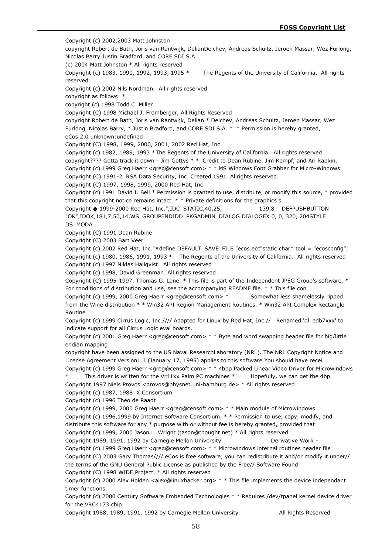Copyright (c) 2002,2003 Matt Johnston copyright Robert de Bath, Joris van Rantwijk, DelianDelchev, Andreas Schultz, Jeroen Massar, Wez Furlong, Nicolas Barry,Justin Bradford, and CORE SDI S.A. (c) 2004 Matt Johnston \* All rights reserved Copyright (c) 1983, 1990, 1992, 1993, 1995 \* The Regents of the University of California. All rights reserved Copyright (c) 2002 Nils Nordman. All rights reserved copyright as follows: \* copyright (c) 1998 Todd C. Miller Copyright (C) 1998 Michael J. Fromberger, All Rights Reserved copyright Robert de Bath, Joris van Rantwijk, Delian \* Delchev, Andreas Schultz, Jeroen Massar, Wez Furlong, Nicolas Barry, \* Justin Bradford, and CORE SDI S.A. \* \* Permission is hereby granted, eCos 2.0 unknown:undefined Copyright (C) 1998, 1999, 2000, 2001, 2002 Red Hat, Inc. Copyright (c) 1982, 1989, 1993 \*The Regents of the University of California. All rights reserved copyright???? Gotta track it down - Jim Gettys \* \* Credit to Dean Rubine, Jim Kempf, and Ari Rapkin. Copyright (c) 1999 Greg Haerr <greg@censoft.com> \* \* MS Windows Font Grabber for Micro-Windows Copyright (C) 1991-2, RSA Data Security, Inc. Created 1991. Allrights reserved. Copyright (C) 1997, 1998, 1999, 2000 Red Hat, Inc. Copyright (c) 1991 David I. Bell \* Permission is granted to use, distribute, or modify this source, \* provided that this copyright notice remains intact.  $*$  \* Private definitions for the graphics s Copyright � 1999-2000 Red Hat, Inc.",IDC\_STATIC,40,25, 139,8 DEFPUSHBUTTON "OK",IDOK,181,7,50,14,WS\_GROUPENDIDD\_PKGADMIN\_DIALOG DIALOGEX 0, 0, 320, 204STYLE DS\_MODA Copyright (C) 1991 Dean Rubine Copyright (C) 2003 Bart Veer Copyright (c) 2002 Red Hat, Inc."#define DEFAULT\_SAVE\_FILE "ecos.ecc"static char\* tool = "ecosconfig"; Copyright (c) 1980, 1986, 1991, 1993 \* The Regents of the University of California. All rights reserved Copyright (c) 1997 Niklas Hallqvist. All rights reserved Copyright (c) 1998, David Greenman. All rights reserved Copyright (C) 1995-1997, Thomas G. Lane. \* This file is part of the Independent JPEG Group's software. \* For conditions of distribution and use, see the accompanying README file. \* \* This file con Copyright (c) 1999, 2000 Greg Haerr <greg@censoft.com> \* Somewhat less shamelessly ripped from the Wine distribution \* \* Win32 API Region Management Routines. \* Win32 API Complex Rectangle Routine Copyright (c) 1999 Cirrus Logic, Inc.//// Adapted for Linux by Red Hat, Inc.// Renamed 'dl\_edb7xxx' to indicate support for all Cirrus Logic eval boards. Copyright (c) 2001 Greg Haerr <greg@censoft.com> \* \* Byte and word swapping header file for big/little endian mapping copyright have been assigned to the US Naval ResearchLaboratory (NRL). The NRL Copyright Notice and License Agreement Version1.1 (January 17, 1995) applies to this software.You should have recei Copyright (c) 1999 Greg Haerr <greg@censoft.com> \* \* 4bpp Packed Linear Video Driver for Microwindows This driver is written for the Vr41xx Palm PC machines  $*$  Hopefully, we can get the 4bp Copyright 1997 Niels Provos <provos@physnet.uni-hamburg.de> \* All rights reserved Copyright (c) 1987, 1988 X Consortium Copyright (c) 1996 Theo de Raadt Copyright (c) 1999, 2000 Greg Haerr <greg@censoft.com> \* \* Main module of Microwindows Copyright (c) 1996,1999 by Internet Software Consortium. \* \* Permission to use, copy, modify, and distribute this software for any \* purpose with or without fee is hereby granted, provided that Copyright (c) 1999, 2000 Jason L. Wright (jason@thought.net) \* All rights reserved Copyright 1989, 1991, 1992 by Carnegie Mellon University The Conventive Work -Copyright (c) 1999 Greg Haerr <greg@censoft.com> \* \* Microwindows internal routines header file Copyright (C) 2003 Gary Thomas//// eCos is free software; you can redistribute it and/or modify it under// the terms of the GNU General Public License as published by the Free// Software Found Copyright (C) 1998 WIDE Project. \* All rights reserved Copyright (c) 2000 Alex Holden <alex@linuxhacker.org>  $* *$  This file implements the device independant timer functions. Copyright (c) 2000 Century Software Embedded Technologies \* \* Requires /dev/tpanel kernel device driver for the VRC4173 chip

Copyright 1988, 1989, 1991, 1992 by Carnegie Mellon University All Rights Reserved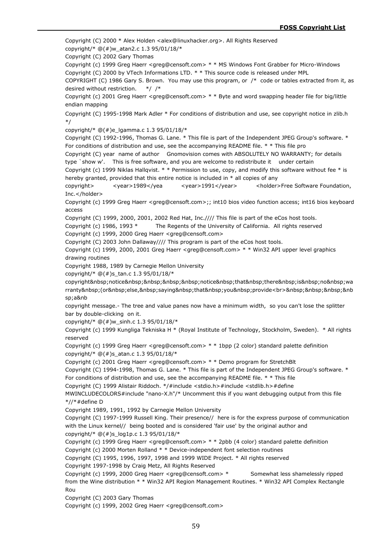Copyright (C) 2000 \* Alex Holden <alex@linuxhacker.org>. All Rights Reserved copyright/\* @(#)w\_atan2.c 1.3 95/01/18/\* Copyright (C) 2002 Gary Thomas Copyright (c) 1999 Greg Haerr <greg@censoft.com> \* \* MS Windows Font Grabber for Micro-Windows Copyright (C) 2000 by VTech Informations LTD. \* \* This source code is released under MPL COPYRIGHT (C) 1986 Gary S. Brown. You may use this program, or /\* code or tables extracted from it, as desired without restriction. \*/ /\* Copyright (c) 2001 Greg Haerr <greg@censoft.com> \* \* Byte and word swapping header file for big/little endian mapping Copyright (C) 1995-1998 Mark Adler \* For conditions of distribution and use, see copyright notice in zlib.h \*/ copyright/\* @(#)e\_lgamma.c 1.3 95/01/18/\* Copyright (C) 1992-1996, Thomas G. Lane. \* This file is part of the Independent JPEG Group's software. \* For conditions of distribution and use, see the accompanying README file. \* \* This file pro Copyright (C) year name of author Gnomovision comes with ABSOLUTELY NO WARRANTY; for details type `show w'. This is free software, and you are welcome to redistribute it under certain Copyright (c) 1999 Niklas Hallqvist. \* \* Permission to use, copy, and modify this software without fee \* is hereby granted, provided that this entire notice is included in  $*$  all copies of any copyright> <year>1989</yea <year>1991</year> <holder>Free Software Foundation, Inc.</holder> Copyright (c) 1999 Greg Haerr <greg@censoft.com>;; int10 bios video function access; int16 bios keyboard access Copyright (C) 1999, 2000, 2001, 2002 Red Hat, Inc.//// This file is part of the eCos host tools. Copyright (c) 1986, 1993 \* The Regents of the University of California. All rights reserved Copyright (c) 1999, 2000 Greg Haerr <greg@censoft.com> Copyright (C) 2003 John Dallaway//// This program is part of the eCos host tools. Copyright (c) 1999, 2000, 2001 Greg Haerr <greg@censoft.com> \* \* Win32 API upper level graphics drawing routines Copyright 1988, 1989 by Carnegie Mellon University copyright/\* @(#)s\_tan.c 1.3 95/01/18/\* copyright notice notice that there is no wa rranty (or else, saying that you provide<br>&nbsp;&nbsp;&nbsp;&nb sp;a&nb copyright message.- The tree and value panes now have a minimum width, so you can't lose the splitter bar by double-clicking on it. copyright/\* @(#)w\_sinh.c 1.3 95/01/18/\* Copyright (c) 1999 Kungliga Tekniska H \* (Royal Institute of Technology, Stockholm, Sweden). \* All rights reserved Copyright (c) 1999 Greg Haerr <greg@censoft.com> \* \* 1bpp (2 color) standard palette definition copyright/\*  $@(\#)s$  atan.c 1.3 95/01/18/\* Copyright (c) 2001 Greg Haerr <greg@censoft.com> \* \* Demo program for StretchBlt Copyright (C) 1994-1998, Thomas G. Lane. \* This file is part of the Independent JPEG Group's software. \* For conditions of distribution and use, see the accompanying README file. \* \* This file Copyright (C) 1999 Alistair Riddoch. \*/#include <stdio.h>#include <stdlib.h>#define MWINCLUDECOLORS#include "nano-X.h"/\* Uncomment this if you want debugging output from this file \*//\*#define D Copyright 1989, 1991, 1992 by Carnegie Mellon University Copyright (C) 1997-1999 Russell King. Their presence// here is for the express purpose of communication with the Linux kernel// being booted and is considered 'fair use' by the original author and copyright/\*  $@(\#)$ s log1p.c 1.3 95/01/18/\* Copyright (c) 1999 Greg Haerr <greg@censoft.com> \* \* 2pbb (4 color) standard palette definition Copyright (c) 2000 Morten Rolland \* \* Device-independent font selection routines Copyright (C) 1995, 1996, 1997, 1998 and 1999 WIDE Project. \* All rights reserved Copyright 1997-1998 by Craig Metz, All Rights Reserved Copyright (c) 1999, 2000 Greg Haerr <greg@censoft.com> \* Somewhat less shamelessly ripped from the Wine distribution \* \* Win32 API Region Management Routines. \* Win32 API Complex Rectangle Rou Copyright (C) 2003 Gary Thomas Copyright (c) 1999, 2002 Greg Haerr <greg@censoft.com>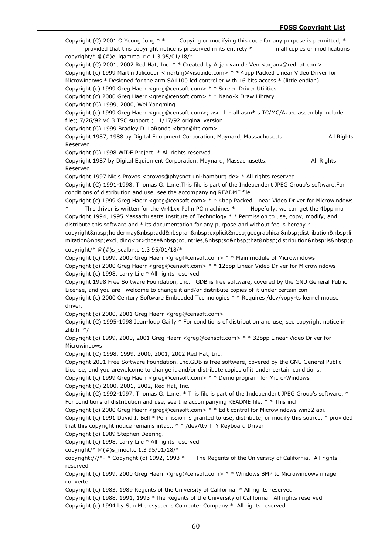Copyright (C) 2001 O Young Jong  $**$  Copying or modifying this code for any purpose is permitted,  $*$ provided that this copyright notice is preserved in its entirety \* in all copies or modifications copyright/\* @(#)e\_lgamma\_r.c 1.3 95/01/18/\* Copyright (C) 2001, 2002 Red Hat, Inc. \* \* Created by Arjan van de Ven <arjanv@redhat.com> Copyright (c) 1999 Martin Jolicoeur <martinj@visuaide.com> \* \* 4bpp Packed Linear Video Driver for Microwindows \* Designed for the arm SA1100 lcd controller with 16 bits access \* (little endian) Copyright (c) 1999 Greg Haerr <greg@censoft.com> \* \* Screen Driver Utilities Copyright (c) 2000 Greg Haerr <greg@censoft.com> \* \* Nano-X Draw Library Copyright (C) 1999, 2000, Wei Yongming. Copyright (c) 1999 Greg Haerr <greg@censoft.com>; asm.h - all asm\*.s TC/MC/Aztec assembly include file;; 7/26/92 v6.3 TSC support ; 11/17/92 original version Copyright (C) 1999 Bradley D. LaRonde <brad@ltc.com> Copyright 1987, 1988 by Digital Equipment Corporation, Maynard, Massachusetts. All Rights Reserved Copyright (C) 1998 WIDE Project. \* All rights reserved Copyright 1987 by Digital Equipment Corporation, Maynard, Massachusetts. All Rights Reserved Copyright 1997 Niels Provos <provos@physnet.uni-hamburg.de> \* All rights reserved Copyright (C) 1991-1998, Thomas G. Lane.This file is part of the Independent JPEG Group's software.For conditions of distribution and use, see the accompanying README file. Copyright (c) 1999 Greg Haerr <greg@censoft.com> \* \* 4bpp Packed Linear Video Driver for Microwindows This driver is written for the Vr41xx Palm PC machines  $*$  Hopefully, we can get the 4bpp mo Copyright 1994, 1995 Massachusetts Institute of Technology \* \* Permission to use, copy, modify, and distribute this software and \* its documentation for any purpose and without fee is hereby \* copyright holdermay add an explicit qeographical distribution li mitation excluding<br>>br>those&nbsp;countries,&nbsp;so&nbsp;that&nbsp;distribution&nbsp;is&nbsp;p copyright/\* @(#)s\_scalbn.c 1.3 95/01/18/\* Copyright (c) 1999, 2000 Greg Haerr <greg@censoft.com> \* \* Main module of Microwindows Copyright (c) 2000 Greg Haerr <greg@censoft.com> \* \* 12bpp Linear Video Driver for Microwindows Copyright (c) 1998, Larry Lile \* All rights reserved Copyright 1998 Free Software Foundation, Inc. GDB is free software, covered by the GNU General Public License, and you are welcome to change it and/or distribute copies of it under certain con Copyright (c) 2000 Century Software Embedded Technologies \* \* Requires /dev/yopy-ts kernel mouse driver. Copyright (c) 2000, 2001 Greg Haerr <greg@censoft.com> Copyright (C) 1995-1998 Jean-loup Gailly \* For conditions of distribution and use, see copyright notice in zlib.h  $*/$ Copyright (c) 1999, 2000, 2001 Greg Haerr <greg@censoft.com> \* \* 32bpp Linear Video Driver for Microwindows Copyright (C) 1998, 1999, 2000, 2001, 2002 Red Hat, Inc. Copyright 2001 Free Software Foundation, Inc.GDB is free software, covered by the GNU General Public License, and you arewelcome to change it and/or distribute copies of it under certain conditions. Copyright (c) 1999 Greg Haerr <greg@censoft.com> \* \* Demo program for Micro-Windows Copyright (C) 2000, 2001, 2002, Red Hat, Inc. Copyright (C) 1992-1997, Thomas G. Lane. \* This file is part of the Independent JPEG Group's software. \* For conditions of distribution and use, see the accompanying README file. \* \* This incl Copyright (c) 2000 Greg Haerr <greg@censoft.com> \* \* Edit control for Microwindows win32 api. Copyright (c) 1991 David I. Bell \* Permission is granted to use, distribute, or modify this source, \* provided that this copyright notice remains intact. \* \* /dev/tty TTY Keyboard Driver Copyright (c) 1989 Stephen Deering. Copyright (c) 1998, Larry Lile \* All rights reserved copyright/\* @(#)s\_modf.c 1.3 95/01/18/\* copyright:///\*- \* Copyright (c) 1992, 1993 \* The Regents of the University of California. All rights reserved Copyright (c) 1999, 2000 Greg Haerr <greg@censoft.com> \* \* Windows BMP to Microwindows image converter Copyright (c) 1983, 1989 Regents of the University of California. \* All rights reserved Copyright (c) 1988, 1991, 1993 \*The Regents of the University of California. All rights reserved Copyright (c) 1994 by Sun Microsystems Computer Company \* All rights reserved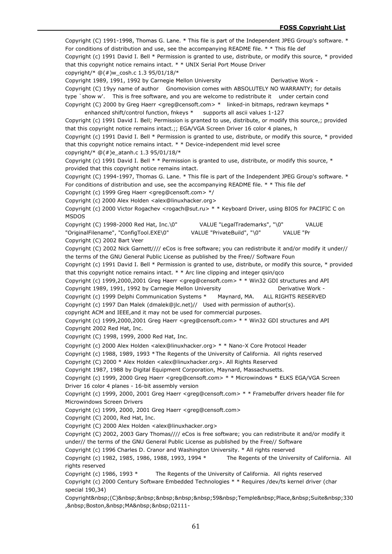Copyright (C) 1991-1998, Thomas G. Lane. \* This file is part of the Independent JPEG Group's software. \* For conditions of distribution and use, see the accompanying README file. \* \* This file def Copyright (c) 1991 David I. Bell \* Permission is granted to use, distribute, or modify this source, \* provided that this copyright notice remains intact. \* \* UNIX Serial Port Mouse Driver copyright/\*  $@(\#)w$  cosh.c 1.3 95/01/18/\* Copyright 1989, 1991, 1992 by Carnegie Mellon University **Demach Liberative Work -**Copyright (C) 19yy name of author Gnomovision comes with ABSOLUTELY NO WARRANTY; for details type `show w'. This is free software, and you are welcome to redistribute it under certain cond Copyright (C) 2000 by Greg Haerr <greg@censoft.com> \* linked-in bitmaps, redrawn keymaps \* enhanced shift/control function, fnkeys \* supports all ascii values 1-127 Copyright (c) 1991 David I. Bell; Permission is granted to use, distribute, or modify this source,; provided that this copyright notice remains intact.;; EGA/VGA Screen Driver 16 color 4 planes, h Copyright (c) 1991 David I. Bell \* Permission is granted to use, distribute, or modify this source, \* provided that this copyright notice remains intact. \* \* Device-independent mid level scree copyright/\*  $@(\#)e$  atanh.c 1.3 95/01/18/\* Copyright (c) 1991 David I. Bell \* \* Permission is granted to use, distribute, or modify this source, \* provided that this copyright notice remains intact. Copyright (C) 1994-1997, Thomas G. Lane. \* This file is part of the Independent JPEG Group's software. \* For conditions of distribution and use, see the accompanying README file. \* \* This file def Copyright (c) 1999 Greg Haerr <greg@censoft.com> \*/ Copyright (c) 2000 Alex Holden <alex@linuxhacker.org> Copyright (c) 2000 Victor Rogachev <rogach@sut.ru> \* \* Keyboard Driver, using BIOS for PACIFIC C on MSDOS Copyright (C) 1998-2000 Red Hat, Inc.\0" VALUE "LegalTrademarks", "\0" VALUE "OriginalFilename", "ConfigTool.EXE\0" VALUE "PrivateBuild", "\0" VALUE "Pr Copyright (C) 2002 Bart Veer Copyright (C) 2002 Nick Garnett//// eCos is free software; you can redistribute it and/or modify it under// the terms of the GNU General Public License as published by the Free// Software Foun Copyright (c) 1991 David I. Bell \* Permission is granted to use, distribute, or modify this source, \* provided that this copyright notice remains intact.  $*$  \* Arc line clipping and integer gsin/gco Copyright (c) 1999,2000,2001 Greg Haerr <greg@censoft.com> \* \* Win32 GDI structures and API Copyright 1989, 1991, 1992 by Carnegie Mellon University **Depart Conventsion Conventsion** Derivative Work -Copyright (c) 1999 Delphi Communication Systems \* Maynard, MA. ALL RIGHTS RESERVED Copyright (c) 1997 Dan Malek (dmalek@jlc.net)// Used with permission of author(s). copyright ACM and IEEE,and it may not be used for commercial purposes. Copyright (c) 1999,2000,2001 Greg Haerr <greg@censoft.com> \* \* Win32 GDI structures and API Copyright 2002 Red Hat, Inc. Copyright (C) 1998, 1999, 2000 Red Hat, Inc. Copyright (c) 2000 Alex Holden <alex@linuxhacker.org> \* \* Nano-X Core Protocol Header Copyright (c) 1988, 1989, 1993 \*The Regents of the University of California. All rights reserved Copyright (C) 2000 \* Alex Holden <alex@linuxhacker.org>. All Rights Reserved Copyright 1987, 1988 by Digital Equipment Corporation, Maynard, Massachusetts. Copyright (c) 1999, 2000 Greg Haerr <greg@censoft.com> \* \* Microwindows \* ELKS EGA/VGA Screen Driver 16 color 4 planes - 16-bit assembly version Copyright (c) 1999, 2000, 2001 Greg Haerr <greg@censoft.com> \* \* Framebuffer drivers header file for Microwindows Screen Drivers Copyright (c) 1999, 2000, 2001 Greg Haerr <greg@censoft.com> Copyright (C) 2000, Red Hat, Inc. Copyright (C) 2000 Alex Holden <alex@linuxhacker.org> Copyright (C) 2002, 2003 Gary Thomas//// eCos is free software; you can redistribute it and/or modify it under// the terms of the GNU General Public License as published by the Free// Software Copyright (c) 1996 Charles D. Cranor and Washington University. \* All rights reserved Copyright (c) 1982, 1985, 1986, 1988, 1993, 1994 \* The Regents of the University of California. All rights reserved Copyright (c) 1986, 1993 \* The Regents of the University of California. All rights reserved Copyright (c) 2000 Century Software Embedded Technologies \* \* Requires /dev/ts kernel driver (char special 190,34) Copyright (C) 59 Temple Place, Suite 330 , Boston, MA 02111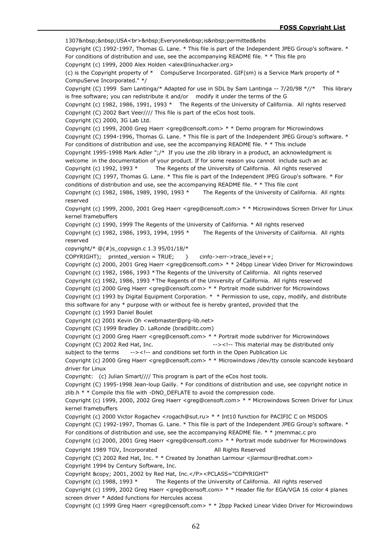1307&nbsp;&nbsp;USA<br>&nbsp;Everyone&nbsp;is&nbsp;permitted&nbs Copyright (C) 1992-1997, Thomas G. Lane. \* This file is part of the Independent JPEG Group's software. \* For conditions of distribution and use, see the accompanying README file. \* \* This file pro Copyright (c) 1999, 2000 Alex Holden <alex@linuxhacker.org> (c) is the Copyright property of \* CompuServe Incorporated. GIF(sm) is a Service Mark property of \* CompuServe Incorporated." \*/ Copyright (C) 1999 Sam Lantinga/\* Adapted for use in SDL by Sam Lantinga -- 7/20/98 \*//\* This library is free software; you can redistribute it and/or modify it under the terms of the G Copyright (c) 1982, 1986, 1991, 1993 \* The Regents of the University of California. All rights reserved Copyright (C) 2002 Bart Veer//// This file is part of the eCos host tools. Copyright (C) 2000, 3G Lab Ltd. Copyright (c) 1999, 2000 Greg Haerr <greg@censoft.com> \* \* Demo program for Microwindows Copyright (C) 1994-1996, Thomas G. Lane. \* This file is part of the Independent JPEG Group's software. \* For conditions of distribution and use, see the accompanying README file. \* \* This include Copyright 1995-1998 Mark Adler ";/\* If you use the zlib library in a product, an acknowledgment is welcome in the documentation of your product. If for some reason you cannot include such an ac Copyright (c) 1992, 1993 \* The Regents of the University of California. All rights reserved Copyright (C) 1997, Thomas G. Lane. \* This file is part of the Independent JPEG Group's software. \* For conditions of distribution and use, see the accompanying README file. \* \* This file cont Copyright (c) 1982, 1986, 1989, 1990, 1993 \* The Regents of the University of California. All rights reserved Copyright (c) 1999, 2000, 2001 Greg Haerr <greg@censoft.com> \* \* Microwindows Screen Driver for Linux kernel framebuffers Copyright (c) 1990, 1999 The Regents of the University of California. \* All rights reserved Copyright (c) 1982, 1986, 1993, 1994, 1995 \* The Regents of the University of California. All rights reserved copyright/\*  $@(\#)$ s\_copysign.c 1.3 95/01/18/\*  $COPYRIGHT);$  printed version = TRUE; } cinfo->err->trace\_level++; Copyright (c) 2000, 2001 Greg Haerr <greg@censoft.com> \* \* 24bpp Linear Video Driver for Microwindows Copyright (c) 1982, 1986, 1993 \*The Regents of the University of California. All rights reserved Copyright (c) 1982, 1986, 1993 \*The Regents of the University of California. All rights reserved Copyright (c) 2000 Greg Haerr <greg@censoft.com> \* \* Portrait mode subdriver for Microwindows Copyright (c) 1993 by Digital Equipment Corporation. \* \* Permission to use, copy, modify, and distribute this software for any  $*$  purpose with or without fee is hereby granted, provided that the Copyright (c) 1993 Daniel Boulet Copyright (c) 2001 Kevin Oh <webmaster@prg-lib.net> Copyright (C) 1999 Bradley D. LaRonde (brad@ltc.com) Copyright (c) 2000 Greg Haerr <greg@censoft.com>  $* *$  Portrait mode subdriver for Microwindows Copyright (C) 2002 Red Hat, Inc.  $\frac{1}{2}$  --><!-- This material may be distributed only subject to the terms --><!-- and conditions set forth in the Open Publication Lic Copyright (c) 2000 Greg Haerr <greg@censoft.com> \* \* Microwindows /dev/tty console scancode keyboard driver for Linux Copyright: (c) Julian Smart//// This program is part of the eCos host tools. Copyright (C) 1995-1998 Jean-loup Gailly. \* For conditions of distribution and use, see copyright notice in zlib.h \* \* Compile this file with -DNO\_DEFLATE to avoid the compression code. Copyright (c) 1999, 2000, 2002 Greg Haerr <greg@censoft.com> \* \* Microwindows Screen Driver for Linux kernel framebuffers Copyright (c) 2000 Victor Rogachev <rogach@sut.ru> \* \* Int10 function for PACIFIC C on MSDOS Copyright (C) 1992-1997, Thomas G. Lane. \* This file is part of the Independent JPEG Group's software. \* For conditions of distribution and use, see the accompanying README file. \* \* jmemmac.c pro Copyright (c) 2000, 2001 Greg Haerr <greg@censoft.com> \* \* Portrait mode subdriver for Microwindows Copyright 1989 TGV, Incorporated All Rights Reserved Copyright (C) 2002 Red Hat, Inc. \* \* Created by Jonathan Larmour <jlarmour@redhat.com> Copyright 1994 by Century Software, Inc. Copyright &copy; 2001, 2002 by Red Hat, Inc.</P><PCLASS="COPYRIGHT" Copyright (c) 1988, 1993 \* The Regents of the University of California. All rights reserved Copyright (c) 1999, 2002 Greg Haerr <greg@censoft.com> \* \* Header file for EGA/VGA 16 color 4 planes screen driver \* Added functions for Hercules access Copyright (c) 1999 Greg Haerr <greg@censoft.com> \* \* 2bpp Packed Linear Video Driver for Microwindows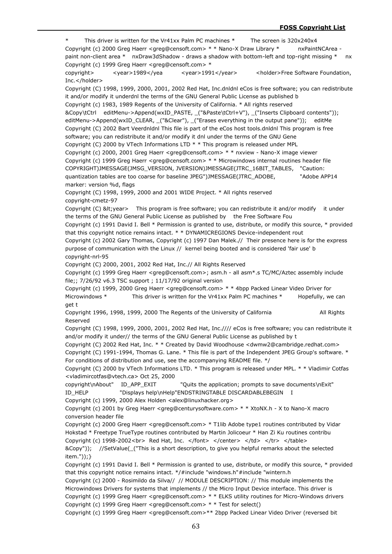This driver is written for the Vr41xx Palm PC machines \* The screen is  $320x240x4$ Copyright (c) 2000 Greg Haerr <greg@censoft.com> \* \* Nano-X Draw Library \* nxPaintNCArea paint non-client area \* nxDraw3dShadow - draws a shadow with bottom-left and top-right missing \* nx Copyright (c) 1999 Greg Haerr <greg@censoft.com> \* copyright>
<year>1989</yea <year>1991</year>
<holder>Free Software Foundation, Inc.</holder> Copyright (C) 1998, 1999, 2000, 2001, 2002 Red Hat, Inc.dnldnl eCos is free software; you can redistribute it and/or modify it underdnl the terms of the GNU General Public License as published b Copyright (c) 1983, 1989 Regents of the University of California. \* All rights reserved &Copy\tCtrl editMenu->Append(wxID\_PASTE, \_("&Paste\tCtrl+V"), \_("Inserts Clipboard contents")); editMenu->Append(wxID\_CLEAR, ("&Clear"), ("Erases everything in the output pane")); editMe Copyright (C) 2002 Bart Veerdnldnl This file is part of the eCos host tools.dnldnl This program is free software; you can redistribute it and/or modify it dnl under the terms of the GNU Gene Copyright (C) 2000 by VTech Informations LTD \* \* This program is released under MPL Copyright (c) 2000, 2001 Greg Haerr <greg@censoft.com> \* \* nxview - Nano-X image viewer Copyright (c) 1999 Greg Haerr <greg@censoft.com> \* \* Microwindows internal routines header file COPYRIGHT)JMESSAGE(JMSG\_VERSION, JVERSION)JMESSAGE(JTRC\_16BIT\_TABLES, "Caution: quantization tables are too coarse for baseline JPEG")JMESSAGE(JTRC\_ADOBE, "Adobe APP14 marker: version %d, flags Copyright (C) 1998, 1999, 2000 and 2001 WIDE Project. \* All rights reserved copyright-cmetz-97 Copyright  $(C)$  < year> This program is free software; you can redistribute it and/or modify it under the terms of the GNU General Public License as published by the Free Software Fou Copyright (c) 1991 David I. Bell \* Permission is granted to use, distribute, or modify this source, \* provided that this copyright notice remains intact. \* \* DYNAMICREGIONS Device-independent rout Copyright (c) 2002 Gary Thomas, Copyright (c) 1997 Dan Malek.// Their presence here is for the express purpose of communication with the Linux // kernel being booted and is considered 'fair use' b copyright-nrl-95 Copyright (C) 2000, 2001, 2002 Red Hat, Inc.// All Rights Reserved Copyright (c) 1999 Greg Haerr <greg@censoft.com>; asm.h - all asm\*.s TC/MC/Aztec assembly include file;; 7/26/92 v6.3 TSC support ; 11/17/92 original version Copyright (c) 1999, 2000 Greg Haerr <greg@censoft.com> \* \* 4bpp Packed Linear Video Driver for Microwindows \* This driver is written for the Vr41xx Palm PC machines \* Hopefully, we can get t Copyright 1996, 1998, 1999, 2000 The Regents of the University of California All Rights Reserved Copyright (C) 1998, 1999, 2000, 2001, 2002 Red Hat, Inc.//// eCos is free software; you can redistribute it and/or modify it under// the terms of the GNU General Public License as published by t Copyright (C) 2002 Red Hat, Inc. \* \* Created by David Woodhouse <dwmw2@cambridge.redhat.com> Copyright (C) 1991-1994, Thomas G. Lane. \* This file is part of the Independent JPEG Group's software. \* For conditions of distribution and use, see the accompanying README file. \*/ Copyright (C) 2000 by VTech Informations LTD. \* This program is released under MPL. \* \* Vladimir Cotfas <vladimircotfas@vtech.ca> Oct 25, 2000 copyright\nAbout" ID\_APP\_EXIT "Quits the application; prompts to save documents\nExit" ID\_HELP "Displays help\nHelp"ENDSTRINGTABLE DISCARDABLEBEGIN I Copyright (c) 1999, 2000 Alex Holden <alex@linuxhacker.org> Copyright (c) 2001 by Greg Haerr <greg@centurysoftware.com> \* \* XtoNX.h - X to Nano-X macro conversion header file Copyright (c) 2000 Greg Haerr <greg@censoft.com> \* T1lib Adobe type1 routines contributed by Vidar Hokstad \* Freetype TrueType routines contributed by Martin Jolicoeur \* Han Zi Ku routines contribu Copyright (c) 1998-2002<br> Red Hat, Inc. </font> </center> </td> </tr> </table> &Copy")); //SetValue(\_("This is a short description, to give you helpful remarks about the selected item."));} Copyright (c) 1991 David I. Bell \* Permission is granted to use, distribute, or modify this source, \* provided that this copyright notice remains intact. \*/#include "windows.h"#include "wintern.h Copyright (c) 2000 - Rosimildo da Silva// // MODULE DESCRIPTION: // This module implements the Microwindows Drivers for systems that implements // the Micro Input Device interface. This driver is Copyright (c) 1999 Greg Haerr <greg@censoft.com> \* \* ELKS utility routines for Micro-Windows drivers Copyright (c) 1999 Greg Haerr <greg@censoft.com> \* \* Test for select() Copyright (c) 1999 Greg Haerr <greg@censoft.com>\*\* 2bpp Packed Linear Video Driver (reversed bit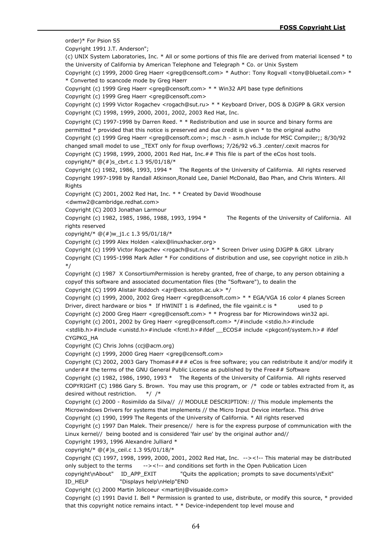order)\* For Psion S5

Copyright 1991 J.T. Anderson";

(c) UNIX System Laboratories, Inc. \* All or some portions of this file are derived from material licensed \* to the University of California by American Telephone and Telegraph \* Co. or Unix System

Copyright (c) 1999, 2000 Greg Haerr <greg@censoft.com> \* Author: Tony Rogvall <tony@bluetail.com> \* \* Converted to scancode mode by Greg Haerr

Copyright (c) 1999 Greg Haerr <greg@censoft.com> \* \* Win32 API base type definitions

Copyright (c) 1999 Greg Haerr <greg@censoft.com>

Copyright (c) 1999 Victor Rogachev <rogach@sut.ru> \* \* Keyboard Driver, DOS & DJGPP & GRX version Copyright (C) 1998, 1999, 2000, 2001, 2002, 2003 Red Hat, Inc.

Copyright (C) 1997-1998 by Darren Reed. \* \* Redistribution and use in source and binary forms are permitted \* provided that this notice is preserved and due credit is given \* to the original autho Copyright (c) 1999 Greg Haerr <greg@censoft.com>; msc.h - asm.h include for MSC Compiler;; 8/30/92 changed small model to use \_TEXT only for fixup overflows; 7/26/92 v6.3 .center/.cexit macros for Copyright (C) 1998, 1999, 2000, 2001 Red Hat, Inc.## This file is part of the eCos host tools. copyright/\* @(#)s\_cbrt.c 1.3 95/01/18/\*

Copyright (c) 1982, 1986, 1993, 1994 \* The Regents of the University of California. All rights reserved Copyright 1997-1998 by Randall Atkinson,Ronald Lee, Daniel McDonald, Bao Phan, and Chris Winters. All Rights

Copyright (C) 2001, 2002 Red Hat, Inc. \* \* Created by David Woodhouse

<dwmw2@cambridge.redhat.com>

Copyright (C) 2003 Jonathan Larmour

Copyright (c) 1982, 1985, 1986, 1988, 1993, 1994 \* The Regents of the University of California. All rights reserved

copyright/\* @(#)w\_j1.c 1.3 95/01/18/\*

Copyright (c) 1999 Alex Holden <alex@linuxhacker.org>

Copyright (c) 1999 Victor Rogachev <rogach@sut.ru> \* \* Screen Driver using DJGPP & GRX Library Copyright (C) 1995-1998 Mark Adler \* For conditions of distribution and use, see copyright notice in zlib.h \*/

Copyright (c) 1987 X ConsortiumPermission is hereby granted, free of charge, to any person obtaining a copyof this software and associated documentation files (the "Software"), to dealin the

Copyright (C) 1999 Alistair Riddoch <ajr@ecs.soton.ac.uk> \*/

Copyright (c) 1999, 2000, 2002 Greg Haerr <greg@censoft.com> \* \* EGA/VGA 16 color 4 planes Screen Driver, direct hardware or bios \* If HWINIT 1 is #defined, the file vgainit.c is \* used to p Copyright (c) 2000 Greg Haerr <greg@censoft.com>  $* *$  Progress bar for Microwindows win32 api. Copyright (c) 2001, 2002 by Greg Haerr <greg@censoft.com> \*/#include <stdio.h>#include

<stdlib.h>#include <unistd.h>#include <fcntl.h>#ifdef \_\_ECOS# include <pkgconf/system.h># ifdef CYGPKG\_HA

Copyright (C) Chris Johns (ccj@acm.org)

Copyright (c) 1999, 2000 Greg Haerr <greg@censoft.com>

Copyright (C) 2002, 2003 Gary Thomas#### eCos is free software; you can redistribute it and/or modify it under## the terms of the GNU General Public License as published by the Free## Software

Copyright (c) 1982, 1986, 1990, 1993 \* The Regents of the University of California. All rights reserved COPYRIGHT (C) 1986 Gary S. Brown. You may use this program, or /\* code or tables extracted from it, as desired without restriction. \*/ /\*

Copyright (c) 2000 - Rosimildo da Silva// // MODULE DESCRIPTION: // This module implements the Microwindows Drivers for systems that implements // the Micro Input Device interface. This drive

Copyright (c) 1990, 1999 The Regents of the University of California. \* All rights reserved

Copyright (c) 1997 Dan Malek. Their presence// here is for the express purpose of communication with the Linux kernel// being booted and is considered 'fair use' by the original author and//

Copyright 1993, 1996 Alexandre Julliard \*

copyright/\* @(#)s\_ceil.c 1.3 95/01/18/\*

Copyright (C) 1997, 1998, 1999, 2000, 2001, 2002 Red Hat, Inc. --><!-- This material may be distributed only subject to the terms --><!-- and conditions set forth in the Open Publication Licen

copyright\nAbout" ID\_APP\_EXIT "Quits the application; prompts to save documents\nExit" ID HELP "Displays help\nHelp"END

Copyright (c) 2000 Martin Jolicoeur <martinj@visuaide.com>

Copyright (c) 1991 David I. Bell \* Permission is granted to use, distribute, or modify this source, \* provided that this copyright notice remains intact. \* \* Device-independent top level mouse and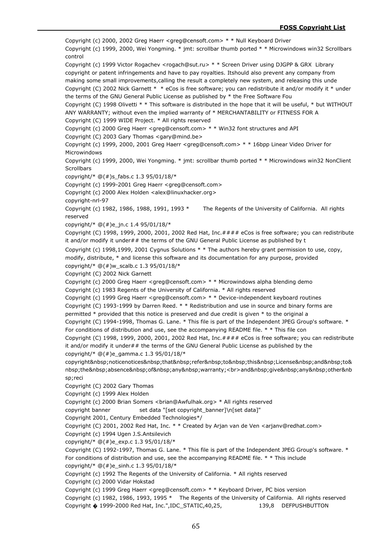Copyright (c) 2000, 2002 Greg Haerr <greg@censoft.com> \* \* Null Keyboard Driver Copyright (c) 1999, 2000, Wei Yongming. \* jmt: scrollbar thumb ported \* \* Microwindows win32 Scrollbars control Copyright (c) 1999 Victor Rogachev <rogach@sut.ru> \* \* Screen Driver using DJGPP & GRX Library copyright or patent infringements and have to pay royalties. Itshould also prevent any company from making some small improvements,calling the result a completely new system, and releasing this unde Copyright (C) 2002 Nick Garnett \* \* eCos is free software; you can redistribute it and/or modify it \* under the terms of the GNU General Public License as published by \* the Free Software Fou Copyright (C) 1998 Olivetti \* \* This software is distributed in the hope that it will be useful, \* but WITHOUT ANY WARRANTY; without even the implied warranty of \* MERCHANTABILITY or FITNESS FOR A Copyright (C) 1999 WIDE Project. \* All rights reserved Copyright (c) 2000 Greg Haerr <greg@censoft.com> \* \* Win32 font structures and API Copyright (C) 2003 Gary Thomas <gary@mind.be> Copyright (c) 1999, 2000, 2001 Greg Haerr <greg@censoft.com> \* \* 16bpp Linear Video Driver for Microwindows Copyright (c) 1999, 2000, Wei Yongming. \* jmt: scrollbar thumb ported \* \* Microwindows win32 NonClient **Scrollbars** copyright/\* @(#)s\_fabs.c 1.3 95/01/18/\* Copyright (c) 1999-2001 Greg Haerr <greg@censoft.com> Copyright (c) 2000 Alex Holden <alex@linuxhacker.org> copyright-nrl-97 Copyright (c) 1982, 1986, 1988, 1991, 1993 \* The Regents of the University of California. All rights reserved copyright/\* @(#)e\_jn.c 1.4 95/01/18/\* Copyright (C) 1998, 1999, 2000, 2001, 2002 Red Hat, Inc.#### eCos is free software; you can redistribute it and/or modify it under## the terms of the GNU General Public License as published by t Copyright (c) 1998,1999, 2001 Cygnus Solutions \* \* The authors hereby grant permission to use, copy, modify, distribute, \* and license this software and its documentation for any purpose, provided copyright/\*  $@(#)w$  scalb.c 1.3 95/01/18/\* Copyright (C) 2002 Nick Garnett Copyright (c) 2000 Greg Haerr <greg@censoft.com> \* \* Microwindows alpha blending demo Copyright (c) 1983 Regents of the University of California. \* All rights reserved Copyright (c) 1999 Greg Haerr <greg@censoft.com> \* \* Device-independent keyboard routines Copyright (C) 1993-1999 by Darren Reed. \* \* Redistribution and use in source and binary forms are permitted \* provided that this notice is preserved and due credit is given \* to the original a Copyright (C) 1994-1998, Thomas G. Lane. \* This file is part of the Independent JPEG Group's software. \* For conditions of distribution and use, see the accompanying README file. \* \* This file con Copyright (C) 1998, 1999, 2000, 2001, 2002 Red Hat, Inc.#### eCos is free software; you can redistribute it and/or modify it under## the terms of the GNU General Public License as published by the copyright/\*  $@(\#)e$  gamma.c 1.3 95/01/18/\* copyright noticenotices that refer to this License and to& nbsp;the absence of any warranty;<br>>br>and&nbsp;give&nbsp;any&nbsp;other&nb sp;reci Copyright (C) 2002 Gary Thomas Copyright (c) 1999 Alex Holden Copyright (c) 2000 Brian Somers <brian@Awfulhak.org> \* All rights reserved copyright banner set data "[set copyright\_banner]\n[set data]" Copyright 2001, Century Embedded Technologies\*/ Copyright (C) 2001, 2002 Red Hat, Inc. \* \* Created by Arjan van de Ven <arjanv@redhat.com> Copyright (c) 1994 Ugen J.S.Antsilevich copyright/\* @(#)e\_exp.c 1.3 95/01/18/\* Copyright (C) 1992-1997, Thomas G. Lane. \* This file is part of the Independent JPEG Group's software. \* For conditions of distribution and use, see the accompanying README file. \* \* This include copyright/\*  $@(\#)e$  sinh.c 1.3 95/01/18/\* Copyright (c) 1992 The Regents of the University of California. \* All rights reserved Copyright (c) 2000 Vidar Hokstad Copyright (c) 1999 Greg Haerr <greg@censoft.com> \* \* Keyboard Driver, PC bios version Copyright (c) 1982, 1986, 1993, 1995 \* The Regents of the University of California. All rights reserved Copyright � 1999-2000 Red Hat, Inc.",IDC\_STATIC,40,25, 139,8 DEFPUSHBUTTON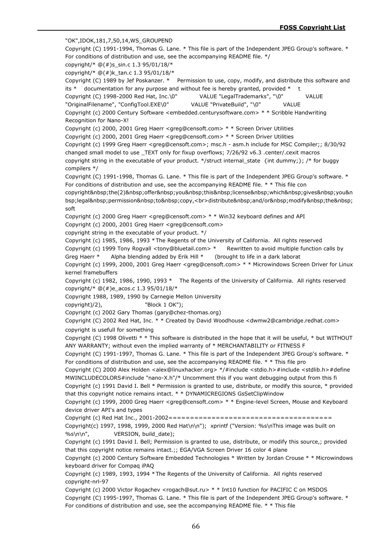"OK",IDOK,181,7,50,14,WS\_GROUPEND Copyright (C) 1991-1994, Thomas G. Lane. \* This file is part of the Independent JPEG Group's software. \* For conditions of distribution and use, see the accompanying README file. \*/ copyright/\*  $@(\#)$ s sin.c 1.3 95/01/18/\* copyright/\* @(#)k\_tan.c 1.3 95/01/18/\* Copyright (C) 1989 by Jef Poskanzer. \* Permission to use, copy, modify, and distribute this software and its  $*$  documentation for any purpose and without fee is hereby granted, provided  $*$  t Copyright (C) 1998-2000 Red Hat, Inc.\0" VALUE "LegalTrademarks", "\0" VALUE "OriginalFilename", "ConfigTool.EXE\0" VALUE "PrivateBuild", "\0" VALUE Copyright (c) 2000 Century Software <embedded.centurysoftware.com> \* \* Scribble Handwriting Recognition for Nano-X! Copyright (c) 2000, 2001 Greg Haerr <greg@censoft.com> \* \* Screen Driver Utilities Copyright (c) 2000, 2001 Greg Haerr <greg@censoft.com> \* \* Screen Driver Utilities Copyright (c) 1999 Greg Haerr <greg@censoft.com>; msc.h - asm.h include for MSC Compiler;; 8/30/92 changed small model to use \_TEXT only for fixup overflows; 7/26/92 v6.3 .center/.cexit macros copyright string in the executable of your product. \*/struct internal\_state {int dummy;}; /\* for buggy compilers \*/ Copyright (C) 1991-1998, Thomas G. Lane. \* This file is part of the Independent JPEG Group's software. \* For conditions of distribution and use, see the accompanying README file. \* \* This file con copyright&nbsp:the(2)&nbsp:offer&nbsp:you&nbsp:this&nbsp:license&nbsp:which&nbsp:gives&nbsp:you&n bsp;legal permission to copy,<br>distribute&nbsp;and/or&nbsp;modify&nbsp;the&nbsp; soft Copyright (c) 2000 Greg Haerr <greg@censoft.com> \* \* Win32 keyboard defines and API Copyright (c) 2000, 2001 Greg Haerr <greg@censoft.com> copyright string in the executable of your product. \*/ Copyright (c) 1985, 1986, 1993 \*The Regents of the University of California. All rights reserved Copyright (c) 1999 Tony Rogvall <tony@bluetail.com> \* Rewritten to avoid multiple function calls by Greg Haerr \* Alpha blending added by Erik Hill \* (brought to life in a dark laborat Copyright (c) 1999, 2000, 2001 Greg Haerr <greg@censoft.com> \* \* Microwindows Screen Driver for Linux kernel framebuffers Copyright (c) 1982, 1986, 1990, 1993 \* The Regents of the University of California. All rights reserved copyright/\* @(#)e\_acos.c 1.3 95/01/18/\* Copyright 1988, 1989, 1990 by Carnegie Mellon University copyright)/2), "Block 1 OK"); Copyright (c) 2002 Gary Thomas (gary@chez-thomas.org) Copyright (C) 2002 Red Hat, Inc. \* \* Created by David Woodhouse <dwmw2@cambridge.redhat.com> copyright is usefull for something Copyright (C) 1998 Olivetti \* \* This software is distributed in the hope that it will be useful, \* but WITHOUT ANY WARRANTY; without even the implied warranty of \* MERCHANTABILITY or FITNESS F Copyright (C) 1991-1997, Thomas G. Lane. \* This file is part of the Independent JPEG Group's software. \* For conditions of distribution and use, see the accompanying README file. \* \* This file pro Copyright (C) 2000 Alex Holden <alex@linuxhacker.org> \*/#include <stdio.h>#include <stdlib.h>#define MWINCLUDECOLORS#include "nano-X.h"/\* Uncomment this if you want debugging output from this fi Copyright (c) 1991 David I. Bell \* Permission is granted to use, distribute, or modify this source, \* provided that this copyright notice remains intact. \* \* DYNAMICREGIONS GsSetClipWindow Copyright (c) 1999, 2000 Greg Haerr <greg@censoft.com> \* \* Engine-level Screen, Mouse and Keyboard device driver API's and types Copyright (c) Red Hat Inc., 2001-2002====================================== Copyright(c) 1997, 1998, 1999, 2000 Red Hat\n\n"); xprintf ("Version: %s\nThis image was built on %s\n\n", VERSION, build\_date); Copyright (c) 1991 David I. Bell; Permission is granted to use, distribute, or modify this source,; provided that this copyright notice remains intact.;; EGA/VGA Screen Driver 16 color 4 plane Copyright (c) 2000 Century Software Embedded Technologies \* Written by Jordan Crouse \* \* Microwindows keyboard driver for Compaq iPAQ Copyright (c) 1989, 1993, 1994 \*The Regents of the University of California. All rights reserved copyright-nrl-97 Copyright (c) 2000 Victor Rogachev <rogach@sut.ru> \* \* Int10 function for PACIFIC C on MSDOS Copyright (C) 1995-1997, Thomas G. Lane. \* This file is part of the Independent JPEG Group's software. \* For conditions of distribution and use, see the accompanying README file. \* \* This file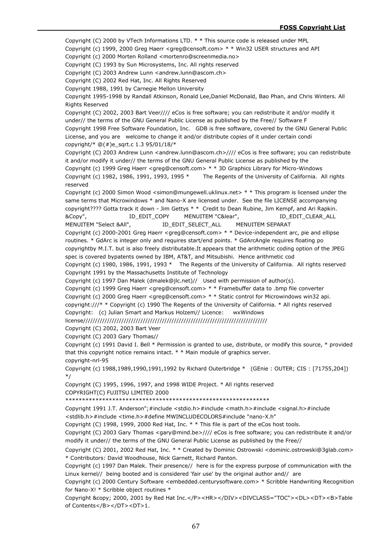Copyright (C) 2000 by VTech Informations LTD. \* \* This source code is released under MPL

Copyright (c) 1999, 2000 Greg Haerr <greg@censoft.com> \* \* Win32 USER structures and API

Copyright (c) 2000 Morten Rolland <mortenro@screenmedia.no>

Copyright (C) 1993 by Sun Microsystems, Inc. All rights reserved

Copyright (C) 2003 Andrew Lunn <andrew.lunn@ascom.ch>

Copyright (C) 2002 Red Hat, Inc. All Rights Reserved

Copyright 1988, 1991 by Carnegie Mellon University

Copyright 1995-1998 by Randall Atkinson, Ronald Lee,Daniel McDonald, Bao Phan, and Chris Winters. All Rights Reserved

Copyright (C) 2002, 2003 Bart Veer//// eCos is free software; you can redistribute it and/or modify it under// the terms of the GNU General Public License as published by the Free// Software F Copyright 1998 Free Software Foundation, Inc. GDB is free software, covered by the GNU General Public License, and you are welcome to change it and/or distribute copies of it under certain condi copyright/\* @(#)e\_sqrt.c 1.3 95/01/18/\*

Copyright (C) 2003 Andrew Lunn <andrew.lunn@ascom.ch>//// eCos is free software; you can redistribute it and/or modify it under// the terms of the GNU General Public License as published by the

Copyright (c) 1999 Greg Haerr <greg@censoft.com> \* \* 3D Graphics Library for Micro-Windows Copyright (c) 1982, 1986, 1991, 1993, 1995 \* The Regents of the University of California. All rights reserved

Copyright (c) 2000 Simon Wood <simon@mungewell.uklinux.net> \* \* This program is licensed under the same terms that Microwindows \* and Nano-X are licensed under. See the file LICENSE accompanying copyright???? Gotta track it down - Jim Gettys \* \* Credit to Dean Rubine, Jim Kempf, and Ari Rapkin. &Copy", ID\_EDIT\_COPY MENUITEM "C&lear", ID\_EDIT\_CLEAR\_ALL

MENUITEM "Select &All", ID\_EDIT\_SELECT\_ALL MENUITEM SEPARAT

Copyright (c) 2000-2001 Greg Haerr <greg@censoft.com> \* \* Device-independent arc, pie and ellipse routines. \* GdArc is integer only and requires start/end points. \* GdArcAngle requires floating po copyrightby M.I.T. but is also freely distributable.It appears that the arithmetic coding option of the JPEG spec is covered bypatents owned by IBM, AT&T, and Mitsubishi. Hence arithmetic cod

Copyright (c) 1980, 1986, 1991, 1993 \* The Regents of the University of California. All rights reserved Copyright 1991 by the Massachusetts Institute of Technology

Copyright (c) 1997 Dan Malek (dmalek@jlc.net)// Used with permission of author(s).

Copyright (c) 1999 Greg Haerr <greg@censoft.com> \* \* Framebuffer data to .bmp file converter

Copyright (c) 2000 Greg Haerr <greg@censoft.com> \* \* Static control for Microwindows win32 api.

copyright:///\* \* Copyright (c) 1990 The Regents of the University of California. \* All rights reserved Copyright: (c) Julian Smart and Markus Holzem// Licence: wxWindows

license/////////////////////////////////////////////////////////////////////////////

Copyright (C) 2002, 2003 Bart Veer

Copyright (C) 2003 Gary Thomas//

Copyright (c) 1991 David I. Bell \* Permission is granted to use, distribute, or modify this source, \* provided that this copyright notice remains intact. \* \* Main module of graphics server. copyright-nrl-95

Copyright (c) 1988,1989,1990,1991,1992 by Richard Outerbridge \* (GEnie : OUTER; CIS : [71755,204]) \*/

Copyright (C) 1995, 1996, 1997, and 1998 WIDE Project. \* All rights reserved COPYRIGHT(C) FUJITSU LIMITED 2000

\*\*\*\*\*\*\*\*\*\*\*\*\*\*\*\*\*\*\*\*\*\*\*\*\*\*\*\*\*\*\*\*\*\*\*\*\*\*\*\*\*\*\*\*\*\*\*\*\*\*\*\*\*\*\*\*\*\*\*\*\*

Copyright 1991 J.T. Anderson";#include <stdio.h>#include <math.h>#include <signal.h>#include <stdlib.h>#include <time.h>#define MWINCLUDECOLORS#include "nano-X.h"

Copyright (C) 1998, 1999, 2000 Red Hat, Inc. \* \* This file is part of the eCos host tools.

Copyright (C) 2003 Gary Thomas <gary@mind.be>//// eCos is free software; you can redistribute it and/or modify it under// the terms of the GNU General Public License as published by the Free//

Copyright (C) 2001, 2002 Red Hat, Inc. \* \* Created by Dominic Ostrowski <dominic.ostrowski@3glab.com> \* Contributors: David Woodhouse, Nick Garnett, Richard Panton.

Copyright (c) 1997 Dan Malek. Their presence// here is for the express purpose of communication with the Linux kernel// being booted and is considered 'fair use' by the original author and// are

Copyright (c) 2000 Century Software <embedded.centurysoftware.com> \* Scribble Handwriting Recognition for Nano-X! \* Scribble object routines \*

Copyright &copy; 2000, 2001 by Red Hat Inc.</P><HR></DIV><DIVCLASS="TOC"><DL><DT><B>Table of Contents</B></DT><DT>1.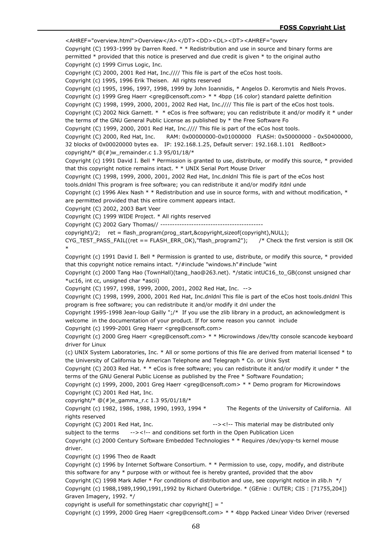<AHREF="overview.html">Overview</A></DT><DD><DL><DT><AHREF="overv Copyright (C) 1993-1999 by Darren Reed. \* \* Redistribution and use in source and binary forms are permitted \* provided that this notice is preserved and due credit is given \* to the original autho Copyright (c) 1999 Cirrus Logic, Inc. Copyright (C) 2000, 2001 Red Hat, Inc.//// This file is part of the eCos host tools. Copyright (c) 1995, 1996 Erik Theisen. All rights reserved Copyright (c) 1995, 1996, 1997, 1998, 1999 by John Ioannidis, \* Angelos D. Keromytis and Niels Provos. Copyright (c) 1999 Greg Haerr <greg@censoft.com> \* \* 4bpp (16 color) standard palette definition Copyright (C) 1998, 1999, 2000, 2001, 2002 Red Hat, Inc.//// This file is part of the eCos host tools. Copyright (C) 2002 Nick Garnett. \* \* eCos is free software; you can redistribute it and/or modify it \* under the terms of the GNU General Public License as published by \* the Free Software Fo Copyright (C) 1999, 2000, 2001 Red Hat, Inc.//// This file is part of the eCos host tools. Copyright (C) 2000, Red Hat, Inc. RAM: 0x00000000-0x01000000 FLASH: 0x50000000 - 0x50400000, 32 blocks of 0x00020000 bytes ea. IP: 192.168.1.25, Default server: 192.168.1.101 RedBoot> copyright/\*  $@(#)w$  remainder.c 1.3 95/01/18/\* Copyright (c) 1991 David I. Bell \* Permission is granted to use, distribute, or modify this source, \* provided that this copyright notice remains intact. \* \* UNIX Serial Port Mouse Driver Copyright (C) 1998, 1999, 2000, 2001, 2002 Red Hat, Inc.dnldnl This file is part of the eCos host tools.dnldnl This program is free software; you can redistribute it and/or modify itdnl unde Copyright (c) 1996 Alex Nash \* \* Redistribution and use in source forms, with and without modification, \* are permitted provided that this entire comment appears intact. Copyright (C) 2002, 2003 Bart Veer Copyright (C) 1999 WIDE Project. \* All rights reserved Copyright (C) 2002 Gary Thomas// ------------------------------------------ copyright)/2; ret = flash\_program(prog\_start,&copyright,sizeof(copyright),NULL); CYG\_TEST\_PASS\_FAIL((ret == FLASH\_ERR\_OK),"flash\_program2"); /\* Check the first version is still OK \* Copyright (c) 1991 David I. Bell \* Permission is granted to use, distribute, or modify this source, \* provided that this copyright notice remains intact. \*/#include "windows.h"#include "wint Copyright (c) 2000 Tang Hao (TownHall)(tang\_hao@263.net). \*/static intUC16\_to\_GB(const unsigned char \*uc16, int cc, unsigned char \*ascii) Copyright (C) 1997, 1998, 1999, 2000, 2001, 2002 Red Hat, Inc. --> Copyright (C) 1998, 1999, 2000, 2001 Red Hat, Inc.dnldnl This file is part of the eCos host tools.dnldnl This program is free software; you can redistribute it and/or modify it dnl under the Copyright 1995-1998 Jean-loup Gailly ";/\* If you use the zlib library in a product, an acknowledgment is welcome in the documentation of your product. If for some reason you cannot include Copyright (c) 1999-2001 Greg Haerr <greg@censoft.com> Copyright (c) 2000 Greg Haerr <greg@censoft.com> \* \* Microwindows /dev/tty console scancode keyboard driver for Linux (c) UNIX System Laboratories, Inc. \* All or some portions of this file are derived from material licensed \* to the University of California by American Telephone and Telegraph \* Co. or Unix Syst Copyright (C) 2003 Red Hat. \* \* eCos is free software; you can redistribute it and/or modify it under \* the terms of the GNU General Public License as published by the Free \* Software Foundation; Copyright (c) 1999, 2000, 2001 Greg Haerr <greg@censoft.com> \* \* Demo program for Microwindows Copyright (C) 2001 Red Hat, Inc. copyright/\*  $@(+)e$  gamma r.c 1.3 95/01/18/\* Copyright (c) 1982, 1986, 1988, 1990, 1993, 1994 \* The Regents of the University of California. All rights reserved Copyright (C) 2001 Red Hat, Inc.  $\frac{1}{2}$  --><!-- This material may be distributed only subject to the terms --><!-- and conditions set forth in the Open Publication Licen Copyright (c) 2000 Century Software Embedded Technologies \* \* Requires /dev/yopy-ts kernel mouse driver. Copyright (c) 1996 Theo de Raadt Copyright (c) 1996 by Internet Software Consortium. \* \* Permission to use, copy, modify, and distribute this software for any \* purpose with or without fee is hereby granted, provided that the abov Copyright (C) 1998 Mark Adler \* For conditions of distribution and use, see copyright notice in zlib.h \*/ Copyright (c) 1988,1989,1990,1991,1992 by Richard Outerbridge. \* (GEnie : OUTER; CIS : [71755,204]) Graven Imagery, 1992. \*/

copyright is usefull for somethingstatic char copyright[] = "

Copyright (c) 1999, 2000 Greg Haerr <greg@censoft.com> \* \* 4bpp Packed Linear Video Driver (reversed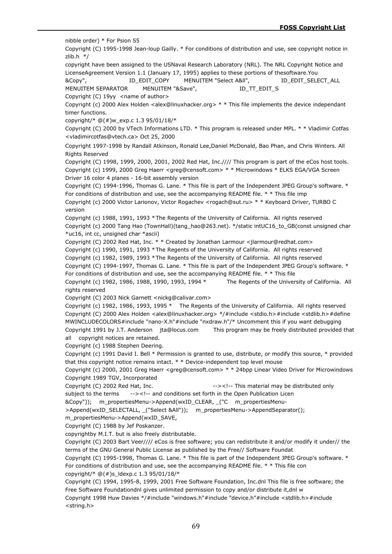nibble order) \* For Psion S5 Copyright (C) 1995-1998 Jean-loup Gailly. \* For conditions of distribution and use, see copyright notice in zlib.h \*/ copyright have been assigned to the USNaval Research Laboratory (NRL). The NRL Copyright Notice and LicenseAgreement Version 1.1 (January 17, 1995) applies to these portions of thesoftware.You &Copy", ID\_EDIT\_COPY MENUITEM "Select A&ll", ID\_EDIT\_SELECT\_ALL MENUITEM SEPARATOR MENUITEM "&Save", The TTL EDITLS Copyright (C) 19yy <name of author> Copyright (c) 2000 Alex Holden <alex@linuxhacker.org>  $* *$  This file implements the device independant timer functions. copyright/\*  $@(\#)w$  exp.c 1.3 95/01/18/\* Copyright (C) 2000 by VTech Informations LTD. \* This program is released under MPL. \* \* Vladimir Cotfas <vladimircotfas@vtech.ca> Oct 25, 2000 Copyright 1997-1998 by Randall Atkinson, Ronald Lee,Daniel McDonald, Bao Phan, and Chris Winters. All Rights Reserved Copyright (C) 1998, 1999, 2000, 2001, 2002 Red Hat, Inc.//// This program is part of the eCos host tools. Copyright (c) 1999, 2000 Greg Haerr <greg@censoft.com> \* \* Microwindows \* ELKS EGA/VGA Screen Driver 16 color 4 planes - 16-bit assembly version Copyright (C) 1994-1996, Thomas G. Lane. \* This file is part of the Independent JPEG Group's software. \* For conditions of distribution and use, see the accompanying README file. \* \* This file imp Copyright (c) 2000 Victor Larionov, Victor Rogachev <rogach@sut.ru> \* \* Keyboard Driver, TURBO C version Copyright (c) 1988, 1991, 1993 \*The Regents of the University of California. All rights reserved Copyright (c) 2000 Tang Hao (TownHall)(tang\_hao@263.net). \*/static intUC16\_to\_GB(const unsigned char \*uc16, int cc, unsigned char \*ascii) Copyright (C) 2002 Red Hat, Inc. \* \* Created by Jonathan Larmour <jlarmour@redhat.com> Copyright (c) 1990, 1991, 1993 \*The Regents of the University of California. All rights reserved Copyright (c) 1982, 1989, 1993 \*The Regents of the University of California. All rights reserved Copyright (C) 1994-1997, Thomas G. Lane. \* This file is part of the Independent JPEG Group's software. \* For conditions of distribution and use, see the accompanying README file. \* \* This file Copyright (c) 1982, 1986, 1988, 1990, 1993, 1994 \* The Regents of the University of California. All rights reserved Copyright (C) 2003 Nick Garnett <nickg@calivar.com> Copyright (c) 1982, 1986, 1993, 1995 \* The Regents of the University of California. All rights reserved Copyright (C) 2000 Alex Holden <alex@linuxhacker.org> \*/#include <stdio.h>#include <stdlib.h>#define MWINCLUDECOLORS#include "nano-X.h"#include "nxdraw.h"/\* Uncomment this if you want debugging Copyright 1991 by J.T. Anderson jta@locus.com This program may be freely distributed provided that all copyright notices are retained. Copyright (c) 1988 Stephen Deering. Copyright (c) 1991 David I. Bell \* Permission is granted to use, distribute, or modify this source, \* provided that this copyright notice remains intact. \* \* Device-independent top level mouse Copyright (c) 2000, 2001 Greg Haerr <greg@censoft.com> \* \* 24bpp Linear Video Driver for Microwindows Copyright 1989 TGV, Incorporated Copyright (C) 2002 Red Hat, Inc.  $\frac{1}{100}$  --><!-- This material may be distributed only subject to the terms --><!-- and conditions set forth in the Open Publication Licen &Copy")); m\_propertiesMenu->Append(wxID\_CLEAR, \_("C m\_propertiesMenu- >Append(wxID\_SELECTALL, \_("Select &All")); m\_propertiesMenu->AppendSeparator(); m\_propertiesMenu->Append(wxID\_SAVE, Copyright (C) 1988 by Jef Poskanzer. copyrightby M.I.T. but is also freely distributable. Copyright (C) 2003 Bart Veer//// eCos is free software; you can redistribute it and/or modify it under// the terms of the GNU General Public License as published by the Free// Software Foundat Copyright (C) 1995-1998, Thomas G. Lane. \* This file is part of the Independent JPEG Group's software. \* For conditions of distribution and use, see the accompanying README file. \* \* This file con

copyright/\*  $@(\#)$ s Idexp.c 1.3 95/01/18/\*

Copyright (C) 1994, 1995-8, 1999, 2001 Free Software Foundation, Inc.dnl This file is free software; the Free Software Foundationdnl gives unlimited permission to copy and/or distribute it,dnl w Copyright 1998 Huw Davies \*/#include "windows.h"#include "device.h"#include <stdlib.h>#include <string.h>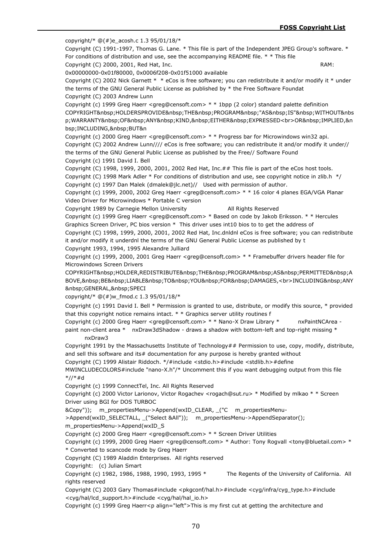copyright/\*  $@(#)e$  acosh.c 1.3 95/01/18/\* Copyright (C) 1991-1997, Thomas G. Lane. \* This file is part of the Independent JPEG Group's software. \* For conditions of distribution and use, see the accompanying README file. \* \* This file Copyright (C) 2000, 2001, Red Hat, Inc. RAM: RAM: 0x00000000-0x01f80000, 0x0006f208-0x01f51000 available Copyright (C) 2002 Nick Garnett \* \* eCos is free software; you can redistribute it and/or modify it \* under the terms of the GNU General Public License as published by \* the Free Software Foundat Copyright (C) 2003 Andrew Lunn Copyright (c) 1999 Greg Haerr <greg@censoft.com> \* \* 1bpp (2 color) standard palette definition COPYRIGHT&nbsp:HOLDERSPROVIDE&nbsp:THE&nbsp:PROGRAM&nbsp:"AS&nbsp:IS"&nbsp:WITHOUT&nbs p;WARRANTY OF ANY KIND, EITHER EXPRESSED<br>OR&nbsp;IMPLIED,&n bsp;INCLUDING, BUT&n Copyright (c) 2000 Greg Haerr <greg@censoft.com>  $* *$  Progress bar for Microwindows win32 api. Copyright (C) 2002 Andrew Lunn//// eCos is free software; you can redistribute it and/or modify it under// the terms of the GNU General Public License as published by the Free// Software Found Copyright (c) 1991 David I. Bell Copyright (C) 1998, 1999, 2000, 2001, 2002 Red Hat, Inc.## This file is part of the eCos host tools. Copyright (C) 1998 Mark Adler \* For conditions of distribution and use, see copyright notice in zlib.h \*/ Copyright (c) 1997 Dan Malek (dmalek@jlc.net)// Used with permission of author. Copyright (c) 1999, 2000, 2002 Greg Haerr <greg@censoft.com> \* \* 16 color 4 planes EGA/VGA Planar Video Driver for Microwindows \* Portable C version Copyright 1989 by Carnegie Mellon University All Rights Reserved Copyright (c) 1999 Greg Haerr <greg@censoft.com> \* Based on code by Jakob Eriksson. \* \* Hercules Graphics Screen Driver, PC bios version \* This driver uses int10 bios to to get the address of Copyright (C) 1998, 1999, 2000, 2001, 2002 Red Hat, Inc.dnldnl eCos is free software; you can redistribute it and/or modify it underdnl the terms of the GNU General Public License as published by t Copyright 1993, 1994, 1995 Alexandre Julliard Copyright (c) 1999, 2000, 2001 Greg Haerr <greg@censoft.com> \* \* Framebuffer drivers header file for Microwindows Screen Drivers COPYRIGHT HOLDER,REDISTRIBUTE THE PROGRAM AS PERMITTED A BOVE, BE LIABLE TO YOU FOR DAMAGES,<br>INCLUDING&nbsp;ANY GENERAL, SPECI copyright/\* @(#)w\_fmod.c 1.3 95/01/18/\* Copyright (c) 1991 David I. Bell \* Permission is granted to use, distribute, or modify this source, \* provided that this copyright notice remains intact.  $* *$  Graphics server utility routines f Copyright (c) 2000 Greg Haerr <greg@censoft.com> \* \* Nano-X Draw Library \* nxPaintNCArea paint non-client area \* nxDraw3dShadow - draws a shadow with bottom-left and top-right missing \* nxDraw3 Copyright 1991 by the Massachusetts Institute of Technology## Permission to use, copy, modify, distribute, and sell this software and its# documentation for any purpose is hereby granted without Copyright (C) 1999 Alistair Riddoch. \*/#include <stdio.h>#include <stdlib.h>#define

MWINCLUDECOLORS#include "nano-X.h"/\* Uncomment this if you want debugging output from this file \*//\*#d

Copyright (c) 1999 ConnectTel, Inc. All Rights Reserved

Copyright (c) 2000 Victor Larionov, Victor Rogachev <rogach@sut.ru> \* Modified by mlkao \* \* Screen Driver using BGI for DOS TURBOC

&Copy")); m\_propertiesMenu->Append(wxID\_CLEAR, \_("C m\_propertiesMenu-

>Append(wxID\_SELECTALL, \_("Select &All")); m\_propertiesMenu->AppendSeparator();

m\_propertiesMenu->Append(wxID\_S

Copyright (c) 2000 Greg Haerr <greg@censoft.com> \* \* Screen Driver Utilities

Copyright (c) 1999, 2000 Greg Haerr <greg@censoft.com> \* Author: Tony Rogvall <tony@bluetail.com> \* \* Converted to scancode mode by Greg Haerr

Copyright (C) 1989 Aladdin Enterprises. All rights reserved

Copyright: (c) Julian Smart

Copyright (c) 1982, 1986, 1988, 1990, 1993, 1995 \* The Regents of the University of California. All rights reserved

Copyright (C) 2003 Gary Thomas#include <pkgconf/hal.h>#include <cyg/infra/cyg\_type.h>#include <cyg/hal/lcd\_support.h>#include <cyg/hal/hal\_io.h>

Copyright (c) 1999 Greg Haerr<p align="left">This is my first cut at getting the architecture and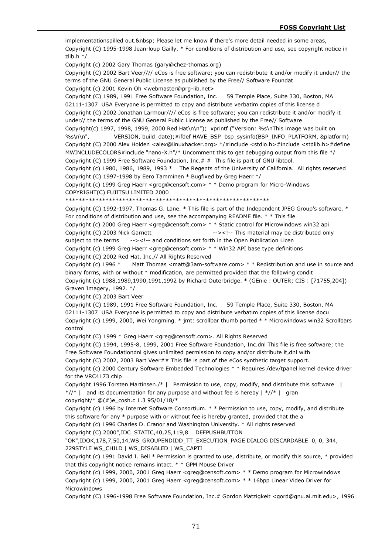implementationspilled out. Please let me know if there's more detail needed in some areas, Copyright (C) 1995-1998 Jean-loup Gailly. \* For conditions of distribution and use, see copyright notice in zlib.h \*/ Copyright (c) 2002 Gary Thomas (gary@chez-thomas.org) Copyright (C) 2002 Bart Veer//// eCos is free software; you can redistribute it and/or modify it under// the terms of the GNU General Public License as published by the Free// Software Foundat Copyright (c) 2001 Kevin Oh <webmaster@prg-lib.net> Copyright (C) 1989, 1991 Free Software Foundation, Inc. 59 Temple Place, Suite 330, Boston, MA 02111-1307 USA Everyone is permitted to copy and distribute verbatim copies of this license d Copyright (C) 2002 Jonathan Larmour//// eCos is free software; you can redistribute it and/or modify it under// the terms of the GNU General Public License as published by the Free// Software Copyright(c) 1997, 1998, 1999, 2000 Red Hat\n\n"); xprintf ("Version: %s\nThis image was built on %s\n\n", VERSION, build\_date);#ifdef HAVE\_BSP\_bsp\_sysinfo(BSP\_INFO\_PLATFORM, &platform) Copyright (C) 2000 Alex Holden <alex@linuxhacker.org> \*/#include <stdio.h>#include <stdlib.h>#define MWINCLUDECOLORS#include "nano-X.h"/\* Uncomment this to get debugging output from this file  $*/$ Copyright (C) 1999 Free Software Foundation, Inc.# # This file is part of GNU libtool. Copyright (c) 1980, 1986, 1989, 1993 \* The Regents of the University of California. All rights reserved Copyright (C) 1997-1998 by Eero Tamminen \* Bugfixed by Greg Haerr \*/ Copyright (c) 1999 Greg Haerr <greg@censoft.com> \* \* Demo program for Micro-Windows COPYRIGHT(C) FUJITSU LIMITED 2000 \*\*\*\*\*\*\*\*\*\*\*\*\*\*\*\*\*\*\*\*\*\*\*\*\*\*\*\*\*\*\*\*\*\*\*\*\*\*\*\*\*\*\*\*\*\*\*\*\*\*\*\*\*\*\*\*\*\*\*\*\* Copyright (C) 1992-1997, Thomas G. Lane. \* This file is part of the Independent JPEG Group's software. \* For conditions of distribution and use, see the accompanying README file. \* \* This file Copyright (c) 2000 Greg Haerr <greg@censoft.com> \* \* Static control for Microwindows win32 api. Copyright (C) 2003 Nick Garnett --><!-- This material may be distributed only subject to the terms --><!-- and conditions set forth in the Open Publication Licen Copyright (c) 1999 Greg Haerr <greg@censoft.com> \* \* Win32 API base type definitions Copyright (C) 2002 Red Hat, Inc.// All Rights Reserved Copyright (c) 1996 \* Matt Thomas <matt@3am-software.com> \* \* Redistribution and use in source and binary forms, with or without \* modification, are permitted provided that the following condit Copyright (c) 1988,1989,1990,1991,1992 by Richard Outerbridge. \* (GEnie : OUTER; CIS : [71755,204]) Graven Imagery, 1992. \*/ Copyright (C) 2003 Bart Veer Copyright (C) 1989, 1991 Free Software Foundation, Inc. 59 Temple Place, Suite 330, Boston, MA 02111-1307 USA Everyone is permitted to copy and distribute verbatim copies of this license docu Copyright (c) 1999, 2000, Wei Yongming. \* jmt: scrollbar thumb ported \* \* Microwindows win32 Scrollbars control Copyright (C) 1999 \* Greg Haerr <greg@censoft.com>. All Rights Reserved Copyright (C) 1994, 1995-8, 1999, 2001 Free Software Foundation, Inc.dnl This file is free software; the Free Software Foundationdnl gives unlimited permission to copy and/or distribute it,dnl with Copyright (C) 2002, 2003 Bart Veer## This file is part of the eCos synthetic target support. Copyright (c) 2000 Century Software Embedded Technologies \* \* Requires /dev/tpanel kernel device driver for the VRC4173 chip Copyright 1996 Torsten Martinsen./\* | Permission to use, copy, modify, and distribute this software  $\parallel$  $*/\!/$  | and its documentation for any purpose and without fee is hereby  $\mid*/\!/$  | gran copyright/\*  $@(\#)e$  cosh.c 1.3 95/01/18/\* Copyright (c) 1996 by Internet Software Consortium. \* \* Permission to use, copy, modify, and distribute this software for any  $*$  purpose with or without fee is hereby granted, provided that the a Copyright (c) 1996 Charles D. Cranor and Washington University. \* All rights reserved Copyright (C) 2000",IDC\_STATIC,40,25,119,8 DEFPUSHBUTTON "OK",IDOK,178,7,50,14,WS\_GROUPENDIDD\_TT\_EXECUTION\_PAGE DIALOG DISCARDABLE 0, 0, 344, 229STYLE WS\_CHILD | WS\_DISABLED | WS\_CAPTI Copyright (c) 1991 David I. Bell \* Permission is granted to use, distribute, or modify this source, \* provided that this copyright notice remains intact. \* \* GPM Mouse Driver

Copyright (c) 1999, 2000, 2001 Greg Haerr <greg@censoft.com> \* \* Demo program for Microwindows Copyright (c) 1999, 2000, 2001 Greg Haerr <greg@censoft.com> \* \* 16bpp Linear Video Driver for Microwindows

Copyright (C) 1996-1998 Free Software Foundation, Inc.# Gordon Matzigkeit <gord@gnu.ai.mit.edu>, 1996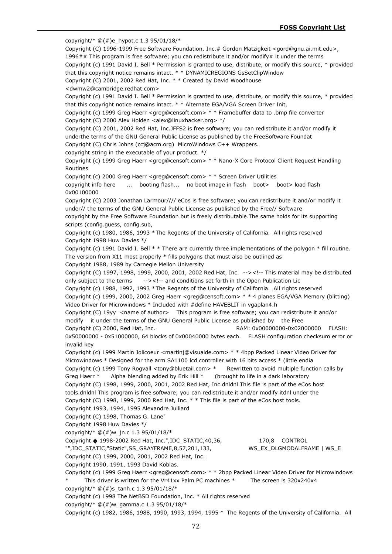copyright/\*  $@(#)e$  hypot.c 1.3 95/01/18/\* Copyright (C) 1996-1999 Free Software Foundation, Inc.# Gordon Matzigkeit <gord@gnu.ai.mit.edu>, 1996## This program is free software; you can redistribute it and/or modify# it under the terms Copyright (c) 1991 David I. Bell \* Permission is granted to use, distribute, or modify this source, \* provided that this copyright notice remains intact. \* \* DYNAMICREGIONS GsSetClipWindow Copyright (C) 2001, 2002 Red Hat, Inc. \* \* Created by David Woodhouse <dwmw2@cambridge.redhat.com> Copyright (c) 1991 David I. Bell \* Permission is granted to use, distribute, or modify this source, \* provided that this copyright notice remains intact. \* \* Alternate EGA/VGA Screen Driver Init, Copyright (c) 1999 Greg Haerr <greg@censoft.com> \* \* Framebuffer data to .bmp file converter Copyright (C) 2000 Alex Holden <alex@linuxhacker.org> \*/ Copyright (C) 2001, 2002 Red Hat, Inc.JFFS2 is free software; you can redistribute it and/or modify it underthe terms of the GNU General Public License as published by the FreeSoftware Foundat Copyright (C) Chris Johns (ccj@acm.org) MicroWindows C++ Wrappers. copyright string in the executable of your product. \*/ Copyright (c) 1999 Greg Haerr <greg@censoft.com> \* \* Nano-X Core Protocol Client Request Handling Routines Copyright (c) 2000 Greg Haerr <greg@censoft.com> \* \* Screen Driver Utilities copyright info here ... booting flash... no boot image in flash boot> boot> load flash 0x00100000 Copyright (C) 2003 Jonathan Larmour//// eCos is free software; you can redistribute it and/or modify it under// the terms of the GNU General Public License as published by the Free// Software copyright by the Free Software Foundation but is freely distributable.The same holds for its supporting scripts (config.guess, config.sub, Copyright (c) 1980, 1986, 1993 \*The Regents of the University of California. All rights reserved Copyright 1998 Huw Davies \*/ Copyright (c) 1991 David I. Bell \* \* There are currently three implementations of the polygon \* fill routine. The version from  $X11$  most properly  $*$  fills polygons that must also be outlined as Copyright 1988, 1989 by Carnegie Mellon University Copyright (C) 1997, 1998, 1999, 2000, 2001, 2002 Red Hat, Inc. --><!-- This material may be distributed only subject to the terms --><!-- and conditions set forth in the Open Publication Lic Copyright (c) 1988, 1992, 1993 \*The Regents of the University of California. All rights reserved Copyright (c) 1999, 2000, 2002 Greg Haerr <greg@censoft.com> \* \* 4 planes EGA/VGA Memory (blitting) Video Driver for Microwindows \* Included with #define HAVEBLIT in vgaplan4.h Copyright (C) 19yy <name of author> This program is free software; you can redistribute it and/or modify it under the terms of the GNU General Public License as published by the Free Copyright (C) 2000, Red Hat, Inc. RAM: 0x00000000-0x02000000 FLASH: 0x50000000 - 0x51000000, 64 blocks of 0x00040000 bytes each. FLASH configuration checksum error or invalid key Copyright (c) 1999 Martin Jolicoeur <martinj@visuaide.com> \* \* 4bpp Packed Linear Video Driver for Microwindows \* Designed for the arm SA1100 lcd controller with 16 bits access \* (little endia Copyright (c) 1999 Tony Rogvall <tony@bluetail.com> \* Rewritten to avoid multiple function calls by Greg Haerr \* Alpha blending added by Erik Hill \* (brought to life in a dark laboratory Copyright (C) 1998, 1999, 2000, 2001, 2002 Red Hat, Inc.dnldnl This file is part of the eCos host tools.dnldnl This program is free software; you can redistribute it and/or modify itdnl under the Copyright (C) 1998, 1999, 2000 Red Hat, Inc. \* \* This file is part of the eCos host tools. Copyright 1993, 1994, 1995 Alexandre Julliard Copyright (C) 1998, Thomas G. Lane" Copyright 1998 Huw Davies \*/ copyright/\* @(#)w\_jn.c 1.3 95/01/18/\* Copyright � 1998-2002 Red Hat, Inc.",IDC\_STATIC,40,36, 170,8 CONTROL "",IDC\_STATIC,"Static",SS\_GRAYFRAME,8,57,201,133, WS\_EX\_DLGMODALFRAME | WS\_E Copyright (C) 1999, 2000, 2001, 2002 Red Hat, Inc. Copyright 1990, 1991, 1993 David Koblas. Copyright (c) 1999 Greg Haerr <greg@censoft.com> \* \* 2bpp Packed Linear Video Driver for Microwindows This driver is written for the Vr41xx Palm PC machines  $*$  The screen is 320x240x4 copyright/\*  $@(+)$ s tanh.c 1.3 95/01/18/\* Copyright (c) 1998 The NetBSD Foundation, Inc. \* All rights reserved copyright/\* @(#)w\_gamma.c 1.3 95/01/18/\* Copyright (c) 1982, 1986, 1988, 1990, 1993, 1994, 1995 \* The Regents of the University of California. All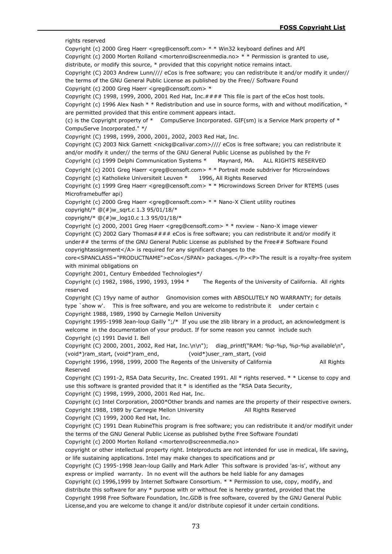rights reserved Copyright (c) 2000 Greg Haerr <greg@censoft.com> \* \* Win32 keyboard defines and API Copyright (c) 2000 Morten Rolland <mortenro@screenmedia.no> \* \* Permission is granted to use, distribute, or modify this source, \* provided that this copyright notice remains intact. Copyright (C) 2003 Andrew Lunn//// eCos is free software; you can redistribute it and/or modify it under// the terms of the GNU General Public License as published by the Free// Software Found Copyright (c) 2000 Greg Haerr <greg@censoft.com> \* Copyright (C) 1998, 1999, 2000, 2001 Red Hat, Inc.#### This file is part of the eCos host tools. Copyright (c) 1996 Alex Nash \* \* Redistribution and use in source forms, with and without modification, \* are permitted provided that this entire comment appears intact. (c) is the Copyright property of  $*$  CompuServe Incorporated. GIF(sm) is a Service Mark property of  $*$ CompuServe Incorporated." \*/ Copyright (C) 1998, 1999, 2000, 2001, 2002, 2003 Red Hat, Inc. Copyright (C) 2003 Nick Garnett <nickg@calivar.com>//// eCos is free software; you can redistribute it and/or modify it under// the terms of the GNU General Public License as published by the Fr Copyright (c) 1999 Delphi Communication Systems \* Maynard, MA. ALL RIGHTS RESERVED Copyright (c) 2001 Greg Haerr <greg@censoft.com> \* \* Portrait mode subdriver for Microwindows Copyright (c) Katholieke Universiteit Leuven \* 1996, All Rights Reserved Copyright (c) 1999 Greg Haerr <greg@censoft.com> \* \* Microwindows Screen Driver for RTEMS (uses Microframebuffer api) Copyright (c) 2000 Greg Haerr <greg@censoft.com> \* \* Nano-X Client utility routines copyright/\* @(#)w\_sqrt.c 1.3 95/01/18/\* copyright/\*  $@(\#)w$  log10.c 1.3 95/01/18/\* Copyright (c) 2000, 2001 Greg Haerr <greg@censoft.com> \* \* nxview - Nano-X image viewer Copyright (C) 2002 Gary Thomas#### eCos is free software; you can redistribute it and/or modify it under## the terms of the GNU General Public License as published by the Free## Software Found copyrightassignment</A> is required for any significant changes to the core<SPANCLASS="PRODUCTNAME">eCos</SPAN> packages.</P><P>The result is a royalty-free system with minimal obligations on Copyright 2001, Century Embedded Technologies\*/ Copyright (c) 1982, 1986, 1990, 1993, 1994 \* The Regents of the University of California. All rights reserved Copyright (C) 19yy name of author Gnomovision comes with ABSOLUTELY NO WARRANTY; for details type `show w'. This is free software, and you are welcome to redistribute it under certain c Copyright 1988, 1989, 1990 by Carnegie Mellon University Copyright 1995-1998 Jean-loup Gailly ";/\* If you use the zlib library in a product, an acknowledgment is welcome in the documentation of your product. If for some reason you cannot include such Copyright (c) 1991 David I. Bell Copyright (C) 2000, 2001, 2002, Red Hat, Inc.\n\n"); diag\_printf("RAM: %p-%p, %p-%p available\n", (void\*)ram\_start, (void\*)ram\_end, (void\*)user\_ram\_start, (void Copyright 1996, 1998, 1999, 2000 The Regents of the University of California All Rights Reserved Copyright (C) 1991-2, RSA Data Security, Inc. Created 1991. All \* rights reserved. \* \* License to copy and use this software is granted provided that it  $*$  is identified as the "RSA Data Security, Copyright (C) 1998, 1999, 2000, 2001 Red Hat, Inc. Copyright (c) Intel Corporation, 2000\*Other brands and names are the property of their respective owners. Copyright 1988, 1989 by Carnegie Mellon University All Rights Reserved Copyright (C) 1999, 2000 Red Hat, Inc. Copyright (C) 1991 Dean RubineThis program is free software; you can redistribute it and/or modifyit under the terms of the GNU General Public License as published bythe Free Software Foundati Copyright (c) 2000 Morten Rolland <mortenro@screenmedia.no> copyright or other intellectual property right. Intelproducts are not intended for use in medical, life saving, or life sustaining applications. Intel may make changes to specifications and pr Copyright (C) 1995-1998 Jean-loup Gailly and Mark Adler This software is provided 'as-is', without any express or implied warranty. In no event will the authors be held liable for any damages Copyright (c) 1996,1999 by Internet Software Consortium. \* \* Permission to use, copy, modify, and distribute this software for any \* purpose with or without fee is hereby granted, provided that the Copyright 1998 Free Software Foundation, Inc.GDB is free software, covered by the GNU General Public License,and you are welcome to change it and/or distribute copiesof it under certain conditions.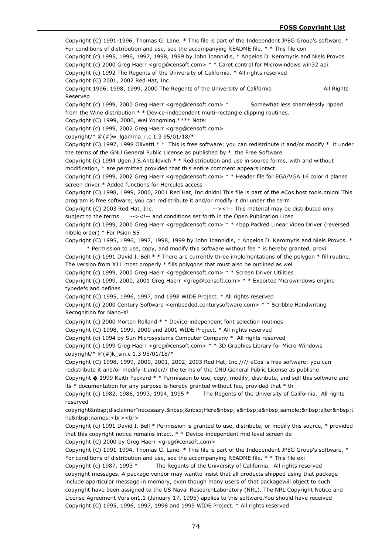Copyright (C) 1991-1996, Thomas G. Lane. \* This file is part of the Independent JPEG Group's software. \* For conditions of distribution and use, see the accompanying README file. \* \* This file con Copyright (c) 1995, 1996, 1997, 1998, 1999 by John Ioannidis, \* Angelos D. Keromytis and Niels Provos. Copyright (c) 2000 Greg Haerr <greg@censoft.com> \* \* Caret control for Microwindows win32 api. Copyright (c) 1992 The Regents of the University of California. \* All rights reserved Copyright (C) 2001, 2002 Red Hat, Inc. Copyright 1996, 1998, 1999, 2000 The Regents of the University of California All Rights Reserved Copyright (c) 1999, 2000 Greg Haerr <greg@censoft.com> \* Somewhat less shamelessly ripped from the Wine distribution  $* *$  Device-independent multi-rectangle clipping routines. Copyright (C) 1999, 2000, Wei Yongming.\*\*\*\* Note: Copyright (c) 1999, 2002 Greg Haerr <greg@censoft.com> copyright/\*  $@(#)w$  lgamma r.c 1.3 95/01/18/\* Copyright (C) 1997, 1998 Olivetti \* \* This is free software; you can redistribute it and/or modify \* it under the terms of the GNU General Public License as published by \* the Free Software Copyright (c) 1994 Ugen J.S.Antsilevich \* \* Redistribution and use in source forms, with and without modification, \* are permitted provided that this entire comment appears intact. Copyright (c) 1999, 2002 Greg Haerr <greg@censoft.com> \* \* Header file for EGA/VGA 16 color 4 planes screen driver \* Added functions for Hercules access Copyright (C) 1998, 1999, 2000, 2001 Red Hat, Inc.dnldnl This file is part of the eCos host tools.dnldnl This program is free software; you can redistribute it and/or modify it dnl under the term Copyright (C) 2003 Red Hat, Inc.  $\frac{1}{100}$  and  $\frac{1}{100}$  --><!-- This material may be distributed only subject to the terms --><!-- and conditions set forth in the Open Publication Licen Copyright (c) 1999, 2000 Greg Haerr <greg@censoft.com> \* \* 4bpp Packed Linear Video Driver (reversed nibble order) \* For Psion S5 Copyright (C) 1995, 1996, 1997, 1998, 1999 by John Ioannidis, \* Angelos D. Keromytis and Niels Provos. \* \* Permission to use, copy, and modify this software without fee \* is hereby granted, provi Copyright (c) 1991 David I. Bell \* \* There are currently three implementations of the polygon \* fill routine. The version from  $X11$  most properly  $*$  fills polygons that must also be outlined as wel Copyright (c) 1999, 2000 Greg Haerr <greg@censoft.com> \* \* Screen Driver Utilities Copyright (c) 1999, 2000, 2001 Greg Haerr <greg@censoft.com> \* \* Exported Microwindows engine typedefs and defines Copyright (C) 1995, 1996, 1997, and 1998 WIDE Project. \* All rights reserved Copyright (c) 2000 Century Software <embedded.centurysoftware.com> \* \* Scribble Handwriting Recognition for Nano-X! Copyright (c) 2000 Morten Rolland \* \* Device-independent font selection routines Copyright (C) 1998, 1999, 2000 and 2001 WIDE Project. \* All rights reserved Copyright (c) 1994 by Sun Microsystems Computer Company \* All rights reserved Copyright (c) 1999 Greg Haerr <greg@censoft.com> \* \* 3D Graphics Library for Micro-Windows copyright/\*  $@(\#)k$  sin.c 1.3 95/01/18/\* Copyright (C) 1998, 1999, 2000, 2001, 2002, 2003 Red Hat, Inc.//// eCos is free software; you can redistribute it and/or modify it under// the terms of the GNU General Public License as publishe Copyright � 1999 Keith Packard \* \* Permission to use, copy, modify, distribute, and sell this software and its \* documentation for any purpose is hereby granted without fee, provided that \* th Copyright (c) 1982, 1986, 1993, 1994, 1995 \* The Regents of the University of California. All rights reserved copyright disclaimer"necessary. Here is a sample; alter t he names:<br>>>br> Copyright (c) 1991 David I. Bell \* Permission is granted to use, distribute, or modify this source, \* provided that this copyright notice remains intact. \* \* Device-independent mid level screen de Copyright (C) 2000 by Greg Haerr <greg@censoft.com> Copyright (C) 1991-1994, Thomas G. Lane. \* This file is part of the Independent JPEG Group's software. \* For conditions of distribution and use, see the accompanying README file. \* \* This file exi Copyright (c) 1987, 1993 \* The Regents of the University of California. All rights reserved copyright messages. A package vendor may wantto insist that all products shipped using that package include aparticular message in memory, even though many users of that packagewill object to such copyright have been assigned to the US Naval ResearchLaboratory (NRL). The NRL Copyright Notice and License Agreement Version1.1 (January 17, 1995) applies to this software.You should have received Copyright (C) 1995, 1996, 1997, 1998 and 1999 WIDE Project. \* All rights reserved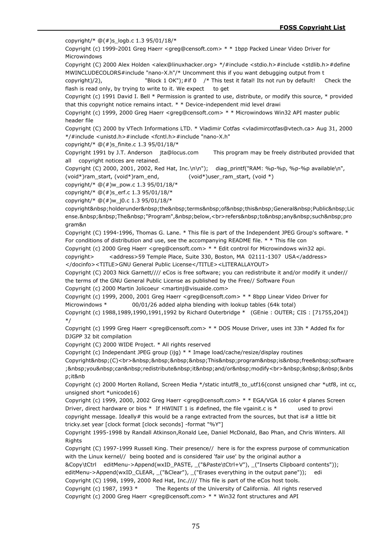copyright/\*  $@(\#)s$  logb.c 1.3 95/01/18/\*

Copyright (c) 1999-2001 Greg Haerr <greg@censoft.com> \* \* 1bpp Packed Linear Video Driver for Microwindows

Copyright (C) 2000 Alex Holden <alex@linuxhacker.org> \*/#include <stdio.h>#include <stdlib.h>#define MWINCLUDECOLORS#include "nano-X.h"/\* Uncomment this if you want debugging output from t

copyright)/2), "Block 1 OK"); #if 0  $*$  This test it fatal! Its not run by default! Check the flash is read only, by trying to write to it. We expect to get

Copyright (c) 1991 David I. Bell \* Permission is granted to use, distribute, or modify this source, \* provided that this copyright notice remains intact. \* \* Device-independent mid level drawi

Copyright (c) 1999, 2000 Greg Haerr <greg@censoft.com> \* \* Microwindows Win32 API master public header file

Copyright (C) 2000 by VTech Informations LTD. \* Vladimir Cotfas <vladimircotfas@vtech.ca> Aug 31, 2000 \*/#include <unistd.h>#include <fcntl.h>#include "nano-X.h"

copyright/\* @(#)s\_finite.c 1.3 95/01/18/\*

Copyright 1991 by J.T. Anderson jta@locus.com This program may be freely distributed provided that all copyright notices are retained.

Copyright (C) 2000, 2001, 2002, Red Hat, Inc.\n\n"); diag\_printf("RAM: %p-%p, %p-%p available\n",

(void\*)ram\_start, (void\*)ram\_end, (void\*)user\_ram\_start, (void \*)

copyright/\*  $@(#)w$  pow.c 1.3 95/01/18/\*

copyright/\*  $@(\#)s$  erf.c 1.3 95/01/18/\*

copyright/\*  $@(\#)w$  j0.c 1.3 95/01/18/\*

copyright holderunder the terms of this General Public Lic ense. The "Program", below,<br>refers&nbsp;to&nbsp;any&nbsp;such&nbsp;pro gram&n

Copyright (C) 1994-1996, Thomas G. Lane. \* This file is part of the Independent JPEG Group's software. \* For conditions of distribution and use, see the accompanying README file. \* \* This file con

Copyright (c) 2000 Greg Haerr <greg@censoft.com> \* \* Edit control for Microwindows win32 api.

copyright>
<address>59 Temple Place, Suite 330, Boston, MA 02111-1307 USA</address> </docinfo><TITLE>GNU General Public License</TITLE><LITERALLAYOUT>

Copyright (C) 2003 Nick Garnett//// eCos is free software; you can redistribute it and/or modify it under// the terms of the GNU General Public License as published by the Free// Software Foun

Copyright (c) 2000 Martin Jolicoeur <martinj@visuaide.com>

Copyright (c) 1999, 2000, 2001 Greg Haerr <greg@censoft.com> \* \* 8bpp Linear Video Driver for Microwindows \* 00/01/26 added alpha blending with lookup tables (64k total)

Copyright (c) 1988,1989,1990,1991,1992 by Richard Outerbridge \* (GEnie : OUTER; CIS : [71755,204]) \*/

Copyright (c) 1999 Greg Haerr <greg@censoft.com> \* \* DOS Mouse Driver, uses int 33h \* Added fix for DJGPP 32 bit compilation

Copyright (C) 2000 WIDE Project. \* All rights reserved

Copyright (c) Independant JPEG group (ijg) \* \* Image load/cache/resize/display routines

Copyright (C)<br>&nbsp;&nbsp;&nbsp;&nbsp;This&nbsp;program&nbsp;is&nbsp;free&nbsp;software ; you can redistribute it and/or modify<br>&nbsp;&nbsp;&nbsp;&nbsp;&nbs p;it&nb

Copyright (c) 2000 Morten Rolland, Screen Media \*/static intutf8 to utf16(const unsigned char \*utf8, int cc, unsigned short \*unicode16)

Copyright (c) 1999, 2000, 2002 Greg Haerr <greg@censoft.com> \* \* EGA/VGA 16 color 4 planes Screen Driver, direct hardware or bios  $*$  If HWINIT 1 is #defined, the file vgainit.c is  $*$  used to provi copyright message. Ideally# this would be a range extracted from the sources, but that is# a little bit tricky.set year [clock format [clock seconds] -format "%Y"]

Copyright 1995-1998 by Randall Atkinson,Ronald Lee, Daniel McDonald, Bao Phan, and Chris Winters. All Rights

Copyright (C) 1997-1999 Russell King. Their presence// here is for the express purpose of communication with the Linux kernel// being booted and is considered 'fair use' by the original author a

&Copy\tCtrl editMenu->Append(wxID\_PASTE, \_("&Paste\tCtrl+V"), \_("Inserts Clipboard contents"));

editMenu->Append(wxID\_CLEAR, ("&Clear"), ("Erases everything in the output pane")); edi

Copyright (C) 1998, 1999, 2000 Red Hat, Inc.//// This file is part of the eCos host tools.

Copyright (c) 1987, 1993 \* The Regents of the University of California. All rights reserved Copyright (c) 2000 Greg Haerr <greg@censoft.com> \* \* Win32 font structures and API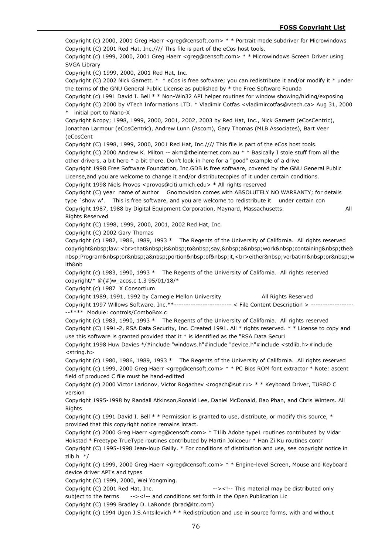Copyright (c) 2000, 2001 Greg Haerr <greg@censoft.com> \* \* Portrait mode subdriver for Microwindows Copyright (C) 2001 Red Hat, Inc.//// This file is part of the eCos host tools. Copyright (c) 1999, 2000, 2001 Greg Haerr <greg@censoft.com> \* \* Microwindows Screen Driver using SVGA Library Copyright (C) 1999, 2000, 2001 Red Hat, Inc. Copyright (C) 2002 Nick Garnett. \* \* eCos is free software; you can redistribute it and/or modify it \* under the terms of the GNU General Public License as published by \* the Free Software Founda Copyright (c) 1991 David I. Bell \* \* Non-Win32 API helper routines for window showing/hiding/exposing Copyright (C) 2000 by VTech Informations LTD. \* Vladimir Cotfas <vladimircotfas@vtech.ca> Aug 31, 2000 \* initial port to Nano-X Copyright © 1998, 1999, 2000, 2001, 2002, 2003 by Red Hat, Inc., Nick Garnett (eCosCentric), Jonathan Larmour (eCosCentric), Andrew Lunn (Ascom), Gary Thomas (MLB Associates), Bart Veer (eCosCent Copyright (C) 1998, 1999, 2000, 2001 Red Hat, Inc.//// This file is part of the eCos host tools. Copyright (C) 2000 Andrew K. Milton -- akm@theinternet.com.au \* \* Basically I stole stuff from all the other drivers, a bit here \* a bit there. Don't look in here for a "good" example of a drive Copyright 1998 Free Software Foundation, Inc.GDB is free software, covered by the GNU General Public License,and you are welcome to change it and/or distributecopies of it under certain conditions. Copyright 1998 Niels Provos <provos@citi.umich.edu> \* All rights reserved Copyright (C) year name of author Gnomovision comes with ABSOLUTELY NO WARRANTY; for details type `show w'. This is free software, and you are welcome to redistribute it under certain con Copyright 1987, 1988 by Digital Equipment Corporation, Maynard, Massachusetts. All Rights Reserved Copyright (C) 1998, 1999, 2000, 2001, 2002 Red Hat, Inc. Copyright (C) 2002 Gary Thomas Copyright (c) 1982, 1986, 1989, 1993 \* The Regents of the University of California. All rights reserved copyright law:<br>that&nbsp;is&nbsp;to&nbsp;say,&nbsp;a&nbsp;work&nbsp;containing&nbsp;the& nbsp;Program or a portion of it,<br>either&nbsp;verbatim&nbsp;or&nbsp;w ith&nb Copyright (c) 1983, 1990, 1993 \* The Regents of the University of California. All rights reserved copyright/\*  $@(\#)w$  acos.c 1.3 95/01/18/\* Copyright (c) 1987 X Consortium Copyright 1989, 1991, 1992 by Carnegie Mellon University All Rights Reserved Copyright 1997 Willows Software, Inc.\*\*------------------------ < File Content Description > -----\*\*\*\* Module: controls/ComboBox.c Copyright (c) 1983, 1990, 1993 \* The Regents of the University of California. All rights reserved Copyright (C) 1991-2, RSA Data Security, Inc. Created 1991. All \* rights reserved. \* \* License to copy and use this software is granted provided that it \* is identified as the "RSA Data Securi Copyright 1998 Huw Davies \*/#include "windows.h"#include "device.h"#include <stdlib.h>#include <string.h> Copyright (c) 1980, 1986, 1989, 1993 \* The Regents of the University of California. All rights reserved Copyright (c) 1999, 2000 Greg Haerr <greg@censoft.com> \* \* PC Bios ROM font extractor \* Note: ascent field of produced C file must be hand-editted Copyright (c) 2000 Victor Larionov, Victor Rogachev <rogach@sut.ru> \* \* Keyboard Driver, TURBO C version Copyright 1995-1998 by Randall Atkinson,Ronald Lee, Daniel McDonald, Bao Phan, and Chris Winters. All Rights Copyright (c) 1991 David I. Bell  $*$  \* Permission is granted to use, distribute, or modify this source,  $*$ provided that this copyright notice remains intact. Copyright (c) 2000 Greg Haerr <greg@censoft.com> \* T1lib Adobe type1 routines contributed by Vidar Hokstad \* Freetype TrueType routines contributed by Martin Jolicoeur \* Han Zi Ku routines contr Copyright (C) 1995-1998 Jean-loup Gailly. \* For conditions of distribution and use, see copyright notice in  $z$ lib.h  $*$ / Copyright (c) 1999, 2000 Greg Haerr <greg@censoft.com> \* \* Engine-level Screen, Mouse and Keyboard device driver API's and types Copyright (C) 1999, 2000, Wei Yongming. Copyright (C) 2001 Red Hat, Inc.  $\frac{->}{\sqrt{2}}$  This material may be distributed only subject to the terms --><!-- and conditions set forth in the Open Publication Lic

Copyright (C) 1999 Bradley D. LaRonde (brad@ltc.com)

Copyright (c) 1994 Ugen J.S.Antsilevich \* \* Redistribution and use in source forms, with and without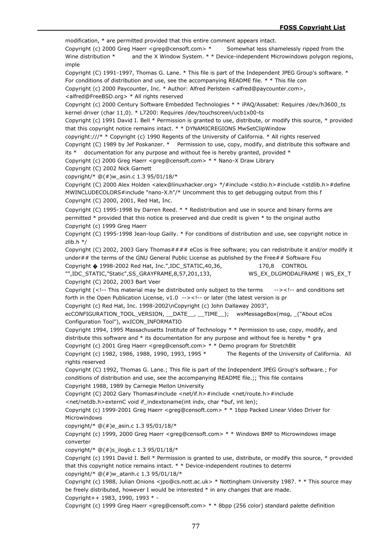modification, \* are permitted provided that this entire comment appears intact. Copyright (c) 2000 Greg Haerr <greg@censoft.com> \* Somewhat less shamelessly ripped from the Wine distribution \* and the X Window System. \* \* Device-independent Microwindows polygon regions, imple Copyright (C) 1991-1997, Thomas G. Lane. \* This file is part of the Independent JPEG Group's software. \* For conditions of distribution and use, see the accompanying README file. \* \* This file con Copyright (c) 2000 Paycounter, Inc. \* Author: Alfred Perlstein <alfred@paycounter.com>, <alfred@FreeBSD.org> \* All rights reserved Copyright (c) 2000 Century Software Embedded Technologies \* \* iPAQ/Assabet: Requires /dev/h3600\_ts kernel driver (char 11,0). \* L7200: Requires /dev/touchscreen/ucb1x00-ts Copyright (c) 1991 David I. Bell \* Permission is granted to use, distribute, or modify this source, \* provided that this copyright notice remains intact. \* \* DYNAMICREGIONS MwSetClipWindow copyright:///\* \* Copyright (c) 1990 Regents of the University of California. \* All rights reserved Copyright (C) 1989 by Jef Poskanzer. \* Permission to use, copy, modify, and distribute this software and its  $*$  documentation for any purpose and without fee is hereby granted, provided  $*$ Copyright (c) 2000 Greg Haerr <greg@censoft.com> \* \* Nano-X Draw Library Copyright (C) 2002 Nick Garnett copyright/\* @(#)w\_asin.c 1.3 95/01/18/\* Copyright (C) 2000 Alex Holden <alex@linuxhacker.org> \*/#include <stdio.h>#include <stdlib.h>#define MWINCLUDECOLORS#include "nano-X.h"/\* Uncomment this to get debugging output from this f Copyright (C) 2000, 2001, Red Hat, Inc. Copyright (C) 1995-1998 by Darren Reed. \* \* Redistribution and use in source and binary forms are permitted \* provided that this notice is preserved and due credit is given \* to the original autho Copyright (c) 1999 Greg Haerr Copyright (C) 1995-1998 Jean-loup Gailly. \* For conditions of distribution and use, see copyright notice in zlib.h \*/ Copyright (C) 2002, 2003 Gary Thomas#### eCos is free software; you can redistribute it and/or modify it under## the terms of the GNU General Public License as published by the Free## Software Fou Copyright � 1998-2002 Red Hat, Inc.",IDC\_STATIC,40,36, 170,8 CONTROL "",IDC\_STATIC,"Static",SS\_GRAYFRAME,8,57,201,133, WS\_EX\_DLGMODALFRAME | WS\_EX\_T Copyright (C) 2002, 2003 Bart Veer Copyright (<!-- This material may be distributed only subject to the terms --><!-- and conditions set forth in the Open Publication License, v1.0 --><!-- or later (the latest version is pr Copyright (c) Red Hat, Inc. 1998-2002\nCopyright (c) John Dallaway 2003", ecCONFIGURATION\_TOOL\_VERSION, \_DATE\_\_, \_TIME\_\_); wxMessageBox(msg, ("About eCos Configuration Tool"), wxICON\_INFORMATIO Copyright 1994, 1995 Massachusetts Institute of Technology \* \* Permission to use, copy, modify, and distribute this software and  $*$  its documentation for any purpose and without fee is hereby  $*$  gra Copyright (c) 2001 Greg Haerr <greg@censoft.com> \* \* Demo program for StretchBlt Copyright (c) 1982, 1986, 1988, 1990, 1993, 1995 \* The Regents of the University of California. All rights reserved Copyright (C) 1992, Thomas G. Lane.; This file is part of the Independent JPEG Group's software.; For conditions of distribution and use, see the accompanying README file.;; This file contains Copyright 1988, 1989 by Carnegie Mellon University Copyright (C) 2002 Gary Thomas#include <net/if.h>#include <net/route.h>#include <net/netdb.h>externC void if indextoname(int indx, char \*buf, int len); Copyright (c) 1999-2001 Greg Haerr <greg@censoft.com> \* \* 1bpp Packed Linear Video Driver for Microwindows copyright/\* @(#)e\_asin.c 1.3 95/01/18/\* Copyright (c) 1999, 2000 Greg Haerr <greg@censoft.com> \* \* Windows BMP to Microwindows image converter copyright/\* @(#)s\_ilogb.c 1.3 95/01/18/\* Copyright (c) 1991 David I. Bell \* Permission is granted to use, distribute, or modify this source, \* provided that this copyright notice remains intact. \* \* Device-independent routines to determi copyright/\*  $@(#)w$  atanh.c 1.3 95/01/18/\* Copyright (c) 1988, Julian Onions <jpo@cs.nott.ac.uk> \* Nottingham University 1987. \* \* This source may be freely distributed, however I would be interested \* in any changes that are made. Copyright++ 1983, 1990, 1993 \* -

Copyright (c) 1999 Greg Haerr <greg@censoft.com> \* \* 8bpp (256 color) standard palette definition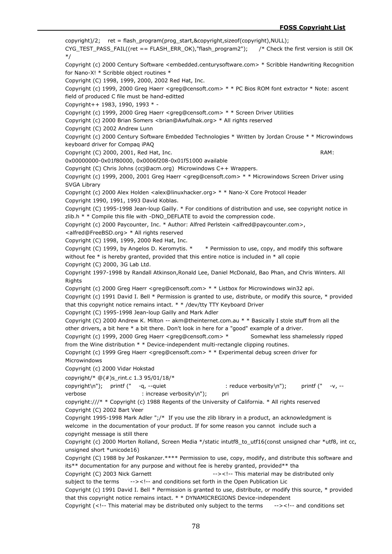$copyright)/2$ ; ret = flash\_program(prog\_start,&copyright,sizeof(copyright),NULL); CYG\_TEST\_PASS\_FAIL((ret == FLASH\_ERR\_OK),"flash\_program2"); /\* Check the first version is still OK \*/ Copyright (c) 2000 Century Software <embedded.centurysoftware.com> \* Scribble Handwriting Recognition for Nano-X! \* Scribble object routines \* Copyright (C) 1998, 1999, 2000, 2002 Red Hat, Inc. Copyright (c) 1999, 2000 Greg Haerr <greg@censoft.com> \* \* PC Bios ROM font extractor \* Note: ascent field of produced C file must be hand-editted Copyright++ 1983, 1990, 1993 \* - Copyright (c) 1999, 2000 Greg Haerr <greg@censoft.com> \* \* Screen Driver Utilities Copyright (c) 2000 Brian Somers <brian@Awfulhak.org> \* All rights reserved Copyright (C) 2002 Andrew Lunn Copyright (c) 2000 Century Software Embedded Technologies \* Written by Jordan Crouse \* \* Microwindows keyboard driver for Compaq iPAQ Copyright (C) 2000, 2001, Red Hat, Inc. RAM: RAM: 0x00000000-0x01f80000, 0x0006f208-0x01f51000 available Copyright (C) Chris Johns (ccj@acm.org) Microwindows C++ Wrappers. Copyright (c) 1999, 2000, 2001 Greg Haerr <greg@censoft.com> \* \* Microwindows Screen Driver using SVGA Library Copyright (c) 2000 Alex Holden <alex@linuxhacker.org> \* \* Nano-X Core Protocol Header Copyright 1990, 1991, 1993 David Koblas. Copyright (C) 1995-1998 Jean-loup Gailly. \* For conditions of distribution and use, see copyright notice in zlib.h \* \* Compile this file with -DNO\_DEFLATE to avoid the compression code. Copyright (c) 2000 Paycounter, Inc. \* Author: Alfred Perlstein <alfred@paycounter.com>, <alfred@FreeBSD.org> \* All rights reserved Copyright (C) 1998, 1999, 2000 Red Hat, Inc. Copyright (C) 1999, by Angelos D. Keromytis. \* \* Permission to use, copy, and modify this software without fee  $*$  is hereby granted, provided that this entire notice is included in  $*$  all copie Copyright (C) 2000, 3G Lab Ltd. Copyright 1997-1998 by Randall Atkinson,Ronald Lee, Daniel McDonald, Bao Phan, and Chris Winters. All Rights Copyright (c) 2000 Greg Haerr <greg@censoft.com> \* \* Listbox for Microwindows win32 api. Copyright (c) 1991 David I. Bell \* Permission is granted to use, distribute, or modify this source, \* provided that this copyright notice remains intact. \* \* /dev/tty TTY Keyboard Driver Copyright (C) 1995-1998 Jean-loup Gailly and Mark Adler Copyright (C) 2000 Andrew K. Milton -- akm@theinternet.com.au \* \* Basically I stole stuff from all the other drivers, a bit here \* a bit there. Don't look in here for a "good" example of a driver. Copyright (c) 1999, 2000 Greg Haerr <greg@censoft.com> \* Somewhat less shamelessly ripped from the Wine distribution \* \* Device-independent multi-rectangle clipping routines. Copyright (c) 1999 Greg Haerr <greg@censoft.com> \* \* Experimental debug screen driver for Microwindows Copyright (c) 2000 Vidar Hokstad copyright/\* @(#)s\_rint.c 1.3 95/01/18/\*  $\text{copyright}\{\text{``} \rightarrow \text{``} \rightarrow \text{``} \rightarrow \text{``} \rightarrow \text{``} \rightarrow \text{``} \rightarrow \text{``} \rightarrow \text{``} \rightarrow \text{``} \rightarrow \text{``} \rightarrow \text{``} \rightarrow \text{``} \rightarrow \text{``} \rightarrow \text{``} \rightarrow \text{``} \rightarrow \text{``} \rightarrow \text{``} \rightarrow \text{``} \rightarrow \text{``} \rightarrow \text{``} \rightarrow \text{``} \rightarrow \text{``} \rightarrow \text{``} \rightarrow \text{``} \rightarrow \text{``} \rightarrow \text{``} \rightarrow \text{``} \rightarrow \text{``} \rightarrow \text{``} \rightarrow \text{``} \rightarrow \text{``$ verbose : increase verbosity\n"); pri copyright:///\* \* Copyright (c) 1988 Regents of the University of California. \* All rights reserved Copyright (C) 2002 Bart Veer Copyright 1995-1998 Mark Adler ";/\* If you use the zlib library in a product, an acknowledgment is welcome in the documentation of your product. If for some reason you cannot include such a copyright message is still there Copyright (c) 2000 Morten Rolland, Screen Media \*/static intutf8\_to\_utf16(const unsigned char \*utf8, int cc, unsigned short \*unicode16) Copyright (C) 1988 by Jef Poskanzer.\*\*\*\* Permission to use, copy, modify, and distribute this software and its\*\* documentation for any purpose and without fee is hereby granted, provided\*\* tha Copyright (C) 2003 Nick Garnett --><!-- This material may be distributed only subject to the terms --><!-- and conditions set forth in the Open Publication Lic Copyright (c) 1991 David I. Bell \* Permission is granted to use, distribute, or modify this source, \* provided that this copyright notice remains intact. \* \* DYNAMICREGIONS Device-independent Copyright (<!-- This material may be distributed only subject to the terms --><!-- and conditions set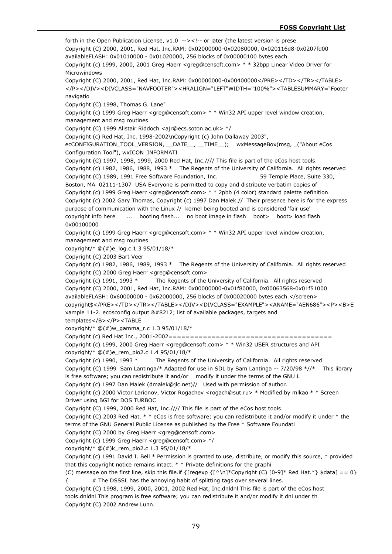forth in the Open Publication License,  $v1.0 ->< !-$  or later (the latest version is prese Copyright (C) 2000, 2001, Red Hat, Inc.RAM: 0x02000000-0x02080000, 0x020116d8-0x0207fd00 availableFLASH: 0x01010000 - 0x01020000, 256 blocks of 0x00000100 bytes each. Copyright (c) 1999, 2000, 2001 Greg Haerr <greg@censoft.com> \* \* 32bpp Linear Video Driver for Microwindows Copyright (C) 2000, 2001, Red Hat, Inc.RAM: 0x00000000-0x00400000</PRE></TD></TR></TABLE> </P></DIV><DIVCLASS="NAVFOOTER"><HRALIGN="LEFT"WIDTH="100%"><TABLESUMMARY="Footer navigatio Copyright (C) 1998, Thomas G. Lane" Copyright (c) 1999 Greg Haerr <greg@censoft.com> \* \* Win32 API upper level window creation, management and msg routines Copyright (C) 1999 Alistair Riddoch <ajr@ecs.soton.ac.uk> \*/ Copyright (c) Red Hat, Inc. 1998-2002\nCopyright (c) John Dallaway 2003", ecCONFIGURATION\_TOOL\_VERSION, \_\_DATE\_\_, \_\_TIME\_\_); wxMessageBox(msg, \_("About eCos Configuration Tool"), wxICON\_INFORMATI Copyright (C) 1997, 1998, 1999, 2000 Red Hat, Inc.//// This file is part of the eCos host tools. Copyright (c) 1982, 1986, 1988, 1993 \* The Regents of the University of California. All rights reserved Copyright (C) 1989, 1991 Free Software Foundation, Inc. 59 Temple Place, Suite 330, Boston, MA 02111-1307 USA Everyone is permitted to copy and distribute verbatim copies of Copyright (c) 1999 Greg Haerr <greg@censoft.com> \* \* 2pbb (4 color) standard palette definition Copyright (c) 2002 Gary Thomas, Copyright (c) 1997 Dan Malek.// Their presence here is for the express purpose of communication with the Linux // kernel being booted and is considered 'fair use' copyright info here ... booting flash... no boot image in flash boot> boot> load flash 0x00100000 Copyright (c) 1999 Greg Haerr <greg@censoft.com> \* \* Win32 API upper level window creation, management and msg routines copyright/\* @(#)e\_log.c 1.3 95/01/18/\* Copyright (C) 2003 Bart Veer Copyright (c) 1982, 1986, 1989, 1993 \* The Regents of the University of California. All rights reserved Copyright (C) 2000 Greg Haerr <greg@censoft.com> Copyright (c) 1991, 1993 \* The Regents of the University of California. All rights reserved Copyright (C) 2000, 2001, Red Hat, Inc.RAM: 0x00000000-0x01f80000, 0x00063568-0x01f51000 availableFLASH: 0x60000000 - 0x62000000, 256 blocks of 0x00020000 bytes each.</screen> copyright\$</PRE></TD></TR></TABLE></DIV><DIVCLASS="EXAMPLE"><ANAME="AEN686"><P><B>E xample 11-2. ecosconfig output — list of available packages, targets and templates</B></P><TABLE copyright/\*  $@(#)w$  gamma r.c 1.3 95/01/18/\* Copyright (c) Red Hat Inc., 2001-2002====================================== Copyright (c) 1999, 2000 Greg Haerr <greg@censoft.com> \* \* Win32 USER structures and API copyright/\*  $@(#)e$  rem\_pio2.c 1.4 95/01/18/\* Copyright (c) 1990, 1993 \* The Regents of the University of California. All rights reserved Copyright (C) 1999 Sam Lantinga/\* Adapted for use in SDL by Sam Lantinga -- 7/20/98 \*//\* This library is free software; you can redistribute it and/or modify it under the terms of the GNU L Copyright (c) 1997 Dan Malek (dmalek@jlc.net)// Used with permission of author. Copyright (c) 2000 Victor Larionov, Victor Rogachev <rogach@sut.ru> \* Modified by mlkao \* \* Screen Driver using BGI for DOS TURBOC Copyright (C) 1999, 2000 Red Hat, Inc.//// This file is part of the eCos host tools. Copyright (C) 2003 Red Hat. \* \* eCos is free software; you can redistribute it and/or modify it under \* the terms of the GNU General Public License as published by the Free \* Software Foundati Copyright (C) 2000 by Greg Haerr <greg@censoft.com> Copyright (c) 1999 Greg Haerr <greg@censoft.com> \*/ copyright/\*  $@(+)k$  rem\_pio2.c 1.3 95/01/18/\* Copyright (c) 1991 David I. Bell \* Permission is granted to use, distribute, or modify this source, \* provided that this copyright notice remains intact. \* \* Private definitions for the graphi (C) message on the first line, skip this file.if  $\{[reqexp f^\hbar \cdot \ln]^*$ Copyright (C)  $[0-9]^*$  Red Hat.\*} \$data] == 0} { # The DSSSL has the annoying habit of splitting tags over several lines. Copyright (C) 1998, 1999, 2000, 2001, 2002 Red Hat, Inc.dnldnl This file is part of the eCos host tools.dnldnl This program is free software; you can redistribute it and/or modify it dnl under th Copyright (C) 2002 Andrew Lunn.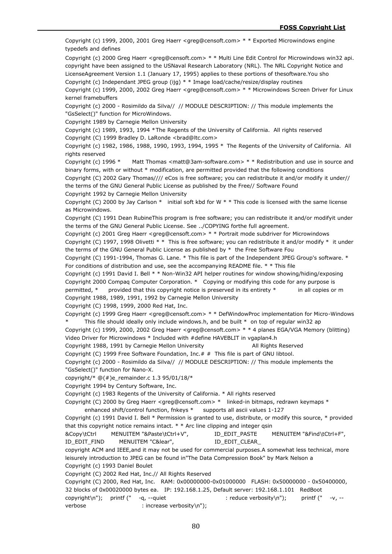Copyright (c) 1999, 2000, 2001 Greg Haerr <greg@censoft.com> \* \* Exported Microwindows engine typedefs and defines

Copyright (c) 2000 Greg Haerr <greg@censoft.com> \* \* Multi Line Edit Control for Microwindows win32 api. copyright have been assigned to the USNaval Research Laboratory (NRL). The NRL Copyright Notice and LicenseAgreement Version 1.1 (January 17, 1995) applies to these portions of thesoftware.You sho Copyright (c) Independant JPEG group (ijg) \* \* Image load/cache/resize/display routines

Copyright (c) 1999, 2000, 2002 Greg Haerr <greg@censoft.com> \* \* Microwindows Screen Driver for Linux kernel framebuffers

Copyright (c) 2000 - Rosimildo da Silva// // MODULE DESCRIPTION: // This module implements the "GsSelect()" function for MicroWindows.

Copyright 1989 by Carnegie Mellon University

Copyright (c) 1989, 1993, 1994 \*The Regents of the University of California. All rights reserved Copyright (C) 1999 Bradley D. LaRonde <br/> <br/>brad@ltc.com>

Copyright (c) 1982, 1986, 1988, 1990, 1993, 1994, 1995 \* The Regents of the University of California. All rights reserved

Copyright (c) 1996 \* Matt Thomas <matt@3am-software.com> \* \* Redistribution and use in source and binary forms, with or without \* modification, are permitted provided that the following conditions

Copyright (C) 2002 Gary Thomas//// eCos is free software; you can redistribute it and/or modify it under// the terms of the GNU General Public License as published by the Free// Software Found

Copyright 1992 by Carnegie Mellon University

Copyright (C) 2000 by Jay Carlson  $*$  initial soft kbd for W  $*$  \* This code is licensed with the same license as Microwindows.

Copyright (C) 1991 Dean RubineThis program is free software; you can redistribute it and/or modifyit under the terms of the GNU General Public License. See ../COPYING forthe full agreement.

Copyright (c) 2001 Greg Haerr <greg@censoft.com> \* \* Portrait mode subdriver for Microwindows Copyright (C) 1997, 1998 Olivetti \* \* This is free software; you can redistribute it and/or modify \* it under the terms of the GNU General Public License as published by \* the Free Software Fou

Copyright (C) 1991-1994, Thomas G. Lane. \* This file is part of the Independent JPEG Group's software. \* For conditions of distribution and use, see the accompanying README file. \* \* This file

Copyright (c) 1991 David I. Bell \* \* Non-Win32 API helper routines for window showing/hiding/exposing Copyright 2000 Compaq Computer Corporation. \* Copying or modifying this code for any purpose is permitted, \* provided that this copyright notice is preserved in its entirety \* in all copies or m Copyright 1988, 1989, 1991, 1992 by Carnegie Mellon University

Copyright (C) 1998, 1999, 2000 Red Hat, Inc.

Copyright (c) 1999 Greg Haerr <greg@censoft.com> \* \* DefWindowProc implementation for Micro-Windows This file should ideally only include windows.h, and be built  $*$  on top of regular win32 ap

Copyright (c) 1999, 2000, 2002 Greg Haerr <greg@censoft.com> \* \* 4 planes EGA/VGA Memory (blitting) Video Driver for Microwindows \* Included with #define HAVEBLIT in vgaplan4.h

Copyright 1988, 1991 by Carnegie Mellon University Franch All Rights Reserved

Copyright (C) 1999 Free Software Foundation, Inc.# # This file is part of GNU libtool.

Copyright (c) 2000 - Rosimildo da Silva// // MODULE DESCRIPTION: // This module implements the "GsSelect()" function for Nano-X.

copyright/\* @(#)e\_remainder.c 1.3 95/01/18/\*

Copyright 1994 by Century Software, Inc.

Copyright (c) 1983 Regents of the University of California. \* All rights reserved

Copyright (C) 2000 by Greg Haerr <greg@censoft.com> \* linked-in bitmaps, redrawn keymaps \* enhanced shift/control function, fnkeys \* supports all ascii values 1-127

Copyright (c) 1991 David I. Bell \* Permission is granted to use, distribute, or modify this source, \* provided that this copyright notice remains intact. \* \* Arc line clipping and integer qsin

&Copy\tCtrl MENUITEM "&Paste\tCtrl+V", ID\_EDIT\_PASTE MENUITEM "&Find\tCtrl+F",

ID\_EDIT\_FIND MENUITEM "C&lear", ID\_EDIT\_CLEAR\_

copyright ACM and IEEE,and it may not be used for commercial purposes.A somewhat less technical, more leisurely introduction to JPEG can be found in"The Data Compression Book" by Mark Nelson a Copyright (c) 1993 Daniel Boulet

Copyright (C) 2002 Red Hat, Inc.// All Rights Reserved

Copyright (C) 2000, Red Hat, Inc. RAM: 0x00000000-0x01000000 FLASH: 0x50000000 - 0x50400000, 32 blocks of 0x00020000 bytes ea. IP: 192.168.1.25, Default server: 192.168.1.101 RedBoot copyright\n"); printf (" -q, --quiet : reduce verbosity\n"); printf (" -v, -verbose : increase verbosity\n");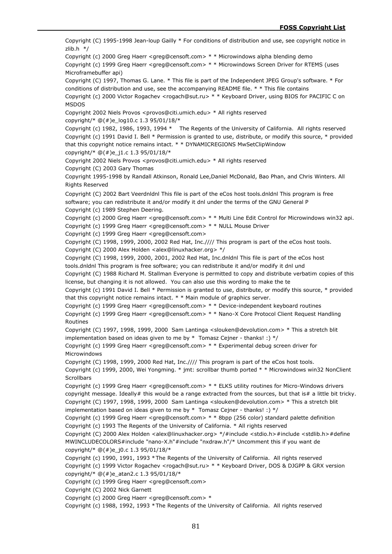Copyright (C) 1995-1998 Jean-loup Gailly \* For conditions of distribution and use, see copyright notice in zlib.h \*/ Copyright (c) 2000 Greg Haerr <greg@censoft.com> \* \* Microwindows alpha blending demo Copyright (c) 1999 Greg Haerr <greg@censoft.com> \* \* Microwindows Screen Driver for RTEMS (uses Microframebuffer api) Copyright (C) 1997, Thomas G. Lane. \* This file is part of the Independent JPEG Group's software. \* For conditions of distribution and use, see the accompanying README file. \* \* This file contains Copyright (c) 2000 Victor Rogachev <rogach@sut.ru> \* \* Keyboard Driver, using BIOS for PACIFIC C on MSDOS Copyright 2002 Niels Provos <provos@citi.umich.edu> \* All rights reserved copyright/\*  $@(\#)e$  log10.c 1.3 95/01/18/\* Copyright (c) 1982, 1986, 1993, 1994 \* The Regents of the University of California. All rights reserved Copyright (c) 1991 David I. Bell \* Permission is granted to use, distribute, or modify this source, \* provided that this copyright notice remains intact. \* \* DYNAMICREGIONS MwSetClipWindow copyright/\*  $@(+)e$  j1.c 1.3 95/01/18/\* Copyright 2002 Niels Provos <provos@citi.umich.edu> \* All rights reserved Copyright (C) 2003 Gary Thomas Copyright 1995-1998 by Randall Atkinson, Ronald Lee,Daniel McDonald, Bao Phan, and Chris Winters. All Rights Reserved Copyright (C) 2002 Bart Veerdnldnl This file is part of the eCos host tools.dnldnl This program is free software; you can redistribute it and/or modify it dnl under the terms of the GNU General P Copyright (c) 1989 Stephen Deering. Copyright (c) 2000 Greg Haerr <greg@censoft.com> \* \* Multi Line Edit Control for Microwindows win32 api. Copyright (c) 1999 Greg Haerr <greg@censoft.com> \* \* NULL Mouse Driver Copyright (c) 1999 Greg Haerr <greg@censoft.com> Copyright (C) 1998, 1999, 2000, 2002 Red Hat, Inc.//// This program is part of the eCos host tools. Copyright (C) 2000 Alex Holden <alex@linuxhacker.org> \*/ Copyright (C) 1998, 1999, 2000, 2001, 2002 Red Hat, Inc.dnldnl This file is part of the eCos host tools.dnldnl This program is free software; you can redistribute it and/or modify it dnl und Copyright (C) 1988 Richard M. Stallman Everyone is permitted to copy and distribute verbatim copies of this license, but changing it is not allowed. You can also use this wording to make the te Copyright (c) 1991 David I. Bell \* Permission is granted to use, distribute, or modify this source, \* provided that this copyright notice remains intact. \* \* Main module of graphics server. Copyright (c) 1999 Greg Haerr <greg@censoft.com> \* \* Device-independent keyboard routines Copyright (c) 1999 Greg Haerr <greg@censoft.com> \* \* Nano-X Core Protocol Client Request Handling Routines Copyright (C) 1997, 1998, 1999, 2000 Sam Lantinga <slouken@devolution.com> \* This a stretch blit implementation based on ideas given to me by  $*$  Tomasz Cejner - thanks! :)  $*/$ Copyright (c) 1999 Greg Haerr <greg@censoft.com> \* \* Experimental debug screen driver for Microwindows Copyright (C) 1998, 1999, 2000 Red Hat, Inc.//// This program is part of the eCos host tools. Copyright (c) 1999, 2000, Wei Yongming. \* jmt: scrollbar thumb ported \* \* Microwindows win32 NonClient **Scrollbars** Copyright (c) 1999 Greg Haerr <greg@censoft.com> \* \* ELKS utility routines for Micro-Windows drivers copyright message. Ideally# this would be a range extracted from the sources, but that is# a little bit tricky. Copyright (C) 1997, 1998, 1999, 2000 Sam Lantinga <slouken@devolution.com> \* This a stretch blit implementation based on ideas given to me by \* Tomasz Cejner - thanks! :) \*/ Copyright (c) 1999 Greg Haerr <greg@censoft.com> \* \* 8bpp (256 color) standard palette definition Copyright (c) 1993 The Regents of the University of California. \* All rights reserved Copyright (C) 2000 Alex Holden <alex@linuxhacker.org> \*/#include <stdio.h>#include <stdlib.h>#define MWINCLUDECOLORS#include "nano-X.h"#include "nxdraw.h"/\* Uncomment this if you want de copyright/\* @(#)e\_j0.c 1.3 95/01/18/\* Copyright (c) 1990, 1991, 1993 \*The Regents of the University of California. All rights reserved Copyright (c) 1999 Victor Rogachev <rogach@sut.ru> \* \* Keyboard Driver, DOS & DJGPP & GRX version copyright/\*  $@(#)e$  atan2.c 1.3 95/01/18/\* Copyright (c) 1999 Greg Haerr <greg@censoft.com> Copyright (C) 2002 Nick Garnett Copyright (c) 2000 Greg Haerr <greg@censoft.com> \* Copyright (c) 1988, 1992, 1993 \*The Regents of the University of California. All rights reserved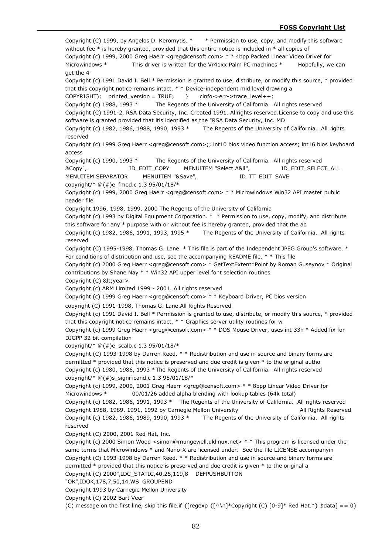Copyright (C) 1999, by Angelos D. Keromytis. \* \* Permission to use, copy, and modify this software without fee \* is hereby granted, provided that this entire notice is included in \* all copies of Copyright (c) 1999, 2000 Greg Haerr <greg@censoft.com> \* \* 4bpp Packed Linear Video Driver for Microwindows \* This driver is written for the Vr41xx Palm PC machines \* Hopefully, we can get the 4 Copyright (c) 1991 David I. Bell \* Permission is granted to use, distribute, or modify this source, \* provided that this copyright notice remains intact. \* \* Device-independent mid level drawing a COPYRIGHT); printed\_version = TRUE; } cinfo->err->trace\_level++; Copyright (c) 1988, 1993 \* The Regents of the University of California. All rights reserved Copyright (C) 1991-2, RSA Data Security, Inc. Created 1991. Allrights reserved.License to copy and use this software is granted provided that itis identified as the "RSA Data Security, Inc. MD Copyright (c) 1982, 1986, 1988, 1990, 1993 \* The Regents of the University of California. All rights reserved Copyright (c) 1999 Greg Haerr <greg@censoft.com>;; int10 bios video function access; int16 bios keyboard access Copyright (c) 1990, 1993 \* The Regents of the University of California. All rights reserved &Copy", ID\_EDIT\_COPY MENUITEM "Select A&ll", ID\_EDIT\_SELECT\_ALL MENUITEM SEPARATOR MENUITEM "&Save", ID\_TT\_EDIT\_SAVE copyright/\*  $@(#)e$  fmod.c 1.3 95/01/18/\* Copyright (c) 1999, 2000 Greg Haerr <greg@censoft.com> \* \* Microwindows Win32 API master public header file Copyright 1996, 1998, 1999, 2000 The Regents of the University of California Copyright (c) 1993 by Digital Equipment Corporation. \* \* Permission to use, copy, modify, and distribute this software for any \* purpose with or without fee is hereby granted, provided that the ab Copyright (c) 1982, 1986, 1991, 1993, 1995 \* The Regents of the University of California. All rights reserved Copyright (C) 1995-1998, Thomas G. Lane. \* This file is part of the Independent JPEG Group's software. \* For conditions of distribution and use, see the accompanying README file. \* \* This file Copyright (c) 2000 Greg Haerr <greg@censoft.com> \* GetTextExtent\*Point by Roman Guseynov \* Original contributions by Shane Nay \* \* Win32 API upper level font selection routines Copyright (C) < year> Copyright (c) ARM Limited 1999 - 2001. All rights reserved Copyright (c) 1999 Greg Haerr <greg@censoft.com> \* \* Keyboard Driver, PC bios version copyright (C) 1991-1998, Thomas G. Lane.All Rights Reserved Copyright (c) 1991 David I. Bell \* Permission is granted to use, distribute, or modify this source, \* provided that this copyright notice remains intact. \* \* Graphics server utility routines for w Copyright (c) 1999 Greg Haerr <greg@censoft.com> \* \* DOS Mouse Driver, uses int 33h \* Added fix for DJGPP 32 bit compilation copyright/\* @(#)e\_scalb.c 1.3 95/01/18/\* Copyright (C) 1993-1998 by Darren Reed. \* \* Redistribution and use in source and binary forms are permitted \* provided that this notice is preserved and due credit is given \* to the original autho Copyright (c) 1980, 1986, 1993 \*The Regents of the University of California. All rights reserved copyright/\* @(#)s\_significand.c 1.3 95/01/18/\* Copyright (c) 1999, 2000, 2001 Greg Haerr <greg@censoft.com> \* \* 8bpp Linear Video Driver for Microwindows \* 00/01/26 added alpha blending with lookup tables (64k total) Copyright (c) 1982, 1986, 1991, 1993 \* The Regents of the University of California. All rights reserved Copyright 1988, 1989, 1991, 1992 by Carnegie Mellon University **All Rights Reserved** Copyright (c) 1982, 1986, 1989, 1990, 1993 \* The Regents of the University of California. All rights reserved Copyright (C) 2000, 2001 Red Hat, Inc. Copyright (c) 2000 Simon Wood <simon@mungewell.uklinux.net> \* \* This program is licensed under the same terms that Microwindows \* and Nano-X are licensed under. See the file LICENSE accompanyin Copyright (C) 1993-1998 by Darren Reed. \* \* Redistribution and use in source and binary forms are permitted \* provided that this notice is preserved and due credit is given \* to the original a Copyright (C) 2000",IDC\_STATIC,40,25,119,8 DEFPUSHBUTTON "OK",IDOK,178,7,50,14,WS\_GROUPEND Copyright 1993 by Carnegie Mellon University Copyright (C) 2002 Bart Veer (C) message on the first line, skip this file.if  $\{[regexp {\ {\bigwedge \} \eta\}^*Copyright}]$  (C)  $[0-9]^*$  Red Hat.\*}  $$data] == 0$ }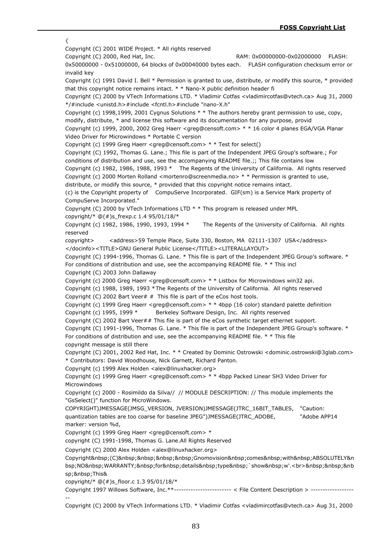{ Copyright (C) 2001 WIDE Project. \* All rights reserved Copyright (C) 2000, Red Hat, Inc. RAM: 0x00000000-0x02000000 FLASH: 0x50000000 - 0x51000000, 64 blocks of 0x00040000 bytes each. FLASH configuration checksum error or invalid key Copyright (c) 1991 David I. Bell \* Permission is granted to use, distribute, or modify this source, \* provided that this copyright notice remains intact. \* \* Nano-X public definition header fi Copyright (C) 2000 by VTech Informations LTD. \* Vladimir Cotfas <vladimircotfas@vtech.ca> Aug 31, 2000 \*/#include <unistd.h>#include <fcntl.h>#include "nano-X.h" Copyright (c) 1998,1999, 2001 Cygnus Solutions \* \* The authors hereby grant permission to use, copy, modify, distribute, \* and license this software and its documentation for any purpose, provid Copyright (c) 1999, 2000, 2002 Greg Haerr <greg@censoft.com> \* \* 16 color 4 planes EGA/VGA Planar Video Driver for Microwindows \* Portable C version Copyright (c) 1999 Greg Haerr <greg@censoft.com> \* \* Test for select() Copyright (C) 1992, Thomas G. Lane.; This file is part of the Independent JPEG Group's software.; For conditions of distribution and use, see the accompanying README file.;; This file contains low Copyright (c) 1982, 1986, 1988, 1993 \* The Regents of the University of California. All rights reserved Copyright (c) 2000 Morten Rolland <mortenro@screenmedia.no>  $* *$  Permission is granted to use, distribute, or modify this source, \* provided that this copyright notice remains intact. (c) is the Copyright property of CompuServe Incorporated. GIF(sm) is a Service Mark property of CompuServe Incorporated." Copyright (C) 2000 by VTech Informations LTD \* \* This program is released under MPL copyright/\* @(#)s\_frexp.c 1.4 95/01/18/\* Copyright (c) 1982, 1986, 1990, 1993, 1994 \* The Regents of the University of California. All rights reserved copyright> <address>59 Temple Place, Suite 330, Boston, MA 02111-1307 USA</address> </docinfo><TITLE>GNU General Public License</TITLE><LITERALLAYOUT> Copyright (C) 1994-1996, Thomas G. Lane. \* This file is part of the Independent JPEG Group's software. \* For conditions of distribution and use, see the accompanying README file. \* \* This incl Copyright (C) 2003 John Dallaway Copyright (c) 2000 Greg Haerr <greg@censoft.com> \* \* Listbox for Microwindows win32 api. Copyright (c) 1988, 1989, 1993 \*The Regents of the University of California. All rights reserved Copyright (C) 2002 Bart Veer $#$   $#$  This file is part of the eCos host tools. Copyright (c) 1999 Greg Haerr <greg@censoft.com> \* \* 4bpp (16 color) standard palette definition Copyright (c) 1995, 1999 \* Berkeley Software Design, Inc. All rights reserved Copyright (C) 2002 Bart Veer## This file is part of the eCos synthetic target ethernet support. Copyright (C) 1991-1996, Thomas G. Lane. \* This file is part of the Independent JPEG Group's software. \* For conditions of distribution and use, see the accompanying README file. \* \* This file copyright message is still there Copyright (C) 2001, 2002 Red Hat, Inc. \* \* Created by Dominic Ostrowski <dominic.ostrowski@3glab.com> \* Contributors: David Woodhouse, Nick Garnett, Richard Panton. Copyright (c) 1999 Alex Holden <alex@linuxhacker.org> Copyright (c) 1999 Greg Haerr <greg@censoft.com> \* \* 4bpp Packed Linear SH3 Video Driver for Microwindows Copyright (c) 2000 - Rosimildo da Silva// // MODULE DESCRIPTION: // This module implements the "GsSelect()" function for MicroWindows. COPYRIGHT)JMESSAGE(JMSG\_VERSION, JVERSION)JMESSAGE(JTRC\_16BIT\_TABLES, "Caution: quantization tables are too coarse for baseline JPEG")JMESSAGE(JTRC\_ADOBE, "Adobe APP14 marker: version %d, Copyright (c) 1999 Greg Haerr <greg@censoft.com> \* copyright (C) 1991-1998, Thomas G. Lane.All Rights Reserved Copyright (C) 2000 Alex Holden <alex@linuxhacker.org> Copyright (C) Gnomovision comes with ABSOLUTELY&n bsp;NO WARRANTY; for details type `show w'.<br>>br>%&nbsp;&nb> sp; This & copyright/\*  $@(\#)$ s floor.c 1.3 95/01/18/\* Copyright 1997 Willows Software, Inc.\*\*------------------------ < File Content Description > ------------------ --

Copyright (C) 2000 by VTech Informations LTD. \* Vladimir Cotfas <vladimircotfas@vtech.ca> Aug 31, 2000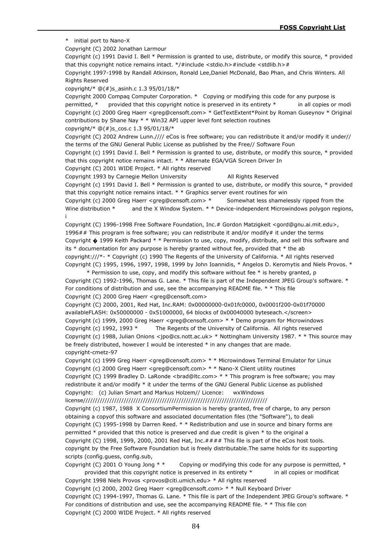\* initial port to Nano-X

Copyright (C) 2002 Jonathan Larmour

Copyright (c) 1991 David I. Bell \* Permission is granted to use, distribute, or modify this source, \* provided that this copyright notice remains intact. \*/#include <stdio.h>#include <stdlib.h>#

Copyright 1997-1998 by Randall Atkinson, Ronald Lee,Daniel McDonald, Bao Phan, and Chris Winters. All Rights Reserved

copyright/\*  $@(+)$ s asinh.c 1.3 95/01/18/\*

Copyright 2000 Compaq Computer Corporation. \* Copying or modifying this code for any purpose is permitted, \* provided that this copyright notice is preserved in its entirety \* in all copies or modi Copyright (c) 2000 Greg Haerr <greg@censoft.com> \* GetTextExtent\*Point by Roman Guseynov \* Original contributions by Shane Nay \* \* Win32 API upper level font selection routines

copyright/\*  $@(\#)s$  cos.c 1.3 95/01/18/\*

Copyright (C) 2002 Andrew Lunn.//// eCos is free software; you can redistribute it and/or modify it under// the terms of the GNU General Public License as published by the Free// Software Foun

Copyright (c) 1991 David I. Bell \* Permission is granted to use, distribute, or modify this source, \* provided that this copyright notice remains intact. \* \* Alternate EGA/VGA Screen Driver In

Copyright (C) 2001 WIDE Project. \* All rights reserved

Copyright 1993 by Carnegie Mellon University All Rights Reserved

Copyright (c) 1991 David I. Bell \* Permission is granted to use, distribute, or modify this source, \* provided that this copyright notice remains intact. \* \* Graphics server event routines for win

Copyright (c) 2000 Greg Haerr <greg@censoft.com> \* Somewhat less shamelessly ripped from the Wine distribution \* and the X Window System. \* \* Device-independent Microwindows polygon regions, i

Copyright (C) 1996-1998 Free Software Foundation, Inc.# Gordon Matzigkeit <gord@gnu.ai.mit.edu>, 1996## This program is free software; you can redistribute it and/or modify# it under the terms Copyright � 1999 Keith Packard \* \* Permission to use, copy, modify, distribute, and sell this software and its \* documentation for any purpose is hereby granted without fee, provided that \* the ab copyright:///\*- \* Copyright (c) 1990 The Regents of the University of California. \* All rights reserved Copyright (C) 1995, 1996, 1997, 1998, 1999 by John Ioannidis, \* Angelos D. Keromytis and Niels Provos. \*

\* Permission to use, copy, and modify this software without fee \* is hereby granted, p Copyright (C) 1992-1996, Thomas G. Lane. \* This file is part of the Independent JPEG Group's software. \* For conditions of distribution and use, see the accompanying README file. \* \* This file Copyright (C) 2000 Greg Haerr <greg@censoft.com>

Copyright (C) 2000, 2001, Red Hat, Inc.RAM: 0x00000000-0x01fc0000, 0x0001f200-0x01f70000 availableFLASH: 0x50000000 - 0x51000000, 64 blocks of 0x00040000 byteseach.</screen> Copyright (c) 1999, 2000 Greg Haerr <greg@censoft.com> \* \* Demo program for Microwindows Copyright (c) 1992, 1993 \* The Regents of the University of California. All rights reserved Copyright (c) 1988, Julian Onions <jpo@cs.nott.ac.uk> \* Nottingham University 1987. \* \* This source may be freely distributed, however I would be interested \* in any changes that are made. copyright-cmetz-97

Copyright (c) 1999 Greg Haerr <greg@censoft.com> \* \* Microwindows Terminal Emulator for Linux Copyright (c) 2000 Greg Haerr <greg@censoft.com> \* \* Nano-X Client utility routines

Copyright (C) 1999 Bradley D. LaRonde <brad@ltc.com> \* \* This program is free software; you may redistribute it and/or modify \* it under the terms of the GNU General Public License as published Copyright: (c) Julian Smart and Markus Holzem// Licence: wxWindows

license/////////////////////////////////////////////////////////////////////////////

Copyright (c) 1987, 1988 X ConsortiumPermission is hereby granted, free of charge, to any person obtaining a copyof this software and associated documentation files (the "Software"), to deali Copyright (C) 1995-1998 by Darren Reed. \* \* Redistribution and use in source and binary forms are permitted \* provided that this notice is preserved and due credit is given \* to the original a Copyright (C) 1998, 1999, 2000, 2001 Red Hat, Inc.#### This file is part of the eCos host tools. copyright by the Free Software Foundation but is freely distributable.The same holds for its supporting scripts (config.guess, config.sub,

Copyright (C) 2001 O Young Jong  $**$  Copying or modifying this code for any purpose is permitted,  $*$ provided that this copyright notice is preserved in its entirety \* in all copies or modificat

Copyright 1998 Niels Provos <provos@citi.umich.edu> \* All rights reserved

Copyright (c) 2000, 2002 Greg Haerr <greg@censoft.com> \* \* Null Keyboard Driver

Copyright (C) 1994-1997, Thomas G. Lane. \* This file is part of the Independent JPEG Group's software. \* For conditions of distribution and use, see the accompanying README file. \* \* This file con Copyright (C) 2000 WIDE Project. \* All rights reserved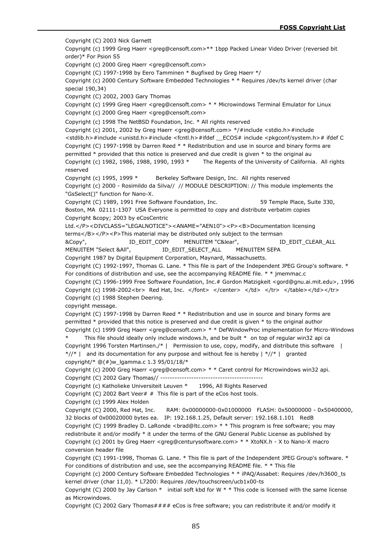Copyright (C) 2003 Nick Garnett Copyright (c) 1999 Greg Haerr <greg@censoft.com>\*\* 1bpp Packed Linear Video Driver (reversed bit order)\* For Psion S5 Copyright (c) 2000 Greg Haerr <greg@censoft.com> Copyright (C) 1997-1998 by Eero Tamminen \* Bugfixed by Greg Haerr \*/ Copyright (c) 2000 Century Software Embedded Technologies \* \* Requires /dev/ts kernel driver (char special 190,34) Copyright (C) 2002, 2003 Gary Thomas Copyright (c) 1999 Greg Haerr <greg@censoft.com> \* \* Microwindows Terminal Emulator for Linux Copyright (c) 2000 Greg Haerr <greg@censoft.com> Copyright (c) 1998 The NetBSD Foundation, Inc. \* All rights reserved Copyright (c) 2001, 2002 by Greg Haerr <greg@censoft.com> \*/#include <stdio.h>#include <stdlib.h>#include <unistd.h>#include <fcntl.h>#ifdef \_\_ECOS# include <pkgconf/system.h># ifdef C Copyright (C) 1997-1998 by Darren Reed \* \* Redistribution and use in source and binary forms are permitted \* provided that this notice is preserved and due credit is given \* to the original au Copyright (c) 1982, 1986, 1988, 1990, 1993 \* The Regents of the University of California. All rights reserved Copyright (c) 1995, 1999 \* Berkeley Software Design, Inc. All rights reserved Copyright (c) 2000 - Rosimildo da Silva// // MODULE DESCRIPTION: // This module implements the "GsSelect()" function for Nano-X. Copyright (C) 1989, 1991 Free Software Foundation, Inc. 59 Temple Place, Suite 330, Boston, MA 02111-1307 USA Everyone is permitted to copy and distribute verbatim copies Copyright & copy; 2003 by eCosCentric Ltd.</P><DIVCLASS="LEGALNOTICE"><ANAME="AEN10"><P><B>Documentation licensing terms</B></P><P>This material may be distributed only subject to the termsan &Copy", ID\_EDIT\_COPY MENUITEM "C&lear", ID\_EDIT\_CLEAR\_ALL MENUITEM "Select &AII",  $ID\_EDIT\_SELECT\_ALL$  MENUITEM SEPA Copyright 1987 by Digital Equipment Corporation, Maynard, Massachusetts. Copyright (C) 1992-1997, Thomas G. Lane. \* This file is part of the Independent JPEG Group's software. \* For conditions of distribution and use, see the accompanying README file. \* \* jmemmac.c Copyright (C) 1996-1999 Free Software Foundation, Inc.# Gordon Matzigkeit <gord@gnu.ai.mit.edu>, 1996 Copyright (c) 1998-2002<br/>chr> Red Hat, Inc. </font> </center> </td></td></tr></table></td></tr> Copyright (c) 1988 Stephen Deering. copyright message. Copyright (C) 1997-1998 by Darren Reed \* \* Redistribution and use in source and binary forms are permitted \* provided that this notice is preserved and due credit is given \* to the original author Copyright (c) 1999 Greg Haerr <greg@censoft.com> \* \* DefWindowProc implementation for Micro-Windows This file should ideally only include windows.h, and be built  $*$  on top of regular win32 api ca Copyright 1996 Torsten Martinsen./\* | Permission to use, copy, modify, and distribute this software |  $*/\!/$ \* | and its documentation for any purpose and without fee is hereby  $\mid*/\!/$ \* | granted copyright/\*  $@(\#)w$  Igamma.c 1.3 95/01/18/\* Copyright (c) 2000 Greg Haerr <greg@censoft.com> \* \* Caret control for Microwindows win32 api. Copyright (C) 2002 Gary Thomas// ------------------------------------------- Copyright (c) Katholieke Universiteit Leuven \* 1996, All Rights Reserved Copyright (C) 2002 Bart Veer# # This file is part of the eCos host tools. Copyright (c) 1999 Alex Holden Copyright (C) 2000, Red Hat, Inc. RAM: 0x00000000-0x01000000 FLASH: 0x50000000 - 0x50400000, 32 blocks of 0x00020000 bytes ea. IP: 192.168.1.25, Default server: 192.168.1.101 RedB Copyright (C) 1999 Bradley D. LaRonde <brad@ltc.com> \* \* This program is free software; you may redistribute it and/or modify \* it under the terms of the GNU General Public License as published by Copyright (c) 2001 by Greg Haerr <greg@centurysoftware.com> \* \* XtoNX.h - X to Nano-X macro conversion header file Copyright (C) 1991-1998, Thomas G. Lane. \* This file is part of the Independent JPEG Group's software. \* For conditions of distribution and use, see the accompanying README file. \* \* This file Copyright (c) 2000 Century Software Embedded Technologies \* \* iPAQ/Assabet: Requires /dev/h3600\_ts kernel driver (char 11,0). \* L7200: Requires /dev/touchscreen/ucb1x00-ts Copyright (C) 2000 by Jay Carlson  $*$  initial soft kbd for W  $*$  \* This code is licensed with the same license as Microwindows.

Copyright (C) 2002 Gary Thomas#### eCos is free software; you can redistribute it and/or modify it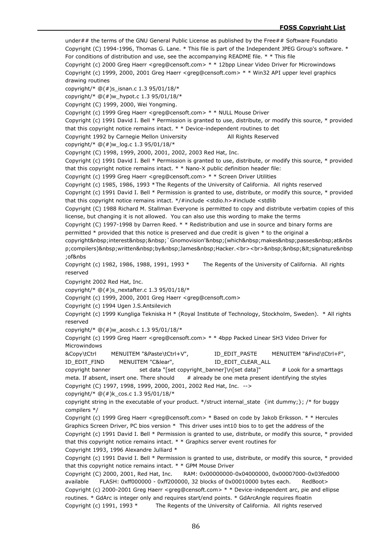under## the terms of the GNU General Public License as published by the Free## Software Foundatio Copyright (C) 1994-1996, Thomas G. Lane. \* This file is part of the Independent JPEG Group's software. \* For conditions of distribution and use, see the accompanying README file. \* \* This file Copyright (c) 2000 Greg Haerr <greg@censoft.com> \* \* 12bpp Linear Video Driver for Microwindows Copyright (c) 1999, 2000, 2001 Greg Haerr <greg@censoft.com> \* \* Win32 API upper level graphics drawing routines copyright/\*  $@(+)$ s isnan.c 1.3 95/01/18/\* copyright/\* @(#)w\_hypot.c 1.3 95/01/18/\* Copyright (C) 1999, 2000, Wei Yongming. Copyright (c) 1999 Greg Haerr <greg@censoft.com> \* \* NULL Mouse Driver Copyright (c) 1991 David I. Bell \* Permission is granted to use, distribute, or modify this source, \* provided that this copyright notice remains intact. \* \* Device-independent routines to det Copyright 1992 by Carnegie Mellon University All Rights Reserved copyright/\* @(#)w\_log.c 1.3 95/01/18/\* Copyright (C) 1998, 1999, 2000, 2001, 2002, 2003 Red Hat, Inc. Copyright (c) 1991 David I. Bell \* Permission is granted to use, distribute, or modify this source, \* provided that this copyright notice remains intact. \* \* Nano-X public definition header file: Copyright (c) 1999 Greg Haerr <greg@censoft.com> \* \* Screen Driver Utilities Copyright (c) 1985, 1986, 1993 \*The Regents of the University of California. All rights reserved Copyright (c) 1991 David I. Bell \* Permission is granted to use, distribute, or modify this source, \* provided that this copyright notice remains intact. \*/#include <stdio.h>#include <stdlib Copyright (C) 1988 Richard M. Stallman Everyone is permitted to copy and distribute verbatim copies of this license, but changing it is not allowed. You can also use this wording to make the terms Copyright (C) 1997-1998 by Darren Reed. \* \* Redistribution and use in source and binary forms are permitted \* provided that this notice is preserved and due credit is given \* to the original a copyright interest `Gnomovision' (which makes passes at&nbs p;compilers) written by James Hacker.<br>>br>&nbsp;&nbsp;&lt;signature&nbsp ;of&nbs Copyright (c) 1982, 1986, 1988, 1991, 1993 \* The Regents of the University of California. All rights reserved Copyright 2002 Red Hat, Inc. copyright/\* @(#)s\_nextafter.c 1.3 95/01/18/\* Copyright (c) 1999, 2000, 2001 Greg Haerr <greg@censoft.com> Copyright (c) 1994 Ugen J.S.Antsilevich Copyright (c) 1999 Kungliga Tekniska H \* (Royal Institute of Technology, Stockholm, Sweden). \* All rights reserved copyright/\* @(#)w\_acosh.c 1.3 95/01/18/\* Copyright (c) 1999 Greg Haerr <greg@censoft.com> \* \* 4bpp Packed Linear SH3 Video Driver for Microwindows &Copy\tCtrl MENUITEM "&Paste\tCtrl+V", ID\_EDIT\_PASTE MENUITEM "&Find\tCtrl+F", ID\_EDIT\_FIND MENUITEM "C&lear", ID\_EDIT\_CLEAR\_ALL copyright banner set data "[set copyright\_banner]\n[set data]" # Look for a smarttags meta. If absent, insert one. There should  $#$  already be one meta present identifying the styles Copyright (C) 1997, 1998, 1999, 2000, 2001, 2002 Red Hat, Inc. --> copyright/\*  $@(\#)k$  cos.c 1.3 95/01/18/\* copyright string in the executable of your product. \*/struct internal\_state {int dummy;}; /\* for buggy compilers \*/ Copyright (c) 1999 Greg Haerr <greg@censoft.com> \* Based on code by Jakob Eriksson. \* \* Hercules Graphics Screen Driver, PC bios version \* This driver uses int10 bios to to get the address of the Copyright (c) 1991 David I. Bell \* Permission is granted to use, distribute, or modify this source, \* provided that this copyright notice remains intact. \* \* Graphics server event routines for Copyright 1993, 1996 Alexandre Julliard \* Copyright (c) 1991 David I. Bell \* Permission is granted to use, distribute, or modify this source, \* provided that this copyright notice remains intact. \* \* GPM Mouse Driver Copyright (C) 2000, 2001, Red Hat, Inc. RAM: 0x00000000-0x04000000, 0x00007000-0x03fed000 available FLASH: 0xff000000 - 0xff200000, 32 blocks of 0x00010000 bytes each. RedBoot> Copyright (c) 2000-2001 Greg Haerr <greg@censoft.com> \* \* Device-independent arc, pie and ellipse routines. \* GdArc is integer only and requires start/end points. \* GdArcAngle requires floatin Copyright (c) 1991, 1993 \* The Regents of the University of California. All rights reserved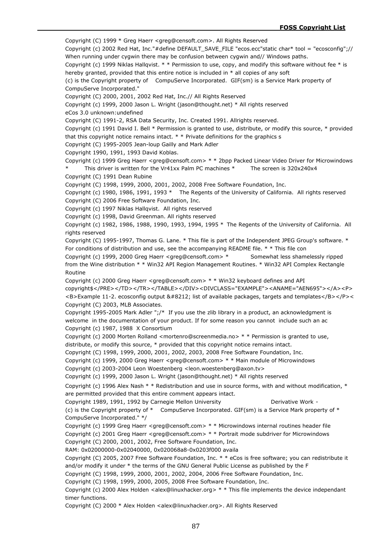Copyright (C) 1999 \* Greg Haerr <greg@censoft.com>. All Rights Reserved Copyright (c) 2002 Red Hat, Inc."#define DEFAULT\_SAVE\_FILE "ecos.ecc"static char\* tool = "ecosconfig";// When running under cygwin there may be confusion between cygwin and// Windows paths. Copyright (c) 1999 Niklas Hallqvist. \* \* Permission to use, copy, and modify this software without fee \* is hereby granted, provided that this entire notice is included in \* all copies of any soft (c) is the Copyright property of CompuServe Incorporated. GIF(sm) is a Service Mark property of CompuServe Incorporated." Copyright (C) 2000, 2001, 2002 Red Hat, Inc.// All Rights Reserved Copyright (c) 1999, 2000 Jason L. Wright (jason@thought.net) \* All rights reserved eCos 3.0 unknown:undefined Copyright (C) 1991-2, RSA Data Security, Inc. Created 1991. Allrights reserved. Copyright (c) 1991 David I. Bell \* Permission is granted to use, distribute, or modify this source, \* provided that this copyright notice remains intact.  $*$  \* Private definitions for the graphics  $s$ Copyright (C) 1995-2005 Jean-loup Gailly and Mark Adler Copyright 1990, 1991, 1993 David Koblas. Copyright (c) 1999 Greg Haerr <greg@censoft.com> \* \* 2bpp Packed Linear Video Driver for Microwindows This driver is written for the Vr41xx Palm PC machines  $*$  The screen is 320x240x4 Copyright (C) 1991 Dean Rubine Copyright (C) 1998, 1999, 2000, 2001, 2002, 2008 Free Software Foundation, Inc. Copyright (c) 1980, 1986, 1991, 1993 \* The Regents of the University of California. All rights reserved Copyright (C) 2006 Free Software Foundation, Inc. Copyright (c) 1997 Niklas Hallqvist. All rights reserved Copyright (c) 1998, David Greenman. All rights reserved Copyright (c) 1982, 1986, 1988, 1990, 1993, 1994, 1995 \* The Regents of the University of California. All rights reserved Copyright (C) 1995-1997, Thomas G. Lane. \* This file is part of the Independent JPEG Group's software. \* For conditions of distribution and use, see the accompanying README file. \* \* This file con Copyright (c) 1999, 2000 Greg Haerr <greg@censoft.com> \* Somewhat less shamelessly ripped from the Wine distribution \* \* Win32 API Region Management Routines. \* Win32 API Complex Rectangle Routine Copyright (c) 2000 Greg Haerr <greg@censoft.com> \* \* Win32 keyboard defines and API copyright\$</PRE></TD></TR></TABLE></DIV><DIVCLASS="EXAMPLE"><ANAME="AEN695"></A><P> <B>Example 11-2. ecosconfig output &#8212; list of available packages, targets and templates</B></P>< Copyright (C) 2003, MLB Associates. Copyright 1995-2005 Mark Adler ";/\* If you use the zlib library in a product, an acknowledgment is welcome in the documentation of your product. If for some reason you cannot include such an ac Copyright (c) 1987, 1988 X Consortium Copyright (c) 2000 Morten Rolland <mortenro@screenmedia.no>  $* *$  Permission is granted to use, distribute, or modify this source, \* provided that this copyright notice remains intact. Copyright (C) 1998, 1999, 2000, 2001, 2002, 2003, 2008 Free Software Foundation, Inc. Copyright (c) 1999, 2000 Greg Haerr <greg@censoft.com> \* \* Main module of Microwindows Copyright (c) 2003-2004 Leon Woestenberg <leon.woestenberg@axon.tv> Copyright (c) 1999, 2000 Jason L. Wright (jason@thought.net) \* All rights reserved Copyright (c) 1996 Alex Nash  $* *$  Redistribution and use in source forms, with and without modification,  $*$ are permitted provided that this entire comment appears intact. Copyright 1989, 1991, 1992 by Carnegie Mellon University **Demach Liberative Work -**(c) is the Copyright property of  $*$  CompuServe Incorporated. GIF(sm) is a Service Mark property of  $*$ CompuServe Incorporated." \*/ Copyright (c) 1999 Greg Haerr <greg@censoft.com> \* \* Microwindows internal routines header file Copyright (c) 2001 Greg Haerr <greg@censoft.com> \* \* Portrait mode subdriver for Microwindows Copyright (C) 2000, 2001, 2002, Free Software Foundation, Inc. RAM: 0x02000000-0x02040000, 0x020068a8-0x0203f000 availa Copyright (C) 2005, 2007 Free Software Foundation, Inc. \* \* eCos is free software; you can redistribute it and/or modify it under \* the terms of the GNU General Public License as published by the F Copyright (C) 1998, 1999, 2000, 2001, 2002, 2004, 2006 Free Software Foundation, Inc. Copyright (C) 1998, 1999, 2000, 2005, 2008 Free Software Foundation, Inc. Copyright (c) 2000 Alex Holden <alex@linuxhacker.org>  $* *$  This file implements the device independant timer functions.

Copyright (C) 2000 \* Alex Holden <alex@linuxhacker.org>. All Rights Reserved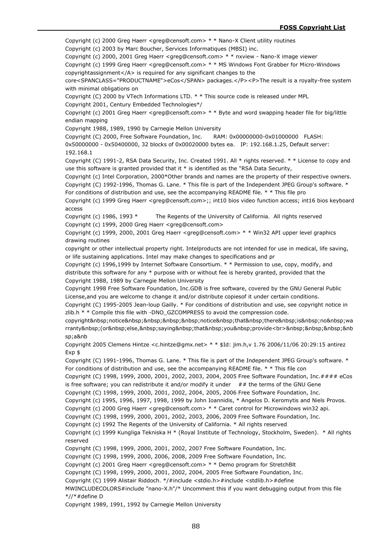Copyright (c) 2000 Greg Haerr <greg@censoft.com> \* \* Nano-X Client utility routines

Copyright (c) 2003 by Marc Boucher, Services Informatiques (MBSI) inc.

Copyright (c) 2000, 2001 Greg Haerr <greg@censoft.com> \* \* nxview - Nano-X image viewer

Copyright (c) 1999 Greg Haerr <greg@censoft.com> \* \* MS Windows Font Grabber for Micro-Windows copyrightassignment</A> is required for any significant changes to the

core<SPANCLASS="PRODUCTNAME">eCos</SPAN> packages.</P><P>The result is a royalty-free system with minimal obligations on

Copyright (C) 2000 by VTech Informations LTD. \* \* This source code is released under MPL

Copyright 2001, Century Embedded Technologies\*/

access

Copyright (c) 2001 Greg Haerr < greg@censoft.com >  $* *$  Byte and word swapping header file for big/little endian mapping

Copyright 1988, 1989, 1990 by Carnegie Mellon University

Copyright (C) 2000, Free Software Foundation, Inc. RAM: 0x00000000-0x01000000 FLASH:

0x50000000 - 0x50400000, 32 blocks of 0x00020000 bytes ea. IP: 192.168.1.25, Default server: 192.168.1

Copyright (C) 1991-2, RSA Data Security, Inc. Created 1991. All \* rights reserved. \* \* License to copy and use this software is granted provided that it \* is identified as the "RSA Data Security,

Copyright (c) Intel Corporation, 2000\*Other brands and names are the property of their respective owners. Copyright (C) 1992-1996, Thomas G. Lane. \* This file is part of the Independent JPEG Group's software. \*

For conditions of distribution and use, see the accompanying README file. \* \* This file pro Copyright (c) 1999 Greg Haerr <greg@censoft.com>;; int10 bios video function access; int16 bios keyboard

Copyright (c) 1986, 1993 \* The Regents of the University of California. All rights reserved Copyright (c) 1999, 2000 Greg Haerr <greg@censoft.com>

Copyright (c) 1999, 2000, 2001 Greg Haerr <greg@censoft.com> \* \* Win32 API upper level graphics drawing routines

copyright or other intellectual property right. Intelproducts are not intended for use in medical, life saving, or life sustaining applications. Intel may make changes to specifications and pr

Copyright (c) 1996,1999 by Internet Software Consortium. \* \* Permission to use, copy, modify, and distribute this software for any \* purpose with or without fee is hereby granted, provided that the Copyright 1988, 1989 by Carnegie Mellon University

Copyright 1998 Free Software Foundation, Inc.GDB is free software, covered by the GNU General Public License,and you are welcome to change it and/or distribute copiesof it under certain conditions.

Copyright (C) 1995-2005 Jean-loup Gailly. \* For conditions of distribution and use, see copyright notice in zlib.h \* \* Compile this file with -DNO\_GZCOMPRESS to avoid the compression code.

copyright notice notice that there is no wa rranty (or else, saying that you provide<br>&nbsp;&nbsp;&nbsp;&nb  $sn: aRnh$ 

Copyright 2005 Clemens Hintze <c.hintze@gmx.net> \* \* \$Id: jim.h,v 1.76 2006/11/06 20:29:15 antirez Exp \$

Copyright (C) 1991-1996, Thomas G. Lane. \* This file is part of the Independent JPEG Group's software. \* For conditions of distribution and use, see the accompanying README file. \* \* This file con

Copyright (C) 1998, 1999, 2000, 2001, 2002, 2003, 2004, 2005 Free Software Foundation, Inc.#### eCos is free software; you can redistribute it and/or modify it under  $##$  the terms of the GNU Gene

Copyright (C) 1998, 1999, 2000, 2001, 2002, 2004, 2005, 2006 Free Software Foundation, Inc.

Copyright (c) 1995, 1996, 1997, 1998, 1999 by John Ioannidis, \* Angelos D. Keromytis and Niels Provos.

Copyright (c) 2000 Greg Haerr <greg@censoft.com> \* \* Caret control for Microwindows win32 api.

Copyright (C) 1998, 1999, 2000, 2001, 2002, 2003, 2006, 2009 Free Software Foundation, Inc.

Copyright (c) 1992 The Regents of the University of California. \* All rights reserved

Copyright (c) 1999 Kungliga Tekniska H \* (Royal Institute of Technology, Stockholm, Sweden). \* All rights reserved

Copyright (C) 1998, 1999, 2000, 2001, 2002, 2007 Free Software Foundation, Inc.

Copyright (C) 1998, 1999, 2000, 2006, 2008, 2009 Free Software Foundation, Inc.

Copyright (c) 2001 Greg Haerr <greg@censoft.com> \* \* Demo program for StretchBlt

Copyright (C) 1998, 1999, 2000, 2001, 2002, 2004, 2005 Free Software Foundation, Inc.

Copyright (C) 1999 Alistair Riddoch. \*/#include <stdio.h>#include <stdlib.h>#define

MWINCLUDECOLORS#include "nano-X.h"/\* Uncomment this if you want debugging output from this file \*//\*#define D

Copyright 1989, 1991, 1992 by Carnegie Mellon University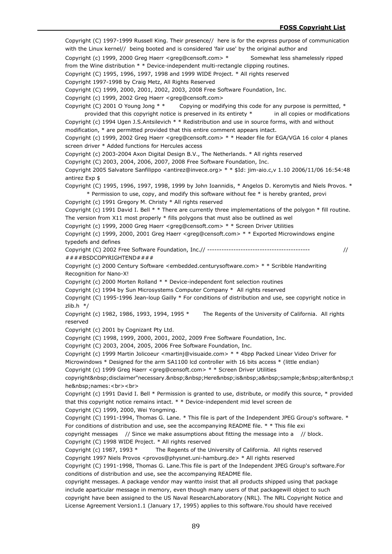Copyright (C) 1997-1999 Russell King. Their presence// here is for the express purpose of communication with the Linux kernel// being booted and is considered 'fair use' by the original author and Copyright (c) 1999, 2000 Greg Haerr <greg@censoft.com> \* Somewhat less shamelessly ripped from the Wine distribution \* \* Device-independent multi-rectangle clipping routines. Copyright (C) 1995, 1996, 1997, 1998 and 1999 WIDE Project. \* All rights reserved Copyright 1997-1998 by Craig Metz, All Rights Reserved Copyright (C) 1999, 2000, 2001, 2002, 2003, 2008 Free Software Foundation, Inc. Copyright (c) 1999, 2002 Greg Haerr <greg@censoft.com> Copyright (C) 2001 O Young Jong \* \* Copying or modifying this code for any purpose is permitted, \* provided that this copyright notice is preserved in its entirety \* in all copies or modifications Copyright (c) 1994 Ugen J.S.Antsilevich \* \* Redistribution and use in source forms, with and without modification, \* are permitted provided that this entire comment appears intact. Copyright (c) 1999, 2002 Greg Haerr <greg@censoft.com> \* \* Header file for EGA/VGA 16 color 4 planes screen driver \* Added functions for Hercules access Copyright (c) 2003-2004 Axon Digital Design B.V., The Netherlands. \* All rights reserved Copyright (C) 2003, 2004, 2006, 2007, 2008 Free Software Foundation, Inc. Copyright 2005 Salvatore Sanfilippo <antirez@invece.org> \* \* \$Id: jim-aio.c,v 1.10 2006/11/06 16:54:48 antirez Exp \$ Copyright (C) 1995, 1996, 1997, 1998, 1999 by John Ioannidis, \* Angelos D. Keromytis and Niels Provos. \* \* Permission to use, copy, and modify this software without fee \* is hereby granted, provi Copyright (c) 1991 Gregory M. Christy \* All rights reserved Copyright (c) 1991 David I. Bell \* \* There are currently three implementations of the polygon \* fill routine. The version from X11 most properly \* fills polygons that must also be outlined as wel Copyright (c) 1999, 2000 Greg Haerr <greg@censoft.com> \* \* Screen Driver Utilities Copyright (c) 1999, 2000, 2001 Greg Haerr <greg@censoft.com> \* \* Exported Microwindows engine typedefs and defines Copyright (C) 2002 Free Software Foundation, Inc.// ------------------------------------------- // ####BSDCOPYRIGHTEND#### Copyright (c) 2000 Century Software <embedded.centurysoftware.com> \* \* Scribble Handwriting Recognition for Nano-X! Copyright (c) 2000 Morten Rolland \* \* Device-independent font selection routines Copyright (c) 1994 by Sun Microsystems Computer Company \* All rights reserved Copyright (C) 1995-1996 Jean-loup Gailly \* For conditions of distribution and use, see copyright notice in zlib.h \*/ Copyright (c) 1982, 1986, 1993, 1994, 1995  $*$  The Regents of the University of California. All rights reserved Copyright (c) 2001 by Cognizant Pty Ltd. Copyright (C) 1998, 1999, 2000, 2001, 2002, 2009 Free Software Foundation, Inc. Copyright (C) 2003, 2004, 2005, 2006 Free Software Foundation, Inc. Copyright (c) 1999 Martin Jolicoeur <martinj@visuaide.com> \* \* 4bpp Packed Linear Video Driver for Microwindows \* Designed for the arm SA1100 lcd controller with 16 bits access \* (little endian) Copyright (c) 1999 Greg Haerr <greg@censoft.com> \* \* Screen Driver Utilities copyright disclaimer"necessary. Here is a sample; alter t he names:<br>>>br> Copyright (c) 1991 David I. Bell \* Permission is granted to use, distribute, or modify this source, \* provided that this copyright notice remains intact. \* \* Device-independent mid level screen de Copyright (C) 1999, 2000, Wei Yongming. Copyright (C) 1991-1994, Thomas G. Lane. \* This file is part of the Independent JPEG Group's software. \* For conditions of distribution and use, see the accompanying README file. \* \* This file exi copyright messages // Since we make assumptions about fitting the message into a // block. Copyright (C) 1998 WIDE Project. \* All rights reserved Copyright (c) 1987, 1993 \* The Regents of the University of California. All rights reserved Copyright 1997 Niels Provos <provos@physnet.uni-hamburg.de> \* All rights reserved Copyright (C) 1991-1998, Thomas G. Lane.This file is part of the Independent JPEG Group's software.For conditions of distribution and use, see the accompanying README file. copyright messages. A package vendor may wantto insist that all products shipped using that package include aparticular message in memory, even though many users of that packagewill object to such copyright have been assigned to the US Naval ResearchLaboratory (NRL). The NRL Copyright Notice and License Agreement Version1.1 (January 17, 1995) applies to this software.You should have received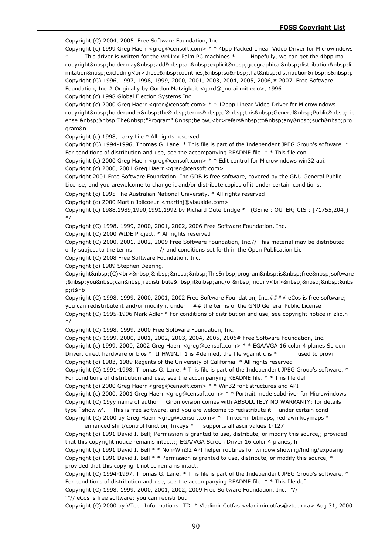Copyright (C) 2004, 2005 Free Software Foundation, Inc.

Copyright (c) 1999 Greg Haerr <greg@censoft.com> \* \* 4bpp Packed Linear Video Driver for Microwindows This driver is written for the Vr41xx Palm PC machines  $*$  Hopefully, we can get the 4bpp mo copyright holdermay add an explicit geographical distribution li mitation excluding<br>those&nbsp;countries,&nbsp;so&nbsp;that&nbsp;distribution&nbsp;is&nbsp;p Copyright (C) 1996, 1997, 1998, 1999, 2000, 2001, 2003, 2004, 2005, 2006,# 2007 Free Software Foundation, Inc.# Originally by Gordon Matzigkeit <gord@gnu.ai.mit.edu>, 1996

Copyright (c) 1998 Global Election Systems Inc.

Copyright (c) 2000 Greg Haerr <greg@censoft.com> \* \* 12bpp Linear Video Driver for Microwindows copyright&nbsp:holderunder&nbsp:the&nbsp:terms&nbsp:of&nbsp:this&nbsp:General&nbsp:Public&nbsp:Lic ense.&nbsp:&nbsp:The&nbsp:"Program",&nbsp:below,<br>refers&nbsp:to&nbsp:any&nbsp:such&nbsp:pro gram&n

Copyright (c) 1998, Larry Lile \* All rights reserved

Copyright (C) 1994-1996, Thomas G. Lane. \* This file is part of the Independent JPEG Group's software. \* For conditions of distribution and use, see the accompanying README file. \* \* This file con

Copyright (c) 2000 Greg Haerr <greg@censoft.com> \* \* Edit control for Microwindows win32 api. Copyright (c) 2000, 2001 Greg Haerr <greg@censoft.com>

Copyright 2001 Free Software Foundation, Inc.GDB is free software, covered by the GNU General Public License, and you arewelcome to change it and/or distribute copies of it under certain conditions.

Copyright (c) 1995 The Australian National University. \* All rights reserved

Copyright (c) 2000 Martin Jolicoeur <martinj@visuaide.com>

Copyright (c) 1988,1989,1990,1991,1992 by Richard Outerbridge \* (GEnie : OUTER; CIS : [71755,204]) \*/

Copyright (C) 1998, 1999, 2000, 2001, 2002, 2006 Free Software Foundation, Inc.

Copyright (C) 2000 WIDE Project. \* All rights reserved

Copyright (C) 2000, 2001, 2002, 2009 Free Software Foundation, Inc.// This material may be distributed only subject to the terms // and conditions set forth in the Open Publication Lic

Copyright (C) 2008 Free Software Foundation, Inc.

Copyright (c) 1989 Stephen Deering.

Copyright (C)<br>&nbsp;&nbsp;&nbsp;&nbsp;This&nbsp;program&nbsp;is&nbsp;free&nbsp;software ; you can redistribute it and/or modify<br>&nbsp;&nbsp;&nbsp;&nbsp;&nbs p;it&nb

Copyright (C) 1998, 1999, 2000, 2001, 2002 Free Software Foundation, Inc.#### eCos is free software; you can redistribute it and/or modify it under ## the terms of the GNU General Public License Copyright (C) 1995-1996 Mark Adler \* For conditions of distribution and use, see copyright notice in zlib.h \*/

Copyright (C) 1998, 1999, 2000 Free Software Foundation, Inc.

Copyright (C) 1999, 2000, 2001, 2002, 2003, 2004, 2005, 2006# Free Software Foundation, Inc. Copyright (c) 1999, 2000, 2002 Greg Haerr <greg@censoft.com> \* \* EGA/VGA 16 color 4 planes Screen Driver, direct hardware or bios \* If HWINIT 1 is #defined, the file vgainit.c is \* used to provi Copyright (c) 1983, 1989 Regents of the University of California. \* All rights reserved

Copyright (C) 1991-1998, Thomas G. Lane. \* This file is part of the Independent JPEG Group's software. \* For conditions of distribution and use, see the accompanying README file. \* \* This file def

Copyright (c) 2000 Greg Haerr <greg@censoft.com> \* \* Win32 font structures and API

Copyright (c) 2000, 2001 Greg Haerr <greg@censoft.com>  $* *$  Portrait mode subdriver for Microwindows Copyright (C) 19yy name of author Gnomovision comes with ABSOLUTELY NO WARRANTY; for details type `show w'. This is free software, and you are welcome to redistribute it under certain cond Copyright (C) 2000 by Greg Haerr <greg@censoft.com> \* linked-in bitmaps, redrawn keymaps \*

enhanced shift/control function, fnkeys \* supports all ascii values 1-127 Copyright (c) 1991 David I. Bell; Permission is granted to use, distribute, or modify this source,; provided that this copyright notice remains intact.;; EGA/VGA Screen Driver 16 color 4 planes, h Copyright (c) 1991 David I. Bell \* \* Non-Win32 API helper routines for window showing/hiding/exposing

Copyright (c) 1991 David I. Bell  $*$  \* Permission is granted to use, distribute, or modify this source,  $*$ provided that this copyright notice remains intact.

Copyright (C) 1994-1997, Thomas G. Lane. \* This file is part of the Independent JPEG Group's software. \* For conditions of distribution and use, see the accompanying README file. \* \* This file def Copyright (C) 1998, 1999, 2000, 2001, 2002, 2009 Free Software Foundation, Inc. ""//

""// eCos is free software; you can redistribut

Copyright (C) 2000 by VTech Informations LTD. \* Vladimir Cotfas <vladimircotfas@vtech.ca> Aug 31, 2000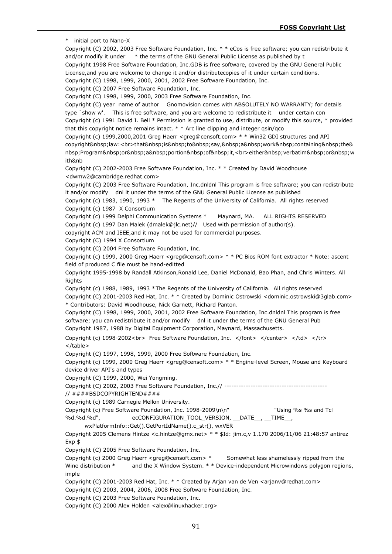\* initial port to Nano-X Copyright (C) 2002, 2003 Free Software Foundation, Inc. \* \* eCos is free software; you can redistribute it and/or modify it under \* the terms of the GNU General Public License as published by t Copyright 1998 Free Software Foundation, Inc.GDB is free software, covered by the GNU General Public License,and you are welcome to change it and/or distributecopies of it under certain conditions. Copyright (C) 1998, 1999, 2000, 2001, 2002 Free Software Foundation, Inc. Copyright (C) 2007 Free Software Foundation, Inc. Copyright (C) 1998, 1999, 2000, 2003 Free Software Foundation, Inc. Copyright (C) year name of author Gnomovision comes with ABSOLUTELY NO WARRANTY; for details type `show w'. This is free software, and you are welcome to redistribute it under certain con Copyright (c) 1991 David I. Bell \* Permission is granted to use, distribute, or modify this source, \* provided that this copyright notice remains intact.  $* *$  Arc line clipping and integer gsin/gco Copyright (c) 1999,2000,2001 Greg Haerr <greg@censoft.com> \* \* Win32 GDI structures and API copyright law:<br>that&nbsp;is&nbsp;to&nbsp;say,&nbsp;a&nbsp;work&nbsp;containing&nbsp;the& nbsp;Program or a portion of it,<br>>br>either&nbsp;verbatim&nbsp;or&nbsp;w ith&nb Copyright (C) 2002-2003 Free Software Foundation, Inc. \* \* Created by David Woodhouse <dwmw2@cambridge.redhat.com> Copyright (C) 2003 Free Software Foundation, Inc.dnldnl This program is free software; you can redistribute it and/or modify dnl it under the terms of the GNU General Public License as published Copyright (c) 1983, 1990, 1993 \* The Regents of the University of California. All rights reserved Copyright (c) 1987 X Consortium Copyright (c) 1999 Delphi Communication Systems \* Maynard, MA. ALL RIGHTS RESERVED Copyright (c) 1997 Dan Malek (dmalek@jlc.net)// Used with permission of author(s). copyright ACM and IEEE,and it may not be used for commercial purposes. Copyright (C) 1994 X Consortium Copyright (C) 2004 Free Software Foundation, Inc. Copyright (c) 1999, 2000 Greg Haerr <greg@censoft.com> \* \* PC Bios ROM font extractor \* Note: ascent field of produced C file must be hand-editted Copyright 1995-1998 by Randall Atkinson,Ronald Lee, Daniel McDonald, Bao Phan, and Chris Winters. All Rights Copyright (c) 1988, 1989, 1993 \*The Regents of the University of California. All rights reserved Copyright (C) 2001-2003 Red Hat, Inc. \* \* Created by Dominic Ostrowski <dominic.ostrowski@3glab.com> \* Contributors: David Woodhouse, Nick Garnett, Richard Panton. Copyright (C) 1998, 1999, 2000, 2001, 2002 Free Software Foundation, Inc.dnldnl This program is free software; you can redistribute it and/or modify dnl it under the terms of the GNU General Pub Copyright 1987, 1988 by Digital Equipment Corporation, Maynard, Massachusetts. Copyright (c) 1998-2002<br> Free Software Foundation, Inc. </font> </center> </td> </tr> </table> Copyright (C) 1997, 1998, 1999, 2000 Free Software Foundation, Inc. Copyright (c) 1999, 2000 Greg Haerr <greg@censoft.com> \* \* Engine-level Screen, Mouse and Keyboard device driver API's and types Copyright (C) 1999, 2000, Wei Yongming. Copyright (C) 2002, 2003 Free Software Foundation, Inc.// ------------------------------------------- // ####BSDCOPYRIGHTEND#### Copyright (c) 1989 Carnegie Mellon University. Copyright (c) Free Software Foundation, Inc. 1998-2009\n\n" "Using %s %s and Tcl %d.%d.%d", ecCONFIGURATION\_TOOL\_VERSION, \_\_DATE\_\_, \_\_TIME\_\_, wxPlatformInfo::Get().GetPortIdName().c\_str(), wxVER Copyright 2005 Clemens Hintze <c.hintze@gmx.net> \* \* \$Id: jim.c,v 1.170 2006/11/06 21:48:57 antirez Exp \$ Copyright (C) 2005 Free Software Foundation, Inc. Copyright (c) 2000 Greg Haerr <greg@censoft.com> \* Somewhat less shamelessly ripped from the Wine distribution \* and the X Window System. \* \* Device-independent Microwindows polygon regions, imple Copyright (C) 2001-2003 Red Hat, Inc. \* \* Created by Arjan van de Ven <arjanv@redhat.com> Copyright (C) 2003, 2004, 2006, 2008 Free Software Foundation, Inc. Copyright (C) 2003 Free Software Foundation, Inc. Copyright (C) 2000 Alex Holden <alex@linuxhacker.org>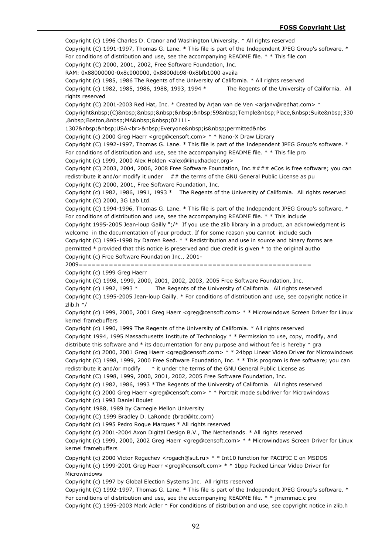Copyright (c) 1996 Charles D. Cranor and Washington University. \* All rights reserved Copyright (C) 1991-1997, Thomas G. Lane. \* This file is part of the Independent JPEG Group's software. \* For conditions of distribution and use, see the accompanying README file. \* \* This file con Copyright (C) 2000, 2001, 2002, Free Software Foundation, Inc. RAM: 0x88000000-0x8c000000, 0x8800db98-0x8bfb1000 availa Copyright (c) 1985, 1986 The Regents of the University of California. \* All rights reserved Copyright (c) 1982, 1985, 1986, 1988, 1993, 1994 \* The Regents of the University of California. All rights reserved Copyright (C) 2001-2003 Red Hat, Inc. \* Created by Arjan van de Ven <arjanv@redhat.com> \* Copyright&nbsp:(C)&nbsp:&nbsp:&nbsp:&nbsp:&nbsp:59&nbsp:Temple&nbsp:Place,&nbsp:Suite&nbsp:330 . 8nbsp:Boston. &nbsp:MA&nbsp: 8nbsp: 02111-1307&nbsp;&nbsp;USA<br>&nbsp;Everyone&nbsp;is&nbsp;permitted&nbs Copyright (c) 2000 Greg Haerr <greg@censoft.com> \* \* Nano-X Draw Library Copyright (C) 1992-1997, Thomas G. Lane. \* This file is part of the Independent JPEG Group's software. \* For conditions of distribution and use, see the accompanying README file. \* \* This file pro Copyright (c) 1999, 2000 Alex Holden <alex@linuxhacker.org> Copyright (C) 2003, 2004, 2006, 2008 Free Software Foundation, Inc.#### eCos is free software; you can redistribute it and/or modify it under  $##$  the terms of the GNU General Public License as pu Copyright (C) 2000, 2001, Free Software Foundation, Inc. Copyright (c) 1982, 1986, 1991, 1993 \* The Regents of the University of California. All rights reserved Copyright (C) 2000, 3G Lab Ltd. Copyright (C) 1994-1996, Thomas G. Lane. \* This file is part of the Independent JPEG Group's software. \* For conditions of distribution and use, see the accompanying README file. \* \* This include Copyright 1995-2005 Jean-loup Gailly ";/\* If you use the zlib library in a product, an acknowledgment is welcome in the documentation of your product. If for some reason you cannot include such Copyright (C) 1995-1998 by Darren Reed. \* \* Redistribution and use in source and binary forms are permitted \* provided that this notice is preserved and due credit is given \* to the original autho Copyright (c) Free Software Foundation Inc., 2001- 2009====================================================== Copyright (c) 1999 Greg Haerr Copyright (C) 1998, 1999, 2000, 2001, 2002, 2003, 2005 Free Software Foundation, Inc. Copyright (c) 1992, 1993 \* The Regents of the University of California. All rights reserved Copyright (C) 1995-2005 Jean-loup Gailly. \* For conditions of distribution and use, see copyright notice in zlib.h \*/ Copyright (c) 1999, 2000, 2001 Greg Haerr <greg@censoft.com> \* \* Microwindows Screen Driver for Linux kernel framebuffers Copyright (c) 1990, 1999 The Regents of the University of California. \* All rights reserved Copyright 1994, 1995 Massachusetts Institute of Technology \* \* Permission to use, copy, modify, and distribute this software and \* its documentation for any purpose and without fee is hereby \* gra Copyright (c) 2000, 2001 Greg Haerr <greg@censoft.com> \* \* 24bpp Linear Video Driver for Microwindows Copyright (C) 1998, 1999, 2000 Free Software Foundation, Inc. \* \* This program is free software; you can redistribute it and/or modify \* it under the terms of the GNU General Public License as Copyright (C) 1998, 1999, 2000, 2001, 2002, 2005 Free Software Foundation, Inc. Copyright (c) 1982, 1986, 1993 \*The Regents of the University of California. All rights reserved Copyright (c) 2000 Greg Haerr <greg@censoft.com> \* \* Portrait mode subdriver for Microwindows Copyright (c) 1993 Daniel Boulet Copyright 1988, 1989 by Carnegie Mellon University Copyright (C) 1999 Bradley D. LaRonde (brad@ltc.com) Copyright (c) 1995 Pedro Roque Marques \* All rights reserved Copyright (c) 2001-2004 Axon Digital Design B.V., The Netherlands. \* All rights reserved Copyright (c) 1999, 2000, 2002 Greg Haerr <greg@censoft.com> \* \* Microwindows Screen Driver for Linux kernel framebuffers Copyright (c) 2000 Victor Rogachev <rogach@sut.ru> \* \* Int10 function for PACIFIC C on MSDOS Copyright (c) 1999-2001 Greg Haerr <greg@censoft.com> \* \* 1bpp Packed Linear Video Driver for Microwindows Copyright (c) 1997 by Global Election Systems Inc. All rights reserved Copyright (C) 1992-1997, Thomas G. Lane. \* This file is part of the Independent JPEG Group's software. \* For conditions of distribution and use, see the accompanying README file. \* \* jmemmac.c pro Copyright (C) 1995-2003 Mark Adler \* For conditions of distribution and use, see copyright notice in zlib.h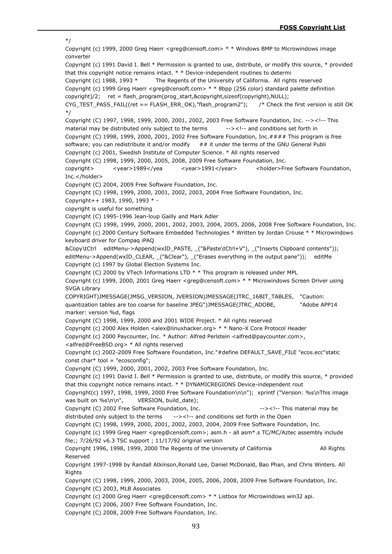\*/ Copyright (c) 1999, 2000 Greg Haerr <greg@censoft.com> \* \* Windows BMP to Microwindows image converter Copyright (c) 1991 David I. Bell \* Permission is granted to use, distribute, or modify this source, \* provided that this copyright notice remains intact. \* \* Device-independent routines to determi Copyright (c) 1988, 1993 \* The Regents of the University of California. All rights reserved Copyright (c) 1999 Greg Haerr <greg@censoft.com> \* \* 8bpp (256 color) standard palette definition copyright)/2; ret = flash\_program(prog\_start,&copyright,sizeof(copyright),NULL); CYG\_TEST\_PASS\_FAIL((ret == FLASH\_ERR\_OK),"flash\_program2"); /\* Check the first version is still OK \*/ Copyright (C) 1997, 1998, 1999, 2000, 2001, 2002, 2003 Free Software Foundation, Inc. --><!-- This material may be distributed only subject to the terms --><!-- and conditions set forth in Copyright (C) 1998, 1999, 2000, 2001, 2002 Free Software Foundation, Inc. $\#H\#H$  This program is free software; you can redistribute it and/or modify  $# #$  it under the terms of the GNU General Publi Copyright (c) 2001, Swedish Institute of Computer Science. \* All rights reserved Copyright (C) 1998, 1999, 2000, 2005, 2008, 2009 Free Software Foundation, Inc. copyright>
<year>1989</yea
</a>
<//>
</year>1991</year>
<holder>Free Software Foundation, Inc.</holder> Copyright (C) 2004, 2009 Free Software Foundation, Inc. Copyright (C) 1998, 1999, 2000, 2001, 2002, 2003, 2004 Free Software Foundation, Inc. Copyright++ 1983, 1990, 1993 \* copyright is useful for something Copyright (C) 1995-1996 Jean-loup Gailly and Mark Adler Copyright (C) 1998, 1999, 2000, 2001, 2002, 2003, 2004, 2005, 2006, 2008 Free Software Foundation, Inc. Copyright (c) 2000 Century Software Embedded Technologies \* Written by Jordan Crouse \* \* Microwindows keyboard driver for Compaq iPAQ &Copy\tCtrl editMenu->Append(wxID\_PASTE, \_("&Paste\tCtrl+V"), \_("Inserts Clipboard contents")); editMenu->Append(wxID\_CLEAR, ("&Clear"), ("Erases everything in the output pane")); editMe Copyright (c) 1997 by Global Election Systems Inc. Copyright (C) 2000 by VTech Informations LTD \* \* This program is released under MPL Copyright (c) 1999, 2000, 2001 Greg Haerr <greg@censoft.com> \* \* Microwindows Screen Driver using SVGA Library COPYRIGHT)JMESSAGE(JMSG\_VERSION, JVERSION)JMESSAGE(JTRC\_16BIT\_TABLES, "Caution: quantization tables are too coarse for baseline JPEG")JMESSAGE(JTRC\_ADOBE, "Adobe APP14 marker: version %d, flags Copyright (C) 1998, 1999, 2000 and 2001 WIDE Project. \* All rights reserved Copyright (c) 2000 Alex Holden <alex@linuxhacker.org> \* \* Nano-X Core Protocol Header Copyright (c) 2000 Paycounter, Inc. \* Author: Alfred Perlstein <alfred@paycounter.com>, <alfred@FreeBSD.org> \* All rights reserved Copyright (c) 2002-2009 Free Software Foundation, Inc."#define DEFAULT\_SAVE\_FILE "ecos.ecc"static const char\* tool = "ecosconfig"; Copyright (C) 1999, 2000, 2001, 2002, 2003 Free Software Foundation, Inc. Copyright (c) 1991 David I. Bell \* Permission is granted to use, distribute, or modify this source, \* provided that this copyright notice remains intact. \* \* DYNAMICREGIONS Device-independent rout Copyright(c) 1997, 1998, 1999, 2000 Free Software Foundation\n\n"); xprintf ("Version: %s\nThis image was built on %s\n\n", VERSION, build date); Copyright (C) 2002 Free Software Foundation, Inc. --><!-- This material may be distributed only subject to the terms --><!-- and conditions set forth in the Open Copyright (C) 1998, 1999, 2000, 2001, 2002, 2003, 2004, 2009 Free Software Foundation, Inc. Copyright (c) 1999 Greg Haerr <greg@censoft.com>; asm.h - all asm\*.s TC/MC/Aztec assembly include file;; 7/26/92 v6.3 TSC support ; 11/17/92 original version Copyright 1996, 1998, 1999, 2000 The Regents of the University of California All Rights Reserved Copyright 1997-1998 by Randall Atkinson,Ronald Lee, Daniel McDonald, Bao Phan, and Chris Winters. All **Rights** Copyright (C) 1998, 1999, 2000, 2003, 2004, 2005, 2006, 2008, 2009 Free Software Foundation, Inc. Copyright (C) 2003, MLB Associates Copyright (c) 2000 Greg Haerr <greg@censoft.com> \* \* Listbox for Microwindows win32 api. Copyright (C) 2006, 2007 Free Software Foundation, Inc. Copyright (C) 2008, 2009 Free Software Foundation, Inc.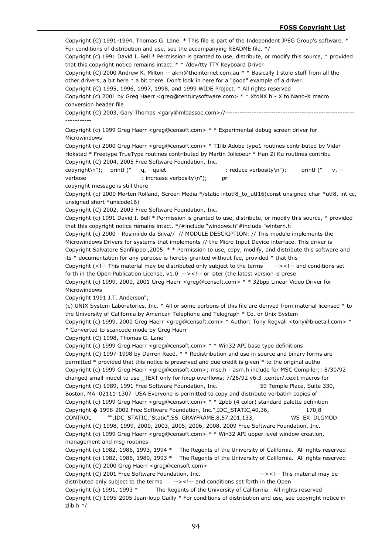Copyright (C) 1991-1994, Thomas G. Lane. \* This file is part of the Independent JPEG Group's software. \* For conditions of distribution and use, see the accompanying README file. \*/ Copyright (c) 1991 David I. Bell \* Permission is granted to use, distribute, or modify this source, \* provided that this copyright notice remains intact. \* \* /dev/tty TTY Keyboard Driver Copyright (C) 2000 Andrew K. Milton -- akm@theinternet.com.au \* \* Basically I stole stuff from all the other drivers, a bit here \* a bit there. Don't look in here for a "good" example of a driver. Copyright (C) 1995, 1996, 1997, 1998, and 1999 WIDE Project. \* All rights reserved Copyright (c) 2001 by Greg Haerr <greg@centurysoftware.com> \* \* XtoNX.h - X to Nano-X macro conversion header file Copyright (C) 2003, Gary Thomas <gary@mlbassoc.com>//------------------------------------------------------ ----------- Copyright (c) 1999 Greg Haerr <greg@censoft.com> \* \* Experimental debug screen driver for Microwindows Copyright (c) 2000 Greg Haerr <greg@censoft.com> \* T1lib Adobe type1 routines contributed by Vidar Hokstad \* Freetype TrueType routines contributed by Martin Jolicoeur \* Han Zi Ku routines contribu Copyright (C) 2004, 2005 Free Software Foundation, Inc. copyright\n"); printf (" -q, --quiet : reduce verbosity\n"); printf (" -v, -verbose : increase verbosity\n"); pri copyright message is still there Copyright (c) 2000 Morten Rolland, Screen Media \*/static intutf8\_to\_utf16(const unsigned char \*utf8, int cc, unsigned short \*unicode16) Copyright (C) 2002, 2003 Free Software Foundation, Inc. Copyright (c) 1991 David I. Bell \* Permission is granted to use, distribute, or modify this source, \* provided that this copyright notice remains intact. \*/#include "windows.h"#include "wintern.h Copyright (c) 2000 - Rosimildo da Silva// // MODULE DESCRIPTION: // This module implements the Microwindows Drivers for systems that implements // the Micro Input Device interface. This driver is Copyright Salvatore Sanfilippo ,2005. \* \* Permission to use, copy, modify, and distribute this software and its \* documentation for any purpose is hereby granted without fee, provided \* that this Copyright  $\left\langle \langle \cdot \rangle \right\rangle$ -- This material may be distributed only subject to the terms  $\left\langle \cdot \rangle \right\rangle$ -- and conditions set forth in the Open Publication License, v1.0 --><!-- or later (the latest version is prese Copyright (c) 1999, 2000, 2001 Greg Haerr <greg@censoft.com> \* \* 32bpp Linear Video Driver for Microwindows Copyright 1991 J.T. Anderson"; (c) UNIX System Laboratories, Inc. \* All or some portions of this file are derived from material licensed \* to the University of California by American Telephone and Telegraph \* Co. or Unix System Copyright (c) 1999, 2000 Greg Haerr <greg@censoft.com> \* Author: Tony Rogvall <tony@bluetail.com> \* \* Converted to scancode mode by Greg Haerr Copyright (C) 1998, Thomas G. Lane" Copyright (c) 1999 Greg Haerr <greg@censoft.com> \* \* Win32 API base type definitions Copyright (C) 1997-1998 by Darren Reed. \* \* Redistribution and use in source and binary forms are permitted \* provided that this notice is preserved and due credit is given \* to the original autho Copyright (c) 1999 Greg Haerr <greg@censoft.com>; msc.h - asm.h include for MSC Compiler;; 8/30/92 changed small model to use \_TEXT only for fixup overflows; 7/26/92 v6.3 .center/.cexit macros for Copyright (C) 1989, 1991 Free Software Foundation, Inc. 59 Temple Place, Suite 330, Boston, MA 02111-1307 USA Everyone is permitted to copy and distribute verbatim copies of Copyright (c) 1999 Greg Haerr <greg@censoft.com> \* \* 2pbb (4 color) standard palette definition Copyright � 1998-2002 Free Software Foundation, Inc.",IDC\_STATIC,40,36, 170,8 CONTROL "",IDC\_STATIC,"Static",SS\_GRAYFRAME,8,57,201,133, WS\_EX\_DLGMOD Copyright (C) 1998, 1999, 2000, 2003, 2005, 2006, 2008, 2009 Free Software Foundation, Inc. Copyright (c) 1999 Greg Haerr <greg@censoft.com> \* \* Win32 API upper level window creation, management and msg routines Copyright (c) 1982, 1986, 1993, 1994 \* The Regents of the University of California. All rights reserved Copyright (c) 1982, 1986, 1989, 1993 \* The Regents of the University of California. All rights reserved Copyright (C) 2000 Greg Haerr <greg@censoft.com> Copyright (C) 2001 Free Software Foundation, Inc. --><!-- This material may be distributed only subject to the terms --><!-- and conditions set forth in the Open Copyright (c) 1991, 1993 \* The Regents of the University of California. All rights reserved Copyright (C) 1995-2005 Jean-loup Gailly \* For conditions of distribution and use, see copyright notice in zlib.h \*/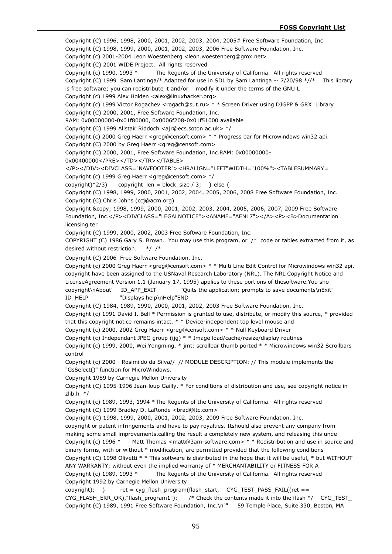Copyright (C) 1996, 1998, 2000, 2001, 2002, 2003, 2004, 2005# Free Software Foundation, Inc.

Copyright (C) 1998, 1999, 2000, 2001, 2002, 2003, 2006 Free Software Foundation, Inc.

Copyright (c) 2001-2004 Leon Woestenberg <leon.woestenberg@gmx.net>

Copyright (C) 2001 WIDE Project. All rights reserved

Copyright (c) 1990, 1993 \* The Regents of the University of California. All rights reserved

Copyright (C) 1999 Sam Lantinga/\* Adapted for use in SDL by Sam Lantinga -- 7/20/98 \*//\* This library

is free software; you can redistribute it and/or modify it under the terms of the GNU L

Copyright (c) 1999 Alex Holden <alex@linuxhacker.org>

Copyright (c) 1999 Victor Rogachev <rogach@sut.ru> \* \* Screen Driver using DJGPP & GRX Library

Copyright (C) 2000, 2001, Free Software Foundation, Inc.

RAM: 0x00000000-0x01f80000, 0x0006f208-0x01f51000 available

Copyright (C) 1999 Alistair Riddoch <ajr@ecs.soton.ac.uk> \*/

Copyright (c) 2000 Greg Haerr <greg@censoft.com> \* \* Progress bar for Microwindows win32 api.

Copyright (C) 2000 by Greg Haerr <greg@censoft.com>

Copyright (C) 2000, 2001, Free Software Foundation, Inc.RAM: 0x00000000-

0x00400000</PRE></TD></TR></TABLE>

</P></DIV><DIVCLASS="NAVFOOTER"><HRALIGN="LEFT"WIDTH="100%"><TABLESUMMARY=

Copyright (c) 1999 Greg Haerr <greg@censoft.com> \*/

copyright)\*2/3) copyright len = block size / 3; } else {

Copyright (C) 1998, 1999, 2000, 2001, 2002, 2004, 2005, 2006, 2008 Free Software Foundation, Inc. Copyright (C) Chris Johns (ccj@acm.org)

Copyright © 1998, 1999, 2000, 2001, 2002, 2003, 2004, 2005, 2006, 2007, 2009 Free Software Foundation, Inc.</P><DIVCLASS="LEGALNOTICE"><ANAME="AEN17"></A><P><B>Documentation licensing ter

Copyright (C) 1999, 2000, 2002, 2003 Free Software Foundation, Inc.

COPYRIGHT (C) 1986 Gary S. Brown. You may use this program, or /\* code or tables extracted from it, as desired without restriction. \*/ /\*

Copyright (C) 2006 Free Software Foundation, Inc.

Copyright (c) 2000 Greg Haerr <greg@censoft.com> \* \* Multi Line Edit Control for Microwindows win32 api. copyright have been assigned to the USNaval Research Laboratory (NRL). The NRL Copyright Notice and

LicenseAgreement Version 1.1 (January 17, 1995) applies to these portions of thesoftware.You sho

copyright\nAbout" ID\_APP\_EXIT "Quits the application; prompts to save documents\nExit" ID\_HELP "Displays help\nHelp"END

Copyright (C) 1984, 1989, 1990, 2000, 2001, 2002, 2003 Free Software Foundation, Inc.

Copyright (c) 1991 David I. Bell \* Permission is granted to use, distribute, or modify this source, \* provided that this copyright notice remains intact. \* \* Device-independent top level mouse and

Copyright (c) 2000, 2002 Greg Haerr <greg@censoft.com> \* \* Null Keyboard Driver

Copyright (c) Independant JPEG group (ijg) \* \* Image load/cache/resize/display routines

Copyright (c) 1999, 2000, Wei Yongming. \* jmt: scrollbar thumb ported \* \* Microwindows win32 Scrollbars control

Copyright (c) 2000 - Rosimildo da Silva// // MODULE DESCRIPTION: // This module implements the "GsSelect()" function for MicroWindows.

Copyright 1989 by Carnegie Mellon University

Copyright (C) 1995-1996 Jean-loup Gailly. \* For conditions of distribution and use, see copyright notice in  $zlib.h$  \*/

Copyright (c) 1989, 1993, 1994 \*The Regents of the University of California. All rights reserved Copyright (C) 1999 Bradley D. LaRonde <brad@ltc.com>

Copyright (C) 1998, 1999, 2000, 2001, 2002, 2003, 2009 Free Software Foundation, Inc.

copyright or patent infringements and have to pay royalties. Itshould also prevent any company from making some small improvements,calling the result a completely new system, and releasing this unde

Copyright (c) 1996 \* Matt Thomas <matt@3am-software.com> \* \* Redistribution and use in source and

binary forms, with or without \* modification, are permitted provided that the following conditions

Copyright (C) 1998 Olivetti \* \* This software is distributed in the hope that it will be useful, \* but WITHOUT

ANY WARRANTY; without even the implied warranty of \* MERCHANTABILITY or FITNESS FOR A

Copyright (c) 1989, 1993 \* The Regents of the University of California. All rights reserved Copyright 1992 by Carnegie Mellon University

copyright); } ret = cyg\_flash\_program(flash\_start, CYG\_TEST\_PASS\_FAIL((ret == CYG\_FLASH\_ERR\_OK),"flash\_program1"); /\* Check the contents made it into the flash \*/ CYG\_TEST\_ Copyright (C) 1989, 1991 Free Software Foundation, Inc.\n"" 59 Temple Place, Suite 330, Boston, MA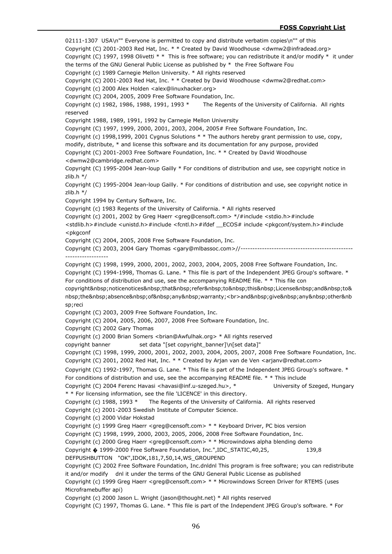02111-1307 USA\n"" Everyone is permitted to copy and distribute verbatim copies\n"" of this Copyright (C) 2001-2003 Red Hat, Inc. \* \* Created by David Woodhouse <dwmw2@infradead.org> Copyright (C) 1997, 1998 Olivetti \* \* This is free software; you can redistribute it and/or modify \* it under the terms of the GNU General Public License as published by  $*$  the Free Software Fou Copyright (c) 1989 Carnegie Mellon University. \* All rights reserved Copyright (C) 2001-2003 Red Hat, Inc. \* \* Created by David Woodhouse <dwmw2@redhat.com> Copyright (c) 2000 Alex Holden <alex@linuxhacker.org> Copyright (C) 2004, 2005, 2009 Free Software Foundation, Inc. Copyright (c) 1982, 1986, 1988, 1991, 1993 \* The Regents of the University of California. All rights reserved Copyright 1988, 1989, 1991, 1992 by Carnegie Mellon University Copyright (C) 1997, 1999, 2000, 2001, 2003, 2004, 2005# Free Software Foundation, Inc. Copyright (c) 1998,1999, 2001 Cygnus Solutions \* \* The authors hereby grant permission to use, copy, modify, distribute, \* and license this software and its documentation for any purpose, provided Copyright (C) 2001-2003 Free Software Foundation, Inc. \* \* Created by David Woodhouse <dwmw2@cambridge.redhat.com> Copyright (C) 1995-2004 Jean-loup Gailly \* For conditions of distribution and use, see copyright notice in zlib.h \*/ Copyright (C) 1995-2004 Jean-loup Gailly. \* For conditions of distribution and use, see copyright notice in  $7$ lih h  $*/$ Copyright 1994 by Century Software, Inc. Copyright (c) 1983 Regents of the University of California. \* All rights reserved Copyright (c) 2001, 2002 by Greg Haerr <greg@censoft.com> \*/#include <stdio.h>#include <stdlib.h>#include <unistd.h>#include <fcntl.h>#ifdef \_\_ECOS# include <pkgconf/system.h>#include <pkgconf Copyright (C) 2004, 2005, 2008 Free Software Foundation, Inc. Copyright (C) 2003, 2004 Gary Thomas <gary@mlbassoc.com>//----------------------------------------------- ------------------ Copyright (C) 1998, 1999, 2000, 2001, 2002, 2003, 2004, 2005, 2008 Free Software Foundation, Inc. Copyright (C) 1994-1998, Thomas G. Lane. \* This file is part of the Independent JPEG Group's software. \* For conditions of distribution and use, see the accompanying README file. \* \* This file con copyright noticenotices that refer to this License and to& nbsp;the absence of any warranty;<br>and&nbsp;give&nbsp;any&nbsp;other&nb sp;reci Copyright (C) 2003, 2009 Free Software Foundation, Inc. Copyright (C) 2004, 2005, 2006, 2007, 2008 Free Software Foundation, Inc. Copyright (C) 2002 Gary Thomas Copyright (c) 2000 Brian Somers <brian@Awfulhak.org> \* All rights reserved copyright banner set data "[set copyright banner]\n[set data]" Copyright (C) 1998, 1999, 2000, 2001, 2002, 2003, 2004, 2005, 2007, 2008 Free Software Foundation, Inc. Copyright (C) 2001, 2002 Red Hat, Inc. \* \* Created by Arjan van de Ven <arjanv@redhat.com> Copyright (C) 1992-1997, Thomas G. Lane. \* This file is part of the Independent JPEG Group's software. \* For conditions of distribution and use, see the accompanying README file. \* \* This include Copyright (C) 2004 Ferenc Havasi <havasi@inf.u-szeged.hu>, \* University of Szeged, Hungary \* \* For licensing information, see the file 'LICENCE' in this directory. Copyright (c) 1988, 1993 \* The Regents of the University of California. All rights reserved Copyright (c) 2001-2003 Swedish Institute of Computer Science. Copyright (c) 2000 Vidar Hokstad Copyright (c) 1999 Greg Haerr <greg@censoft.com> \* \* Keyboard Driver, PC bios version Copyright (C) 1998, 1999, 2000, 2003, 2005, 2006, 2008 Free Software Foundation, Inc. Copyright (c) 2000 Greg Haerr <greg@censoft.com> \* \* Microwindows alpha blending demo Copyright � 1999-2000 Free Software Foundation, Inc.",IDC\_STATIC,40,25, 139,8 DEFPUSHBUTTON "OK",IDOK,181,7,50,14,WS\_GROUPEND Copyright (C) 2002 Free Software Foundation, Inc.dnldnl This program is free software; you can redistribute it and/or modify dnl it under the terms of the GNU General Public License as published Copyright (c) 1999 Greg Haerr <greg@censoft.com> \* \* Microwindows Screen Driver for RTEMS (uses Microframebuffer api) Copyright (c) 2000 Jason L. Wright (jason@thought.net) \* All rights reserved Copyright (C) 1997, Thomas G. Lane. \* This file is part of the Independent JPEG Group's software. \* For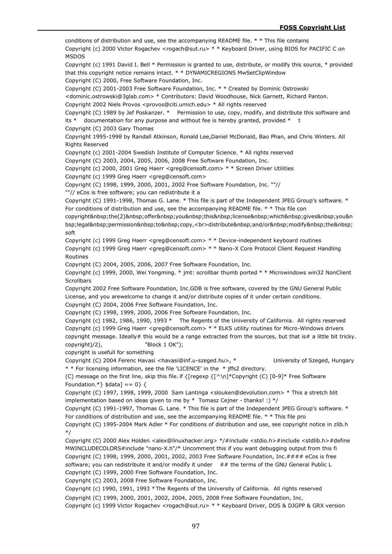conditions of distribution and use, see the accompanying README file. \* \* This file contains Copyright (c) 2000 Victor Rogachev <rogach@sut.ru> \* \* Keyboard Driver, using BIOS for PACIFIC C on MSDOS Copyright (c) 1991 David I. Bell \* Permission is granted to use, distribute, or modify this source, \* provided that this copyright notice remains intact. \* \* DYNAMICREGIONS MwSetClipWindow Copyright (C) 2000, Free Software Foundation, Inc. Copyright (C) 2001-2003 Free Software Foundation, Inc. \* \* Created by Dominic Ostrowski <dominic.ostrowski@3glab.com> \* Contributors: David Woodhouse, Nick Garnett, Richard Panton. Copyright 2002 Niels Provos <provos@citi.umich.edu> \* All rights reserved Copyright (C) 1989 by Jef Poskanzer. \* Permission to use, copy, modify, and distribute this software and its  $*$  documentation for any purpose and without fee is hereby granted, provided  $*$  t Copyright (C) 2003 Gary Thomas Copyright 1995-1998 by Randall Atkinson, Ronald Lee,Daniel McDonald, Bao Phan, and Chris Winters. All Rights Reserved Copyright (c) 2001-2004 Swedish Institute of Computer Science. \* All rights reserved Copyright (C) 2003, 2004, 2005, 2006, 2008 Free Software Foundation, Inc. Copyright (c) 2000, 2001 Greg Haerr <greg@censoft.com> \* \* Screen Driver Utilities Copyright (c) 1999 Greg Haerr <greg@censoft.com> Copyright (C) 1998, 1999, 2000, 2001, 2002 Free Software Foundation, Inc. ""// ""// eCos is free software; you can redistribute it a Copyright (C) 1991-1998, Thomas G. Lane. \* This file is part of the Independent JPEG Group's software. \* For conditions of distribution and use, see the accompanying README file. \* \* This file con copyright the(2) offer you this license which gives you&n bsp;legal permission to copy,<br>distribute&nbsp;and/or&nbsp;modify&nbsp;the&nbsp; soft Copyright (c) 1999 Greg Haerr <greg@censoft.com> \* \* Device-independent keyboard routines Copyright (c) 1999 Greg Haerr <greg@censoft.com> \* \* Nano-X Core Protocol Client Request Handling Routines Copyright (C) 2004, 2005, 2006, 2007 Free Software Foundation, Inc. Copyright (c) 1999, 2000, Wei Yongming. \* jmt: scrollbar thumb ported \* \* Microwindows win32 NonClient **Scrollbars** Copyright 2002 Free Software Foundation, Inc.GDB is free software, covered by the GNU General Public License, and you arewelcome to change it and/or distribute copies of it under certain conditions. Copyright (C) 2004, 2006 Free Software Foundation, Inc. Copyright (C) 1998, 1999, 2000, 2006 Free Software Foundation, Inc. Copyright (c) 1982, 1986, 1990, 1993 \* The Regents of the University of California. All rights reserved Copyright (c) 1999 Greg Haerr <greg@censoft.com> \* \* ELKS utility routines for Micro-Windows drivers copyright message. Ideally# this would be a range extracted from the sources, but that is# a little bit tricky. copyright)/2), "Block 1 OK"); copyright is usefull for something Copyright (C) 2004 Ferenc Havasi <havasi@inf.u-szeged.hu>, \* University of Szeged, Hungary \* \* For licensing information, see the file 'LICENCE' in the \* jffs2 directory. (C) message on the first line, skip this file. if  $\{[request] \wedge \n] * Copyright (C) [0-9]* Free Software$ Foundation.\*}  $\delta$ data] == 0} { Copyright (C) 1997, 1998, 1999, 2000 Sam Lantinga <slouken@devolution.com> \* This a stretch blit implementation based on ideas given to me by  $*$  Tomasz Cejner - thanks! :)  $*/$ Copyright (C) 1991-1997, Thomas G. Lane. \* This file is part of the Independent JPEG Group's software. \* For conditions of distribution and use, see the accompanying README file. \* \* This file pro Copyright (C) 1995-2004 Mark Adler \* For conditions of distribution and use, see copyright notice in zlib.h \*/ Copyright (C) 2000 Alex Holden <alex@linuxhacker.org> \*/#include <stdio.h>#include <stdlib.h>#define MWINCLUDECOLORS#include "nano-X.h"/\* Uncomment this if you want debugging output from this fi Copyright (C) 1998, 1999, 2000, 2001, 2002, 2003 Free Software Foundation, Inc.#### eCos is free software; you can redistribute it and/or modify it under ## the terms of the GNU General Public L Copyright (C) 1999, 2000 Free Software Foundation, Inc. Copyright (C) 2003, 2008 Free Software Foundation, Inc. Copyright (c) 1990, 1991, 1993 \*The Regents of the University of California. All rights reserved Copyright (C) 1999, 2000, 2001, 2002, 2004, 2005, 2008 Free Software Foundation, Inc. Copyright (c) 1999 Victor Rogachev <rogach@sut.ru> \* \* Keyboard Driver, DOS & DJGPP & GRX version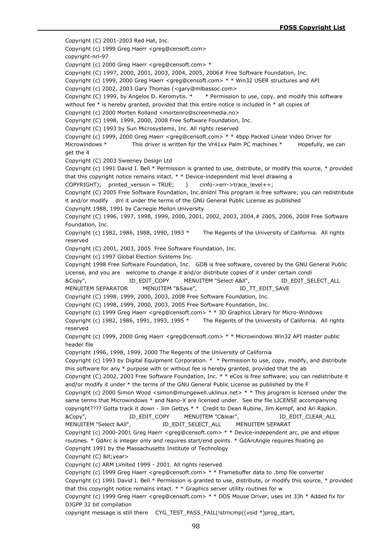Copyright (C) 2001-2003 Red Hat, Inc. Copyright (c) 1999 Greg Haerr <greg@censoft.com> copyright-nrl-97 Copyright (c) 2000 Greg Haerr <greg@censoft.com> \* Copyright (C) 1997, 2000, 2001, 2003, 2004, 2005, 2006# Free Software Foundation, Inc. Copyright (c) 1999, 2000 Greg Haerr <greg@censoft.com> \* \* Win32 USER structures and API Copyright (c) 2002, 2003 Gary Thomas (<gary@mlbassoc.com> Copyright (C) 1999, by Angelos D. Keromytis. \* \* Permission to use, copy, and modify this software without fee  $*$  is hereby granted, provided that this entire notice is included in  $*$  all copies of Copyright (c) 2000 Morten Rolland <mortenro@screenmedia.no> Copyright (C) 1998, 1999, 2000, 2008 Free Software Foundation, Inc. Copyright (C) 1993 by Sun Microsystems, Inc. All rights reserved Copyright (c) 1999, 2000 Greg Haerr <greg@censoft.com> \* \* 4bpp Packed Linear Video Driver for Microwindows \* This driver is written for the Vr41xx Palm PC machines \* Hopefully, we can get the 4 Copyright (C) 2003 Sweeney Design Ltd Copyright (c) 1991 David I. Bell \* Permission is granted to use, distribute, or modify this source, \* provided that this copyright notice remains intact. \* \* Device-independent mid level drawing a COPYRIGHT); printed\_version = TRUE; } cinfo->err->trace\_level++; Copyright (C) 2005 Free Software Foundation, Inc.dnldnl This program is free software; you can redistribute it and/or modify dnl it under the terms of the GNU General Public License as published Copyright 1988, 1991 by Carnegie Mellon University Copyright (C) 1996, 1997, 1998, 1999, 2000, 2001, 2002, 2003, 2004,# 2005, 2006, 2008 Free Software Foundation, Inc. Copyright (c) 1982, 1986, 1988, 1990, 1993 \* The Regents of the University of California. All rights reserved Copyright (C) 2001, 2003, 2005 Free Software Foundation, Inc. Copyright (c) 1997 Global Election Systems Inc. Copyright 1998 Free Software Foundation, Inc. GDB is free software, covered by the GNU General Public License, and you are welcome to change it and/or distribute copies of it under certain condi &Copy", ID\_EDIT\_COPY MENUITEM "Select A&ll", ID\_EDIT\_SELECT\_ALL MENUITEM SEPARATOR MENUITEM "&Save", 
ID\_TT\_EDIT\_SAVE Copyright (C) 1998, 1999, 2000, 2003, 2008 Free Software Foundation, Inc. Copyright (C) 1998, 1999, 2000, 2003, 2005 Free Software Foundation, Inc. Copyright (c) 1999 Greg Haerr <greg@censoft.com> \* \* 3D Graphics Library for Micro-Windows Copyright (c) 1982, 1986, 1991, 1993, 1995 \* The Regents of the University of California. All rights reserved Copyright (c) 1999, 2000 Greg Haerr <greg@censoft.com> \* \* Microwindows Win32 API master public header file Copyright 1996, 1998, 1999, 2000 The Regents of the University of California Copyright (c) 1993 by Digital Equipment Corporation. \* \* Permission to use, copy, modify, and distribute this software for any \* purpose with or without fee is hereby granted, provided that the ab Copyright (C) 2002, 2003 Free Software Foundation, Inc. \* \* eCos is free software; you can redistribute it and/or modify it under \* the terms of the GNU General Public License as published by the F Copyright (c) 2000 Simon Wood <simon@mungewell.uklinux.net> \* \* This program is licensed under the same terms that Microwindows \* and Nano-X are licensed under. See the file LICENSE accompanying copyright???? Gotta track it down - Jim Gettys \* \* Credit to Dean Rubine, Jim Kempf, and Ari Rapkin. &Copy", ID\_EDIT\_COPY MENUITEM "C&lear", ID\_EDIT\_CLEAR\_ALL MENUITEM "Select &AII",  $\qquad$  ID EDIT\_SELECT\_ALL MENUITEM SEPARAT Copyright (c) 2000-2001 Greg Haerr <greg@censoft.com> \* \* Device-independent arc, pie and ellipse routines. \* GdArc is integer only and requires start/end points. \* GdArcAngle requires floating po Copyright 1991 by the Massachusetts Institute of Technology Copyright (C) < year> Copyright (c) ARM Limited 1999 - 2001. All rights reserved Copyright (c) 1999 Greg Haerr <greg@censoft.com> \* \* Framebuffer data to .bmp file converter Copyright (c) 1991 David I. Bell \* Permission is granted to use, distribute, or modify this source, \* provided that this copyright notice remains intact.  $*$   $*$  Graphics server utility routines for w Copyright (c) 1999 Greg Haerr <greg@censoft.com> \* \* DOS Mouse Driver, uses int 33h \* Added fix for DJGPP 32 bit compilation

copyright message is still there CYG\_TEST\_PASS\_FAIL(!strncmp((void \*)prog\_start,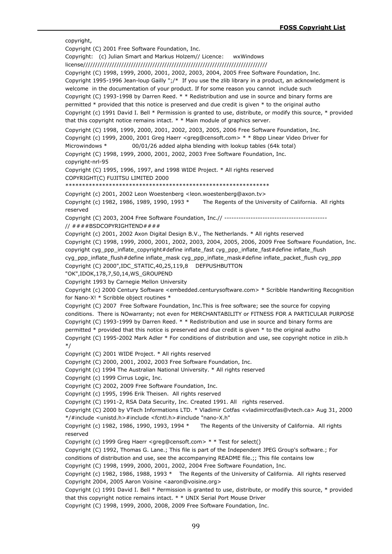copyright, Copyright (C) 2001 Free Software Foundation, Inc. Copyright: (c) Julian Smart and Markus Holzem// Licence: wxWindows license///////////////////////////////////////////////////////////////////////////// Copyright (C) 1998, 1999, 2000, 2001, 2002, 2003, 2004, 2005 Free Software Foundation, Inc. Copyright 1995-1996 Jean-loup Gailly ";/\* If you use the zlib library in a product, an acknowledgment is welcome in the documentation of your product. If for some reason you cannot include such Copyright (C) 1993-1998 by Darren Reed. \* \* Redistribution and use in source and binary forms are permitted \* provided that this notice is preserved and due credit is given \* to the original autho Copyright (c) 1991 David I. Bell \* Permission is granted to use, distribute, or modify this source, \* provided that this copyright notice remains intact. \* \* Main module of graphics server. Copyright (C) 1998, 1999, 2000, 2001, 2002, 2003, 2005, 2006 Free Software Foundation, Inc. Copyright (c) 1999, 2000, 2001 Greg Haerr <greg@censoft.com> \* \* 8bpp Linear Video Driver for Microwindows \* 00/01/26 added alpha blending with lookup tables (64k total) Copyright (C) 1998, 1999, 2000, 2001, 2002, 2003 Free Software Foundation, Inc. copyright-nrl-95 Copyright (C) 1995, 1996, 1997, and 1998 WIDE Project. \* All rights reserved COPYRIGHT(C) FUJITSU LIMITED 2000 \*\*\*\*\*\*\*\*\*\*\*\*\*\*\*\*\*\*\*\*\*\*\*\*\*\*\*\*\*\*\*\*\*\*\*\*\*\*\*\*\*\*\*\*\*\*\*\*\*\*\*\*\*\*\*\*\*\*\*\*\* Copyright (c) 2001, 2002 Leon Woestenberg <leon.woestenberg@axon.tv> Copyright (c) 1982, 1986, 1989, 1990, 1993 \* The Regents of the University of California. All rights reserved Copyright (C) 2003, 2004 Free Software Foundation, Inc.// ------------------------------------------- // ####BSDCOPYRIGHTEND#### Copyright (c) 2001, 2002 Axon Digital Design B.V., The Netherlands. \* All rights reserved Copyright (C) 1998, 1999, 2000, 2001, 2002, 2003, 2004, 2005, 2006, 2009 Free Software Foundation, Inc. copyright cyg\_ppp\_inflate\_copyright#define inflate\_fast cyg\_ppp\_inflate\_fast#define inflate\_flush cyg\_ppp\_inflate\_flush#define inflate\_mask cyg\_ppp\_inflate\_mask#define inflate\_packet\_flush cyg\_ppp Copyright (C) 2000",IDC\_STATIC,40,25,119,8 DEFPUSHBUTTON "OK",IDOK,178,7,50,14,WS\_GROUPEND Copyright 1993 by Carnegie Mellon University Copyright (c) 2000 Century Software <embedded.centurysoftware.com> \* Scribble Handwriting Recognition for Nano-X! \* Scribble object routines \* Copyright (C) 2007 Free Software Foundation, Inc.This is free software; see the source for copying conditions. There is NOwarranty; not even for MERCHANTABILITY or FITNESS FOR A PARTICULAR PURPOSE Copyright (C) 1993-1999 by Darren Reed. \* \* Redistribution and use in source and binary forms are permitted \* provided that this notice is preserved and due credit is given \* to the original autho Copyright (C) 1995-2002 Mark Adler \* For conditions of distribution and use, see copyright notice in zlib.h \*/ Copyright (C) 2001 WIDE Project. \* All rights reserved Copyright (C) 2000, 2001, 2002, 2003 Free Software Foundation, Inc. Copyright (c) 1994 The Australian National University. \* All rights reserved Copyright (c) 1999 Cirrus Logic, Inc. Copyright (C) 2002, 2009 Free Software Foundation, Inc. Copyright (c) 1995, 1996 Erik Theisen. All rights reserved Copyright (C) 1991-2, RSA Data Security, Inc. Created 1991. All rights reserved. Copyright (C) 2000 by VTech Informations LTD. \* Vladimir Cotfas <vladimircotfas@vtech.ca> Aug 31, 2000 \*/#include <unistd.h>#include <fcntl.h>#include "nano-X.h" Copyright (c) 1982, 1986, 1990, 1993, 1994 \* The Regents of the University of California. All rights reserved Copyright (c) 1999 Greg Haerr <greg@censoft.com> \* \* Test for select() Copyright (C) 1992, Thomas G. Lane.; This file is part of the Independent JPEG Group's software.; For conditions of distribution and use, see the accompanying README file.;; This file contains low Copyright (C) 1998, 1999, 2000, 2001, 2002, 2004 Free Software Foundation, Inc. Copyright (c) 1982, 1986, 1988, 1993 \* The Regents of the University of California. All rights reserved Copyright 2004, 2005 Aaron Voisine <aaron@voisine.org> Copyright (c) 1991 David I. Bell \* Permission is granted to use, distribute, or modify this source, \* provided that this copyright notice remains intact. \* \* UNIX Serial Port Mouse Driver Copyright (C) 1998, 1999, 2000, 2008, 2009 Free Software Foundation, Inc.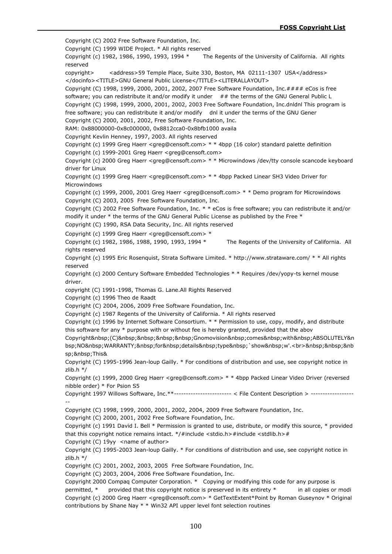Copyright (C) 2002 Free Software Foundation, Inc. Copyright (C) 1999 WIDE Project. \* All rights reserved Copyright (c) 1982, 1986, 1990, 1993, 1994 \* The Regents of the University of California. All rights reserved copyright> <address>59 Temple Place, Suite 330, Boston, MA 02111-1307 USA</address> </docinfo><TITLE>GNU General Public License</TITLE><LITERALLAYOUT> Copyright (C) 1998, 1999, 2000, 2001, 2002, 2007 Free Software Foundation, Inc.#### eCos is free software; you can redistribute it and/or modify it under ## the terms of the GNU General Public L Copyright (C) 1998, 1999, 2000, 2001, 2002, 2003 Free Software Foundation, Inc.dnldnl This program is free software; you can redistribute it and/or modify dnl it under the terms of the GNU Gener Copyright (C) 2000, 2001, 2002, Free Software Foundation, Inc. RAM: 0x88000000-0x8c000000, 0x8812cca0-0x8bfb1000 availa Copyright Kevlin Henney, 1997, 2003. All rights reserved Copyright (c) 1999 Greg Haerr <greg@censoft.com> \* \* 4bpp (16 color) standard palette definition Copyright (c) 1999-2001 Greg Haerr <greg@censoft.com> Copyright (c) 2000 Greg Haerr <greg@censoft.com> \* \* Microwindows /dev/tty console scancode keyboard driver for Linux Copyright (c) 1999 Greg Haerr <greg@censoft.com> \* \* 4bpp Packed Linear SH3 Video Driver for Microwindows Copyright (c) 1999, 2000, 2001 Greg Haerr <greg@censoft.com> \* \* Demo program for Microwindows Copyright (C) 2003, 2005 Free Software Foundation, Inc. Copyright (C) 2002 Free Software Foundation, Inc. \* \* eCos is free software; you can redistribute it and/or modify it under \* the terms of the GNU General Public License as published by the Free \* Copyright (C) 1990, RSA Data Security, Inc. All rights reserved Copyright (c) 1999 Greg Haerr <greg@censoft.com> \* Copyright (c) 1982, 1986, 1988, 1990, 1993, 1994  $*$  The Regents of the University of California. All rights reserved Copyright (c) 1995 Eric Rosenquist, Strata Software Limited. \* http://www.strataware.com/ \* \* All rights reserved Copyright (c) 2000 Century Software Embedded Technologies \* \* Requires /dev/yopy-ts kernel mouse driver. copyright (C) 1991-1998, Thomas G. Lane.All Rights Reserved Copyright (c) 1996 Theo de Raadt Copyright (C) 2004, 2006, 2009 Free Software Foundation, Inc. Copyright (c) 1987 Regents of the University of California. \* All rights reserved Copyright (c) 1996 by Internet Software Consortium. \* \* Permission to use, copy, modify, and distribute this software for any \* purpose with or without fee is hereby granted, provided that the abov Copyright (C) Gnomovision comes with ABSOLUTELY&n bsp;NO WARRANTY; for details type `show w'.<br>>br>%Anbsp;&nb<br/>>
p<br/>&nbsp;&nb sp; This & Copyright (C) 1995-1996 Jean-loup Gailly. \* For conditions of distribution and use, see copyright notice in zlib.h \*/ Copyright (c) 1999, 2000 Greg Haerr <greg@censoft.com> \* \* 4bpp Packed Linear Video Driver (reversed nibble order) \* For Psion S5 Copyright 1997 Willows Software, Inc.\*\*------------------------ < File Content Description > ------------------ -- Copyright (C) 1998, 1999, 2000, 2001, 2002, 2004, 2009 Free Software Foundation, Inc. Copyright (C) 2000, 2001, 2002 Free Software Foundation, Inc. Copyright (c) 1991 David I. Bell \* Permission is granted to use, distribute, or modify this source, \* provided that this copyright notice remains intact. \*/#include <stdio.h>#include <stdlib.h># Copyright (C) 19yy <name of author> Copyright (C) 1995-2003 Jean-loup Gailly. \* For conditions of distribution and use, see copyright notice in zlib.h \*/ Copyright (C) 2001, 2002, 2003, 2005 Free Software Foundation, Inc. Copyright (C) 2003, 2004, 2006 Free Software Foundation, Inc. Copyright 2000 Compaq Computer Corporation. \* Copying or modifying this code for any purpose is permitted, \* provided that this copyright notice is preserved in its entirety \* in all copies or modi Copyright (c) 2000 Greg Haerr <greg@censoft.com> \* GetTextExtent\*Point by Roman Guseynov \* Original contributions by Shane Nay \* \* Win32 API upper level font selection routines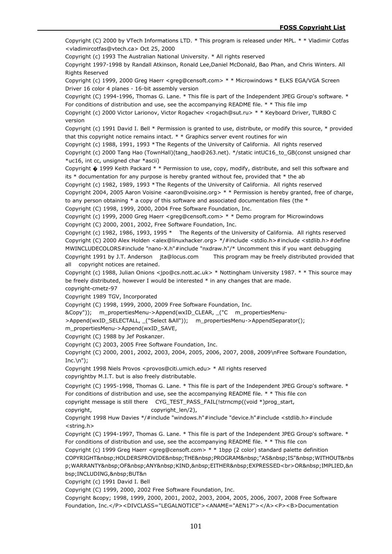Copyright (C) 2000 by VTech Informations LTD. \* This program is released under MPL. \* \* Vladimir Cotfas <vladimircotfas@vtech.ca> Oct 25, 2000

Copyright (c) 1993 The Australian National University. \* All rights reserved

Copyright 1997-1998 by Randall Atkinson, Ronald Lee,Daniel McDonald, Bao Phan, and Chris Winters. All Rights Reserved

Copyright (c) 1999, 2000 Greg Haerr <greg@censoft.com> \* \* Microwindows \* ELKS EGA/VGA Screen Driver 16 color 4 planes - 16-bit assembly version

Copyright (C) 1994-1996, Thomas G. Lane. \* This file is part of the Independent JPEG Group's software. \* For conditions of distribution and use, see the accompanying README file. \* \* This file imp

Copyright (c) 2000 Victor Larionov, Victor Rogachev <rogach@sut.ru> \* \* Keyboard Driver, TURBO C version

Copyright (c) 1991 David I. Bell \* Permission is granted to use, distribute, or modify this source, \* provided that this copyright notice remains intact. \* \* Graphics server event routines for win

Copyright (c) 1988, 1991, 1993 \*The Regents of the University of California. All rights reserved Copyright (c) 2000 Tang Hao (TownHall)(tang\_hao@263.net). \*/static intUC16\_to\_GB(const unsigned char \*uc16, int cc, unsigned char \*ascii)

Copyright � 1999 Keith Packard \* \* Permission to use, copy, modify, distribute, and sell this software and its \* documentation for any purpose is hereby granted without fee, provided that \* the ab

Copyright (c) 1982, 1989, 1993 \*The Regents of the University of California. All rights reserved Copyright 2004, 2005 Aaron Voisine <aaron@voisine.org> \* \* Permission is hereby granted, free of charge, to any person obtaining  $*$  a copy of this software and associated documentation files (the  $*$ 

Copyright (C) 1998, 1999, 2000, 2004 Free Software Foundation, Inc.

Copyright (c) 1999, 2000 Greg Haerr <greg@censoft.com> \* \* Demo program for Microwindows Copyright (C) 2000, 2001, 2002, Free Software Foundation, Inc.

Copyright (c) 1982, 1986, 1993, 1995 \* The Regents of the University of California. All rights reserved Copyright (C) 2000 Alex Holden <alex@linuxhacker.org> \*/#include <stdio.h>#include <stdlib.h>#define MWINCLUDECOLORS#include "nano-X.h"#include "nxdraw.h"/\* Uncomment this if you want debugging Copyright 1991 by J.T. Anderson jta@locus.com This program may be freely distributed provided that all copyright notices are retained.

Copyright (c) 1988, Julian Onions <jpo@cs.nott.ac.uk> \* Nottingham University 1987. \* \* This source may be freely distributed, however I would be interested \* in any changes that are made. copyright-cmetz-97

Copyright 1989 TGV, Incorporated

Copyright (C) 1998, 1999, 2000, 2009 Free Software Foundation, Inc.

&Copy")); m\_propertiesMenu->Append(wxID\_CLEAR, \_("C m\_propertiesMenu-

>Append(wxID\_SELECTALL, \_("Select &All")); m\_propertiesMenu->AppendSeparator();

m\_propertiesMenu->Append(wxID\_SAVE,

Copyright (C) 1988 by Jef Poskanzer.

Copyright (C) 2003, 2005 Free Software Foundation, Inc.

Copyright (C) 2000, 2001, 2002, 2003, 2004, 2005, 2006, 2007, 2008, 2009\nFree Software Foundation,  $Inc.\n\langle n" \rangle$ ;

Copyright 1998 Niels Provos <provos@citi.umich.edu> \* All rights reserved copyrightby M.I.T. but is also freely distributable.

Copyright (C) 1995-1998, Thomas G. Lane. \* This file is part of the Independent JPEG Group's software. \* For conditions of distribution and use, see the accompanying README file. \* \* This file con

copyright message is still there CYG\_TEST\_PASS\_FAIL(!strncmp((void \*)prog\_start,

copyright, copyright len/2),

Copyright 1998 Huw Davies \*/#include "windows.h"#include "device.h"#include <stdlib.h>#include <string.h>

Copyright (C) 1994-1997, Thomas G. Lane. \* This file is part of the Independent JPEG Group's software. \* For conditions of distribution and use, see the accompanying README file. \* \* This file con

Copyright (c) 1999 Greg Haerr <greg@censoft.com> \* \* 1bpp (2 color) standard palette definition COPYRIGHT HOLDERSPROVIDE THE PROGRAM "AS IS" WITHOUT&nbs p;WARRANTY&nbsp;OF&nbsp;ANY&nbsp;KIND,&nbsp;EITHER&nbsp;EXPRESSED<br>OR&nbsp;IMPLIED,&n bsp;INCLUDING, BUT&n

Copyright (c) 1991 David I. Bell

Copyright (C) 1999, 2000, 2002 Free Software Foundation, Inc.

Copyright © 1998, 1999, 2000, 2001, 2002, 2003, 2004, 2005, 2006, 2007, 2008 Free Software Foundation, Inc.</P><DIVCLASS="LEGALNOTICE"><ANAME="AEN17"></A><P><B>Documentation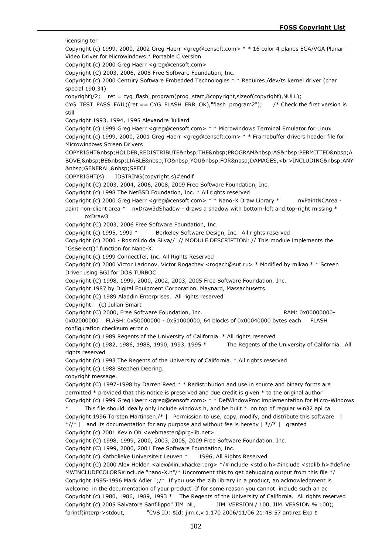licensing ter Copyright (c) 1999, 2000, 2002 Greg Haerr <greg@censoft.com> \* \* 16 color 4 planes EGA/VGA Planar Video Driver for Microwindows \* Portable C version Copyright (c) 2000 Greg Haerr <greg@censoft.com> Copyright (C) 2003, 2006, 2008 Free Software Foundation, Inc. Copyright (c) 2000 Century Software Embedded Technologies \* \* Requires /dev/ts kernel driver (char special 190,34) copyright)/2; ret = cyg\_flash\_program(prog\_start,&copyright,sizeof(copyright),NULL); CYG\_TEST\_PASS\_FAIL((ret == CYG\_FLASH\_ERR\_OK),"flash\_program2"); /\* Check the first version is still Copyright 1993, 1994, 1995 Alexandre Julliard Copyright (c) 1999 Greg Haerr <greg@censoft.com> \* \* Microwindows Terminal Emulator for Linux Copyright (c) 1999, 2000, 2001 Greg Haerr <greg@censoft.com> \* \* Framebuffer drivers header file for Microwindows Screen Drivers COPYRIGHT HOLDER,REDISTRIBUTE THE PROGRAM AS PERMITTED A BOVE, BE LIABLE TO YOU FOR DAMAGES,<br>INCLUDING&nbsp;ANY GENERAL, SPECI COPYRIGHT(s) \_\_IDSTRING(copyright,s)#endif Copyright (C) 2003, 2004, 2006, 2008, 2009 Free Software Foundation, Inc. Copyright (c) 1998 The NetBSD Foundation, Inc. \* All rights reserved Copyright (c) 2000 Greg Haerr <greg@censoft.com> \* \* Nano-X Draw Library \* nxPaintNCArea paint non-client area \* nxDraw3dShadow - draws a shadow with bottom-left and top-right missing \* nxDraw3 Copyright (C) 2003, 2006 Free Software Foundation, Inc. Copyright (c) 1995, 1999 \* Berkeley Software Design, Inc. All rights reserved Copyright (c) 2000 - Rosimildo da Silva// // MODULE DESCRIPTION: // This module implements the "GsSelect()" function for Nano-X. Copyright (c) 1999 ConnectTel, Inc. All Rights Reserved Copyright (c) 2000 Victor Larionov, Victor Rogachev <rogach@sut.ru> \* Modified by mlkao \* \* Screen Driver using BGI for DOS TURBOC Copyright (C) 1998, 1999, 2000, 2002, 2003, 2005 Free Software Foundation, Inc. Copyright 1987 by Digital Equipment Corporation, Maynard, Massachusetts. Copyright (C) 1989 Aladdin Enterprises. All rights reserved Copyright: (c) Julian Smart Copyright (C) 2000, Free Software Foundation, Inc. RAM: 0x000000000-0x02000000 FLASH: 0x50000000 - 0x51000000, 64 blocks of 0x00040000 bytes each. FLASH configuration checksum error o Copyright (c) 1989 Regents of the University of California. \* All rights reserved Copyright (c) 1982, 1986, 1988, 1990, 1993, 1995 \* The Regents of the University of California. All rights reserved Copyright (c) 1993 The Regents of the University of California. \* All rights reserved Copyright (c) 1988 Stephen Deering. copyright message. Copyright (C) 1997-1998 by Darren Reed \* \* Redistribution and use in source and binary forms are permitted \* provided that this notice is preserved and due credit is given \* to the original author Copyright (c) 1999 Greg Haerr <greg@censoft.com> \* \* DefWindowProc implementation for Micro-Windows This file should ideally only include windows.h, and be built  $*$  on top of regular win32 api ca Copyright 1996 Torsten Martinsen./\* | Permission to use, copy, modify, and distribute this software |  $*/\!/$ \* | and its documentation for any purpose and without fee is hereby  $\frac{\frac{1}{2}}{1}$  granted Copyright (c) 2001 Kevin Oh <webmaster@prg-lib.net> Copyright (C) 1998, 1999, 2000, 2003, 2005, 2009 Free Software Foundation, Inc. Copyright (C) 1999, 2000, 2001 Free Software Foundation, Inc. Copyright (c) Katholieke Universiteit Leuven \* 1996, All Rights Reserved Copyright (C) 2000 Alex Holden <alex@linuxhacker.org> \*/#include <stdio.h>#include <stdlib.h>#define MWINCLUDECOLORS#include "nano-X.h"/\* Uncomment this to get debugging output from this file \*/ Copyright 1995-1996 Mark Adler ";/\* If you use the zlib library in a product, an acknowledgment is welcome in the documentation of your product. If for some reason you cannot include such an ac Copyright (c) 1980, 1986, 1989, 1993 \* The Regents of the University of California. All rights reserved Copyright (c) 2005 Salvatore Sanfilippo" JIM\_NL, JIM\_VERSION / 100, JIM\_VERSION % 100); fprintf(interp->stdout, "CVS ID: \$Id: jim.c,v 1.170 2006/11/06 21:48:57 antirez Exp \$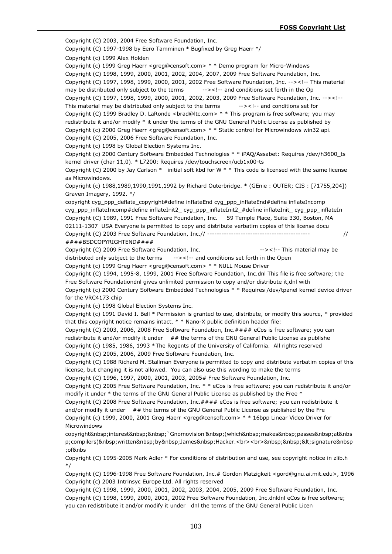Copyright (C) 2003, 2004 Free Software Foundation, Inc. Copyright (C) 1997-1998 by Eero Tamminen \* Bugfixed by Greg Haerr \*/ Copyright (c) 1999 Alex Holden Copyright (c) 1999 Greg Haerr <greg@censoft.com> \* \* Demo program for Micro-Windows Copyright (C) 1998, 1999, 2000, 2001, 2002, 2004, 2007, 2009 Free Software Foundation, Inc. Copyright (C) 1997, 1998, 1999, 2000, 2001, 2002 Free Software Foundation, Inc. --><!-- This material may be distributed only subject to the terms --><!-- and conditions set forth in the Op Copyright (C) 1997, 1998, 1999, 2000, 2001, 2002, 2003, 2009 Free Software Foundation, Inc. --><!-- This material may be distributed only subject to the terms --><!-- and conditions set for Copyright (C) 1999 Bradley D. LaRonde <brad@ltc.com> \* \* This program is free software; you may redistribute it and/or modify \* it under the terms of the GNU General Public License as published by Copyright (c) 2000 Greg Haerr <greg@censoft.com> \* \* Static control for Microwindows win32 api. Copyright (C) 2005, 2006 Free Software Foundation, Inc. Copyright (c) 1998 by Global Election Systems Inc. Copyright (c) 2000 Century Software Embedded Technologies \* \* iPAQ/Assabet: Requires /dev/h3600\_ts kernel driver (char 11,0). \* L7200: Requires /dev/touchscreen/ucb1x00-ts Copyright (C) 2000 by Jay Carlson  $*$  initial soft kbd for W  $*$  \* This code is licensed with the same license as Microwindows. Copyright (c) 1988,1989,1990,1991,1992 by Richard Outerbridge. \* (GEnie : OUTER; CIS : [71755,204]) Graven Imagery, 1992. \*/ copyright cyg\_ppp\_deflate\_copyright#define inflateEnd cyg\_ppp\_inflateEnd#define inflateIncomp cyg\_ppp\_inflateIncomp#define inflateInit2\_ cyg\_ppp\_inflateInit2\_#define inflateInit\_ cyg\_ppp\_inflateIn Copyright (C) 1989, 1991 Free Software Foundation, Inc. 59 Temple Place, Suite 330, Boston, MA 02111-1307 USA Everyone is permitted to copy and distribute verbatim copies of this license docu Copyright (C) 2003 Free Software Foundation, Inc.// ------------------------------------------- // ####BSDCOPYRIGHTEND#### Copyright (C) 2009 Free Software Foundation, Inc. --><!-- This material may be distributed only subject to the terms --><!-- and conditions set forth in the Open Copyright (c) 1999 Greg Haerr <greg@censoft.com> \* \* NULL Mouse Driver Copyright (C) 1994, 1995-8, 1999, 2001 Free Software Foundation, Inc.dnl This file is free software; the Free Software Foundationdnl gives unlimited permission to copy and/or distribute it,dnl with Copyright (c) 2000 Century Software Embedded Technologies \* \* Requires /dev/tpanel kernel device driver for the VRC4173 chip Copyright (c) 1998 Global Election Systems Inc. Copyright (c) 1991 David I. Bell \* Permission is granted to use, distribute, or modify this source, \* provided that this copyright notice remains intact. \* \* Nano-X public definition header file: Copyright (C) 2003, 2006, 2008 Free Software Foundation, Inc.#### eCos is free software; you can redistribute it and/or modify it under  $##$  the terms of the GNU General Public License as publishe Copyright (c) 1985, 1986, 1993 \*The Regents of the University of California. All rights reserved Copyright (C) 2005, 2006, 2009 Free Software Foundation, Inc. Copyright (C) 1988 Richard M. Stallman Everyone is permitted to copy and distribute verbatim copies of this license, but changing it is not allowed. You can also use this wording to make the terms Copyright (C) 1996, 1997, 2000, 2001, 2003, 2005# Free Software Foundation, Inc. Copyright (C) 2005 Free Software Foundation, Inc. \* \* eCos is free software; you can redistribute it and/or modify it under \* the terms of the GNU General Public License as published by the Free \* Copyright (C) 2008 Free Software Foundation, Inc.#### eCos is free software; you can redistribute it and/or modify it under  $# #$  the terms of the GNU General Public License as published by the Fre Copyright (c) 1999, 2000, 2001 Greg Haerr <greg@censoft.com> \* \* 16bpp Linear Video Driver for Microwindows copyright interest `Gnomovision' (which makes passes at&nbs p;compilers) written by James Hacker.<br>>br>&nbsp;&nbsp;&lt;signature&nbsp ;of&nbs Copyright (C) 1995-2005 Mark Adler \* For conditions of distribution and use, see copyright notice in zlib.h \*/ Copyright (C) 1996-1998 Free Software Foundation, Inc.# Gordon Matzigkeit <gord@gnu.ai.mit.edu>, 1996 Copyright (c) 2003 Intrinsyc Europe Ltd. All rights reserved Copyright (C) 1998, 1999, 2000, 2001, 2002, 2003, 2004, 2005, 2009 Free Software Foundation, Inc.

Copyright (C) 1998, 1999, 2000, 2001, 2002 Free Software Foundation, Inc.dnldnl eCos is free software; you can redistribute it and/or modify it under dnl the terms of the GNU General Public Licen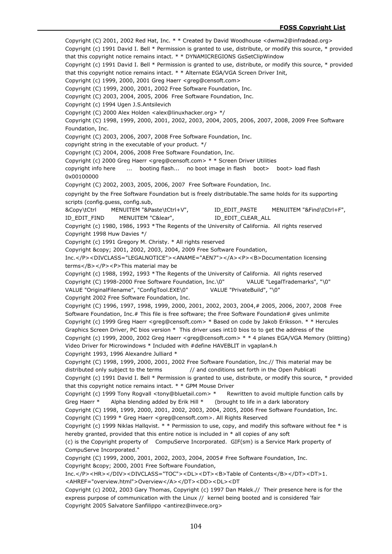Copyright (C) 2001, 2002 Red Hat, Inc. \* \* Created by David Woodhouse <dwmw2@infradead.org> Copyright (c) 1991 David I. Bell \* Permission is granted to use, distribute, or modify this source, \* provided that this copyright notice remains intact. \* \* DYNAMICREGIONS GsSetClipWindow Copyright (c) 1991 David I. Bell \* Permission is granted to use, distribute, or modify this source, \* provided that this copyright notice remains intact. \* \* Alternate EGA/VGA Screen Driver Init, Copyright (c) 1999, 2000, 2001 Greg Haerr <greg@censoft.com> Copyright (C) 1999, 2000, 2001, 2002 Free Software Foundation, Inc. Copyright (C) 2003, 2004, 2005, 2006 Free Software Foundation, Inc. Copyright (c) 1994 Ugen J.S.Antsilevich Copyright (C) 2000 Alex Holden <alex@linuxhacker.org> \*/ Copyright (C) 1998, 1999, 2000, 2001, 2002, 2003, 2004, 2005, 2006, 2007, 2008, 2009 Free Software Foundation, Inc. Copyright (C) 2003, 2006, 2007, 2008 Free Software Foundation, Inc. copyright string in the executable of your product. \*/ Copyright (C) 2004, 2006, 2008 Free Software Foundation, Inc. Copyright (c) 2000 Greg Haerr <greg@censoft.com> \* \* Screen Driver Utilities copyright info here ... booting flash... no boot image in flash boot> boot> load flash 0x00100000 Copyright (C) 2002, 2003, 2005, 2006, 2007 Free Software Foundation, Inc. copyright by the Free Software Foundation but is freely distributable.The same holds for its supporting scripts (config.guess, config.sub, &Copy\tCtrl MENUITEM "&Paste\tCtrl+V", ID\_EDIT\_PASTE MENUITEM "&Find\tCtrl+F", ID\_EDIT\_FIND MENUITEM "C&lear", ID\_EDIT\_CLEAR\_ALL Copyright (c) 1980, 1986, 1993 \*The Regents of the University of California. All rights reserved Copyright 1998 Huw Davies \*/ Copyright (c) 1991 Gregory M. Christy. \* All rights reserved Copyright © 2001, 2002, 2003, 2004, 2009 Free Software Foundation, Inc.</P><DIVCLASS="LEGALNOTICE"><ANAME="AEN7"></A><P><B>Documentation licensing terms</B></P><P>This material may be Copyright (c) 1988, 1992, 1993 \*The Regents of the University of California. All rights reserved Copyright (C) 1998-2000 Free Software Foundation, Inc.\0" VALUE "LegalTrademarks", "\0" VALUE "OriginalFilename", "ConfigTool.EXE\0" VALUE "PrivateBuild", "\0" Copyright 2002 Free Software Foundation, Inc. Copyright (C) 1996, 1997, 1998, 1999, 2000, 2001, 2002, 2003, 2004,# 2005, 2006, 2007, 2008 Free Software Foundation, Inc.# This file is free software; the Free Software Foundation# gives unlimite Copyright (c) 1999 Greg Haerr <greg@censoft.com> \* Based on code by Jakob Eriksson. \* \* Hercules Graphics Screen Driver, PC bios version \* This driver uses int10 bios to to get the address of the Copyright (c) 1999, 2000, 2002 Greg Haerr <greg@censoft.com> \* \* 4 planes EGA/VGA Memory (blitting) Video Driver for Microwindows \* Included with #define HAVEBLIT in vgaplan4.h Copyright 1993, 1996 Alexandre Julliard \* Copyright (C) 1998, 1999, 2000, 2001, 2002 Free Software Foundation, Inc.// This material may be distributed only subject to the terms // and conditions set forth in the Open Publicati Copyright (c) 1991 David I. Bell \* Permission is granted to use, distribute, or modify this source, \* provided that this copyright notice remains intact. \* \* GPM Mouse Driver Copyright (c) 1999 Tony Rogvall <tony@bluetail.com> \* Rewritten to avoid multiple function calls by Greg Haerr  $*$  Alpha blending added by Erik Hill  $*$  (brought to life in a dark laboratory Copyright (C) 1998, 1999, 2000, 2001, 2002, 2003, 2004, 2005, 2006 Free Software Foundation, Inc. Copyright (C) 1999 \* Greg Haerr <greg@censoft.com>. All Rights Reserved Copyright (c) 1999 Niklas Hallqvist. \* \* Permission to use, copy, and modify this software without fee \* is hereby granted, provided that this entire notice is included in \* all copies of any soft (c) is the Copyright property of CompuServe Incorporated. GIF(sm) is a Service Mark property of CompuServe Incorporated." Copyright (C) 1999, 2000, 2001, 2002, 2003, 2004, 2005# Free Software Foundation, Inc. Copyright & copy; 2000, 2001 Free Software Foundation, Inc.</P><HR></DIV><DIVCLASS="TOC"><DL><DT><B>Table of Contents</B></DT><DT>1. <AHREF="overview.html">Overview</A></DT><DD><DL><DT Copyright (c) 2002, 2003 Gary Thomas, Copyright (c) 1997 Dan Malek.// Their presence here is for the express purpose of communication with the Linux // kernel being booted and is considered 'fair

Copyright 2005 Salvatore Sanfilippo <antirez@invece.org>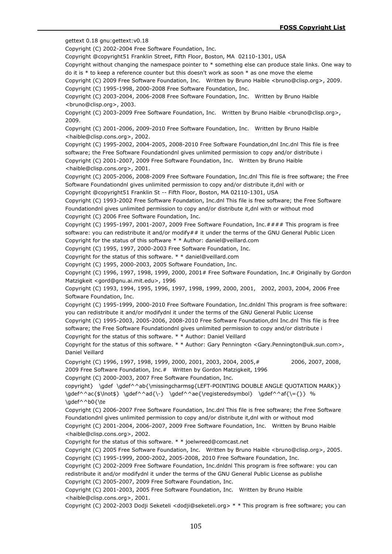gettext 0.18 gnu:gettext:v0.18

Copyright (C) 2002-2004 Free Software Foundation, Inc.

Copyright @copyright51 Franklin Street, Fifth Floor, Boston, MA 02110-1301, USA

Copyright without changing the namespace pointer to \* something else can produce stale links. One way to do it is \* to keep a reference counter but this doesn't work as soon \* as one move the eleme

Copyright (C) 2009 Free Software Foundation, Inc. Written by Bruno Haible <bruno@clisp.org>, 2009.

Copyright (C) 1995-1998, 2000-2008 Free Software Foundation, Inc.

Copyright (C) 2003-2004, 2006-2008 Free Software Foundation, Inc. Written by Bruno Haible <bruno@clisp.org>, 2003.

Copyright (C) 2003-2009 Free Software Foundation, Inc. Written by Bruno Haible <br/>bruno@clisp.org>, 2009.

Copyright (C) 2001-2006, 2009-2010 Free Software Foundation, Inc. Written by Bruno Haible <haible@clisp.cons.org>, 2002.

Copyright (C) 1995-2002, 2004-2005, 2008-2010 Free Software Foundation,dnl Inc.dnl This file is free software; the Free Software Foundationdnl gives unlimited permission to copy and/or distribute i Copyright (C) 2001-2007, 2009 Free Software Foundation, Inc. Written by Bruno Haible <haible@clisp.cons.org>, 2001.

Copyright (C) 2005-2006, 2008-2009 Free Software Foundation, Inc.dnl This file is free software; the Free Software Foundationdnl gives unlimited permission to copy and/or distribute it,dnl with or

Copyright @copyright51 Franklin St -- Fifth Floor, Boston, MA 02110-1301, USA

Copyright (C) 1993-2002 Free Software Foundation, Inc.dnl This file is free software; the Free Software Foundationdnl gives unlimited permission to copy and/or distribute it,dnl with or without mod Copyright (C) 2006 Free Software Foundation, Inc.

Copyright (C) 1995-1997, 2001-2007, 2009 Free Software Foundation, Inc.#### This program is free software: you can redistribute it and/or modify## it under the terms of the GNU General Public Licen Copyright for the status of this software \* \* Author: daniel@veillard.com

Copyright (C) 1995, 1997, 2000-2003 Free Software Foundation, Inc.

Copyright for the status of this software. \* \* daniel@veillard.com

Copyright (C) 1995, 2000-2003, 2005 Software Foundation, Inc.

Copyright (C) 1996, 1997, 1998, 1999, 2000, 2001# Free Software Foundation, Inc.# Originally by Gordon Matzigkeit <gord@gnu.ai.mit.edu>, 1996

Copyright (C) 1993, 1994, 1995, 1996, 1997, 1998, 1999, 2000, 2001, 2002, 2003, 2004, 2006 Free Software Foundation, Inc.

Copyright (C) 1995-1999, 2000-2010 Free Software Foundation, Inc.dnldnl This program is free software: you can redistribute it and/or modifydnl it under the terms of the GNU General Public License

Copyright (C) 1995-2003, 2005-2006, 2008-2010 Free Software Foundation,dnl Inc.dnl This file is free software; the Free Software Foundationdnl gives unlimited permission to copy and/or distribute i Copyright for the status of this software. \* \* Author: Daniel Veillard

Copyright for the status of this software. \* \* Author: Gary Pennington <Gary.Pennington@uk.sun.com>, Daniel Veillard

Copyright (C) 1996, 1997, 1998, 1999, 2000, 2001, 2003, 2004, 2005,# 2006, 2007, 2008, 2009 Free Software Foundation, Inc.# Written by Gordon Matzigkeit, 1996 Copyright (C) 2000-2003, 2007 Free Software Foundation, Inc.

copyright} \gdef \gdef^^ab{\missingcharmsg{LEFT-POINTING DOUBLE ANGLE QUOTATION MARK}} \gdef^^ac{\$\lnot\$} \gdef^^ad{\-} \gdef^^ae{\registeredsymbol} \gdef^^af{\={}} % \gdef^^b0{\te

Copyright (C) 2006-2007 Free Software Foundation, Inc.dnl This file is free software; the Free Software Foundationdnl gives unlimited permission to copy and/or distribute it,dnl with or without mod Copyright (C) 2001-2004, 2006-2007, 2009 Free Software Foundation, Inc. Written by Bruno Haible <haible@clisp.cons.org>, 2002.

Copyright for the status of this software. \* \* joelwreed@comcast.net

Copyright (C) 2005 Free Software Foundation, Inc. Written by Bruno Haible <bruno@clisp.org>, 2005. Copyright (C) 1995-1999, 2000-2002, 2005-2008, 2010 Free Software Foundation, Inc.

Copyright (C) 2002-2009 Free Software Foundation, Inc.dnldnl This program is free software: you can redistribute it and/or modifydnl it under the terms of the GNU General Public License as publishe Copyright (C) 2005-2007, 2009 Free Software Foundation, Inc.

Copyright (C) 2001-2003, 2005 Free Software Foundation, Inc. Written by Bruno Haible <haible@clisp.cons.org>, 2001.

Copyright (C) 2002-2003 Dodji Seketeli <dodji@seketeli.org> \* \* This program is free software; you can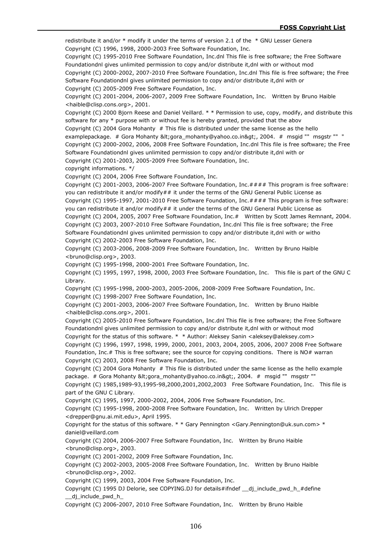redistribute it and/or \* modify it under the terms of version 2.1 of the \* GNU Lesser Genera Copyright (C) 1996, 1998, 2000-2003 Free Software Foundation, Inc.

Copyright (C) 1995-2010 Free Software Foundation, Inc.dnl This file is free software; the Free Software Foundationdnl gives unlimited permission to copy and/or distribute it,dnl with or without mod

Copyright (C) 2000-2002, 2007-2010 Free Software Foundation, Inc.dnl This file is free software; the Free Software Foundationdnl gives unlimited permission to copy and/or distribute it,dnl with or

Copyright (C) 2005-2009 Free Software Foundation, Inc.

Copyright (C) 2001-2004, 2006-2007, 2009 Free Software Foundation, Inc. Written by Bruno Haible <haible@clisp.cons.org>, 2001.

Copyright (C) 2000 Bjorn Reese and Daniel Veillard. \* \* Permission to use, copy, modify, and distribute this software for any \* purpose with or without fee is hereby granted, provided that the abov

Copyright (C) 2004 Gora Mohanty # This file is distributed under the same license as the hello examplepackage. # Gora Mohanty <gora\_mohanty@yahoo.co.in&gt;, 2004. # msgid "" msgstr "" "

Copyright (C) 2000-2002, 2006, 2008 Free Software Foundation, Inc.dnl This file is free software; the Free Software Foundationdnl gives unlimited permission to copy and/or distribute it,dnl with or

Copyright (C) 2001-2003, 2005-2009 Free Software Foundation, Inc.

copyright informations. \*/

Copyright (C) 2004, 2006 Free Software Foundation, Inc.

Copyright (C) 2001-2003, 2006-2007 Free Software Foundation, Inc.#### This program is free software: you can redistribute it and/or modify## it under the terms of the GNU General Public License as

Copyright (C) 1995-1997, 2001-2010 Free Software Foundation, Inc.#### This program is free software: you can redistribute it and/or modify## it under the terms of the GNU General Public License as

Copyright (C) 2004, 2005, 2007 Free Software Foundation, Inc.# Written by Scott James Remnant, 2004. Copyright (C) 2003, 2007-2010 Free Software Foundation, Inc.dnl This file is free software; the Free Software Foundationdnl gives unlimited permission to copy and/or distribute it,dnl with or witho Copyright (C) 2002-2003 Free Software Foundation, Inc.

Copyright (C) 2003-2006, 2008-2009 Free Software Foundation, Inc. Written by Bruno Haible <bruno@clisp.org>, 2003.

Copyright (C) 1995-1998, 2000-2001 Free Software Foundation, Inc.

Copyright (C) 1995, 1997, 1998, 2000, 2003 Free Software Foundation, Inc. This file is part of the GNU C Library.

Copyright (C) 1995-1998, 2000-2003, 2005-2006, 2008-2009 Free Software Foundation, Inc.

Copyright (C) 1998-2007 Free Software Foundation, Inc.

Copyright (C) 2001-2003, 2006-2007 Free Software Foundation, Inc. Written by Bruno Haible <haible@clisp.cons.org>, 2001.

Copyright (C) 2005-2010 Free Software Foundation, Inc.dnl This file is free software; the Free Software Foundationdnl gives unlimited permission to copy and/or distribute it,dnl with or without mod

Copyright for the status of this software. \* \* Author: Aleksey Sanin <aleksey@aleksey.com> Copyright (C) 1996, 1997, 1998, 1999, 2000, 2001, 2003, 2004, 2005, 2006, 2007 2008 Free Software Foundation, Inc.# This is free software; see the source for copying conditions. There is NO# warran Copyright (C) 2003, 2008 Free Software Foundation, Inc.

Copyright (C) 2004 Gora Mohanty # This file is distributed under the same license as the hello example package. # Gora Mohanty < gora\_mohanty@yahoo.co.in&gt;, 2004. # msgid "" msgstr ""

Copyright (C) 1985,1989-93,1995-98,2000,2001,2002,2003 Free Software Foundation, Inc. This file is part of the GNU C Library.

Copyright (C) 1995, 1997, 2000-2002, 2004, 2006 Free Software Foundation, Inc.

Copyright (C) 1995-1998, 2000-2008 Free Software Foundation, Inc. Written by Ulrich Drepper <drepper@gnu.ai.mit.edu>, April 1995.

Copyright for the status of this software. \* \* Gary Pennington <Gary.Pennington@uk.sun.com> \* daniel@veillard.com

Copyright (C) 2004, 2006-2007 Free Software Foundation, Inc. Written by Bruno Haible <bruno@clisp.org>, 2003.

Copyright (C) 2001-2002, 2009 Free Software Foundation, Inc.

Copyright (C) 2002-2003, 2005-2008 Free Software Foundation, Inc. Written by Bruno Haible <bruno@clisp.org>, 2002.

Copyright (C) 1999, 2003, 2004 Free Software Foundation, Inc.

Copyright (C) 1995 DJ Delorie, see COPYING.DJ for details#ifndef dj include pwd h #define \_\_dj\_include\_pwd\_h\_

Copyright (C) 2006-2007, 2010 Free Software Foundation, Inc. Written by Bruno Haible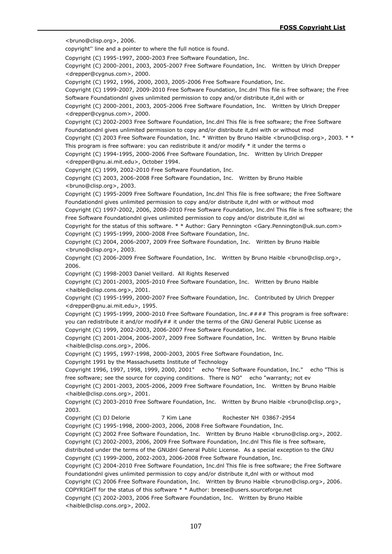<bruno@clisp.org>, 2006.

copyright'' line and a pointer to where the full notice is found.

Copyright (C) 1995-1997, 2000-2003 Free Software Foundation, Inc.

Copyright (C) 2000-2001, 2003, 2005-2007 Free Software Foundation, Inc. Written by Ulrich Drepper <drepper@cygnus.com>, 2000.

Copyright (C) 1992, 1996, 2000, 2003, 2005-2006 Free Software Foundation, Inc.

Copyright (C) 1999-2007, 2009-2010 Free Software Foundation, Inc.dnl This file is free software; the Free Software Foundationdnl gives unlimited permission to copy and/or distribute it,dnl with or

Copyright (C) 2000-2001, 2003, 2005-2006 Free Software Foundation, Inc. Written by Ulrich Drepper <drepper@cygnus.com>, 2000.

Copyright (C) 2002-2003 Free Software Foundation, Inc.dnl This file is free software; the Free Software Foundationdnl gives unlimited permission to copy and/or distribute it,dnl with or without mod

Copyright (C) 2003 Free Software Foundation, Inc. \* Written by Bruno Haible <bruno@clisp.org>, 2003. \* \*

This program is free software: you can redistribute it and/or modify \* it under the terms o

Copyright (C) 1994-1995, 2000-2006 Free Software Foundation, Inc. Written by Ulrich Drepper <drepper@gnu.ai.mit.edu>, October 1994.

Copyright (C) 1999, 2002-2010 Free Software Foundation, Inc.

Copyright (C) 2003, 2006-2008 Free Software Foundation, Inc. Written by Bruno Haible <bruno@clisp.org>, 2003.

Copyright (C) 1995-2009 Free Software Foundation, Inc.dnl This file is free software; the Free Software Foundationdnl gives unlimited permission to copy and/or distribute it,dnl with or without mod

Copyright (C) 1997-2002, 2006, 2008-2010 Free Software Foundation, Inc.dnl This file is free software; the Free Software Foundationdnl gives unlimited permission to copy and/or distribute it,dnl wi

Copyright for the status of this software. \* \* Author: Gary Pennington <Gary.Pennington@uk.sun.com> Copyright (C) 1995-1999, 2000-2008 Free Software Foundation, Inc.

Copyright (C) 2004, 2006-2007, 2009 Free Software Foundation, Inc. Written by Bruno Haible <bruno@clisp.org>, 2003.

Copyright (C) 2006-2009 Free Software Foundation, Inc. Written by Bruno Haible <br/>bruno@clisp.org>, 2006.

Copyright (C) 1998-2003 Daniel Veillard. All Rights Reserved

Copyright (C) 2001-2003, 2005-2010 Free Software Foundation, Inc. Written by Bruno Haible <haible@clisp.cons.org>, 2001.

Copyright (C) 1995-1999, 2000-2007 Free Software Foundation, Inc. Contributed by Ulrich Drepper <drepper@gnu.ai.mit.edu>, 1995.

Copyright (C) 1995-1999, 2000-2010 Free Software Foundation, Inc.#### This program is free software: you can redistribute it and/or modify## it under the terms of the GNU General Public License as

Copyright (C) 1999, 2002-2003, 2006-2007 Free Software Foundation, Inc.

Copyright (C) 2001-2004, 2006-2007, 2009 Free Software Foundation, Inc. Written by Bruno Haible <haible@clisp.cons.org>, 2006.

Copyright (C) 1995, 1997-1998, 2000-2003, 2005 Free Software Foundation, Inc.

Copyright 1991 by the Massachusetts Institute of Technology

Copyright 1996, 1997, 1998, 1999, 2000, 2001" echo "Free Software Foundation, Inc." echo "This is free software; see the source for copying conditions. There is NO" echo "warranty; not ev

Copyright (C) 2001-2003, 2005-2006, 2009 Free Software Foundation, Inc. Written by Bruno Haible <haible@clisp.cons.org>, 2001.

Copyright (C) 2003-2010 Free Software Foundation, Inc. Written by Bruno Haible <br/>bruno@clisp.org>, 2003.

Copyright (C) DJ Delorie 7 Kim Lane Rochester NH 03867-2954

Copyright (C) 1995-1998, 2000-2003, 2006, 2008 Free Software Foundation, Inc.

Copyright (C) 2002 Free Software Foundation, Inc. Written by Bruno Haible <bruno@clisp.org>, 2002.

Copyright (C) 2002-2003, 2006, 2009 Free Software Foundation, Inc.dnl This file is free software,

distributed under the terms of the GNUdnl General Public License. As a special exception to the GNU Copyright (C) 1999-2000, 2002-2003, 2006-2008 Free Software Foundation, Inc.

Copyright (C) 2004-2010 Free Software Foundation, Inc.dnl This file is free software; the Free Software Foundationdnl gives unlimited permission to copy and/or distribute it,dnl with or without mod

Copyright (C) 2006 Free Software Foundation, Inc. Written by Bruno Haible <br/>bruno@clisp.org>, 2006. COPYRIGHT for the status of this software \* \* Author: breese@users.sourceforge.net

Copyright (C) 2002-2003, 2006 Free Software Foundation, Inc. Written by Bruno Haible <haible@clisp.cons.org>, 2002.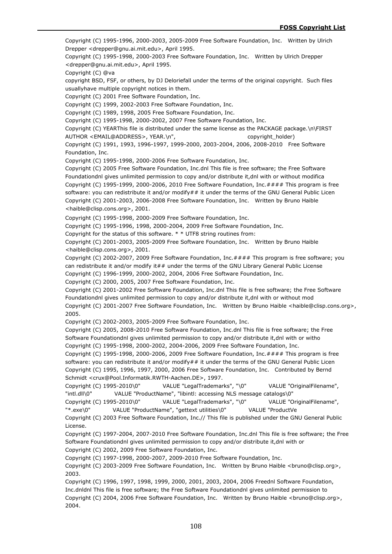Copyright (C) 1995-1996, 2000-2003, 2005-2009 Free Software Foundation, Inc. Written by Ulrich Drepper <drepper@gnu.ai.mit.edu>, April 1995.

Copyright (C) 1995-1998, 2000-2003 Free Software Foundation, Inc. Written by Ulrich Drepper <drepper@gnu.ai.mit.edu>, April 1995.

Copyright (C) @va

copyright BSD, FSF, or others, by DJ Deloriefall under the terms of the original copyright. Such files usuallyhave multiple copyright notices in them.

Copyright (C) 2001 Free Software Foundation, Inc.

Copyright (C) 1999, 2002-2003 Free Software Foundation, Inc.

Copyright (C) 1989, 1998, 2005 Free Software Foundation, Inc.

Copyright (C) 1995-1998, 2000-2002, 2007 Free Software Foundation, Inc.

Copyright (C) YEARThis file is distributed under the same license as the PACKAGE package.\n\FIRST AUTHOR <EMAIL@ADDRESS>, YEAR.\n", example the copyright holder)

Copyright (C) 1991, 1993, 1996-1997, 1999-2000, 2003-2004, 2006, 2008-2010 Free Software Foundation, Inc.

Copyright (C) 1995-1998, 2000-2006 Free Software Foundation, Inc.

Copyright (C) 2005 Free Software Foundation, Inc.dnl This file is free software; the Free Software Foundationdnl gives unlimited permission to copy and/or distribute it,dnl with or without modifica Copyright (C) 1995-1999, 2000-2006, 2010 Free Software Foundation, Inc.#### This program is free software: you can redistribute it and/or modify## it under the terms of the GNU General Public Licen Copyright (C) 2001-2003, 2006-2008 Free Software Foundation, Inc. Written by Bruno Haible <haible@clisp.cons.org>, 2001.

Copyright (C) 1995-1998, 2000-2009 Free Software Foundation, Inc.

Copyright (C) 1995-1996, 1998, 2000-2004, 2009 Free Software Foundation, Inc.

Copyright for the status of this software. \* \* UTF8 string routines from:

Copyright (C) 2001-2003, 2005-2009 Free Software Foundation, Inc. Written by Bruno Haible <haible@clisp.cons.org>, 2001.

Copyright (C) 2002-2007, 2009 Free Software Foundation, Inc.#### This program is free software; you can redistribute it and/or modify it## under the terms of the GNU Library General Public License Copyright (C) 1996-1999, 2000-2002, 2004, 2006 Free Software Foundation, Inc.

Copyright (C) 2000, 2005, 2007 Free Software Foundation, Inc.

Copyright (C) 2001-2002 Free Software Foundation, Inc.dnl This file is free software; the Free Software Foundationdnl gives unlimited permission to copy and/or distribute it,dnl with or without mod

Copyright (C) 2001-2007 Free Software Foundation, Inc. Written by Bruno Haible <haible@clisp.cons.org>, 2005.

Copyright (C) 2002-2003, 2005-2009 Free Software Foundation, Inc.

Copyright (C) 2005, 2008-2010 Free Software Foundation, Inc.dnl This file is free software; the Free Software Foundationdnl gives unlimited permission to copy and/or distribute it,dnl with or witho Copyright (C) 1995-1998, 2000-2002, 2004-2006, 2009 Free Software Foundation, Inc.

Copyright (C) 1995-1998, 2000-2006, 2009 Free Software Foundation, Inc.#### This program is free software: you can redistribute it and/or modify## it under the terms of the GNU General Public Licen Copyright (C) 1995, 1996, 1997, 2000, 2006 Free Software Foundation, Inc. Contributed by Bernd Schmidt <crux@Pool.Informatik.RWTH-Aachen.DE>, 1997.

Copyright (C) 1995-2010\0" VALUE "LegalTrademarks", "\0" VALUE "OriginalFilename", "intl.dll\0" VALUE "ProductName", "libintl: accessing NLS message catalogs\0"

Copyright (C) 1995-2010\0" VALUE "LegalTrademarks", "\0" VALUE "OriginalFilename", "\*.exe\0" VALUE "ProductName", "gettext utilities\0" VALUE "ProductVe

Copyright (C) 2003 Free Software Foundation, Inc.// This file is published under the GNU General Public License.

Copyright (C) 1997-2004, 2007-2010 Free Software Foundation, Inc.dnl This file is free software; the Free Software Foundationdnl gives unlimited permission to copy and/or distribute it,dnl with or Copyright (C) 2002, 2009 Free Software Foundation, Inc.

Copyright (C) 1997-1998, 2000-2007, 2009-2010 Free Software Foundation, Inc.

Copyright (C) 2003-2009 Free Software Foundation, Inc. Written by Bruno Haible <br/>bruno@clisp.org>, 2003.

Copyright (C) 1996, 1997, 1998, 1999, 2000, 2001, 2003, 2004, 2006 Freednl Software Foundation, Inc.dnldnl This file is free software; the Free Software Foundationdnl gives unlimited permission to Copyright (C) 2004, 2006 Free Software Foundation, Inc. Written by Bruno Haible <br/>bruno@clisp.org>, 2004.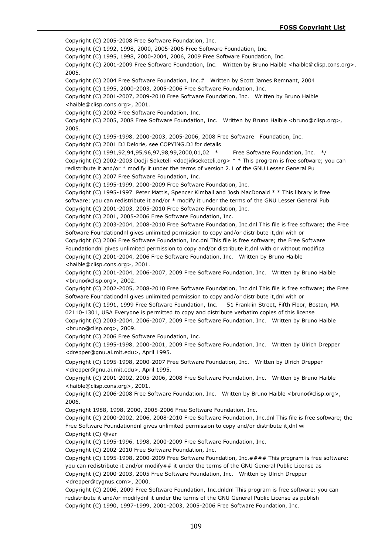Copyright (C) 2005-2008 Free Software Foundation, Inc. Copyright (C) 1992, 1998, 2000, 2005-2006 Free Software Foundation, Inc. Copyright (C) 1995, 1998, 2000-2004, 2006, 2009 Free Software Foundation, Inc. Copyright (C) 2001-2009 Free Software Foundation, Inc. Written by Bruno Haible <haible@clisp.cons.org>, 2005. Copyright (C) 2004 Free Software Foundation, Inc.# Written by Scott James Remnant, 2004 Copyright (C) 1995, 2000-2003, 2005-2006 Free Software Foundation, Inc. Copyright (C) 2001-2007, 2009-2010 Free Software Foundation, Inc. Written by Bruno Haible <haible@clisp.cons.org>, 2001. Copyright (C) 2002 Free Software Foundation, Inc. Copyright (C) 2005, 2008 Free Software Foundation, Inc. Written by Bruno Haible <br/>bruno@clisp.org>, 2005. Copyright (C) 1995-1998, 2000-2003, 2005-2006, 2008 Free Software Foundation, Inc. Copyright (C) 2001 DJ Delorie, see COPYING.DJ for details Copyright (C) 1991,92,94,95,96,97,98,99,2000,01,02 \* Free Software Foundation, Inc. \*/ Copyright (C) 2002-2003 Dodji Seketeli <dodji@seketeli.org> \* \* This program is free software; you can redistribute it and/or \* modify it under the terms of version 2.1 of the GNU Lesser General Pu Copyright (C) 2007 Free Software Foundation, Inc. Copyright (C) 1995-1999, 2000-2009 Free Software Foundation, Inc. Copyright (C) 1995-1997 Peter Mattis, Spencer Kimball and Josh MacDonald \* \* This library is free software; you can redistribute it and/or \* modify it under the terms of the GNU Lesser General Pub Copyright (C) 2001-2003, 2005-2010 Free Software Foundation, Inc. Copyright (C) 2001, 2005-2006 Free Software Foundation, Inc. Copyright (C) 2003-2004, 2008-2010 Free Software Foundation, Inc.dnl This file is free software; the Free Software Foundationdnl gives unlimited permission to copy and/or distribute it,dnl with or Copyright (C) 2006 Free Software Foundation, Inc.dnl This file is free software; the Free Software Foundationdnl gives unlimited permission to copy and/or distribute it,dnl with or without modifica Copyright (C) 2001-2004, 2006 Free Software Foundation, Inc. Written by Bruno Haible <haible@clisp.cons.org>, 2001. Copyright (C) 2001-2004, 2006-2007, 2009 Free Software Foundation, Inc. Written by Bruno Haible <bruno@clisp.org>, 2002. Copyright (C) 2002-2005, 2008-2010 Free Software Foundation, Inc.dnl This file is free software; the Free Software Foundationdnl gives unlimited permission to copy and/or distribute it,dnl with or Copyright (C) 1991, 1999 Free Software Foundation, Inc. 51 Franklin Street, Fifth Floor, Boston, MA 02110-1301, USA Everyone is permitted to copy and distribute verbatim copies of this license Copyright (C) 2003-2004, 2006-2007, 2009 Free Software Foundation, Inc. Written by Bruno Haible <bruno@clisp.org>, 2009. Copyright (C) 2006 Free Software Foundation, Inc. Copyright (C) 1995-1998, 2000-2001, 2009 Free Software Foundation, Inc. Written by Ulrich Drepper <drepper@gnu.ai.mit.edu>, April 1995. Copyright (C) 1995-1998, 2000-2007 Free Software Foundation, Inc. Written by Ulrich Drepper <drepper@gnu.ai.mit.edu>, April 1995. Copyright (C) 2001-2002, 2005-2006, 2008 Free Software Foundation, Inc. Written by Bruno Haible <haible@clisp.cons.org>, 2001. Copyright (C) 2006-2008 Free Software Foundation, Inc. Written by Bruno Haible <br/>bruno@clisp.org>, 2006. Copyright 1988, 1998, 2000, 2005-2006 Free Software Foundation, Inc. Copyright (C) 2000-2002, 2006, 2008-2010 Free Software Foundation, Inc.dnl This file is free software; the Free Software Foundationdnl gives unlimited permission to copy and/or distribute it,dnl wi Copyright (C) @var Copyright (C) 1995-1996, 1998, 2000-2009 Free Software Foundation, Inc. Copyright (C) 2002-2010 Free Software Foundation, Inc. Copyright (C) 1995-1998, 2000-2009 Free Software Foundation, Inc.#### This program is free software: you can redistribute it and/or modify## it under the terms of the GNU General Public License as Copyright (C) 2000-2003, 2005 Free Software Foundation, Inc. Written by Ulrich Drepper <drepper@cygnus.com>, 2000. Copyright (C) 2006, 2009 Free Software Foundation, Inc.dnldnl This program is free software: you can

redistribute it and/or modifydnl it under the terms of the GNU General Public License as publish Copyright (C) 1990, 1997-1999, 2001-2003, 2005-2006 Free Software Foundation, Inc.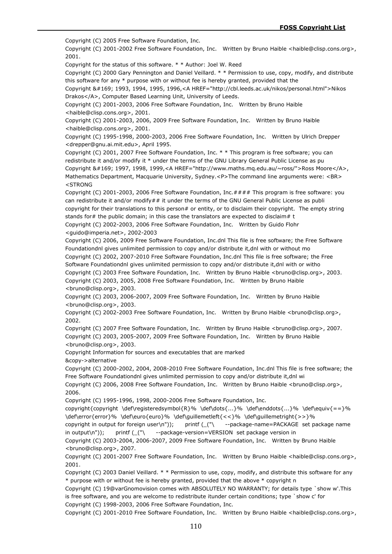Copyright (C) 2005 Free Software Foundation, Inc.

Copyright (C) 2001-2002 Free Software Foundation, Inc. Written by Bruno Haible <haible@clisp.cons.org>, 2001.

Copyright for the status of this software. \* \* Author: Joel W. Reed

Copyright (C) 2000 Gary Pennington and Daniel Veillard. \* \* Permission to use, copy, modify, and distribute this software for any \* purpose with or without fee is hereby granted, provided that the

Copyright &#169; 1993, 1994, 1995, 1996,<A HREF="http://cbl.leeds.ac.uk/nikos/personal.html">Nikos Drakos</A>, Computer Based Learning Unit, University of Leeds.

Copyright (C) 2001-2003, 2006 Free Software Foundation, Inc. Written by Bruno Haible <haible@clisp.cons.org>, 2001.

Copyright (C) 2001-2003, 2006, 2009 Free Software Foundation, Inc. Written by Bruno Haible <haible@clisp.cons.org>, 2001.

Copyright (C) 1995-1998, 2000-2003, 2006 Free Software Foundation, Inc. Written by Ulrich Drepper <drepper@gnu.ai.mit.edu>, April 1995.

Copyright (C) 2001, 2007 Free Software Foundation, Inc. \* \* This program is free software; you can redistribute it and/or modify it \* under the terms of the GNU Library General Public License as pu Copyright &#169; 1997, 1998, 1999,<A HREF="http://www.maths.mq.edu.au/~ross/">Ross Moore</A>, Mathematics Department, Macquarie University, Sydney.<P>The command line arguments were: <BR> <STRONG

Copyright (C) 2001-2003, 2006 Free Software Foundation, Inc.#### This program is free software: you can redistribute it and/or modify $##$  it under the terms of the GNU General Public License as publi copyright for their translations to this person# or entity, or to disclaim their copyright. The empty string stands for $#$  the public domain; in this case the translators are expected to disclaim $#$  t Copyright (C) 2002-2003, 2006 Free Software Foundation, Inc. Written by Guido Flohr <guido@imperia.net>, 2002-2003

Copyright (C) 2006, 2009 Free Software Foundation, Inc.dnl This file is free software; the Free Software Foundationdnl gives unlimited permission to copy and/or distribute it,dnl with or without mo Copyright (C) 2002, 2007-2010 Free Software Foundation, Inc.dnl This file is free software; the Free Software Foundationdnl gives unlimited permission to copy and/or distribute it,dnl with or witho

Copyright (C) 2003 Free Software Foundation, Inc. Written by Bruno Haible <bruno@clisp.org>, 2003.

Copyright (C) 2003, 2005, 2008 Free Software Foundation, Inc. Written by Bruno Haible <bruno@clisp.org>, 2003.

Copyright (C) 2003, 2006-2007, 2009 Free Software Foundation, Inc. Written by Bruno Haible <bruno@clisp.org>, 2003.

Copyright (C) 2002-2003 Free Software Foundation, Inc. Written by Bruno Haible <bruno@clisp.org>, 2002.

Copyright (C) 2007 Free Software Foundation, Inc. Written by Bruno Haible <bruno@clisp.org>, 2007. Copyright (C) 2003, 2005-2007, 2009 Free Software Foundation, Inc. Written by Bruno Haible <bruno@clisp.org>, 2003.

Copyright Information for sources and executables that are marked

&copy->alternative

Copyright (C) 2000-2002, 2004, 2008-2010 Free Software Foundation, Inc.dnl This file is free software; the Free Software Foundationdnl gives unlimited permission to copy and/or distribute it,dnl wi

Copyright (C) 2006, 2008 Free Software Foundation, Inc. Written by Bruno Haible <br/>bruno@clisp.org>, 2006.

Copyright (C) 1995-1996, 1998, 2000-2006 Free Software Foundation, Inc.

copyright{copyright \def\registeredsymbol{R}% \def\dots{...}% \def\enddots{...}% \def\equiv{==}% \def\error{error}% \def\euro{euro}% \def\guillemetleft{<<}% \def\guillemetright{>>}%

copyright in output for foreign user\n")); printf (\_("\ --package-name=PACKAGE set package name in output\n")); printf (\_("\ --package-version=VERSION set package version in

Copyright (C) 2003-2004, 2006-2007, 2009 Free Software Foundation, Inc. Written by Bruno Haible <bruno@clisp.org>, 2007.

Copyright (C) 2001-2007 Free Software Foundation, Inc. Written by Bruno Haible <haible@clisp.cons.org>, 2001.

Copyright (C) 2003 Daniel Veillard. \* \* Permission to use, copy, modify, and distribute this software for any \* purpose with or without fee is hereby granted, provided that the above \* copyright n

Copyright (C) 19@varGnomovision comes with ABSOLUTELY NO WARRANTY; for details type `show w'.This is free software, and you are welcome to redistribute itunder certain conditions; type `show c' for Copyright (C) 1998-2003, 2006 Free Software Foundation, Inc.

Copyright (C) 2001-2010 Free Software Foundation, Inc. Written by Bruno Haible <haible@clisp.cons.org>,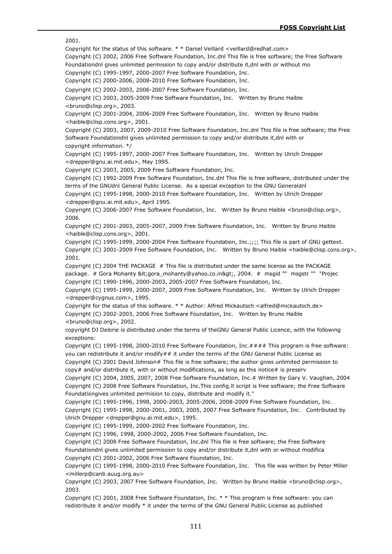2001.

Copyright for the status of this software. \* \* Daniel Veillard <veillard@redhat.com>

Copyright (C) 2002, 2006 Free Software Foundation, Inc.dnl This file is free software; the Free Software Foundationdnl gives unlimited permission to copy and/or distribute it,dnl with or without mo

Copyright (C) 1995-1997, 2000-2007 Free Software Foundation, Inc.

Copyright (C) 2000-2006, 2008-2010 Free Software Foundation, Inc.

Copyright (C) 2002-2003, 2006-2007 Free Software Foundation, Inc.

Copyright (C) 2003, 2005-2009 Free Software Foundation, Inc. Written by Bruno Haible <bruno@clisp.org>, 2003.

Copyright (C) 2001-2004, 2006-2009 Free Software Foundation, Inc. Written by Bruno Haible <haible@clisp.cons.org>, 2001.

Copyright (C) 2003, 2007, 2009-2010 Free Software Foundation, Inc.dnl This file is free software; the Free Software Foundationdnl gives unlimited permission to copy and/or distribute it,dnl with or copyright information. \*/

Copyright (C) 1995-1997, 2000-2007 Free Software Foundation, Inc. Written by Ulrich Drepper <drepper@gnu.ai.mit.edu>, May 1995.

Copyright (C) 2003, 2005, 2009 Free Software Foundation, Inc.

Copyright (C) 1992-2009 Free Software Foundation, Inc.dnl This file is free software, distributed under the terms of the GNUdnl General Public License. As a special exception to the GNU Generaldnl Copyright (C) 1995-1998, 2000-2010 Free Software Foundation, Inc. Written by Ulrich Drepper <drepper@gnu.ai.mit.edu>, April 1995.

Copyright (C) 2006-2007 Free Software Foundation, Inc. Written by Bruno Haible <br/>bruno@clisp.org>, 2006.

Copyright (C) 2001-2003, 2005-2007, 2009 Free Software Foundation, Inc. Written by Bruno Haible <haible@clisp.cons.org>, 2001.

Copyright (C) 1995-1999, 2000-2004 Free Software Foundation, Inc.;;;; This file is part of GNU gettext. Copyright (C) 2001-2009 Free Software Foundation, Inc. Written by Bruno Haible <haible@clisp.cons.org>, 2001.

Copyright (C) 2004 THE PACKAGE # This file is distributed under the same license as the PACKAGE package. # Gora Mohanty <gora\_mohanty@yahoo.co.in&gt;, 2004. # msgid "" msgstr "" "Projec Copyright (C) 1990-1996, 2000-2003, 2005-2007 Free Software Foundation, Inc.

Copyright (C) 1995-1999, 2000-2007, 2009 Free Software Foundation, Inc. Written by Ulrich Drepper <drepper@cygnus.com>, 1995.

Copyright for the status of this software. \* \* Author: Alfred Mickautsch <alfred@mickautsch.de> Copyright (C) 2002-2003, 2006 Free Software Foundation, Inc. Written by Bruno Haible <bruno@clisp.org>, 2002.

copyright DJ Delorie is distributed under the terms of theGNU General Public Licence, with the following exceptions:

Copyright (C) 1995-1998, 2000-2010 Free Software Foundation, Inc.#### This program is free software: you can redistribute it and/or modify## it under the terms of the GNU General Public License as

Copyright (C) 2001 David Johnson# This file is free software; the author gives unlimited permission to copy# and/or distribute it, with or without modifications, as long as this notice# is preserv

Copyright (C) 2004, 2005, 2007, 2008 Free Software Foundation, Inc.# Written by Gary V. Vaughan, 2004 Copyright (C) 2008 Free Software Foundation, Inc.This config.lt script is free software; the Free Software Foundationgives unlimited permision to copy, distribute and modify it."

Copyright (C) 1995-1996, 1998, 2000-2003, 2005-2006, 2008-2009 Free Software Foundation, Inc. Copyright (C) 1995-1998, 2000-2001, 2003, 2005, 2007 Free Software Foundation, Inc. Contributed by Ulrich Drepper <drepper@gnu.ai.mit.edu>, 1995.

Copyright (C) 1995-1999, 2000-2002 Free Software Foundation, Inc.

Copyright (C) 1996, 1998, 2000-2002, 2006 Free Software Foundation, Inc.

Copyright (C) 2008 Free Software Foundation, Inc.dnl This file is free software; the Free Software Foundationdnl gives unlimited permission to copy and/or distribute it,dnl with or without modifica Copyright (C) 2001-2002, 2006 Free Software Foundation, Inc.

Copyright (C) 1995-1998, 2000-2010 Free Software Foundation, Inc. This file was written by Peter Miller <millerp@canb.auug.org.au>

Copyright (C) 2003, 2007 Free Software Foundation, Inc. Written by Bruno Haible <br/>bruno@clisp.org>, 2003.

Copyright (C) 2001, 2008 Free Software Foundation, Inc. \* \* This program is free software: you can redistribute it and/or modify \* it under the terms of the GNU General Public License as published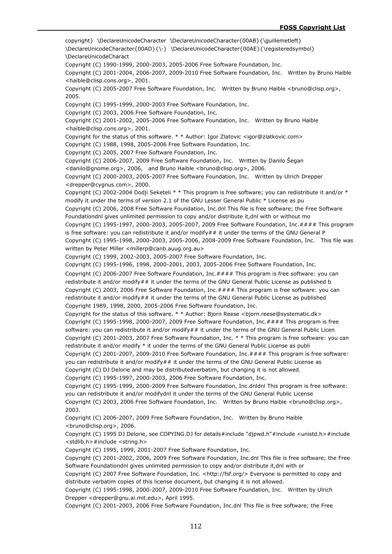copyright} \DeclareUnicodeCharacter \DeclareUnicodeCharacter{00AB}{\guillemetleft} \DeclareUnicodeCharacter{00AD}{\-} \DeclareUnicodeCharacter{00AE}{\registeredsymbol} \DeclareUnicodeCharact Copyright (C) 1990-1999, 2000-2003, 2005-2006 Free Software Foundation, Inc. Copyright (C) 2001-2004, 2006-2007, 2009-2010 Free Software Foundation, Inc. Written by Bruno Haible <haible@clisp.cons.org>, 2001. Copyright (C) 2005-2007 Free Software Foundation, Inc. Written by Bruno Haible <br/>bruno@clisp.org>, 2005. Copyright (C) 1995-1999, 2000-2003 Free Software Foundation, Inc. Copyright (C) 2003, 2006 Free Software Foundation, Inc. Copyright (C) 2001-2002, 2005-2006 Free Software Foundation, Inc. Written by Bruno Haible <haible@clisp.cons.org>, 2001. Copyright for the status of this software. \* \* Author: Igor Zlatovic <igor@zlatkovic.com> Copyright (C) 1988, 1998, 2005-2006 Free Software Foundation, Inc. Copyright (C) 2005, 2007 Free Software Foundation, Inc. Copyright (C) 2006-2007, 2009 Free Software Foundation, Inc. Written by Danilo Šegan <danilo@gnome.org>, 2006, and Bruno Haible <bruno@clisp.org>, 2006. Copyright (C) 2000-2003, 2005-2007 Free Software Foundation, Inc. Written by Ulrich Drepper <drepper@cygnus.com>, 2000. Copyright (C) 2002-2004 Dodji Seketeli \* \* This program is free software; you can redistribute it and/or \* modify it under the terms of version 2.1 of the GNU Lesser General Public \* License as pu Copyright (C) 2006, 2008 Free Software Foundation, Inc.dnl This file is free software; the Free Software Foundationdnl gives unlimited permission to copy and/or distribute it,dnl with or without mo Copyright (C) 1995-1997, 2000-2003, 2005-2007, 2009 Free Software Foundation, Inc.#### This program is free software: you can redistribute it and/or modify## it under the terms of the GNU General P Copyright (C) 1995-1998, 2000-2003, 2005-2006, 2008-2009 Free Software Foundation, Inc. This file was written by Peter Miller <millerp@canb.auug.org.au> Copyright (C) 1999, 2002-2003, 2005-2007 Free Software Foundation, Inc. Copyright (C) 1995-1996, 1998, 2000-2001, 2003, 2005-2006 Free Software Foundation, Inc. Copyright (C) 2006-2007 Free Software Foundation, Inc.#### This program is free software: you can redistribute it and/or modify## it under the terms of the GNU General Public License as published b Copyright (C) 2003, 2006 Free Software Foundation, Inc.#### This program is free software: you can redistribute it and/or modify## it under the terms of the GNU General Public License as published Copyright 1989, 1998, 2000, 2005-2006 Free Software Foundation, Inc. Copyright for the status of this software. \* \* Author: Biorn Reese < biorn.reese@systematic.dk> Copyright (C) 1995-1998, 2000-2007, 2009 Free Software Foundation, Inc.#### This program is free software: you can redistribute it and/or modify## it under the terms of the GNU General Public Licen Copyright (C) 2001-2003, 2007 Free Software Foundation, Inc. \* \* This program is free software: you can redistribute it and/or modify \* it under the terms of the GNU General Public License as publi Copyright (C) 2001-2007, 2009-2010 Free Software Foundation, Inc.#### This program is free software: you can redistribute it and/or modify## it under the terms of the GNU General Public License as Copyright (C) DJ Delorie and may be distributedverbatim, but changing it is not allowed. Copyright (C) 1995-1997, 2000-2003, 2006 Free Software Foundation, Inc. Copyright (C) 1995-1999, 2000-2009 Free Software Foundation, Inc.dnldnl This program is free software: you can redistribute it and/or modifydnl it under the terms of the GNU General Public License Copyright (C) 2003, 2006 Free Software Foundation, Inc. Written by Bruno Haible <br/>bruno@clisp.org>, 2003. Copyright (C) 2006-2007, 2009 Free Software Foundation, Inc. Written by Bruno Haible <bruno@clisp.org>, 2006. Copyright (C) 1995 DJ Delorie, see COPYING.DJ for details#include "djpwd.h"#include <unistd.h>#include <stdlib.h>#include <string.h> Copyright (C) 1995, 1999, 2001-2007 Free Software Foundation, Inc. Copyright (C) 2001-2002, 2006, 2009 Free Software Foundation, Inc.dnl This file is free software; the Free Software Foundationdnl gives unlimited permission to copy and/or distribute it,dnl with or Copyright (C) 2007 Free Software Foundation, Inc. <http://fsf.org/> Everyone is permitted to copy and distribute verbatim copies of this license document, but changing it is not allowed.

Copyright (C) 1995-1998, 2000-2007, 2009-2010 Free Software Foundation, Inc. Written by Ulrich Drepper <drepper@gnu.ai.mit.edu>, April 1995.

Copyright (C) 2001-2003, 2006 Free Software Foundation, Inc.dnl This file is free software; the Free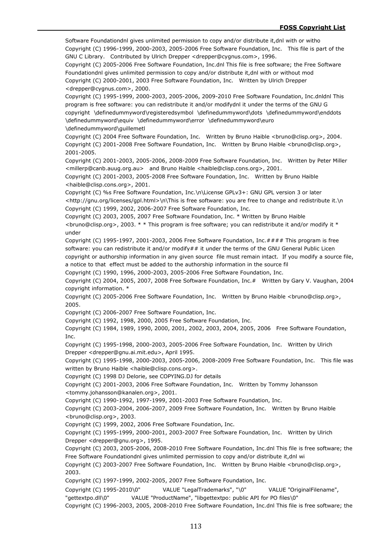Software Foundationdnl gives unlimited permission to copy and/or distribute it,dnl with or witho Copyright (C) 1996-1999, 2000-2003, 2005-2006 Free Software Foundation, Inc. This file is part of the GNU C Library. Contributed by Ulrich Drepper <drepper@cygnus.com>, 1996.

Copyright (C) 2005-2006 Free Software Foundation, Inc.dnl This file is free software; the Free Software Foundationdnl gives unlimited permission to copy and/or distribute it,dnl with or without mod Copyright (C) 2000-2001, 2003 Free Software Foundation, Inc. Written by Ulrich Drepper <drepper@cygnus.com>, 2000.

Copyright (C) 1995-1999, 2000-2003, 2005-2006, 2009-2010 Free Software Foundation, Inc.dnldnl This program is free software: you can redistribute it and/or modifydnl it under the terms of the GNU G copyright \definedummyword\registeredsymbol \definedummyword\dots \definedummyword\enddots \definedummyword\equiv \definedummyword\error \definedummyword\euro \definedummyword\guillemetl

Copyright (C) 2004 Free Software Foundation, Inc. Written by Bruno Haible <bruno@clisp.org>, 2004. Copyright (C) 2001-2008 Free Software Foundation, Inc. Written by Bruno Haible <br/>bruno@clisp.org>, 2001-2005.

Copyright (C) 2001-2003, 2005-2006, 2008-2009 Free Software Foundation, Inc. Written by Peter Miller <millerp@canb.auug.org.au> and Bruno Haible <haible@clisp.cons.org>, 2001.

Copyright (C) 2001-2003, 2005-2008 Free Software Foundation, Inc. Written by Bruno Haible <haible@clisp.cons.org>, 2001.

Copyright (C) %s Free Software Foundation, Inc.\n\License GPLv3+: GNU GPL version 3 or later <http://gnu.org/licenses/gpl.html>\n\This is free software: you are free to change and redistribute it.\n Copyright (C) 1999, 2002, 2006-2007 Free Software Foundation, Inc.

Copyright (C) 2003, 2005, 2007 Free Software Foundation, Inc. \* Written by Bruno Haible  $\epsilon$  <bruno@clisp.org>, 2003. \* \* This program is free software; you can redistribute it and/or modify it \* under

Copyright (C) 1995-1997, 2001-2003, 2006 Free Software Foundation, Inc.#### This program is free software: you can redistribute it and/or modify## it under the terms of the GNU General Public Licen copyright or authorship information in any given source file must remain intact. If you modify a source file, a notice to that effect must be added to the authorship information in the source fil

Copyright (C) 1990, 1996, 2000-2003, 2005-2006 Free Software Foundation, Inc.

Copyright (C) 2004, 2005, 2007, 2008 Free Software Foundation, Inc.# Written by Gary V. Vaughan, 2004 copyright information. \*

Copyright (C) 2005-2006 Free Software Foundation, Inc. Written by Bruno Haible <br/>bruno@clisp.org>, 2005.

Copyright (C) 2006-2007 Free Software Foundation, Inc.

Copyright (C) 1992, 1998, 2000, 2005 Free Software Foundation, Inc.

Copyright (C) 1984, 1989, 1990, 2000, 2001, 2002, 2003, 2004, 2005, 2006 Free Software Foundation, Inc.

Copyright (C) 1995-1998, 2000-2003, 2005-2006 Free Software Foundation, Inc. Written by Ulrich Drepper <drepper@gnu.ai.mit.edu>, April 1995.

Copyright (C) 1995-1998, 2000-2003, 2005-2006, 2008-2009 Free Software Foundation, Inc. This file was written by Bruno Haible <haible@clisp.cons.org>.

Copyright (C) 1998 DJ Delorie, see COPYING.DJ for details

Copyright (C) 2001-2003, 2006 Free Software Foundation, Inc. Written by Tommy Johansson <tommy.johansson@kanalen.org>, 2001.

Copyright (C) 1990-1992, 1997-1999, 2001-2003 Free Software Foundation, Inc.

Copyright (C) 2003-2004, 2006-2007, 2009 Free Software Foundation, Inc. Written by Bruno Haible <bruno@clisp.org>, 2003.

Copyright (C) 1999, 2002, 2006 Free Software Foundation, Inc.

Copyright (C) 1995-1999, 2000-2001, 2003-2007 Free Software Foundation, Inc. Written by Ulrich Drepper <drepper@gnu.org>, 1995.

Copyright (C) 2003, 2005-2006, 2008-2010 Free Software Foundation, Inc.dnl This file is free software; the Free Software Foundationdnl gives unlimited permission to copy and/or distribute it,dnl wi

Copyright (C) 2003-2007 Free Software Foundation, Inc. Written by Bruno Haible <br/>bruno@clisp.org>, 2003.

Copyright (C) 1997-1999, 2002-2005, 2007 Free Software Foundation, Inc.

Copyright (C) 1995-2010\0" VALUE "LegalTrademarks", "\0" VALUE "OriginalFilename",

"gettextpo.dll\0" VALUE "ProductName", "libgettextpo: public API for PO files\0"

Copyright (C) 1996-2003, 2005, 2008-2010 Free Software Foundation, Inc.dnl This file is free software; the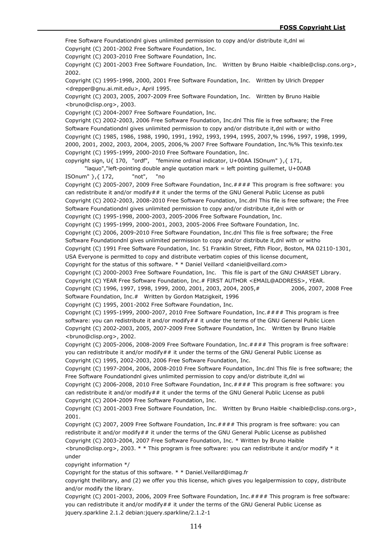Free Software Foundationdnl gives unlimited permission to copy and/or distribute it,dnl wi Copyright (C) 2001-2002 Free Software Foundation, Inc. Copyright (C) 2003-2010 Free Software Foundation, Inc. Copyright (C) 2001-2003 Free Software Foundation, Inc. Written by Bruno Haible <haible@clisp.cons.org>, 2002. Copyright (C) 1995-1998, 2000, 2001 Free Software Foundation, Inc. Written by Ulrich Drepper <drepper@gnu.ai.mit.edu>, April 1995. Copyright (C) 2003, 2005, 2007-2009 Free Software Foundation, Inc. Written by Bruno Haible <bruno@clisp.org>, 2003. Copyright (C) 2004-2007 Free Software Foundation, Inc. Copyright (C) 2002-2003, 2006 Free Software Foundation, Inc.dnl This file is free software; the Free Software Foundationdnl gives unlimited permission to copy and/or distribute it,dnl with or witho Copyright (C) 1985, 1986, 1988, 1990, 1991, 1992, 1993, 1994, 1995, 2007,% 1996, 1997, 1998, 1999, 2000, 2001, 2002, 2003, 2004, 2005, 2006,% 2007 Free Software Foundation, Inc.%% This texinfo.tex Copyright (C) 1995-1999, 2000-2010 Free Software Foundation, Inc. copyright sign, U{ 170, "ordf", "feminine ordinal indicator, U+00AA ISOnum" },{ 171, "laquo","left-pointing double angle quotation mark = left pointing guillemet, U+00AB ISOnum" },{ 172, "not", "no Copyright (C) 2005-2007, 2009 Free Software Foundation, Inc.#### This program is free software: you can redistribute it and/or modify## it under the terms of the GNU General Public License as publi Copyright (C) 2002-2003, 2008-2010 Free Software Foundation, Inc.dnl This file is free software; the Free Software Foundationdnl gives unlimited permission to copy and/or distribute it,dnl with or Copyright (C) 1995-1998, 2000-2003, 2005-2006 Free Software Foundation, Inc. Copyright (C) 1995-1999, 2000-2001, 2003, 2005-2006 Free Software Foundation, Inc. Copyright (C) 2006, 2009-2010 Free Software Foundation, Inc.dnl This file is free software; the Free Software Foundationdnl gives unlimited permission to copy and/or distribute it,dnl with or witho Copyright (C) 1991 Free Software Foundation, Inc. 51 Franklin Street, Fifth Floor, Boston, MA 02110-1301, USA Everyone is permitted to copy and distribute verbatim copies of this license document, Copyright for the status of this software. \* \* Daniel Veillard <daniel@veillard.com> Copyright (C) 2000-2003 Free Software Foundation, Inc. This file is part of the GNU CHARSET Library. Copyright (C) YEAR Free Software Foundation, Inc.# FIRST AUTHOR <EMAIL@ADDRESS>, YEAR. Copyright (C) 1996, 1997, 1998, 1999, 2000, 2001, 2003, 2004, 2005,# 2006, 2007, 2008 Free Software Foundation, Inc.# Written by Gordon Matzigkeit, 1996 Copyright (C) 1995, 2001-2002 Free Software Foundation, Inc. Copyright (C) 1995-1999, 2000-2007, 2010 Free Software Foundation, Inc.#### This program is free software: you can redistribute it and/or modify## it under the terms of the GNU General Public Licen Copyright (C) 2002-2003, 2005, 2007-2009 Free Software Foundation, Inc. Written by Bruno Haible <bruno@clisp.org>, 2002. Copyright (C) 2005-2006, 2008-2009 Free Software Foundation, Inc.#### This program is free software: you can redistribute it and/or modify## it under the terms of the GNU General Public License as Copyright (C) 1995, 2002-2003, 2006 Free Software Foundation, Inc. Copyright (C) 1997-2004, 2006, 2008-2010 Free Software Foundation, Inc.dnl This file is free software; the Free Software Foundationdnl gives unlimited permission to copy and/or distribute it,dnl wi Copyright (C) 2006-2008, 2010 Free Software Foundation, Inc.#### This program is free software: you can redistribute it and/or modify## it under the terms of the GNU General Public License as publi Copyright (C) 2004-2009 Free Software Foundation, Inc. Copyright (C) 2001-2003 Free Software Foundation, Inc. Written by Bruno Haible <haible@clisp.cons.org>, 2001. Copyright (C) 2007, 2009 Free Software Foundation, Inc.#### This program is free software: you can redistribute it and/or modify## it under the terms of the GNU General Public License as published Copyright (C) 2003-2004, 2007 Free Software Foundation, Inc. \* Written by Bruno Haible  $\epsilon$  <bruno@clisp.org>, 2003. \* \* This program is free software: you can redistribute it and/or modify \* it under

copyright information \*/

Copyright for the status of this software. \* \* Daniel.Veillard@imag.fr

copyright thelibrary, and (2) we offer you this license, which gives you legalpermission to copy, distribute and/or modify the library.

Copyright (C) 2001-2003, 2006, 2009 Free Software Foundation, Inc.#### This program is free software: you can redistribute it and/or modify## it under the terms of the GNU General Public License as jquery.sparkline 2.1.2 debian:jquery.sparkline/2.1.2-1